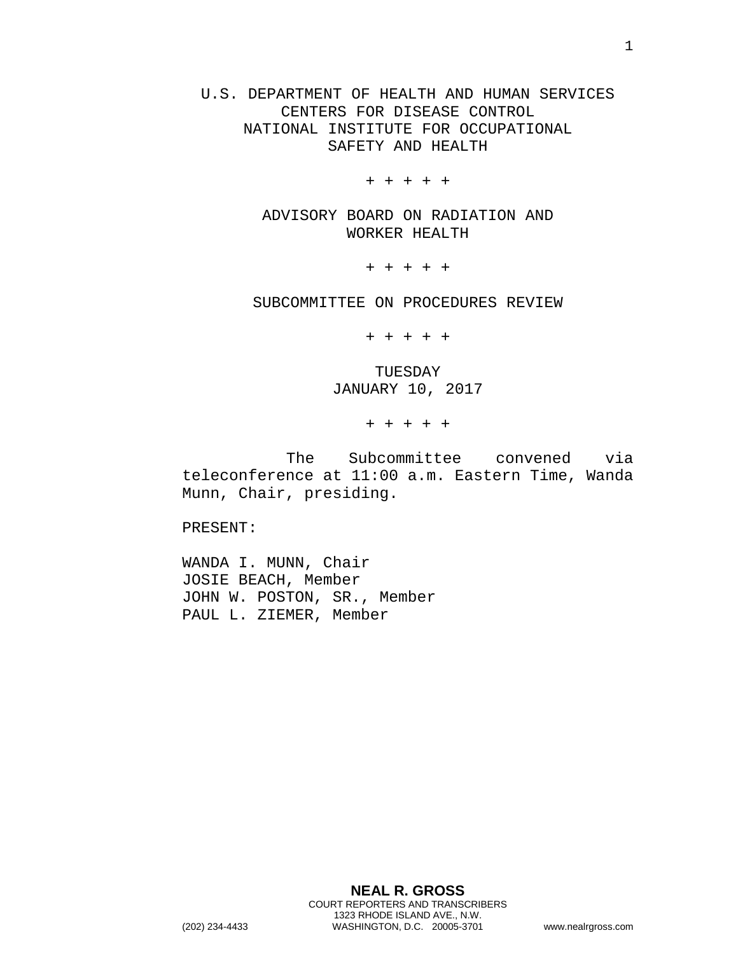U.S. DEPARTMENT OF HEALTH AND HUMAN SERVICES CENTERS FOR DISEASE CONTROL NATIONAL INSTITUTE FOR OCCUPATIONAL SAFETY AND HEALTH

+ + + + +

ADVISORY BOARD ON RADIATION AND WORKER HEALTH

+ + + + +

SUBCOMMITTEE ON PROCEDURES REVIEW

+ + + + +

TUESDAY JANUARY 10, 2017

+ + + + +

The Subcommittee convened via teleconference at 11:00 a.m. Eastern Time, Wanda Munn, Chair, presiding.

PRESENT:

WANDA I. MUNN, Chair JOSIE BEACH, Member JOHN W. POSTON, SR., Member PAUL L. ZIEMER, Member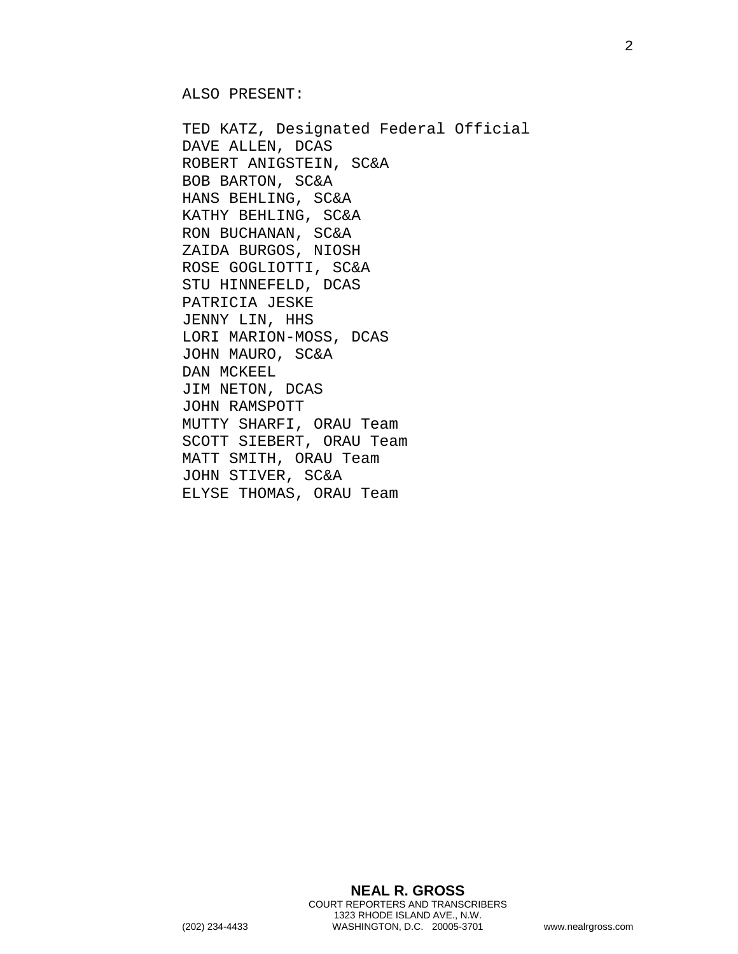ALSO PRESENT:

TED KATZ, Designated Federal Official DAVE ALLEN, DCAS ROBERT ANIGSTEIN, SC&A BOB BARTON, SC&A HANS BEHLING, SC&A KATHY BEHLING, SC&A RON BUCHANAN, SC&A ZAIDA BURGOS, NIOSH ROSE GOGLIOTTI, SC&A STU HINNEFELD, DCAS PATRICIA JESKE JENNY LIN, HHS LORI MARION-MOSS, DCAS JOHN MAURO, SC&A DAN MCKEEL JIM NETON, DCAS JOHN RAMSPOTT MUTTY SHARFI, ORAU Team SCOTT SIEBERT, ORAU Team MATT SMITH, ORAU Team JOHN STIVER, SC&A ELYSE THOMAS, ORAU Team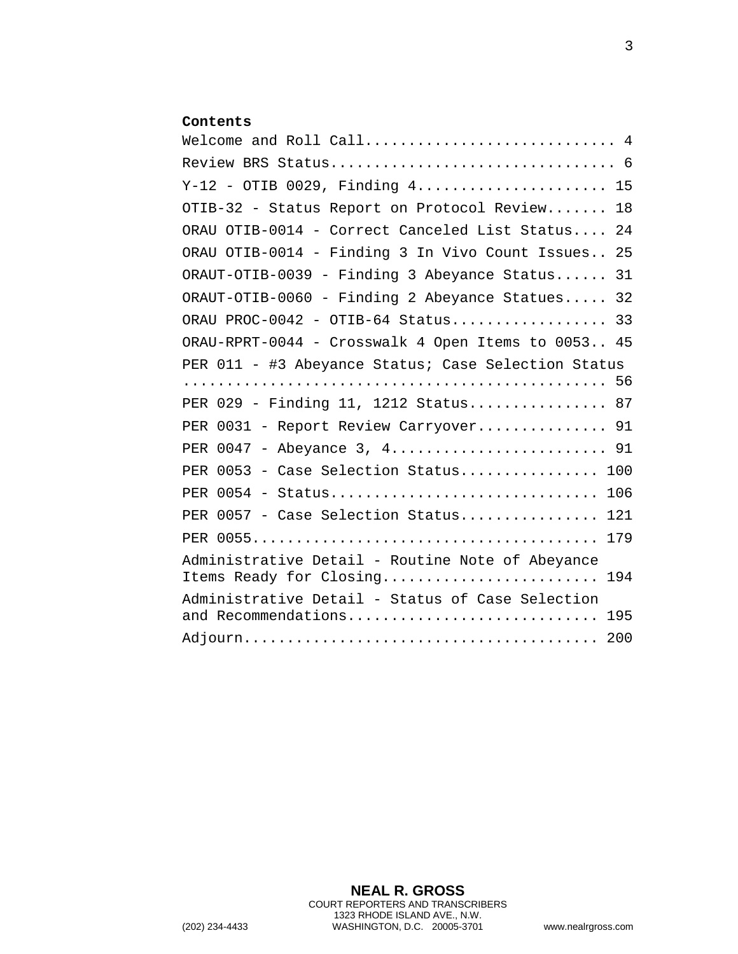## **Contents**

| Welcome and Roll Call 4                                                            |
|------------------------------------------------------------------------------------|
|                                                                                    |
| Y-12 - OTIB 0029, Finding 4 15                                                     |
| OTIB-32 - Status Report on Protocol Review<br>18                                   |
| ORAU OTIB-0014 - Correct Canceled List Status<br>24                                |
| ORAU OTIB-0014 - Finding 3 In Vivo Count Issues 25                                 |
| ORAUT-OTIB-0039 - Finding 3 Abeyance Status<br>31                                  |
| ORAUT-OTIB-0060 - Finding 2 Abeyance Statues 32                                    |
| ORAU PROC-0042 - OTIB-64 Status 33                                                 |
| ORAU-RPRT-0044 - Crosswalk 4 Open Items to 0053 45                                 |
| PER 011 - #3 Abeyance Status; Case Selection Status                                |
| PER 029 - Finding 11, 1212 Status 87                                               |
| PER 0031 - Report Review Carryover 91                                              |
| PER 0047 - Abeyance 3, 4 91                                                        |
| PER 0053 - Case Selection Status<br>100                                            |
| 106                                                                                |
| PER 0057 - Case Selection Status<br>121                                            |
| 179                                                                                |
| Administrative Detail - Routine Note of Abeyance<br>Items Ready for Closing<br>194 |
| Administrative Detail - Status of Case Selection<br>and Recommendations<br>195     |
|                                                                                    |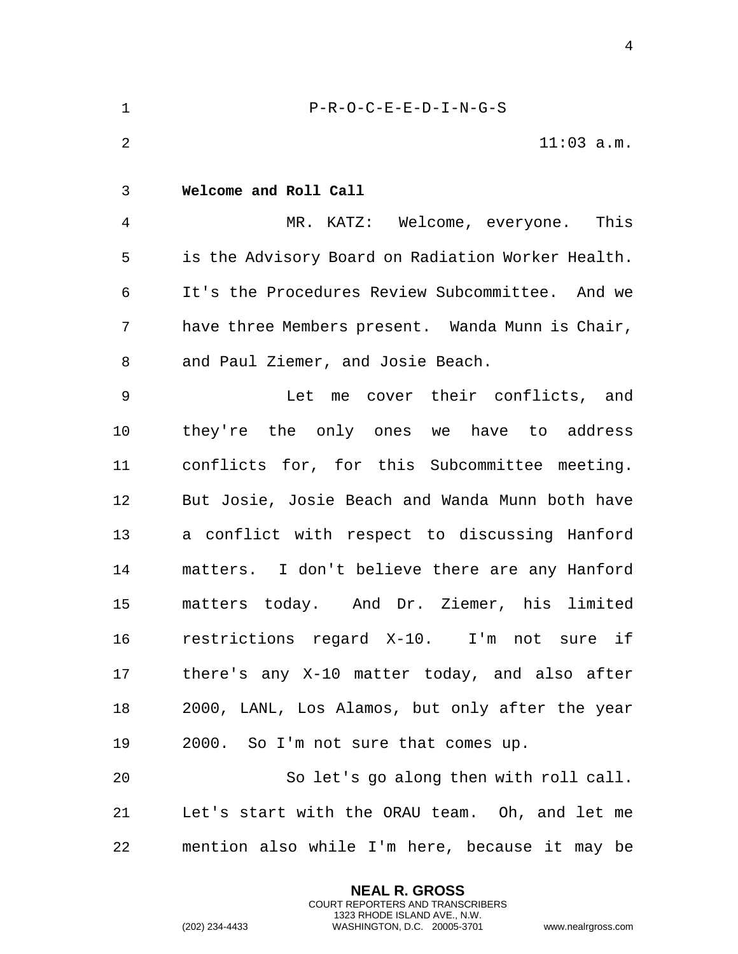<span id="page-3-0"></span>

| $\mathbf 1$ | $P-R-O-C-E-E-D-I-N-G-S$                           |
|-------------|---------------------------------------------------|
| 2           | $11:03$ a.m.                                      |
| 3           | Welcome and Roll Call                             |
| 4           | MR. KATZ: Welcome, everyone.<br>This              |
| 5           | is the Advisory Board on Radiation Worker Health. |
| 6           | It's the Procedures Review Subcommittee. And we   |
| 7           | have three Members present. Wanda Munn is Chair,  |
| 8           | and Paul Ziemer, and Josie Beach.                 |
| 9           | Let me cover their conflicts, and                 |
| 10          | they're the only ones we have to address          |
| 11          | conflicts for, for this Subcommittee meeting.     |
| 12          | But Josie, Josie Beach and Wanda Munn both have   |
| 13          | a conflict with respect to discussing Hanford     |
| 14          | matters. I don't believe there are any Hanford    |
| 15          | matters today. And Dr. Ziemer, his limited        |
| 16          | restrictions regard X-10. I'm not sure if         |
| 17          | there's any X-10 matter today, and also after     |
| 18          | 2000, LANL, Los Alamos, but only after the year   |
| 19          | 2000. So I'm not sure that comes up.              |
| 20          | So let's go along then with roll call.            |
| 21          | Let's start with the ORAU team. Oh, and let me    |
| 22          | mention also while I'm here, because it may be    |

**NEAL R. GROSS** COURT REPORTERS AND TRANSCRIBERS 1323 RHODE ISLAND AVE., N.W.

(202) 234-4433 WASHINGTON, D.C. 20005-3701 www.nealrgross.com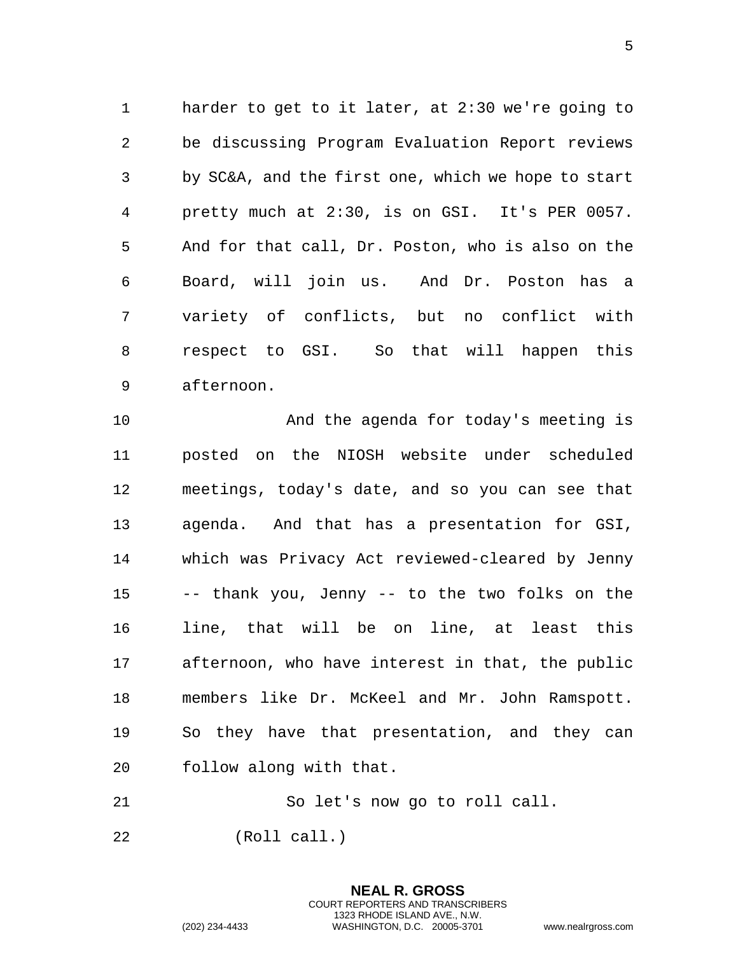harder to get to it later, at 2:30 we're going to be discussing Program Evaluation Report reviews by SC&A, and the first one, which we hope to start pretty much at 2:30, is on GSI. It's PER 0057. And for that call, Dr. Poston, who is also on the Board, will join us. And Dr. Poston has a variety of conflicts, but no conflict with respect to GSI. So that will happen this afternoon.

 And the agenda for today's meeting is posted on the NIOSH website under scheduled meetings, today's date, and so you can see that agenda. And that has a presentation for GSI, which was Privacy Act reviewed-cleared by Jenny -- thank you, Jenny -- to the two folks on the line, that will be on line, at least this afternoon, who have interest in that, the public members like Dr. McKeel and Mr. John Ramspott. So they have that presentation, and they can follow along with that.

So let's now go to roll call.

**NEAL R. GROSS** COURT REPORTERS AND TRANSCRIBERS 1323 RHODE ISLAND AVE., N.W.

(Roll call.)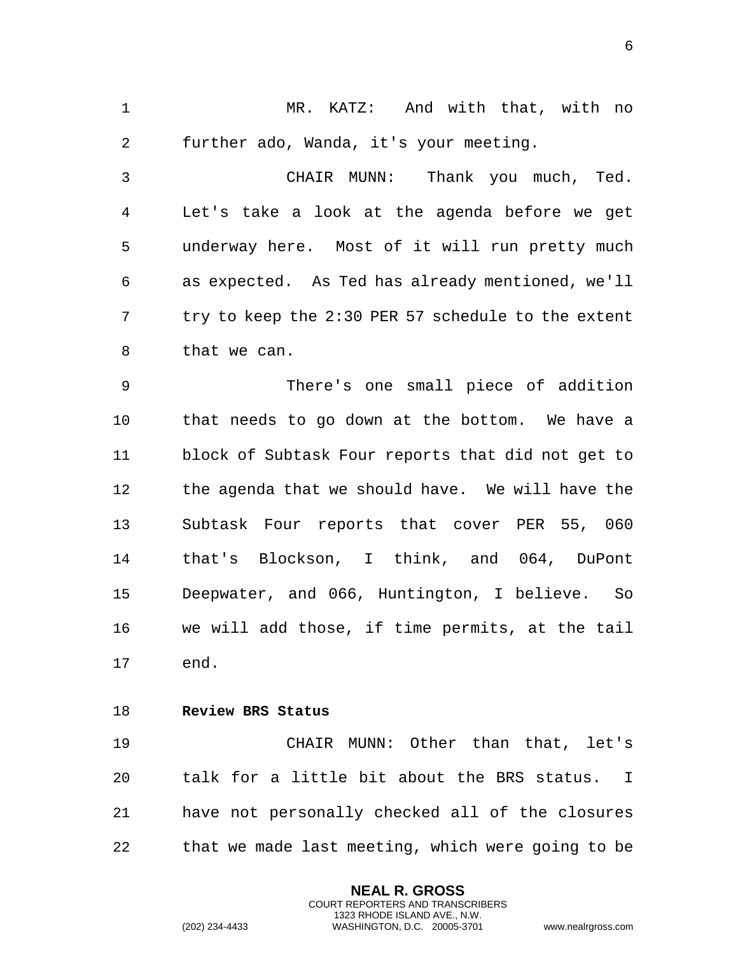1 MR. KATZ: And with that, with no 2 further ado, Wanda, it's your meeting.

3 CHAIR MUNN: Thank you much, Ted. 4 Let's take a look at the agenda before we get 5 underway here. Most of it will run pretty much 6 as expected. As Ted has already mentioned, we'll 7 try to keep the 2:30 PER 57 schedule to the extent 8 that we can.

9 There's one small piece of addition 10 that needs to go down at the bottom. We have a 11 block of Subtask Four reports that did not get to 12 the agenda that we should have. We will have the 13 Subtask Four reports that cover PER 55, 060 14 that's Blockson, I think, and 064, DuPont 15 Deepwater, and 066, Huntington, I believe. So 16 we will add those, if time permits, at the tail 17 end.

<span id="page-5-0"></span>18 **Review BRS Status** 

19 CHAIR MUNN: Other than that, let's 20 talk for a little bit about the BRS status. I 21 have not personally checked all of the closures 22 that we made last meeting, which were going to be

> **NEAL R. GROSS** COURT REPORTERS AND TRANSCRIBERS 1323 RHODE ISLAND AVE., N.W.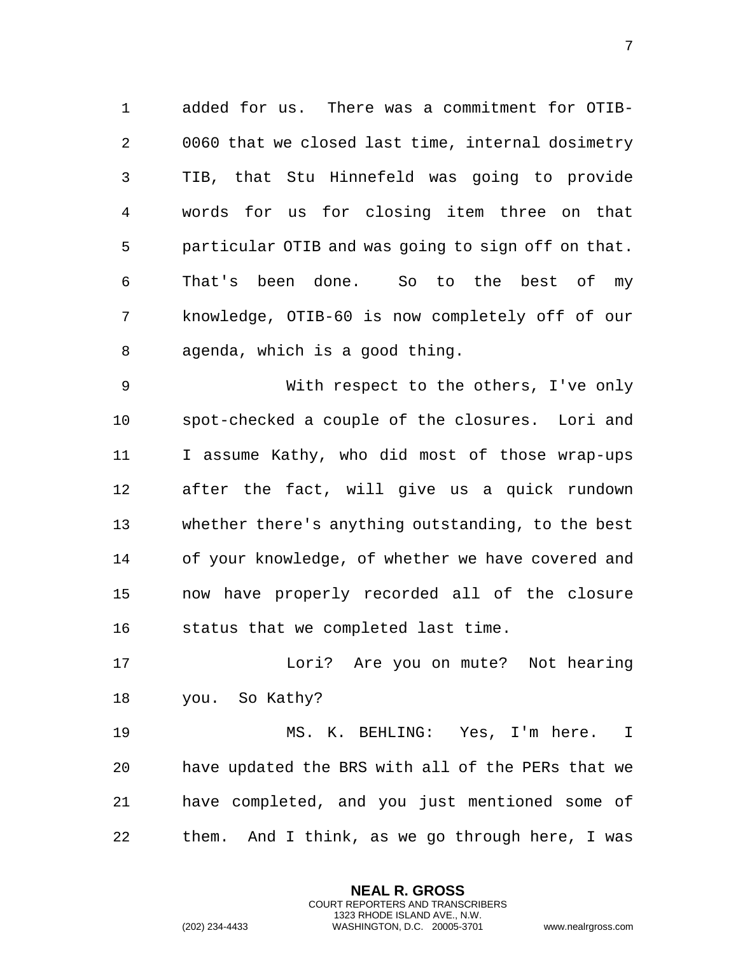1 added for us. There was a commitment for OTIB-2 0060 that we closed last time, internal dosimetry 3 TIB, that Stu Hinnefeld was going to provide 4 words for us for closing item three on that 5 particular OTIB and was going to sign off on that. 6 That's been done. So to the best of my 7 knowledge, OTIB-60 is now completely off of our 8 agenda, which is a good thing.

9 With respect to the others, I've only 10 spot-checked a couple of the closures. Lori and 11 I assume Kathy, who did most of those wrap-ups 12 after the fact, will give us a quick rundown 13 whether there's anything outstanding, to the best 14 of your knowledge, of whether we have covered and 15 now have properly recorded all of the closure 16 status that we completed last time.

17 Lori? Are you on mute? Not hearing 18 you. So Kathy?

19 MS. K. BEHLING: Yes, I'm here. I 20 have updated the BRS with all of the PERs that we 21 have completed, and you just mentioned some of 22 them. And I think, as we go through here, I was

> **NEAL R. GROSS** COURT REPORTERS AND TRANSCRIBERS 1323 RHODE ISLAND AVE., N.W.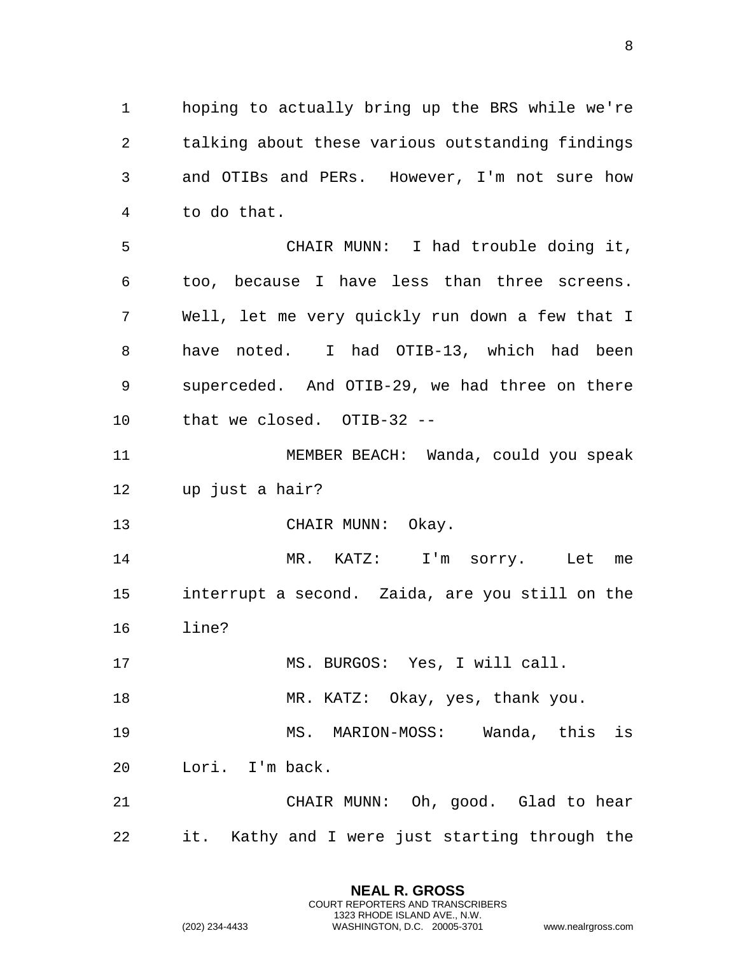hoping to actually bring up the BRS while we're talking about these various outstanding findings and OTIBs and PERs. However, I'm not sure how to do that.

 CHAIR MUNN: I had trouble doing it, too, because I have less than three screens. Well, let me very quickly run down a few that I have noted. I had OTIB-13, which had been superceded. And OTIB-29, we had three on there that we closed. OTIB-32 --

 MEMBER BEACH: Wanda, could you speak up just a hair?

13 CHAIR MUNN: Okay.

 MR. KATZ: I'm sorry. Let me interrupt a second. Zaida, are you still on the line?

MS. BURGOS: Yes, I will call.

18 MR. KATZ: Okay, yes, thank you.

 MS. MARION-MOSS: Wanda, this is Lori. I'm back.

 CHAIR MUNN: Oh, good. Glad to hear it. Kathy and I were just starting through the

> **NEAL R. GROSS** COURT REPORTERS AND TRANSCRIBERS 1323 RHODE ISLAND AVE., N.W.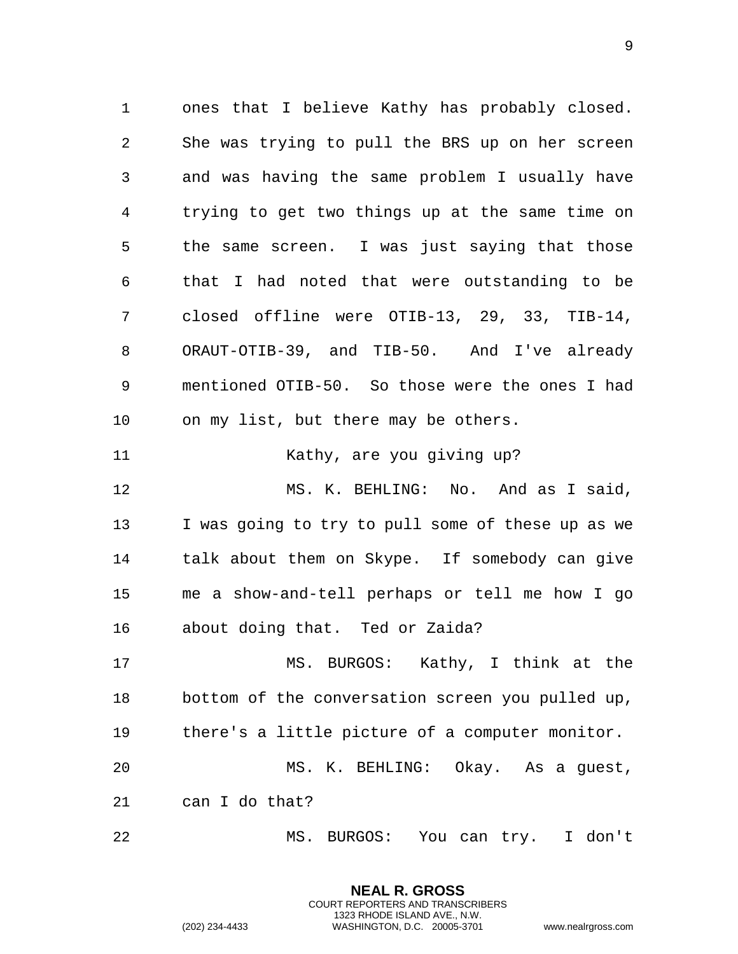ones that I believe Kathy has probably closed. She was trying to pull the BRS up on her screen and was having the same problem I usually have trying to get two things up at the same time on the same screen. I was just saying that those that I had noted that were outstanding to be closed offline were OTIB-13, 29, 33, TIB-14, ORAUT-OTIB-39, and TIB-50. And I've already mentioned OTIB-50. So those were the ones I had on my list, but there may be others. 11 Kathy, are you giving up? MS. K. BEHLING: No. And as I said, I was going to try to pull some of these up as we talk about them on Skype. If somebody can give me a show-and-tell perhaps or tell me how I go about doing that. Ted or Zaida? MS. BURGOS: Kathy, I think at the

 bottom of the conversation screen you pulled up, there's a little picture of a computer monitor. MS. K. BEHLING: Okay. As a guest, can I do that?

MS. BURGOS: You can try. I don't

**NEAL R. GROSS** COURT REPORTERS AND TRANSCRIBERS 1323 RHODE ISLAND AVE., N.W.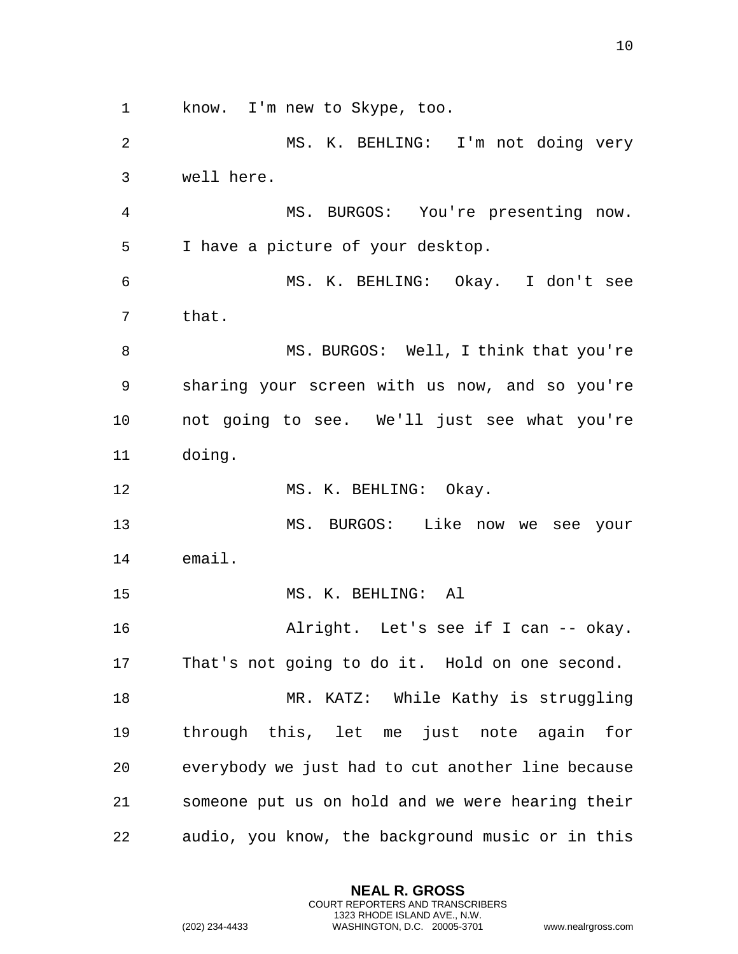know. I'm new to Skype, too.

 MS. K. BEHLING: I'm not doing very well here. MS. BURGOS: You're presenting now. I have a picture of your desktop. MS. K. BEHLING: Okay. I don't see that. MS. BURGOS: Well, I think that you're sharing your screen with us now, and so you're not going to see. We'll just see what you're doing. 12 MS. K. BEHLING: Okay. MS. BURGOS: Like now we see your email. MS. K. BEHLING: Al Alright. Let's see if I can -- okay. That's not going to do it. Hold on one second. 18 MR. KATZ: While Kathy is struggling through this, let me just note again for everybody we just had to cut another line because someone put us on hold and we were hearing their audio, you know, the background music or in this

> **NEAL R. GROSS** COURT REPORTERS AND TRANSCRIBERS 1323 RHODE ISLAND AVE., N.W.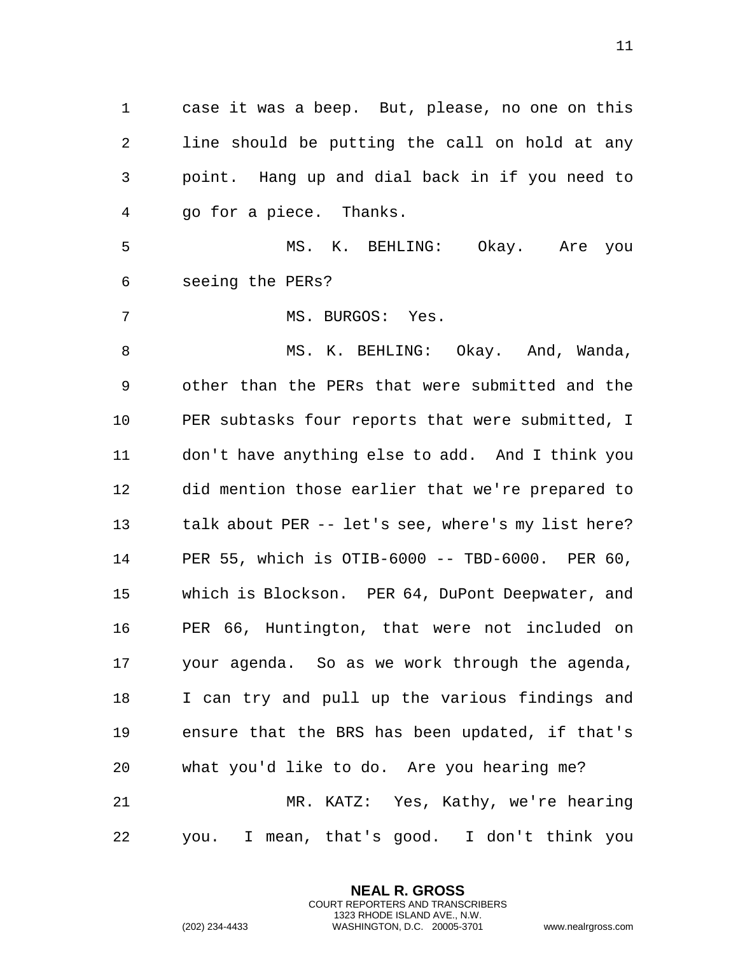case it was a beep. But, please, no one on this line should be putting the call on hold at any point. Hang up and dial back in if you need to go for a piece. Thanks.

 MS. K. BEHLING: Okay. Are you seeing the PERs?

7 MS. BURGOS: Yes.

8 MS. K. BEHLING: Okay. And, Wanda, other than the PERs that were submitted and the PER subtasks four reports that were submitted, I don't have anything else to add. And I think you did mention those earlier that we're prepared to 13 talk about PER -- let's see, where's my list here? PER 55, which is OTIB-6000 -- TBD-6000. PER 60, which is Blockson. PER 64, DuPont Deepwater, and PER 66, Huntington, that were not included on your agenda. So as we work through the agenda, I can try and pull up the various findings and ensure that the BRS has been updated, if that's what you'd like to do. Are you hearing me? MR. KATZ: Yes, Kathy, we're hearing you. I mean, that's good. I don't think you

> **NEAL R. GROSS** COURT REPORTERS AND TRANSCRIBERS 1323 RHODE ISLAND AVE., N.W.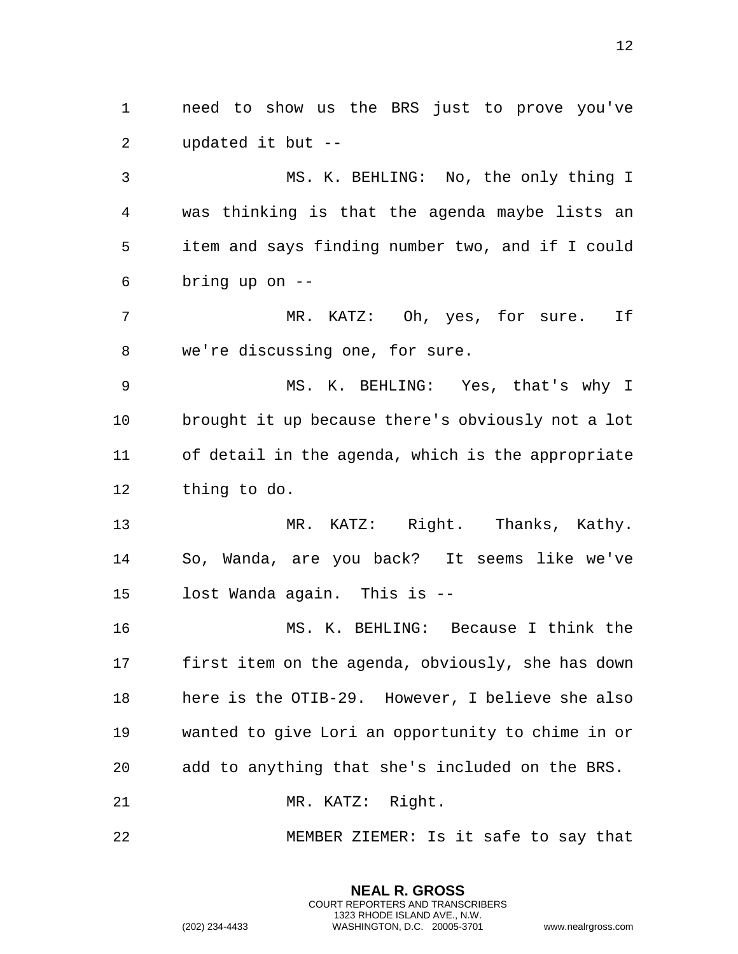need to show us the BRS just to prove you've updated it but --

 MS. K. BEHLING: No, the only thing I was thinking is that the agenda maybe lists an item and says finding number two, and if I could bring up on --

 MR. KATZ: Oh, yes, for sure. If we're discussing one, for sure.

 MS. K. BEHLING: Yes, that's why I brought it up because there's obviously not a lot of detail in the agenda, which is the appropriate thing to do.

 MR. KATZ: Right. Thanks, Kathy. So, Wanda, are you back? It seems like we've lost Wanda again. This is --

 MS. K. BEHLING: Because I think the first item on the agenda, obviously, she has down here is the OTIB-29. However, I believe she also wanted to give Lori an opportunity to chime in or add to anything that she's included on the BRS. 21 MR. KATZ: Right.

MEMBER ZIEMER: Is it safe to say that

**NEAL R. GROSS** COURT REPORTERS AND TRANSCRIBERS 1323 RHODE ISLAND AVE., N.W.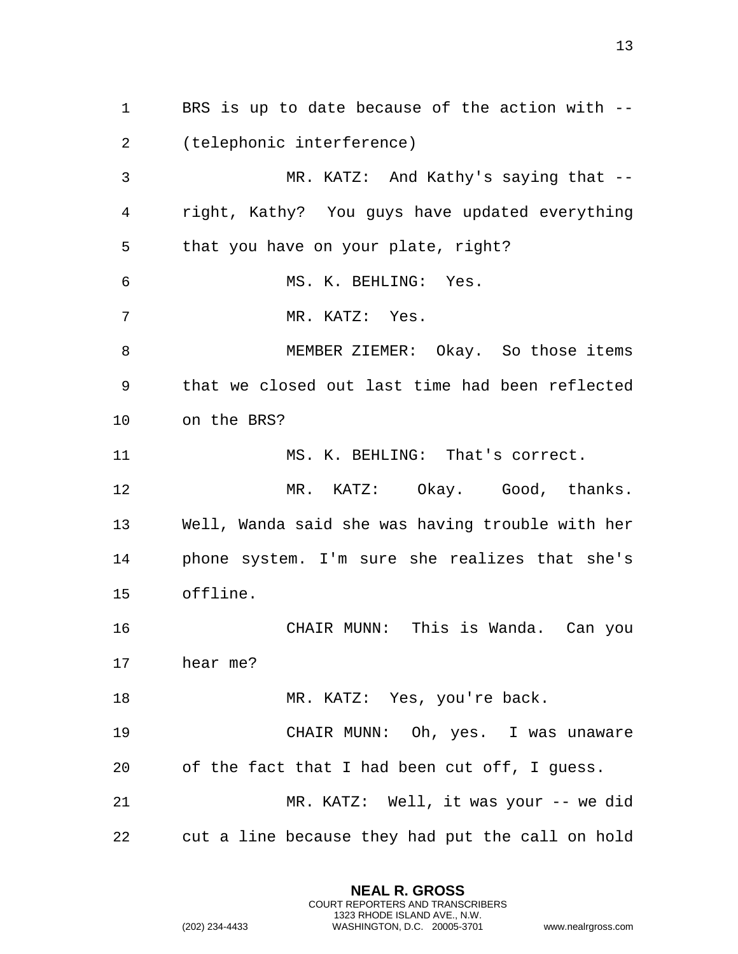BRS is up to date because of the action with -- (telephonic interference) MR. KATZ: And Kathy's saying that -- right, Kathy? You guys have updated everything that you have on your plate, right? MS. K. BEHLING: Yes. MR. KATZ: Yes. 8 MEMBER ZIEMER: Okay. So those items that we closed out last time had been reflected on the BRS? MS. K. BEHLING: That's correct. MR. KATZ: Okay. Good, thanks. Well, Wanda said she was having trouble with her phone system. I'm sure she realizes that she's offline. CHAIR MUNN: This is Wanda. Can you hear me? 18 MR. KATZ: Yes, you're back. CHAIR MUNN: Oh, yes. I was unaware of the fact that I had been cut off, I guess. MR. KATZ: Well, it was your -- we did cut a line because they had put the call on hold

> **NEAL R. GROSS** COURT REPORTERS AND TRANSCRIBERS 1323 RHODE ISLAND AVE., N.W.

(202) 234-4433 WASHINGTON, D.C. 20005-3701 www.nealrgross.com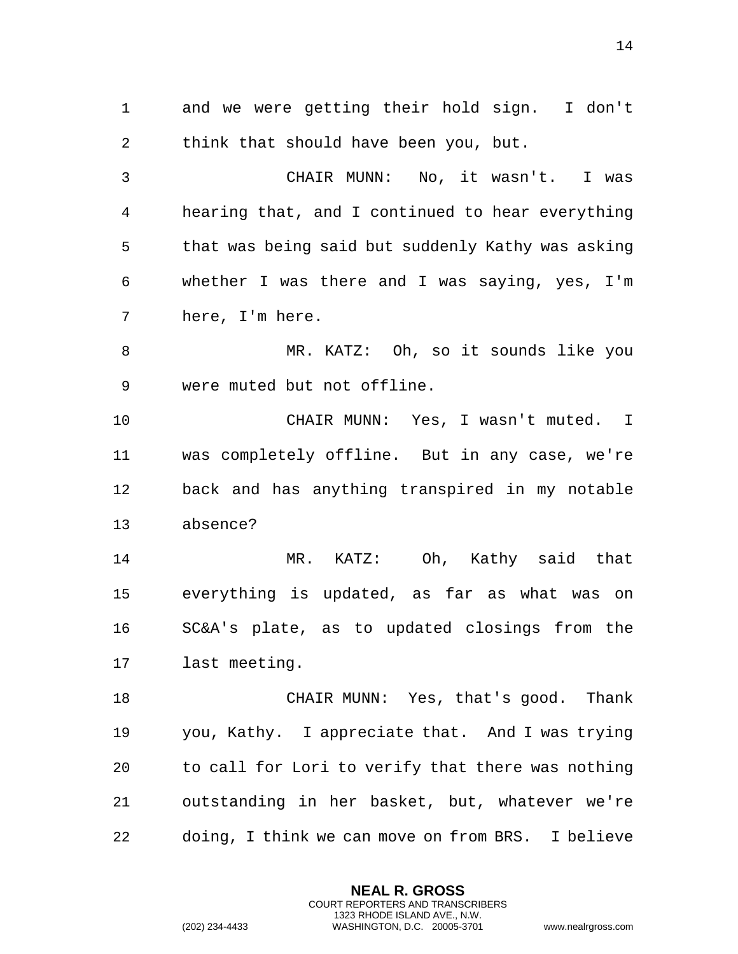and we were getting their hold sign. I don't think that should have been you, but.

 CHAIR MUNN: No, it wasn't. I was hearing that, and I continued to hear everything that was being said but suddenly Kathy was asking whether I was there and I was saying, yes, I'm here, I'm here.

8 MR. KATZ: Oh, so it sounds like you were muted but not offline.

 CHAIR MUNN: Yes, I wasn't muted. I was completely offline. But in any case, we're back and has anything transpired in my notable absence?

 MR. KATZ: Oh, Kathy said that everything is updated, as far as what was on SC&A's plate, as to updated closings from the last meeting.

 CHAIR MUNN: Yes, that's good. Thank you, Kathy. I appreciate that. And I was trying to call for Lori to verify that there was nothing outstanding in her basket, but, whatever we're doing, I think we can move on from BRS. I believe

> **NEAL R. GROSS** COURT REPORTERS AND TRANSCRIBERS 1323 RHODE ISLAND AVE., N.W.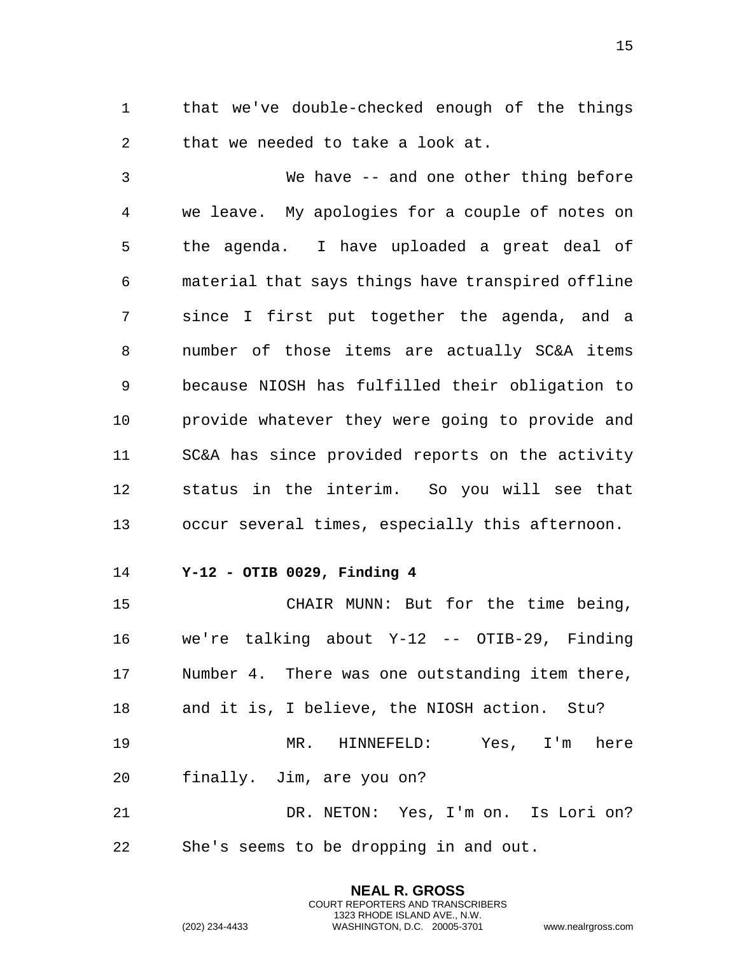1 that we've double-checked enough of the things 2 that we needed to take a look at.

3 We have -- and one other thing before 4 we leave. My apologies for a couple of notes on 5 the agenda. I have uploaded a great deal of 6 material that says things have transpired offline 7 since I first put together the agenda, and a 8 number of those items are actually SC&A items 9 because NIOSH has fulfilled their obligation to 10 provide whatever they were going to provide and 11 SC&A has since provided reports on the activity 12 status in the interim. So you will see that 13 occur several times, especially this afternoon.

<span id="page-14-0"></span>14 **Y-12 - OTIB 0029, Finding 4** 

15 CHAIR MUNN: But for the time being, 16 we're talking about Y-12 -- OTIB-29, Finding 17 Number 4. There was one outstanding item there, 18 and it is, I believe, the NIOSH action. Stu? 19 MR. HINNEFELD: Yes, I'm here 20 finally. Jim, are you on? 21 DR. NETON: Yes, I'm on. Is Lori on?

> **NEAL R. GROSS** COURT REPORTERS AND TRANSCRIBERS 1323 RHODE ISLAND AVE., N.W.

22 She's seems to be dropping in and out.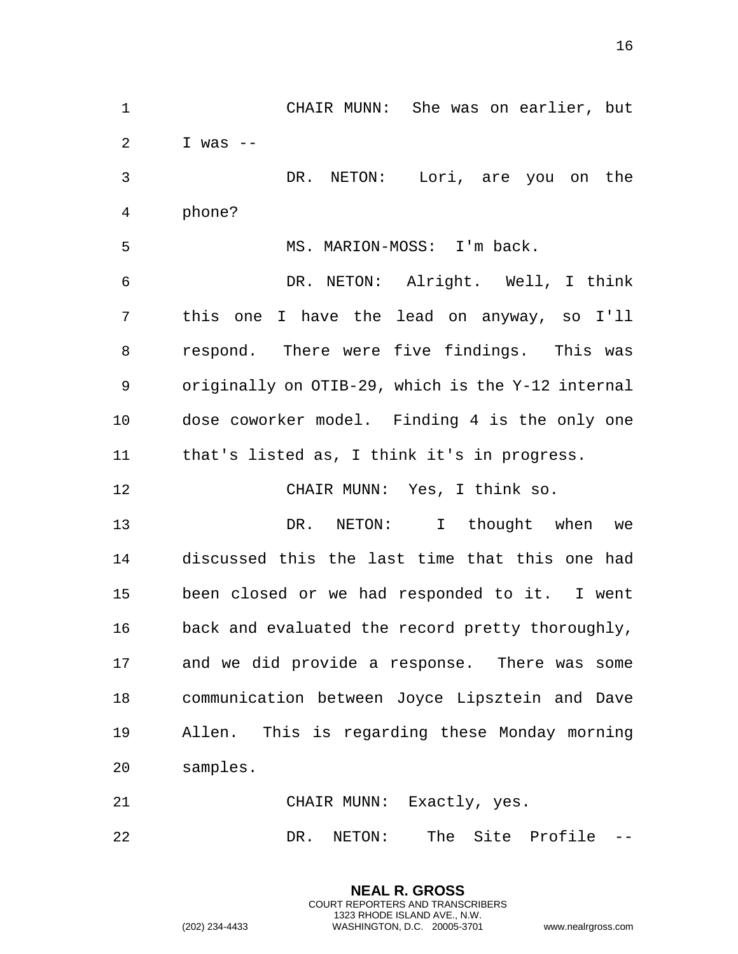1 CHAIR MUNN: She was on earlier, but 2 I was  $-$ 3 DR. NETON: Lori, are you on the 4 phone? 5 MS. MARION-MOSS: I'm back. 6 DR. NETON: Alright. Well, I think 7 this one I have the lead on anyway, so I'll 8 respond. There were five findings. This was 9 originally on OTIB-29, which is the Y-12 internal 10 dose coworker model. Finding 4 is the only one 11 that's listed as, I think it's in progress. 12 CHAIR MUNN: Yes, I think so. 13 DR. NETON: I thought when we 14 discussed this the last time that this one had 15 been closed or we had responded to it. I went 16 back and evaluated the record pretty thoroughly, 17 and we did provide a response. There was some 18 communication between Joyce Lipsztein and Dave 19 Allen. This is regarding these Monday morning 20 samples. 21 CHAIR MUNN: Exactly, yes. 22 DR. NETON: The Site Profile --

> **NEAL R. GROSS** COURT REPORTERS AND TRANSCRIBERS 1323 RHODE ISLAND AVE., N.W.

(202) 234-4433 WASHINGTON, D.C. 20005-3701 www.nealrgross.com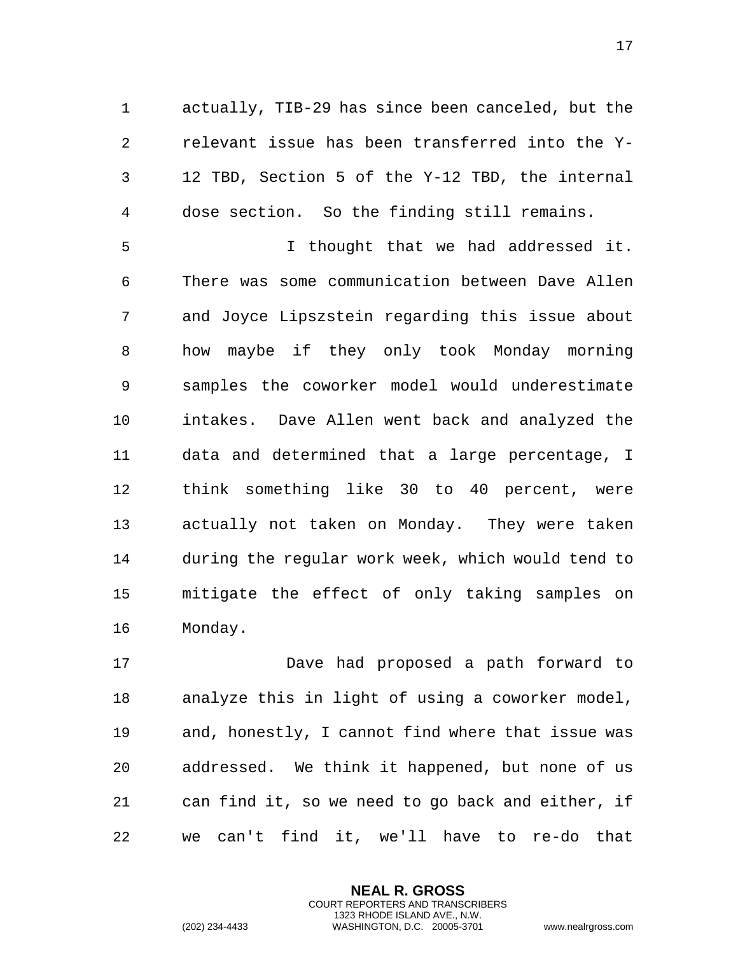actually, TIB-29 has since been canceled, but the relevant issue has been transferred into the Y- 12 TBD, Section 5 of the Y-12 TBD, the internal dose section. So the finding still remains.

 I thought that we had addressed it. There was some communication between Dave Allen and Joyce Lipszstein regarding this issue about how maybe if they only took Monday morning samples the coworker model would underestimate intakes. Dave Allen went back and analyzed the data and determined that a large percentage, I think something like 30 to 40 percent, were actually not taken on Monday. They were taken during the regular work week, which would tend to mitigate the effect of only taking samples on Monday.

 Dave had proposed a path forward to analyze this in light of using a coworker model, and, honestly, I cannot find where that issue was addressed. We think it happened, but none of us can find it, so we need to go back and either, if we can't find it, we'll have to re-do that

> **NEAL R. GROSS** COURT REPORTERS AND TRANSCRIBERS 1323 RHODE ISLAND AVE., N.W.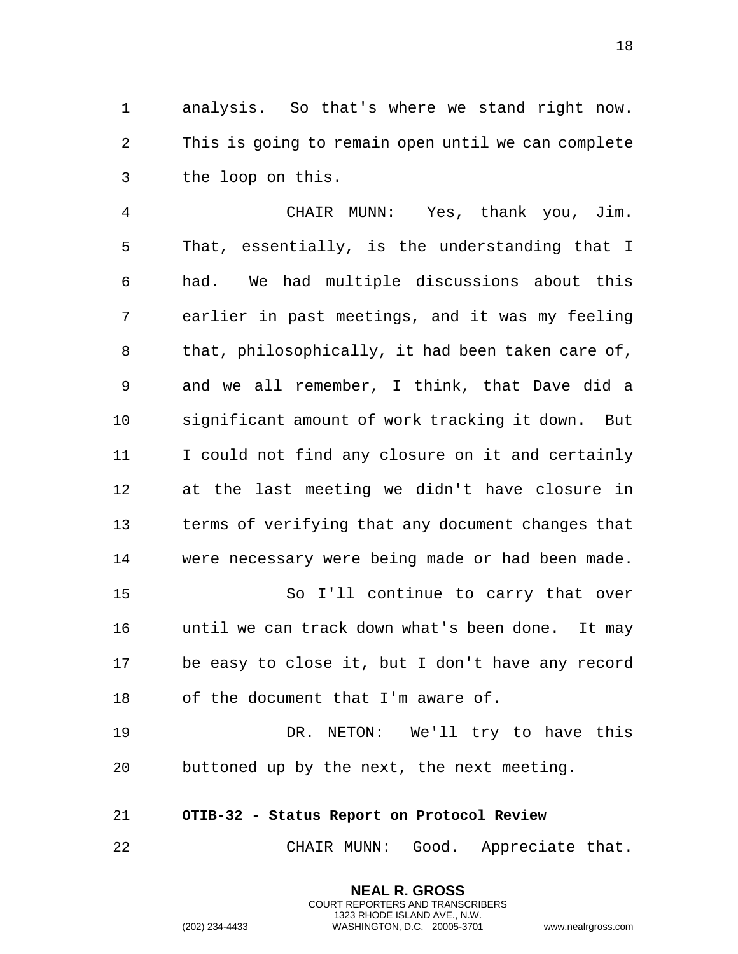1 analysis. So that's where we stand right now. 2 This is going to remain open until we can complete 3 the loop on this.

4 CHAIR MUNN: Yes, thank you, Jim. 5 That, essentially, is the understanding that I 6 had. We had multiple discussions about this 7 earlier in past meetings, and it was my feeling 8 that, philosophically, it had been taken care of, 9 and we all remember, I think, that Dave did a 10 significant amount of work tracking it down. But 11 I could not find any closure on it and certainly 12 at the last meeting we didn't have closure in 13 terms of verifying that any document changes that 14 were necessary were being made or had been made. 15 So I'll continue to carry that over 16 until we can track down what's been done. It may 17 be easy to close it, but I don't have any record

18 of the document that I'm aware of.

19 DR. NETON: We'll try to have this 20 buttoned up by the next, the next meeting.

## <span id="page-17-0"></span>21 **OTIB-32 - Status Report on Protocol Review**

22 CHAIR MUNN: Good. Appreciate that.

**NEAL R. GROSS** COURT REPORTERS AND TRANSCRIBERS 1323 RHODE ISLAND AVE., N.W.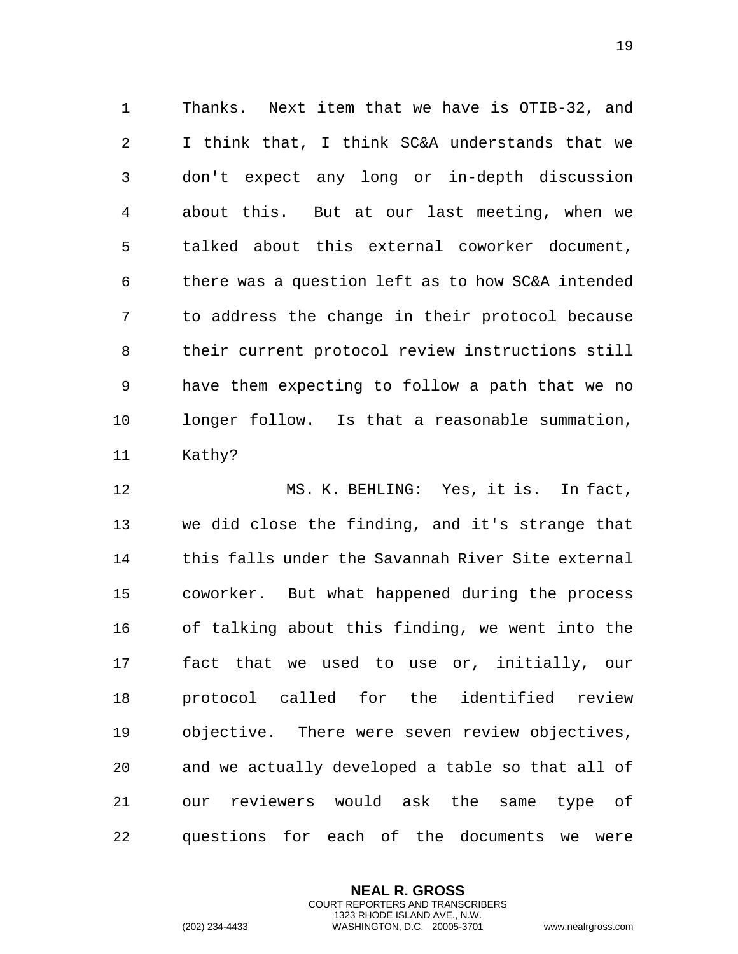1 Thanks. Next item that we have is OTIB-32, and 2 I think that, I think SC&A understands that we 3 don't expect any long or in-depth discussion 4 about this. But at our last meeting, when we 5 talked about this external coworker document, 6 there was a question left as to how SC&A intended 7 to address the change in their protocol because 8 their current protocol review instructions still 9 have them expecting to follow a path that we no 10 longer follow. Is that a reasonable summation, 11 Kathy?

12 MS. K. BEHLING: Yes, it is. In fact, 13 we did close the finding, and it's strange that 14 this falls under the Savannah River Site external 15 coworker. But what happened during the process 16 of talking about this finding, we went into the 17 fact that we used to use or, initially, our 18 protocol called for the identified review 19 objective. There were seven review objectives, 20 and we actually developed a table so that all of 21 our reviewers would ask the same type of 22 questions for each of the documents we were

> **NEAL R. GROSS** COURT REPORTERS AND TRANSCRIBERS 1323 RHODE ISLAND AVE., N.W.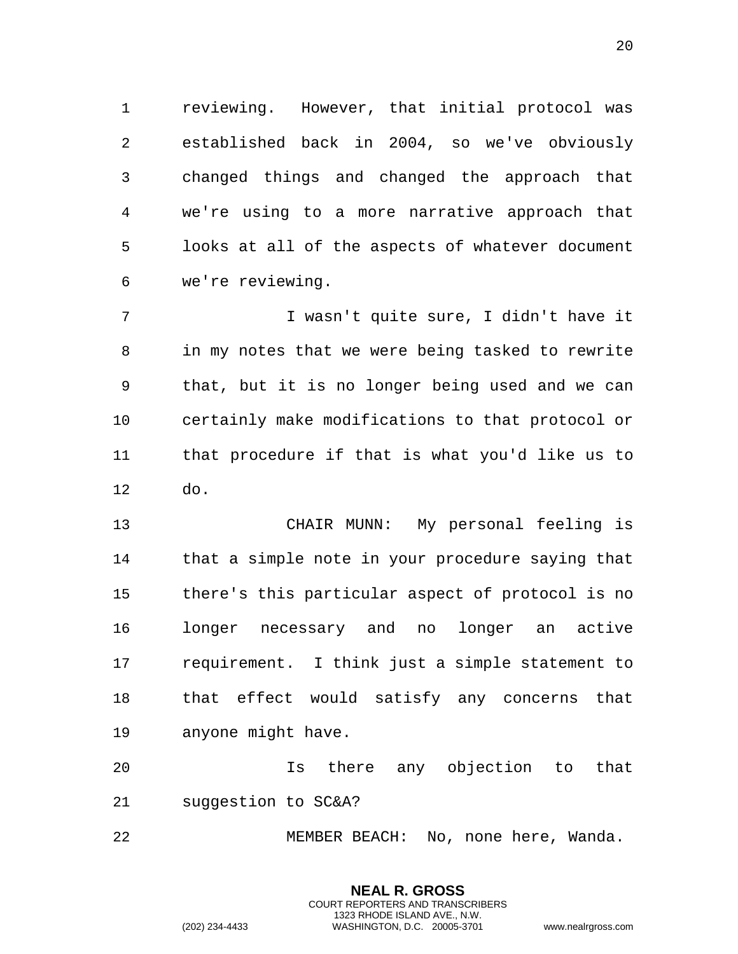reviewing. However, that initial protocol was established back in 2004, so we've obviously changed things and changed the approach that we're using to a more narrative approach that looks at all of the aspects of whatever document we're reviewing.

 I wasn't quite sure, I didn't have it in my notes that we were being tasked to rewrite that, but it is no longer being used and we can certainly make modifications to that protocol or that procedure if that is what you'd like us to do.

 CHAIR MUNN: My personal feeling is that a simple note in your procedure saying that there's this particular aspect of protocol is no longer necessary and no longer an active requirement. I think just a simple statement to that effect would satisfy any concerns that anyone might have.

 Is there any objection to that suggestion to SC&A?

MEMBER BEACH: No, none here, Wanda.

**NEAL R. GROSS** COURT REPORTERS AND TRANSCRIBERS 1323 RHODE ISLAND AVE., N.W.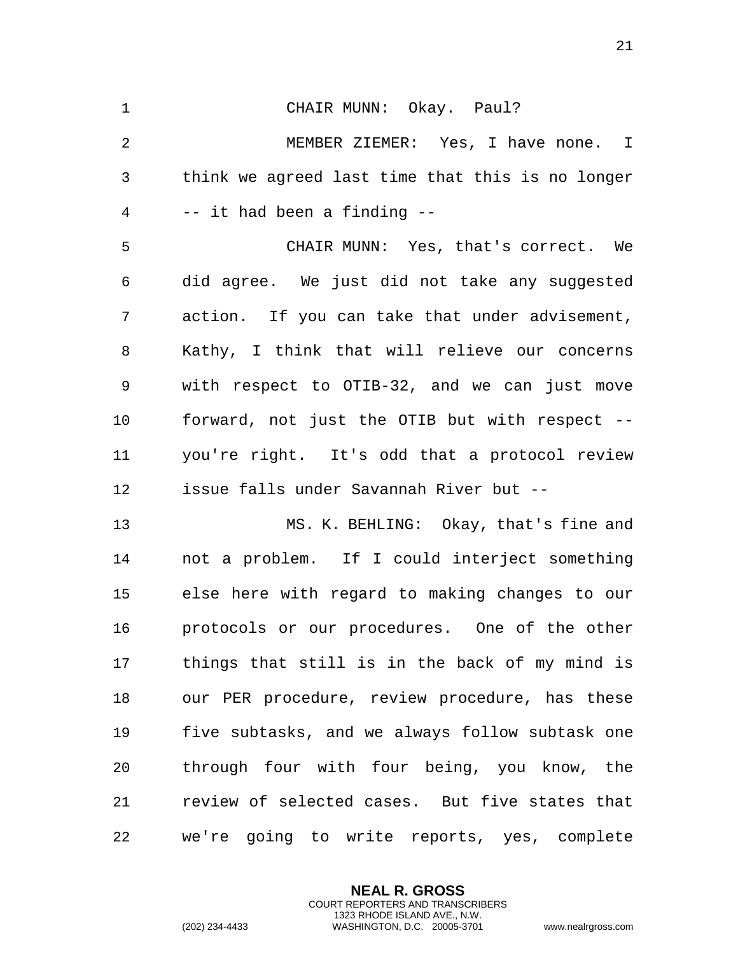CHAIR MUNN: Okay. Paul? MEMBER ZIEMER: Yes, I have none. I think we agreed last time that this is no longer -- it had been a finding -- CHAIR MUNN: Yes, that's correct. We did agree. We just did not take any suggested action. If you can take that under advisement, Kathy, I think that will relieve our concerns with respect to OTIB-32, and we can just move forward, not just the OTIB but with respect -- you're right. It's odd that a protocol review issue falls under Savannah River but -- MS. K. BEHLING: Okay, that's fine and not a problem. If I could interject something

 else here with regard to making changes to our protocols or our procedures. One of the other things that still is in the back of my mind is our PER procedure, review procedure, has these five subtasks, and we always follow subtask one through four with four being, you know, the review of selected cases. But five states that we're going to write reports, yes, complete

> **NEAL R. GROSS** COURT REPORTERS AND TRANSCRIBERS 1323 RHODE ISLAND AVE., N.W.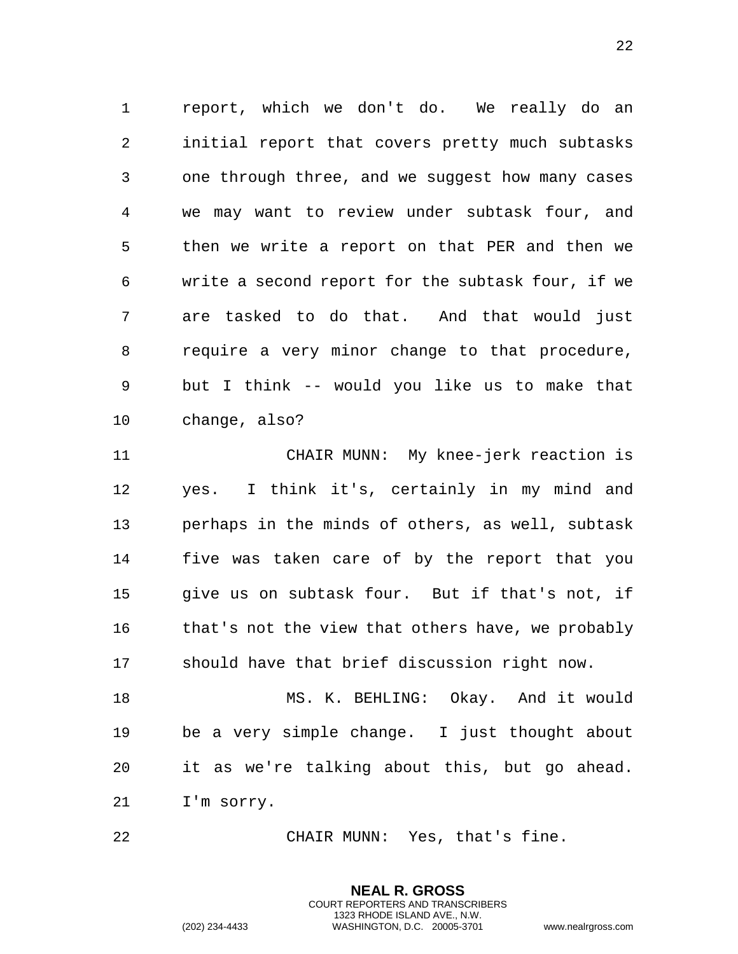report, which we don't do. We really do an initial report that covers pretty much subtasks one through three, and we suggest how many cases we may want to review under subtask four, and then we write a report on that PER and then we write a second report for the subtask four, if we are tasked to do that. And that would just require a very minor change to that procedure, but I think -- would you like us to make that change, also?

 CHAIR MUNN: My knee-jerk reaction is yes. I think it's, certainly in my mind and perhaps in the minds of others, as well, subtask five was taken care of by the report that you give us on subtask four. But if that's not, if that's not the view that others have, we probably should have that brief discussion right now.

 MS. K. BEHLING: Okay. And it would be a very simple change. I just thought about it as we're talking about this, but go ahead. I'm sorry.

CHAIR MUNN: Yes, that's fine.

**NEAL R. GROSS** COURT REPORTERS AND TRANSCRIBERS 1323 RHODE ISLAND AVE., N.W.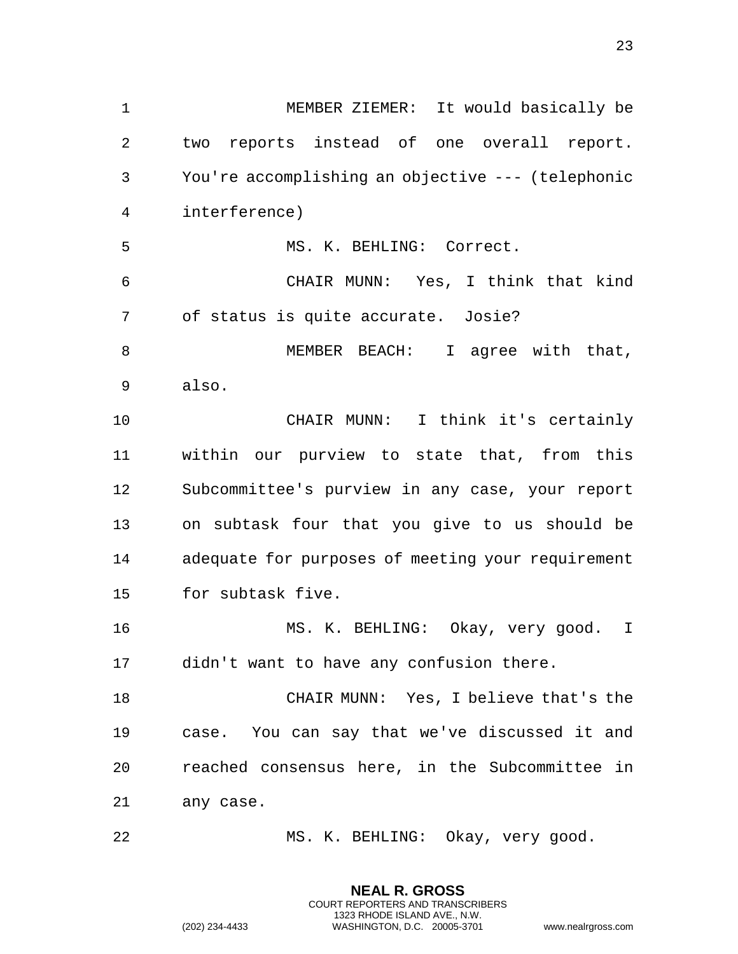MEMBER ZIEMER: It would basically be two reports instead of one overall report. You're accomplishing an objective --- (telephonic interference) MS. K. BEHLING: Correct. CHAIR MUNN: Yes, I think that kind of status is quite accurate. Josie? MEMBER BEACH: I agree with that, also. CHAIR MUNN: I think it's certainly within our purview to state that, from this Subcommittee's purview in any case, your report on subtask four that you give to us should be adequate for purposes of meeting your requirement for subtask five. MS. K. BEHLING: Okay, very good. I didn't want to have any confusion there. CHAIR MUNN: Yes, I believe that's the case. You can say that we've discussed it and reached consensus here, in the Subcommittee in any case. MS. K. BEHLING: Okay, very good.

> **NEAL R. GROSS** COURT REPORTERS AND TRANSCRIBERS 1323 RHODE ISLAND AVE., N.W.

(202) 234-4433 WASHINGTON, D.C. 20005-3701 www.nealrgross.com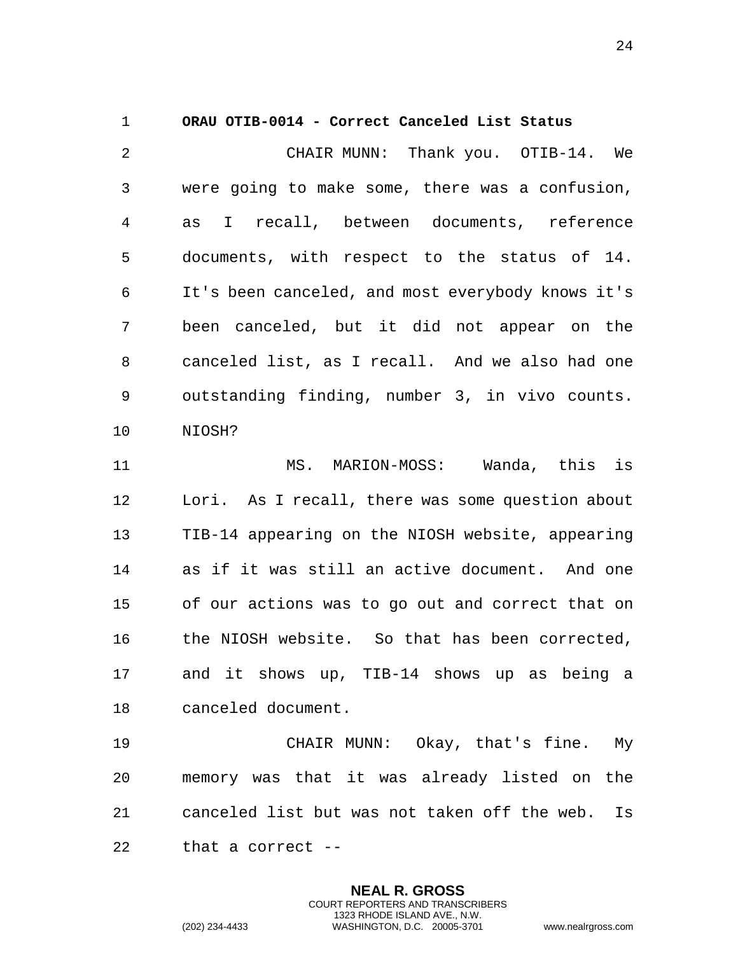<span id="page-23-0"></span>1 **ORAU OTIB-0014 - Correct Canceled List Status**  2 CHAIR MUNN: Thank you. OTIB-14. We 3 were going to make some, there was a confusion, 4 as I recall, between documents, reference 5 documents, with respect to the status of 14. 6 It's been canceled, and most everybody knows it's 7 been canceled, but it did not appear on the 8 canceled list, as I recall. And we also had one 9 outstanding finding, number 3, in vivo counts. 10 NIOSH? 11 MS. MARION-MOSS: Wanda, this is 12 Lori. As I recall, there was some question about 13 TIB-14 appearing on the NIOSH website, appearing 14 as if it was still an active document. And one 15 of our actions was to go out and correct that on 16 the NIOSH website. So that has been corrected, 17 and it shows up, TIB-14 shows up as being a 18 canceled document.

19 CHAIR MUNN: Okay, that's fine. My 20 memory was that it was already listed on the 21 canceled list but was not taken off the web. Is 22 that a correct --

> **NEAL R. GROSS** COURT REPORTERS AND TRANSCRIBERS 1323 RHODE ISLAND AVE., N.W.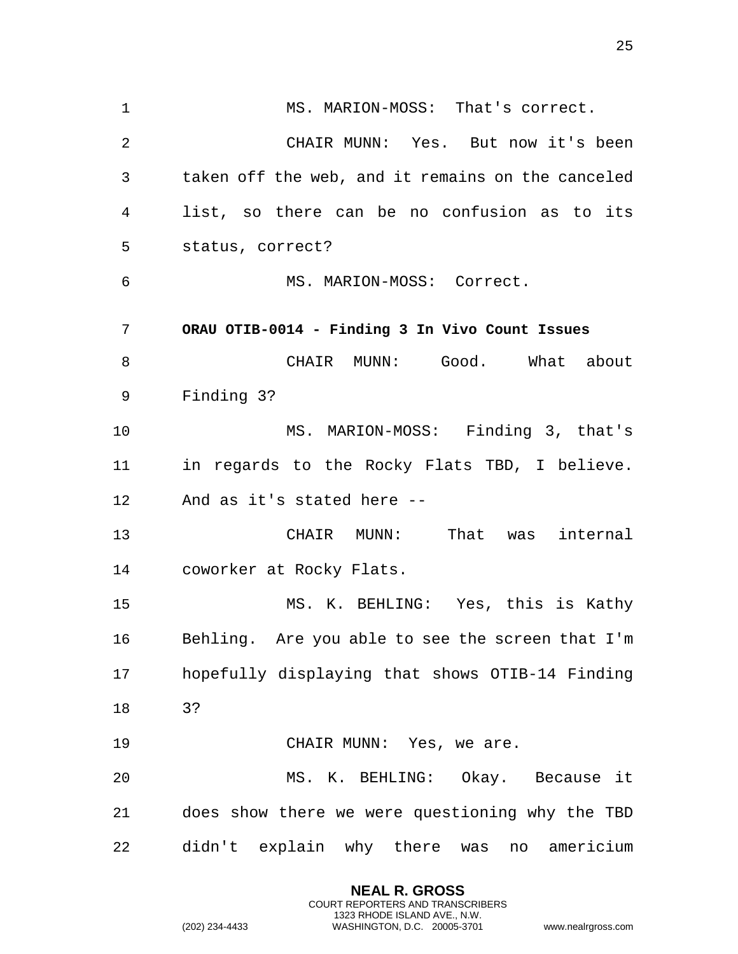<span id="page-24-0"></span>1 MS. MARION-MOSS: That's correct. 2 CHAIR MUNN: Yes. But now it's been 3 taken off the web, and it remains on the canceled 4 list, so there can be no confusion as to its 5 status, correct? 6 MS. MARION-MOSS: Correct. 7 **ORAU OTIB-0014 - Finding 3 In Vivo Count Issues**  8 CHAIR MUNN: Good. What about 9 Finding 3? 10 MS. MARION-MOSS: Finding 3, that's 11 in regards to the Rocky Flats TBD, I believe. 12 And as it's stated here -- 13 CHAIR MUNN: That was internal 14 coworker at Rocky Flats. 15 MS. K. BEHLING: Yes, this is Kathy 16 Behling. Are you able to see the screen that I'm 17 hopefully displaying that shows OTIB-14 Finding 18 3? 19 CHAIR MUNN: Yes, we are. 20 MS. K. BEHLING: Okay. Because it 21 does show there we were questioning why the TBD 22 didn't explain why there was no americium

> **NEAL R. GROSS** COURT REPORTERS AND TRANSCRIBERS 1323 RHODE ISLAND AVE., N.W.

(202) 234-4433 WASHINGTON, D.C. 20005-3701 www.nealrgross.com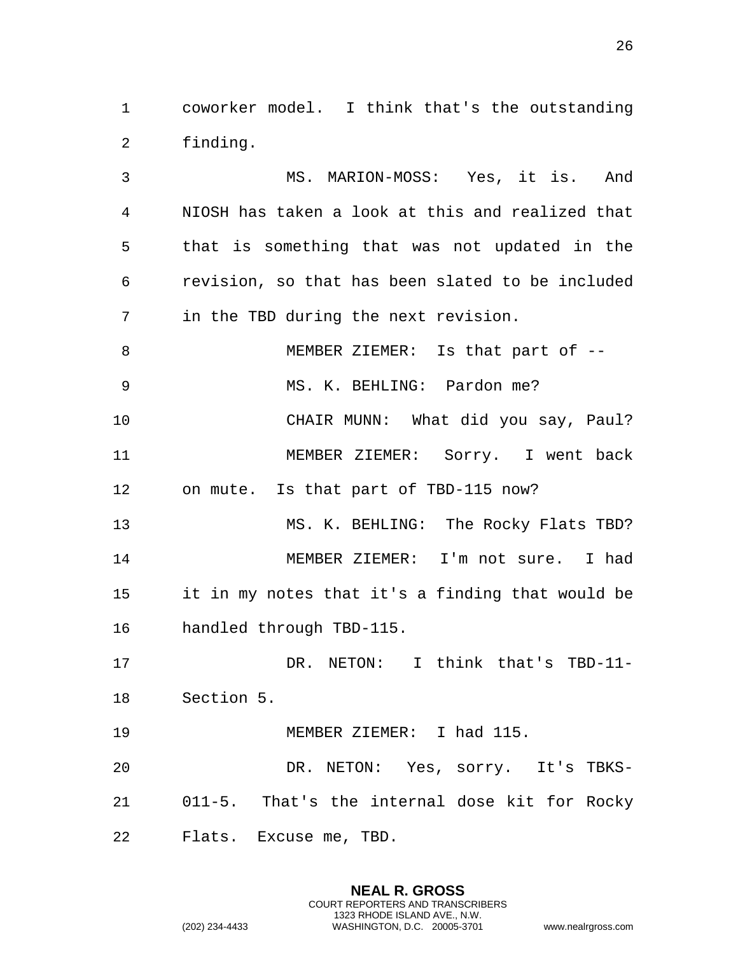coworker model. I think that's the outstanding finding.

 MS. MARION-MOSS: Yes, it is. And NIOSH has taken a look at this and realized that that is something that was not updated in the revision, so that has been slated to be included in the TBD during the next revision. 8 MEMBER ZIEMER: Is that part of -- MS. K. BEHLING: Pardon me? CHAIR MUNN: What did you say, Paul? MEMBER ZIEMER: Sorry. I went back on mute. Is that part of TBD-115 now? MS. K. BEHLING: The Rocky Flats TBD? MEMBER ZIEMER: I'm not sure. I had it in my notes that it's a finding that would be handled through TBD-115. DR. NETON: I think that's TBD-11- Section 5. 19 MEMBER ZIEMER: I had 115. DR. NETON: Yes, sorry. It's TBKS- 011-5. That's the internal dose kit for Rocky Flats. Excuse me, TBD.

> **NEAL R. GROSS** COURT REPORTERS AND TRANSCRIBERS 1323 RHODE ISLAND AVE., N.W.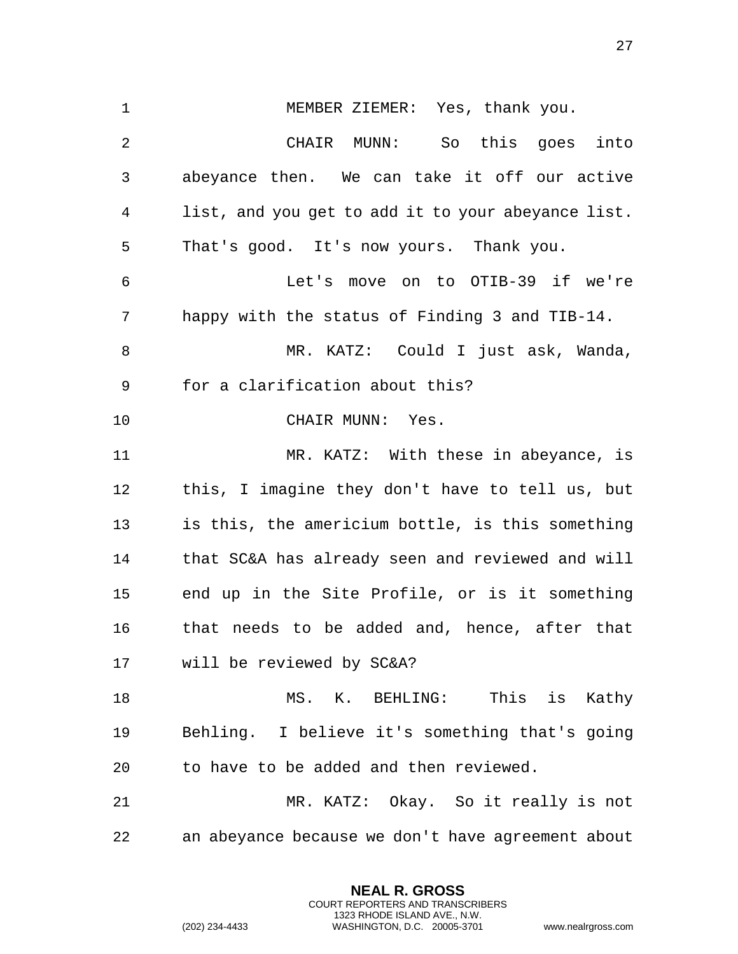MEMBER ZIEMER: Yes, thank you. CHAIR MUNN: So this goes into abeyance then. We can take it off our active list, and you get to add it to your abeyance list. That's good. It's now yours. Thank you. Let's move on to OTIB-39 if we're happy with the status of Finding 3 and TIB-14. MR. KATZ: Could I just ask, Wanda, for a clarification about this? 10 CHAIR MUNN: Yes. MR. KATZ: With these in abeyance, is this, I imagine they don't have to tell us, but is this, the americium bottle, is this something that SC&A has already seen and reviewed and will end up in the Site Profile, or is it something that needs to be added and, hence, after that will be reviewed by SC&A? 18 MS. K. BEHLING: This is Kathy Behling. I believe it's something that's going to have to be added and then reviewed. MR. KATZ: Okay. So it really is not an abeyance because we don't have agreement about

> **NEAL R. GROSS** COURT REPORTERS AND TRANSCRIBERS 1323 RHODE ISLAND AVE., N.W.

(202) 234-4433 WASHINGTON, D.C. 20005-3701 www.nealrgross.com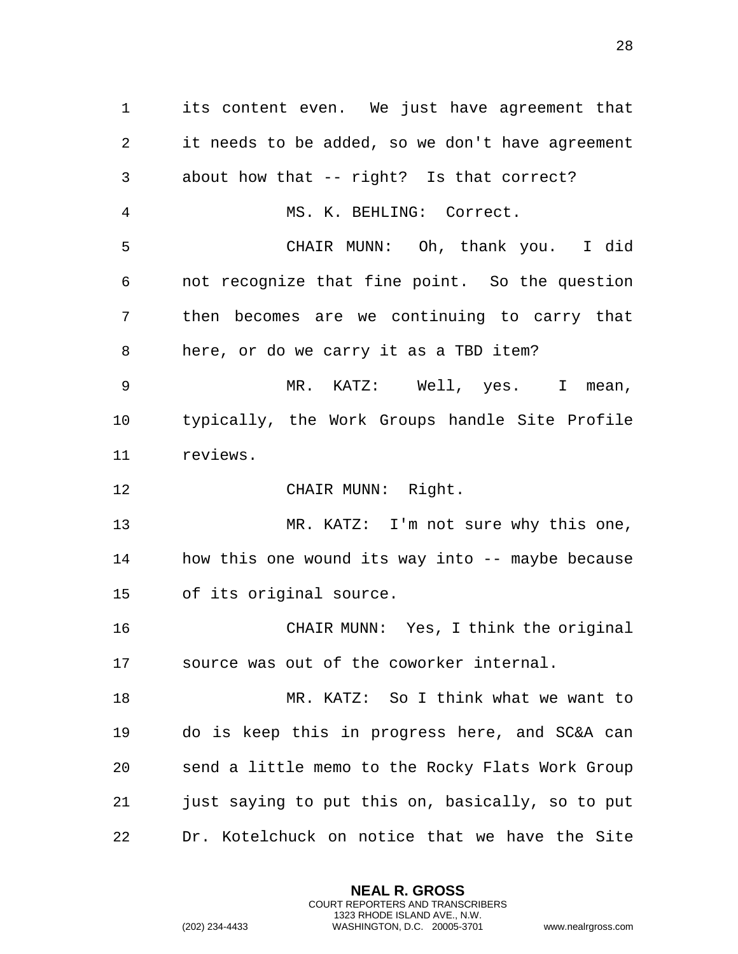its content even. We just have agreement that it needs to be added, so we don't have agreement about how that -- right? Is that correct? MS. K. BEHLING: Correct. CHAIR MUNN: Oh, thank you. I did not recognize that fine point. So the question then becomes are we continuing to carry that here, or do we carry it as a TBD item? MR. KATZ: Well, yes. I mean, typically, the Work Groups handle Site Profile reviews. 12 CHAIR MUNN: Right. MR. KATZ: I'm not sure why this one, how this one wound its way into -- maybe because of its original source. CHAIR MUNN: Yes, I think the original source was out of the coworker internal. MR. KATZ: So I think what we want to do is keep this in progress here, and SC&A can send a little memo to the Rocky Flats Work Group just saying to put this on, basically, so to put Dr. Kotelchuck on notice that we have the Site

> **NEAL R. GROSS** COURT REPORTERS AND TRANSCRIBERS 1323 RHODE ISLAND AVE., N.W.

(202) 234-4433 WASHINGTON, D.C. 20005-3701 www.nealrgross.com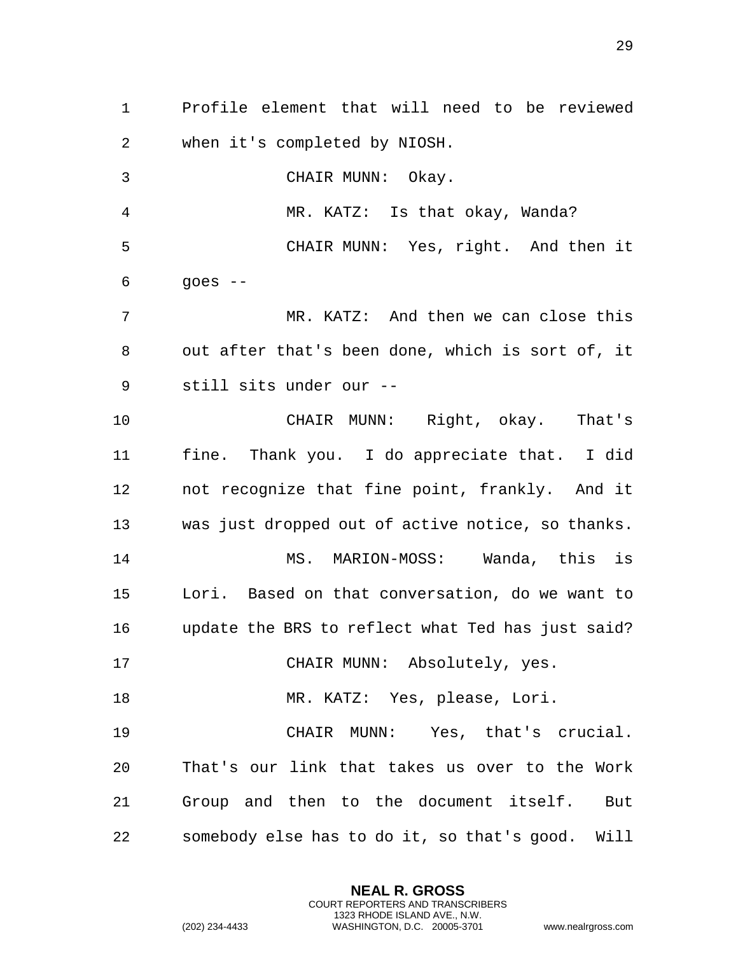Profile element that will need to be reviewed when it's completed by NIOSH. CHAIR MUNN: Okay. MR. KATZ: Is that okay, Wanda? CHAIR MUNN: Yes, right. And then it  $6 \qquad \qquad$  goes  $-$  MR. KATZ: And then we can close this out after that's been done, which is sort of, it still sits under our -- CHAIR MUNN: Right, okay. That's fine. Thank you. I do appreciate that. I did not recognize that fine point, frankly. And it was just dropped out of active notice, so thanks. MS. MARION-MOSS: Wanda, this is Lori. Based on that conversation, do we want to update the BRS to reflect what Ted has just said? CHAIR MUNN: Absolutely, yes. 18 MR. KATZ: Yes, please, Lori. CHAIR MUNN: Yes, that's crucial. That's our link that takes us over to the Work Group and then to the document itself. But somebody else has to do it, so that's good. Will

> **NEAL R. GROSS** COURT REPORTERS AND TRANSCRIBERS 1323 RHODE ISLAND AVE., N.W.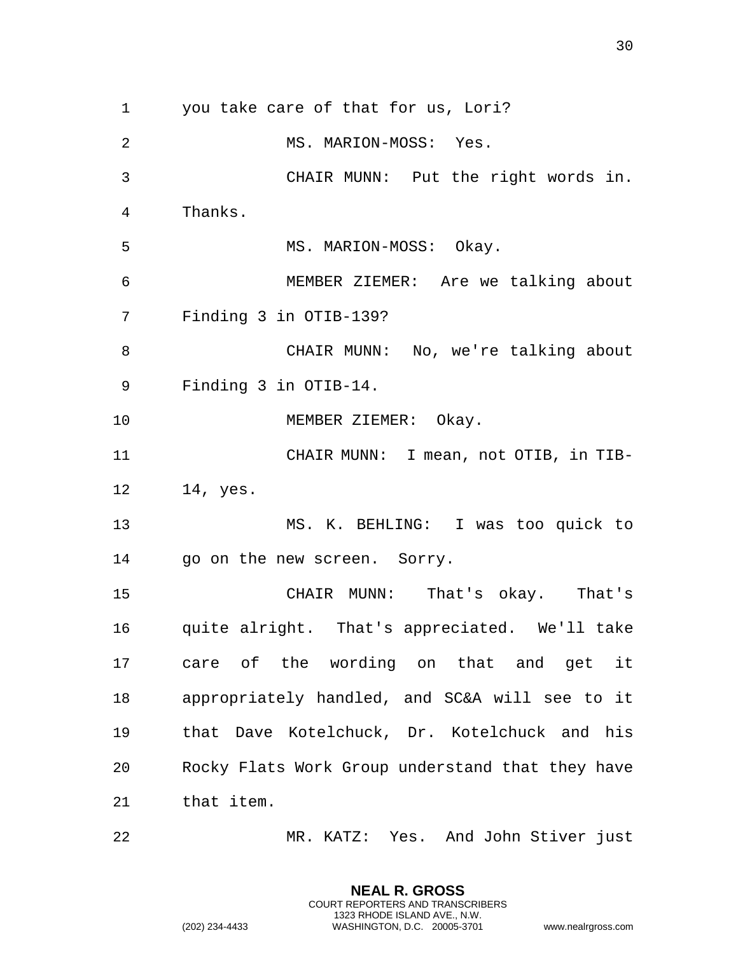you take care of that for us, Lori? 2 MS. MARION-MOSS: Yes. CHAIR MUNN: Put the right words in. Thanks. 5 MS. MARION-MOSS: Okay. MEMBER ZIEMER: Are we talking about Finding 3 in OTIB-139? CHAIR MUNN: No, we're talking about Finding 3 in OTIB-14. 10 MEMBER ZIEMER: Okay. CHAIR MUNN: I mean, not OTIB, in TIB- 14, yes. MS. K. BEHLING: I was too quick to go on the new screen. Sorry. CHAIR MUNN: That's okay. That's quite alright. That's appreciated. We'll take care of the wording on that and get it appropriately handled, and SC&A will see to it that Dave Kotelchuck, Dr. Kotelchuck and his Rocky Flats Work Group understand that they have that item. MR. KATZ: Yes. And John Stiver just

> **NEAL R. GROSS** COURT REPORTERS AND TRANSCRIBERS 1323 RHODE ISLAND AVE., N.W.

(202) 234-4433 WASHINGTON, D.C. 20005-3701 www.nealrgross.com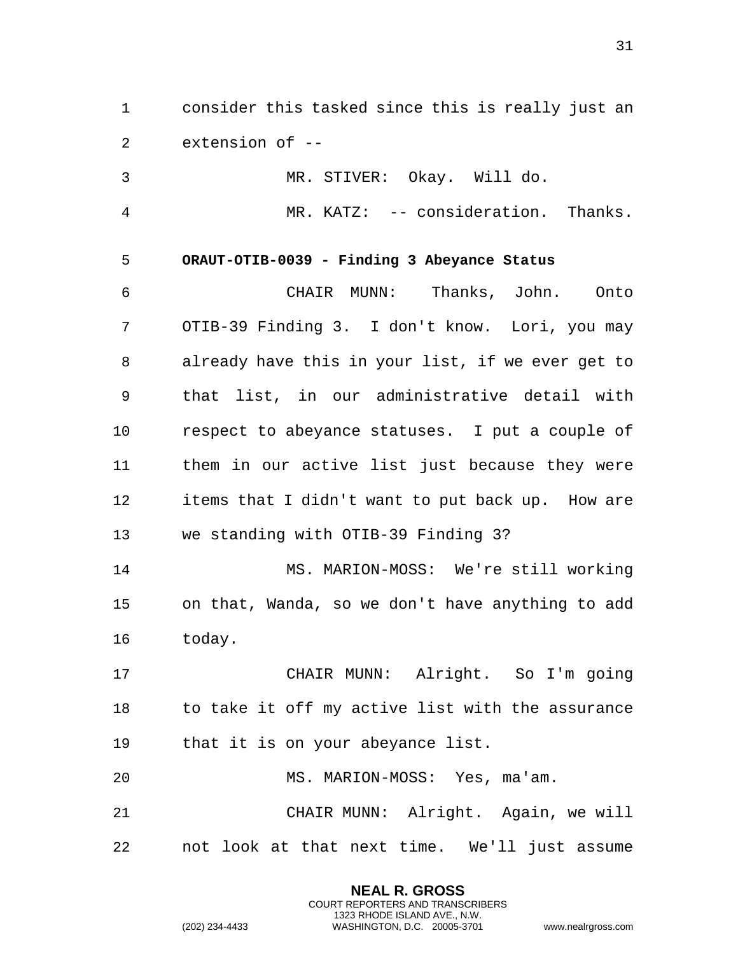1 consider this tasked since this is really just an 2 extension of --

3 MR. STIVER: Okay. Will do.

<span id="page-30-0"></span>4 MR. KATZ: -- consideration. Thanks.

## 5 **ORAUT-OTIB-0039 - Finding 3 Abeyance Status**

6 CHAIR MUNN: Thanks, John. Onto 7 OTIB-39 Finding 3. I don't know. Lori, you may 8 already have this in your list, if we ever get to 9 that list, in our administrative detail with 10 respect to abeyance statuses. I put a couple of 11 them in our active list just because they were 12 items that I didn't want to put back up. How are 13 we standing with OTIB-39 Finding 3?

14 MS. MARION-MOSS: We're still working 15 on that, Wanda, so we don't have anything to add 16 today.

17 CHAIR MUNN: Alright. So I'm going 18 to take it off my active list with the assurance 19 that it is on your abeyance list.

20 MS. MARION-MOSS: Yes, ma'am.

21 CHAIR MUNN: Alright. Again, we will 22 not look at that next time. We'll just assume

> **NEAL R. GROSS** COURT REPORTERS AND TRANSCRIBERS 1323 RHODE ISLAND AVE., N.W.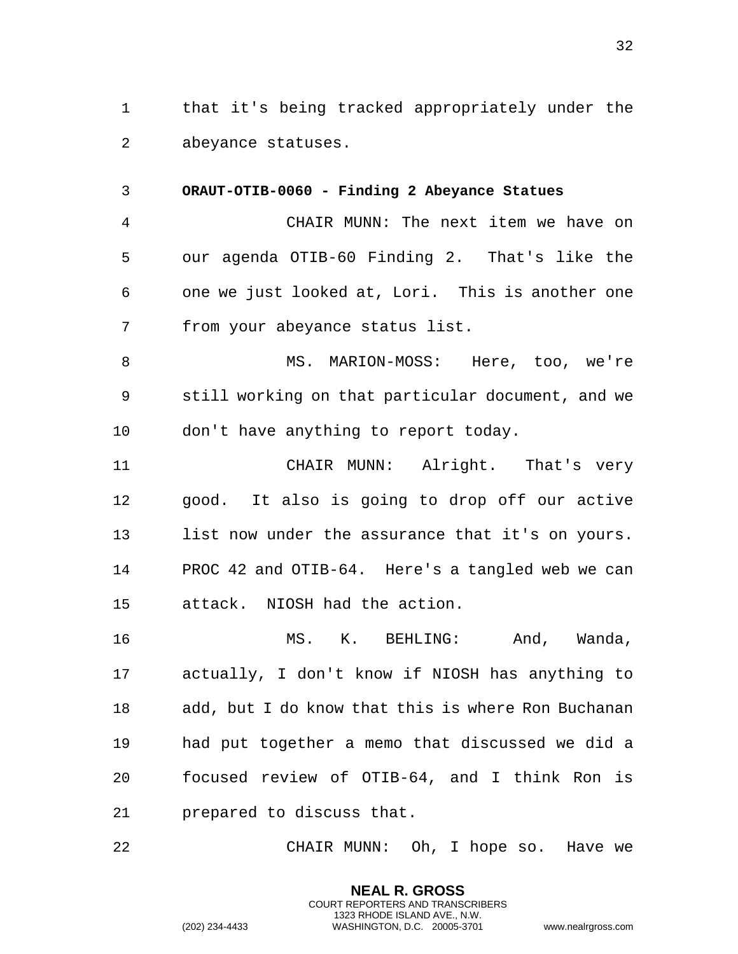1 that it's being tracked appropriately under the 2 abeyance statuses.

<span id="page-31-0"></span>3 **ORAUT-OTIB-0060 - Finding 2 Abeyance Statues**  4 CHAIR MUNN: The next item we have on 5 our agenda OTIB-60 Finding 2. That's like the 6 one we just looked at, Lori. This is another one 7 from your abeyance status list.

8 MS. MARION-MOSS: Here, too, we're 9 still working on that particular document, and we 10 don't have anything to report today.

11 CHAIR MUNN: Alright. That's very 12 good. It also is going to drop off our active 13 list now under the assurance that it's on yours. 14 PROC 42 and OTIB-64. Here's a tangled web we can 15 attack. NIOSH had the action.

16 MS. K. BEHLING: And, Wanda, 17 actually, I don't know if NIOSH has anything to 18 add, but I do know that this is where Ron Buchanan 19 had put together a memo that discussed we did a 20 focused review of OTIB-64, and I think Ron is 21 prepared to discuss that.

22 CHAIR MUNN: Oh, I hope so. Have we

**NEAL R. GROSS** COURT REPORTERS AND TRANSCRIBERS 1323 RHODE ISLAND AVE., N.W.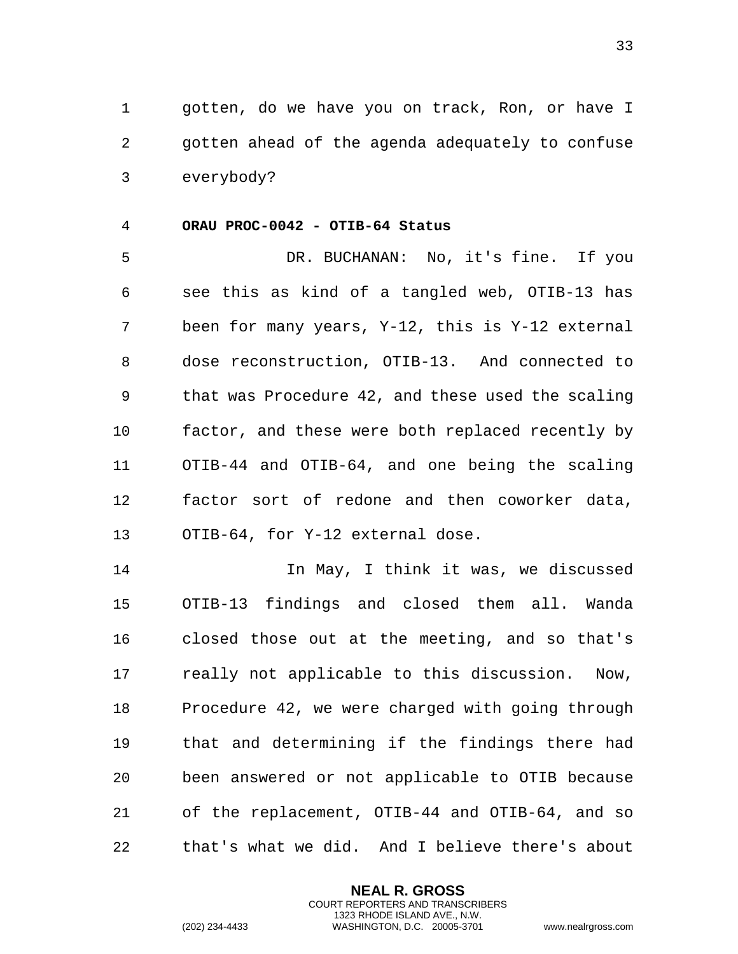1 gotten, do we have you on track, Ron, or have I 2 gotten ahead of the agenda adequately to confuse 3 everybody?

## <span id="page-32-0"></span>4 **ORAU PROC-0042 - OTIB-64 Status**

5 DR. BUCHANAN: No, it's fine. If you 6 see this as kind of a tangled web, OTIB-13 has 7 been for many years, Y-12, this is Y-12 external 8 dose reconstruction, OTIB-13. And connected to 9 that was Procedure 42, and these used the scaling 10 factor, and these were both replaced recently by 11 OTIB-44 and OTIB-64, and one being the scaling 12 factor sort of redone and then coworker data, 13 OTIB-64, for Y-12 external dose.

14 14 In May, I think it was, we discussed 15 OTIB-13 findings and closed them all. Wanda 16 closed those out at the meeting, and so that's 17 really not applicable to this discussion. Now, 18 Procedure 42, we were charged with going through 19 that and determining if the findings there had 20 been answered or not applicable to OTIB because 21 of the replacement, OTIB-44 and OTIB-64, and so 22 that's what we did. And I believe there's about

> **NEAL R. GROSS** COURT REPORTERS AND TRANSCRIBERS 1323 RHODE ISLAND AVE., N.W.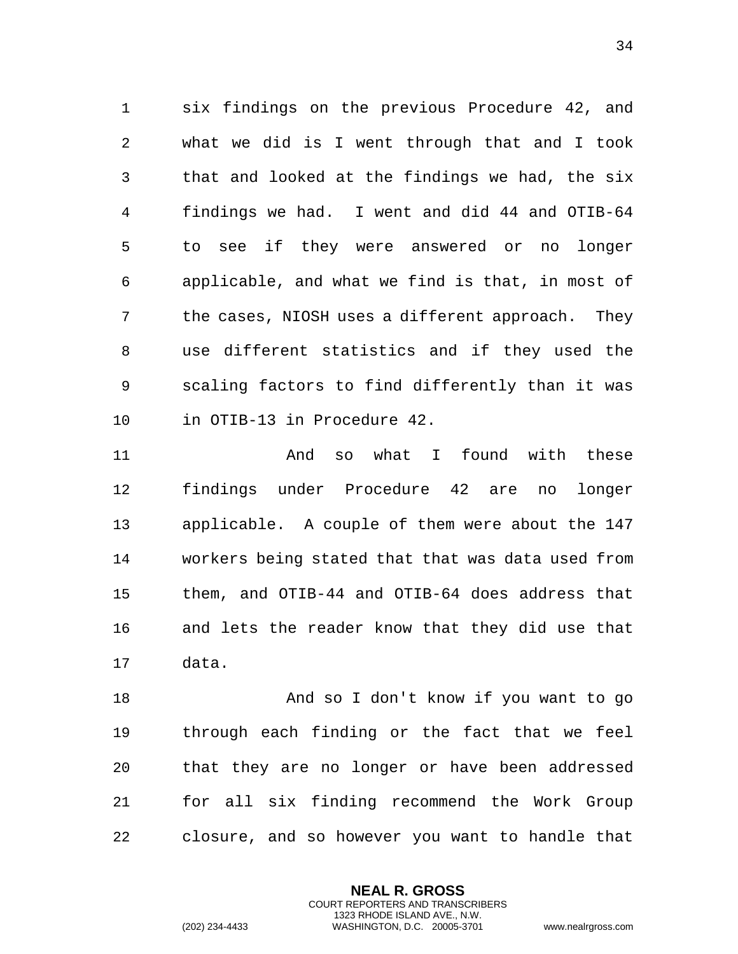six findings on the previous Procedure 42, and what we did is I went through that and I took that and looked at the findings we had, the six findings we had. I went and did 44 and OTIB-64 to see if they were answered or no longer applicable, and what we find is that, in most of the cases, NIOSH uses a different approach. They use different statistics and if they used the scaling factors to find differently than it was in OTIB-13 in Procedure 42.

 And so what I found with these findings under Procedure 42 are no longer applicable. A couple of them were about the 147 workers being stated that that was data used from them, and OTIB-44 and OTIB-64 does address that and lets the reader know that they did use that data.

 And so I don't know if you want to go through each finding or the fact that we feel that they are no longer or have been addressed for all six finding recommend the Work Group closure, and so however you want to handle that

> **NEAL R. GROSS** COURT REPORTERS AND TRANSCRIBERS 1323 RHODE ISLAND AVE., N.W.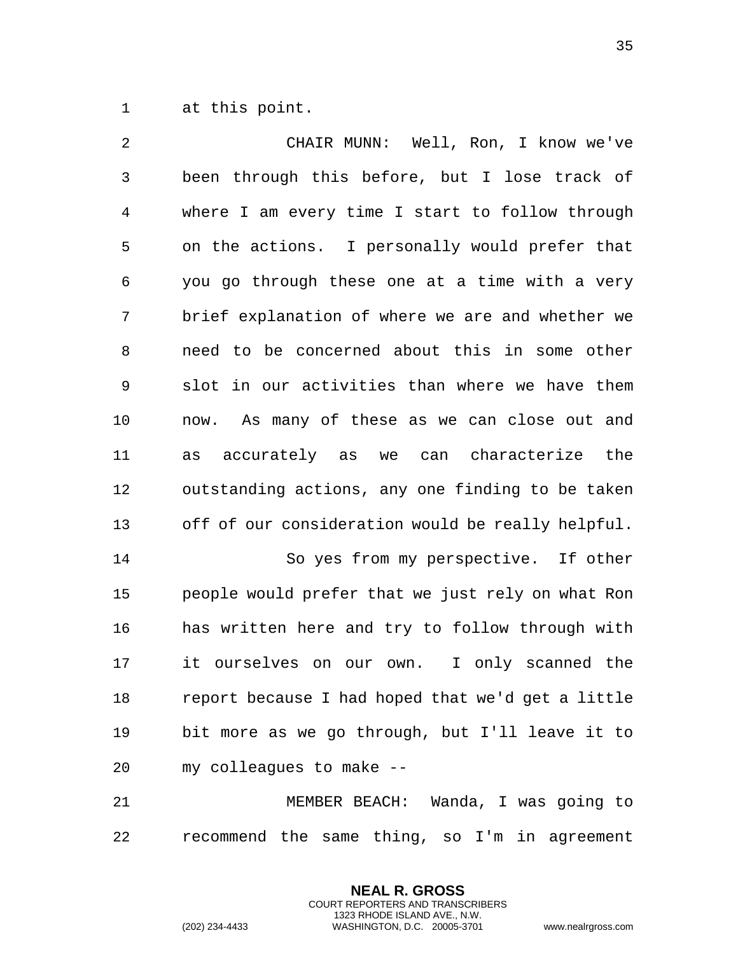at this point.

 CHAIR MUNN: Well, Ron, I know we've been through this before, but I lose track of where I am every time I start to follow through on the actions. I personally would prefer that you go through these one at a time with a very brief explanation of where we are and whether we need to be concerned about this in some other slot in our activities than where we have them now. As many of these as we can close out and as accurately as we can characterize the outstanding actions, any one finding to be taken off of our consideration would be really helpful. So yes from my perspective. If other people would prefer that we just rely on what Ron has written here and try to follow through with it ourselves on our own. I only scanned the report because I had hoped that we'd get a little bit more as we go through, but I'll leave it to my colleagues to make -- MEMBER BEACH: Wanda, I was going to

recommend the same thing, so I'm in agreement

**NEAL R. GROSS** COURT REPORTERS AND TRANSCRIBERS 1323 RHODE ISLAND AVE., N.W.

(202) 234-4433 WASHINGTON, D.C. 20005-3701 www.nealrgross.com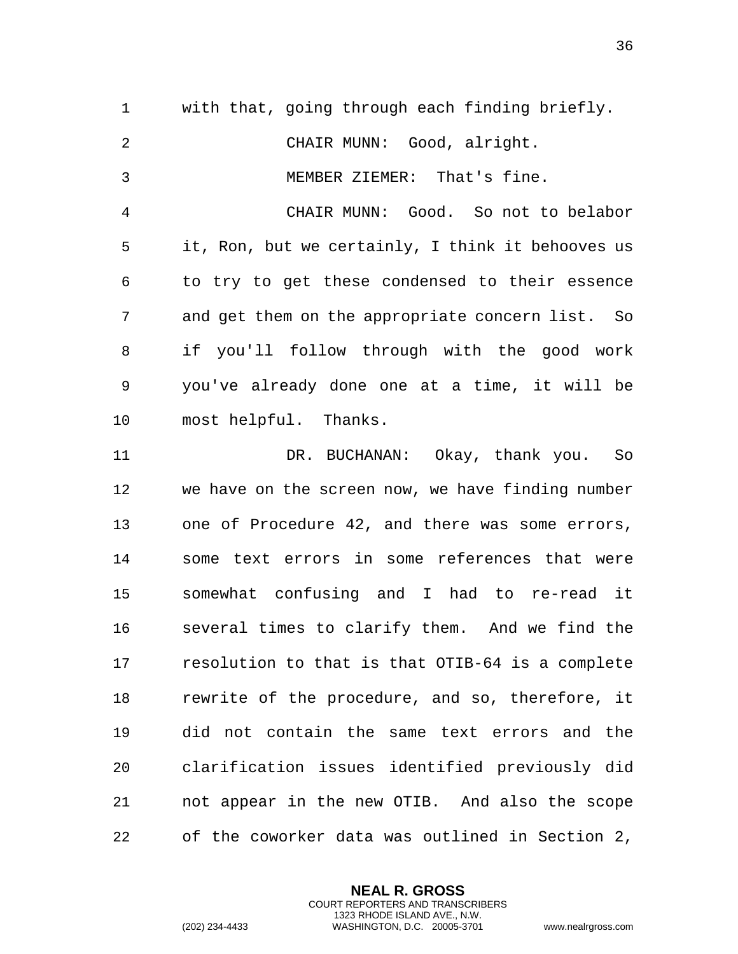with that, going through each finding briefly. CHAIR MUNN: Good, alright. MEMBER ZIEMER: That's fine. CHAIR MUNN: Good. So not to belabor it, Ron, but we certainly, I think it behooves us to try to get these condensed to their essence and get them on the appropriate concern list. So if you'll follow through with the good work you've already done one at a time, it will be most helpful. Thanks. DR. BUCHANAN: Okay, thank you. So we have on the screen now, we have finding number one of Procedure 42, and there was some errors, some text errors in some references that were somewhat confusing and I had to re-read it several times to clarify them. And we find the resolution to that is that OTIB-64 is a complete rewrite of the procedure, and so, therefore, it did not contain the same text errors and the clarification issues identified previously did not appear in the new OTIB. And also the scope of the coworker data was outlined in Section 2,

> **NEAL R. GROSS** COURT REPORTERS AND TRANSCRIBERS 1323 RHODE ISLAND AVE., N.W.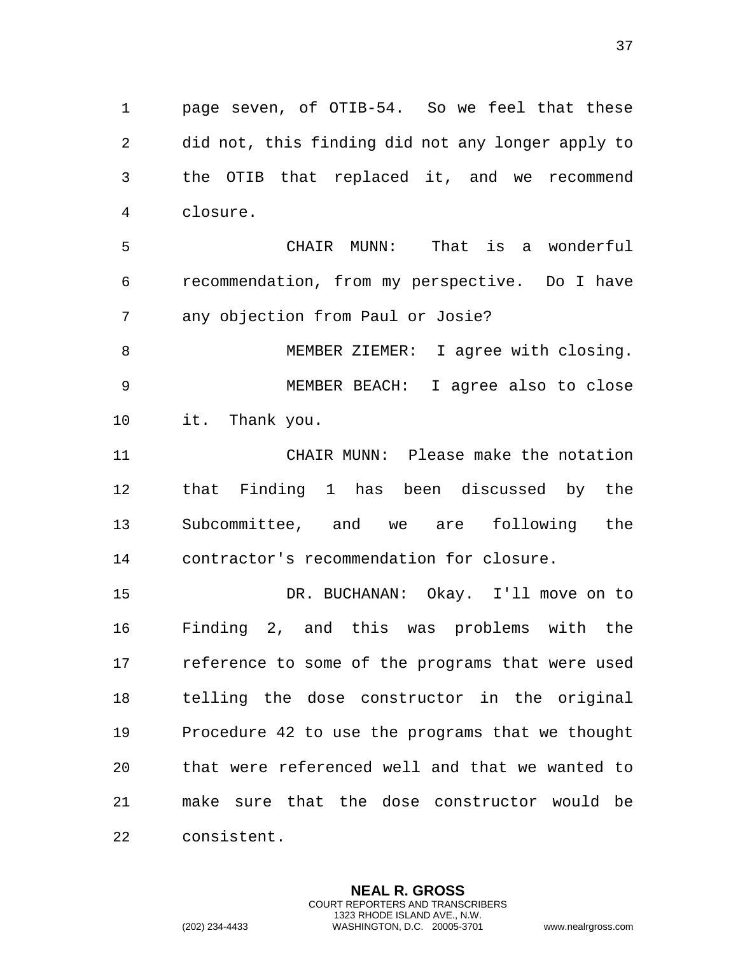page seven, of OTIB-54. So we feel that these did not, this finding did not any longer apply to the OTIB that replaced it, and we recommend closure.

 CHAIR MUNN: That is a wonderful recommendation, from my perspective. Do I have any objection from Paul or Josie?

8 MEMBER ZIEMER: I agree with closing. MEMBER BEACH: I agree also to close it. Thank you.

 CHAIR MUNN: Please make the notation that Finding 1 has been discussed by the Subcommittee, and we are following the contractor's recommendation for closure.

 DR. BUCHANAN: Okay. I'll move on to Finding 2, and this was problems with the reference to some of the programs that were used telling the dose constructor in the original Procedure 42 to use the programs that we thought that were referenced well and that we wanted to make sure that the dose constructor would be consistent.

> **NEAL R. GROSS** COURT REPORTERS AND TRANSCRIBERS 1323 RHODE ISLAND AVE., N.W.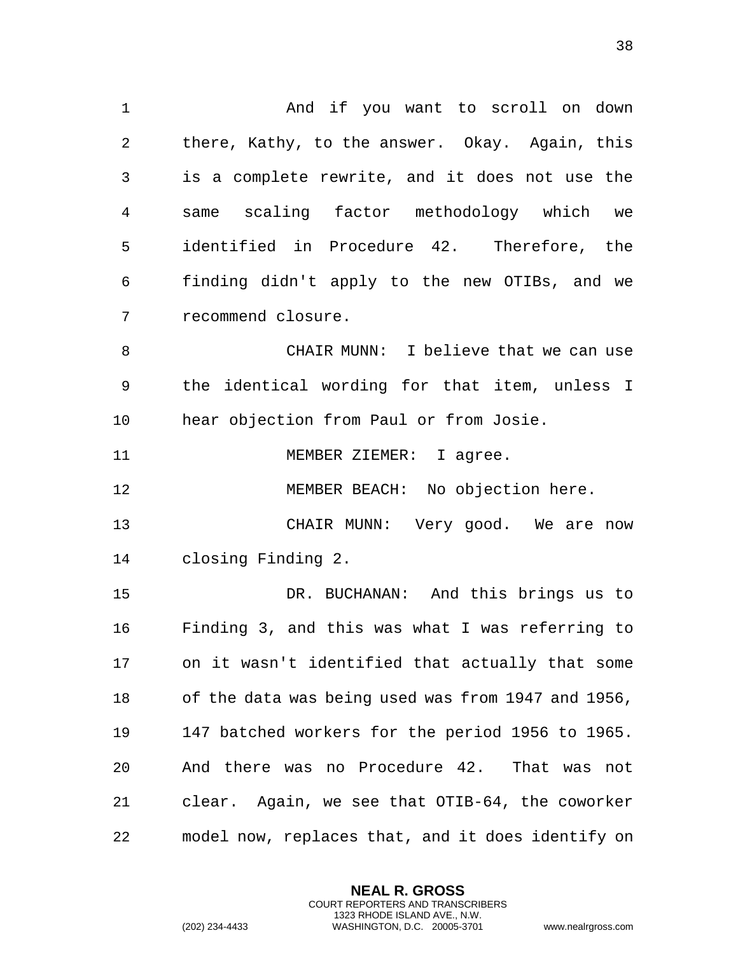And if you want to scroll on down there, Kathy, to the answer. Okay. Again, this is a complete rewrite, and it does not use the same scaling factor methodology which we identified in Procedure 42. Therefore, the finding didn't apply to the new OTIBs, and we recommend closure. CHAIR MUNN: I believe that we can use the identical wording for that item, unless I hear objection from Paul or from Josie. 11 MEMBER ZIEMER: I agree. 12 MEMBER BEACH: No objection here. CHAIR MUNN: Very good. We are now closing Finding 2. DR. BUCHANAN: And this brings us to Finding 3, and this was what I was referring to on it wasn't identified that actually that some of the data was being used was from 1947 and 1956, 147 batched workers for the period 1956 to 1965. And there was no Procedure 42. That was not clear. Again, we see that OTIB-64, the coworker

model now, replaces that, and it does identify on

**NEAL R. GROSS** COURT REPORTERS AND TRANSCRIBERS 1323 RHODE ISLAND AVE., N.W.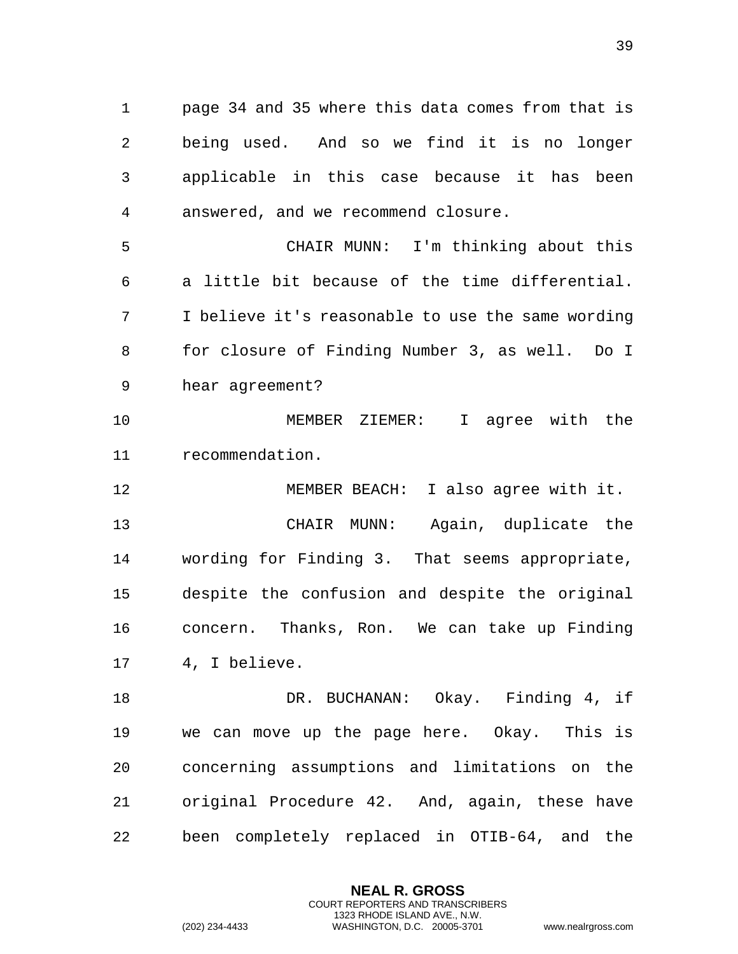page 34 and 35 where this data comes from that is being used. And so we find it is no longer applicable in this case because it has been answered, and we recommend closure.

 CHAIR MUNN: I'm thinking about this a little bit because of the time differential. I believe it's reasonable to use the same wording for closure of Finding Number 3, as well. Do I hear agreement?

 MEMBER ZIEMER: I agree with the recommendation.

 MEMBER BEACH: I also agree with it. CHAIR MUNN: Again, duplicate the wording for Finding 3. That seems appropriate, despite the confusion and despite the original concern. Thanks, Ron. We can take up Finding 4, I believe.

 DR. BUCHANAN: Okay. Finding 4, if we can move up the page here. Okay. This is concerning assumptions and limitations on the original Procedure 42. And, again, these have been completely replaced in OTIB-64, and the

> **NEAL R. GROSS** COURT REPORTERS AND TRANSCRIBERS 1323 RHODE ISLAND AVE., N.W.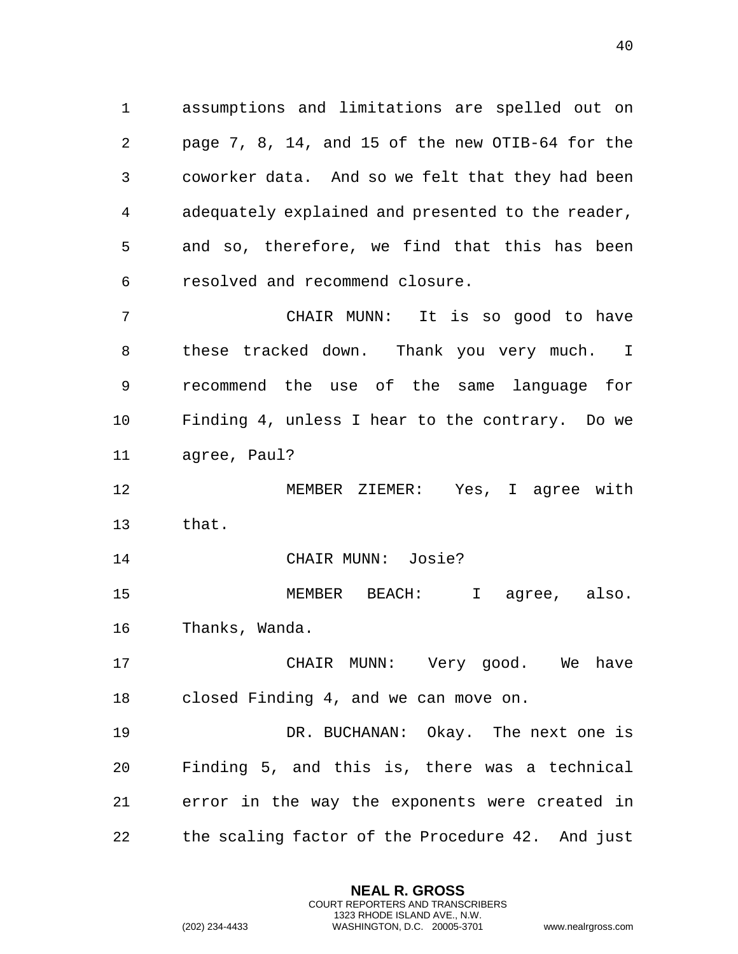assumptions and limitations are spelled out on page 7, 8, 14, and 15 of the new OTIB-64 for the coworker data. And so we felt that they had been adequately explained and presented to the reader, and so, therefore, we find that this has been resolved and recommend closure.

 CHAIR MUNN: It is so good to have these tracked down. Thank you very much. I recommend the use of the same language for Finding 4, unless I hear to the contrary. Do we agree, Paul?

 MEMBER ZIEMER: Yes, I agree with that.

CHAIR MUNN: Josie?

 MEMBER BEACH: I agree, also. Thanks, Wanda.

 CHAIR MUNN: Very good. We have closed Finding 4, and we can move on.

 DR. BUCHANAN: Okay. The next one is Finding 5, and this is, there was a technical error in the way the exponents were created in the scaling factor of the Procedure 42. And just

> **NEAL R. GROSS** COURT REPORTERS AND TRANSCRIBERS 1323 RHODE ISLAND AVE., N.W.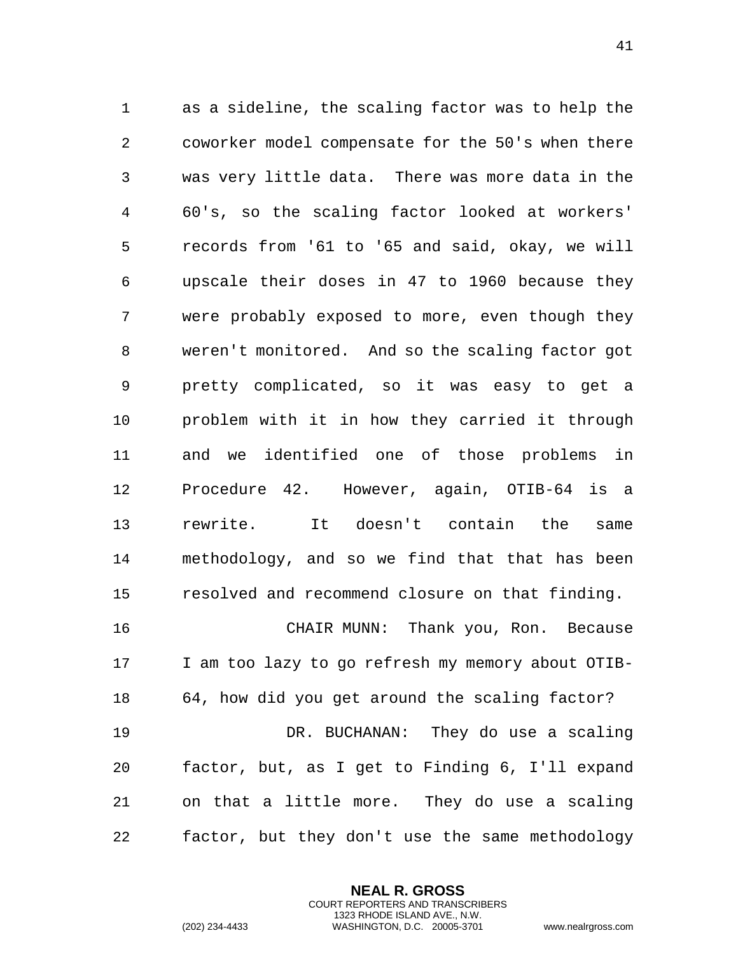as a sideline, the scaling factor was to help the coworker model compensate for the 50's when there was very little data. There was more data in the 60's, so the scaling factor looked at workers' records from '61 to '65 and said, okay, we will upscale their doses in 47 to 1960 because they were probably exposed to more, even though they weren't monitored. And so the scaling factor got pretty complicated, so it was easy to get a problem with it in how they carried it through and we identified one of those problems in Procedure 42. However, again, OTIB-64 is a rewrite. It doesn't contain the same methodology, and so we find that that has been resolved and recommend closure on that finding. CHAIR MUNN: Thank you, Ron. Because

 I am too lazy to go refresh my memory about OTIB- 64, how did you get around the scaling factor? DR. BUCHANAN: They do use a scaling factor, but, as I get to Finding 6, I'll expand on that a little more. They do use a scaling factor, but they don't use the same methodology

> **NEAL R. GROSS** COURT REPORTERS AND TRANSCRIBERS 1323 RHODE ISLAND AVE., N.W.

(202) 234-4433 WASHINGTON, D.C. 20005-3701 www.nealrgross.com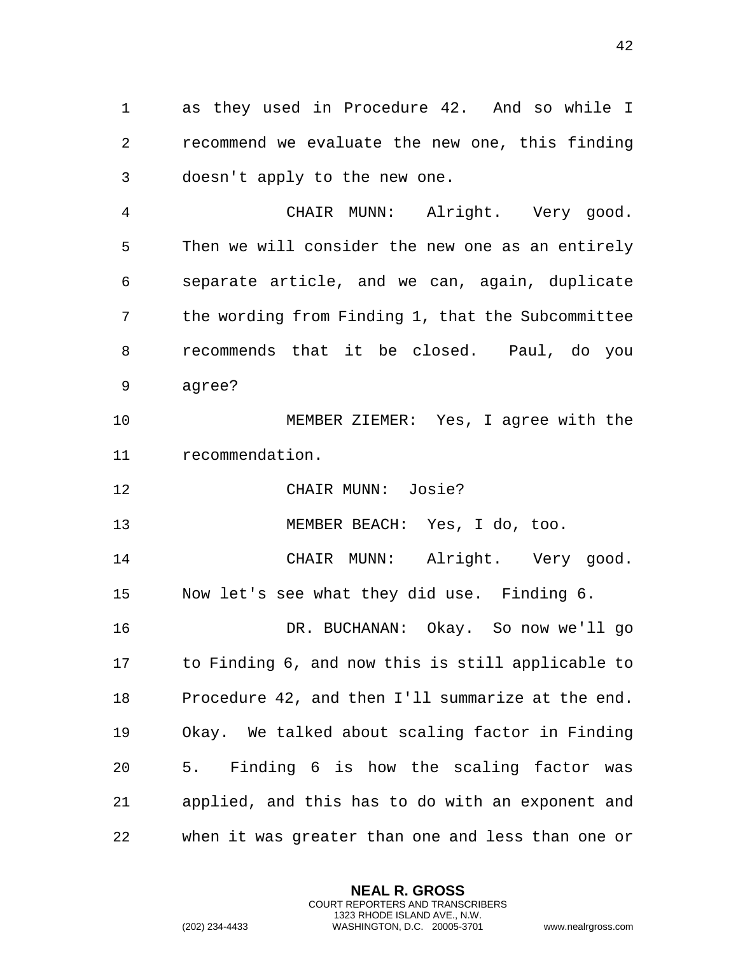as they used in Procedure 42. And so while I recommend we evaluate the new one, this finding doesn't apply to the new one.

 CHAIR MUNN: Alright. Very good. Then we will consider the new one as an entirely separate article, and we can, again, duplicate the wording from Finding 1, that the Subcommittee recommends that it be closed. Paul, do you agree?

 MEMBER ZIEMER: Yes, I agree with the recommendation.

CHAIR MUNN: Josie?

MEMBER BEACH: Yes, I do, too.

 CHAIR MUNN: Alright. Very good. Now let's see what they did use. Finding 6.

 DR. BUCHANAN: Okay. So now we'll go to Finding 6, and now this is still applicable to Procedure 42, and then I'll summarize at the end. Okay. We talked about scaling factor in Finding 5. Finding 6 is how the scaling factor was applied, and this has to do with an exponent and when it was greater than one and less than one or

> **NEAL R. GROSS** COURT REPORTERS AND TRANSCRIBERS 1323 RHODE ISLAND AVE., N.W.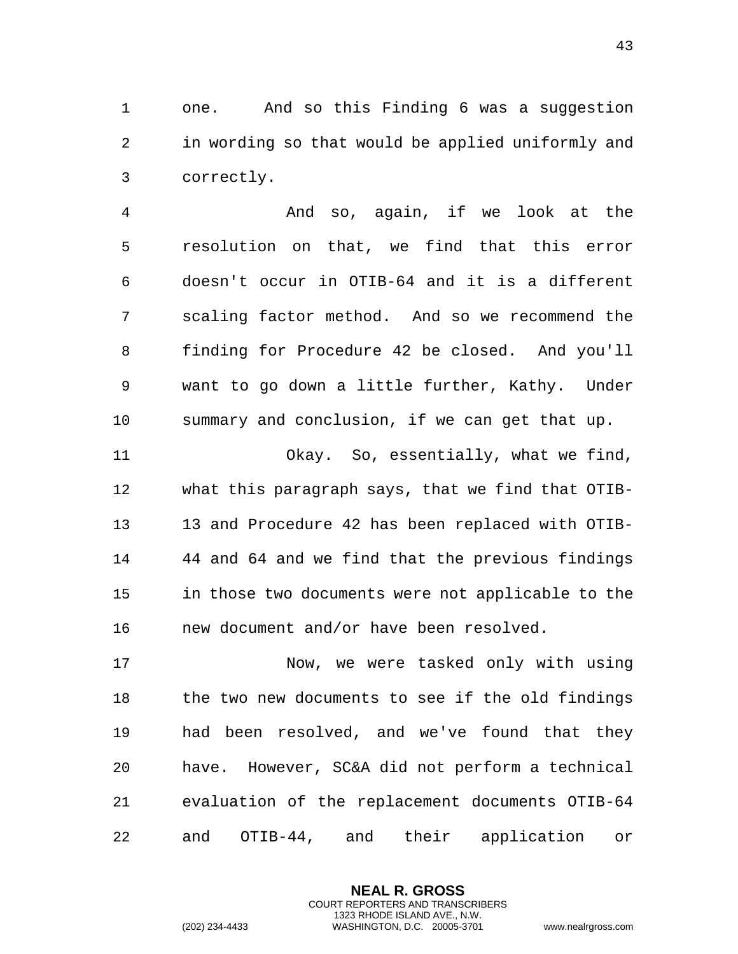one. And so this Finding 6 was a suggestion in wording so that would be applied uniformly and correctly.

 And so, again, if we look at the resolution on that, we find that this error doesn't occur in OTIB-64 and it is a different scaling factor method. And so we recommend the finding for Procedure 42 be closed. And you'll want to go down a little further, Kathy. Under summary and conclusion, if we can get that up.

11 Okay. So, essentially, what we find, what this paragraph says, that we find that OTIB- 13 and Procedure 42 has been replaced with OTIB- 44 and 64 and we find that the previous findings in those two documents were not applicable to the new document and/or have been resolved.

 Now, we were tasked only with using the two new documents to see if the old findings had been resolved, and we've found that they have. However, SC&A did not perform a technical evaluation of the replacement documents OTIB-64 and OTIB-44, and their application or

> **NEAL R. GROSS** COURT REPORTERS AND TRANSCRIBERS 1323 RHODE ISLAND AVE., N.W.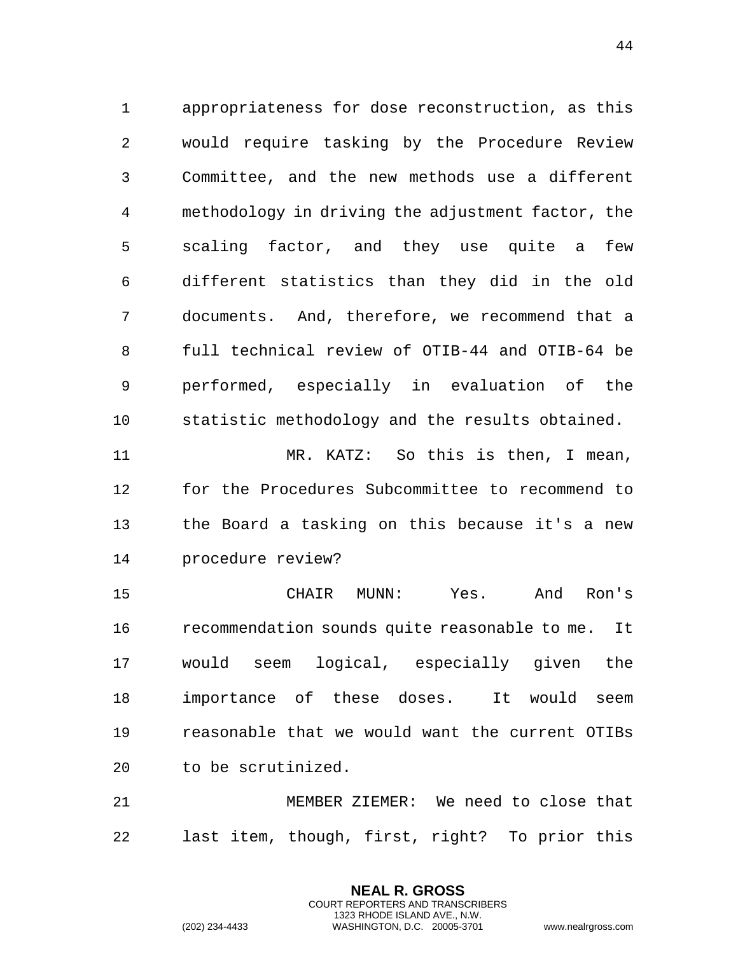appropriateness for dose reconstruction, as this would require tasking by the Procedure Review Committee, and the new methods use a different methodology in driving the adjustment factor, the scaling factor, and they use quite a few different statistics than they did in the old documents. And, therefore, we recommend that a full technical review of OTIB-44 and OTIB-64 be performed, especially in evaluation of the statistic methodology and the results obtained.

 MR. KATZ: So this is then, I mean, for the Procedures Subcommittee to recommend to the Board a tasking on this because it's a new procedure review?

 CHAIR MUNN: Yes. And Ron's recommendation sounds quite reasonable to me. It would seem logical, especially given the importance of these doses. It would seem reasonable that we would want the current OTIBs to be scrutinized.

 MEMBER ZIEMER: We need to close that last item, though, first, right? To prior this

> **NEAL R. GROSS** COURT REPORTERS AND TRANSCRIBERS 1323 RHODE ISLAND AVE., N.W.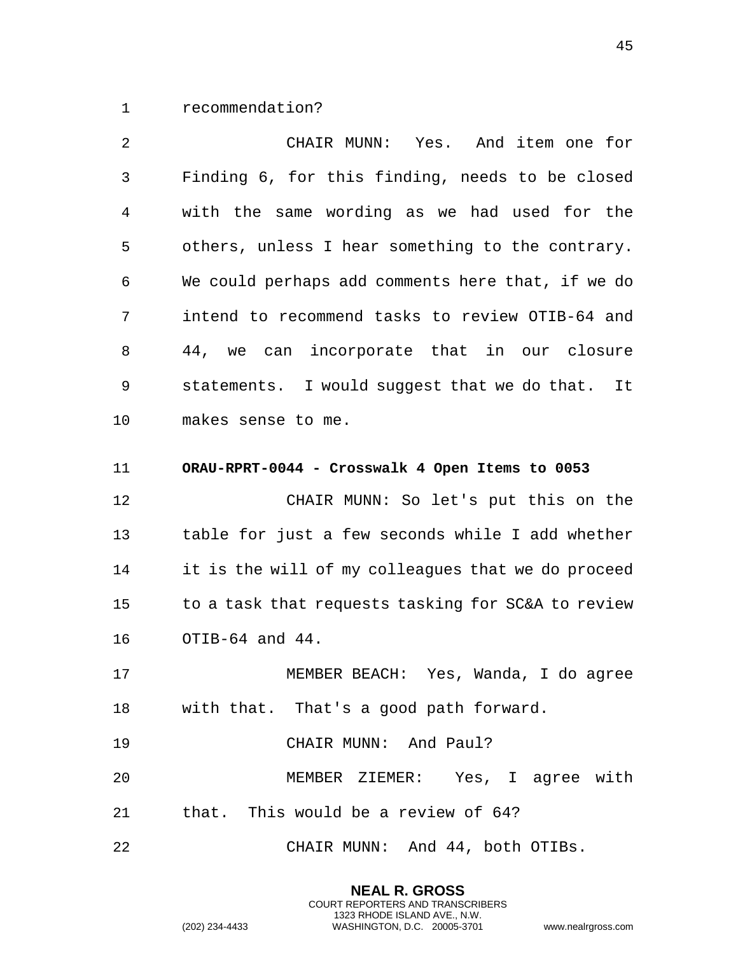1 recommendation?

2 CHAIR MUNN: Yes. And item one for 3 Finding 6, for this finding, needs to be closed 4 with the same wording as we had used for the 5 others, unless I hear something to the contrary. 6 We could perhaps add comments here that, if we do 7 intend to recommend tasks to review OTIB-64 and 8 44, we can incorporate that in our closure 9 statements. I would suggest that we do that. It 10 makes sense to me. 11 **ORAU-RPRT-0044 - Crosswalk 4 Open Items to 0053**  12 CHAIR MUNN: So let's put this on the 13 table for just a few seconds while I add whether 14 it is the will of my colleagues that we do proceed 15 to a task that requests tasking for SC&A to review

16 OTIB-64 and 44.

17 MEMBER BEACH: Yes, Wanda, I do agree 18 with that. That's a good path forward.

19 CHAIR MUNN: And Paul?

20 MEMBER ZIEMER: Yes, I agree with 21 that. This would be a review of 64?

> **NEAL R. GROSS** COURT REPORTERS AND TRANSCRIBERS 1323 RHODE ISLAND AVE., N.W.

22 CHAIR MUNN: And 44, both OTIBs.

45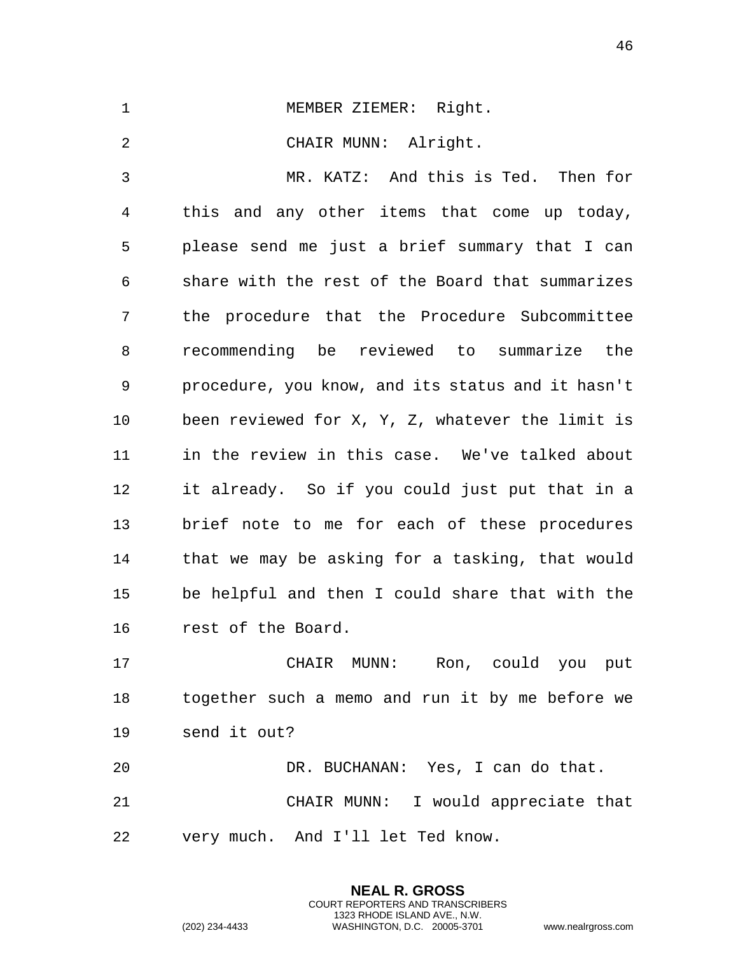| $\mathbf 1$ | MEMBER ZIEMER: Right.                             |
|-------------|---------------------------------------------------|
| 2           | CHAIR MUNN: Alright.                              |
| 3           | MR. KATZ: And this is Ted. Then for               |
| 4           | this and any other items that come up today,      |
| 5           | please send me just a brief summary that I can    |
| 6           | share with the rest of the Board that summarizes  |
| 7           | the procedure that the Procedure Subcommittee     |
| 8           | recommending be reviewed to summarize the         |
| 9           | procedure, you know, and its status and it hasn't |
| 10          | been reviewed for X, Y, Z, whatever the limit is  |
| 11          | in the review in this case. We've talked about    |
| 12          | it already. So if you could just put that in a    |
| 13          | brief note to me for each of these procedures     |
| 14          | that we may be asking for a tasking, that would   |
| 15          | be helpful and then I could share that with the   |
| 16          | rest of the Board.                                |
| 17          | Ron, could you<br>CHAIR<br>MUNN:<br>put           |
|             |                                                   |

18 together such a memo and run it by me before we 19 send it out?

20 DR. BUCHANAN: Yes, I can do that. 21 CHAIR MUNN: I would appreciate that 22 very much. And I'll let Ted know.

> **NEAL R. GROSS** COURT REPORTERS AND TRANSCRIBERS 1323 RHODE ISLAND AVE., N.W.

(202) 234-4433 WASHINGTON, D.C. 20005-3701 www.nealrgross.com

46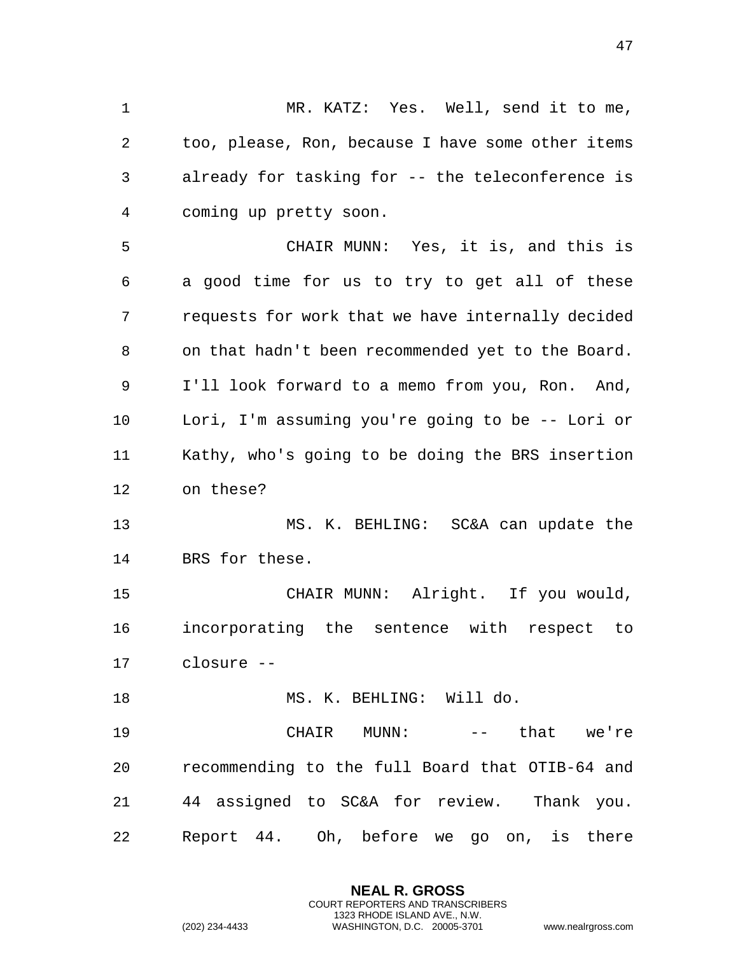MR. KATZ: Yes. Well, send it to me, too, please, Ron, because I have some other items already for tasking for -- the teleconference is coming up pretty soon. CHAIR MUNN: Yes, it is, and this is a good time for us to try to get all of these requests for work that we have internally decided on that hadn't been recommended yet to the Board. I'll look forward to a memo from you, Ron. And, Lori, I'm assuming you're going to be -- Lori or Kathy, who's going to be doing the BRS insertion on these? MS. K. BEHLING: SC&A can update the BRS for these. CHAIR MUNN: Alright. If you would, incorporating the sentence with respect to closure -- MS. K. BEHLING: Will do. CHAIR MUNN: -- that we're recommending to the full Board that OTIB-64 and 44 assigned to SC&A for review. Thank you. Report 44. Oh, before we go on, is there

> **NEAL R. GROSS** COURT REPORTERS AND TRANSCRIBERS 1323 RHODE ISLAND AVE., N.W.

(202) 234-4433 WASHINGTON, D.C. 20005-3701 www.nealrgross.com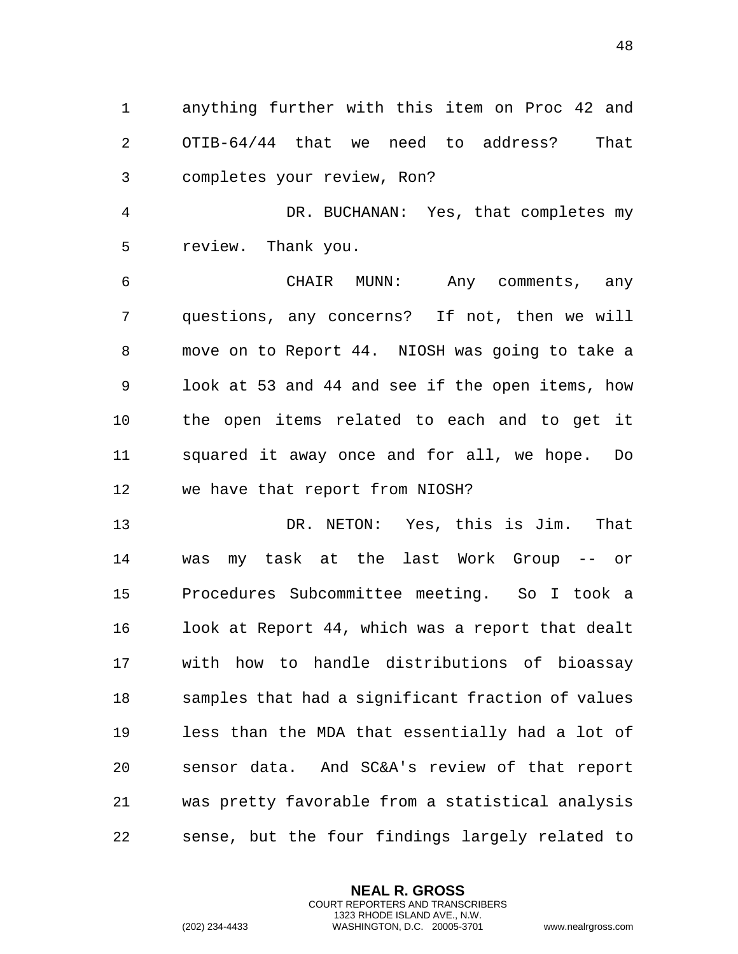anything further with this item on Proc 42 and OTIB-64/44 that we need to address? That completes your review, Ron?

 DR. BUCHANAN: Yes, that completes my review. Thank you.

 CHAIR MUNN: Any comments, any questions, any concerns? If not, then we will move on to Report 44. NIOSH was going to take a look at 53 and 44 and see if the open items, how the open items related to each and to get it squared it away once and for all, we hope. Do we have that report from NIOSH?

 DR. NETON: Yes, this is Jim. That was my task at the last Work Group -- or Procedures Subcommittee meeting. So I took a look at Report 44, which was a report that dealt with how to handle distributions of bioassay samples that had a significant fraction of values less than the MDA that essentially had a lot of sensor data. And SC&A's review of that report was pretty favorable from a statistical analysis sense, but the four findings largely related to

> **NEAL R. GROSS** COURT REPORTERS AND TRANSCRIBERS 1323 RHODE ISLAND AVE., N.W.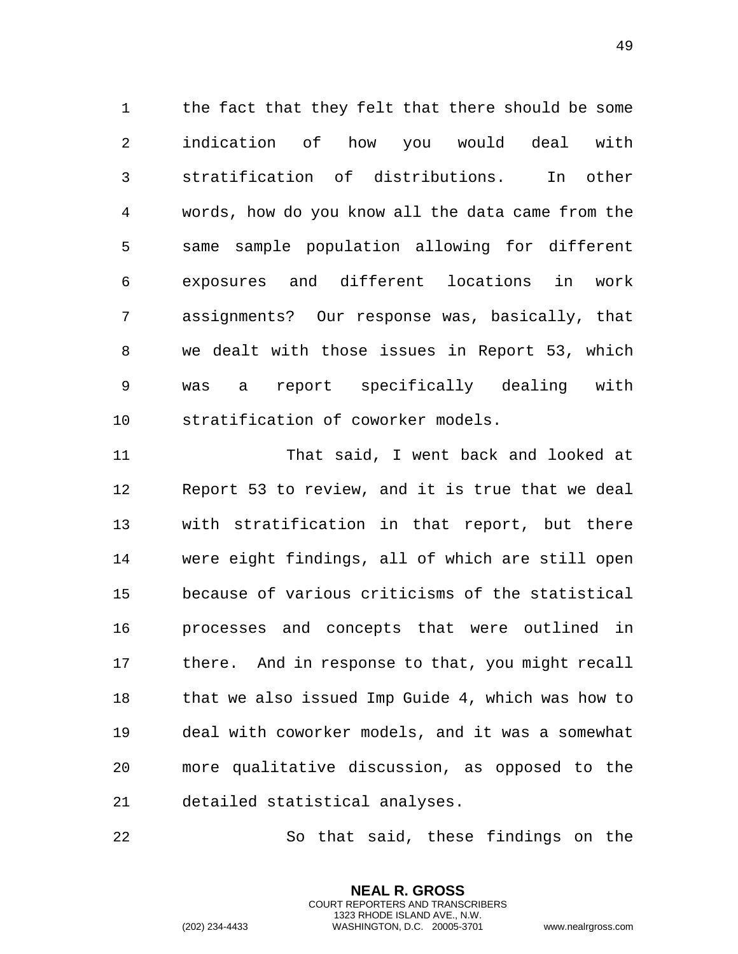the fact that they felt that there should be some indication of how you would deal with stratification of distributions. In other words, how do you know all the data came from the same sample population allowing for different exposures and different locations in work assignments? Our response was, basically, that we dealt with those issues in Report 53, which was a report specifically dealing with stratification of coworker models.

 That said, I went back and looked at Report 53 to review, and it is true that we deal with stratification in that report, but there were eight findings, all of which are still open because of various criticisms of the statistical processes and concepts that were outlined in there. And in response to that, you might recall that we also issued Imp Guide 4, which was how to deal with coworker models, and it was a somewhat more qualitative discussion, as opposed to the detailed statistical analyses.

So that said, these findings on the

**NEAL R. GROSS** COURT REPORTERS AND TRANSCRIBERS 1323 RHODE ISLAND AVE., N.W.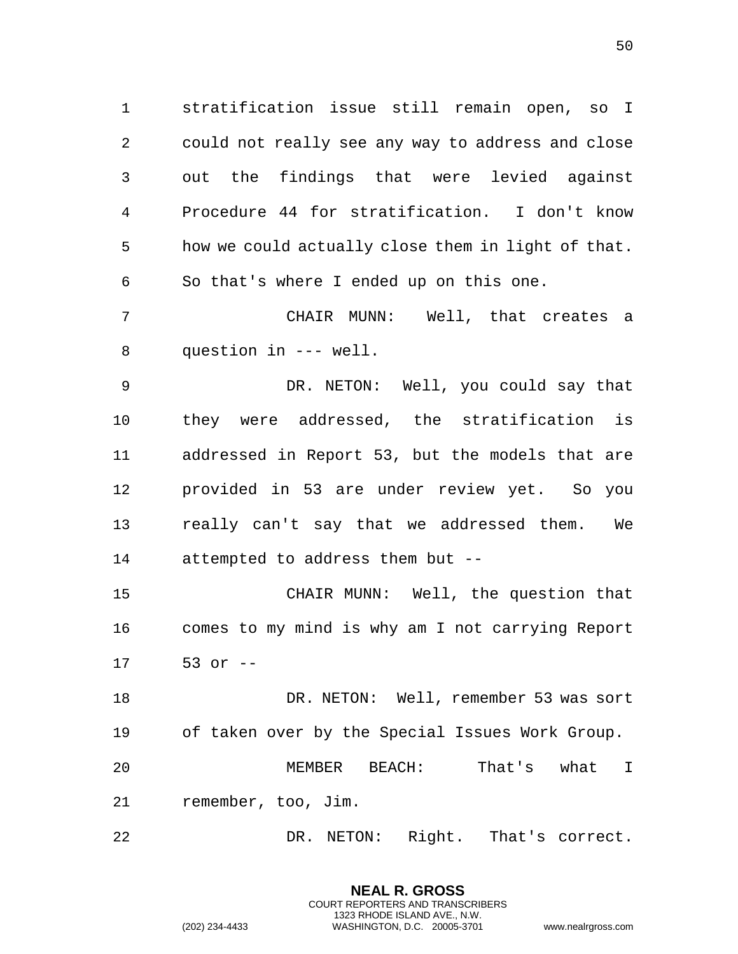stratification issue still remain open, so I could not really see any way to address and close out the findings that were levied against Procedure 44 for stratification. I don't know how we could actually close them in light of that. So that's where I ended up on this one.

 CHAIR MUNN: Well, that creates a question in --- well.

 DR. NETON: Well, you could say that they were addressed, the stratification is addressed in Report 53, but the models that are provided in 53 are under review yet. So you really can't say that we addressed them. We attempted to address them but --

 CHAIR MUNN: Well, the question that comes to my mind is why am I not carrying Report 53 or --

 DR. NETON: Well, remember 53 was sort of taken over by the Special Issues Work Group.

 MEMBER BEACH: That's what I remember, too, Jim.

DR. NETON: Right. That's correct.

**NEAL R. GROSS** COURT REPORTERS AND TRANSCRIBERS 1323 RHODE ISLAND AVE., N.W.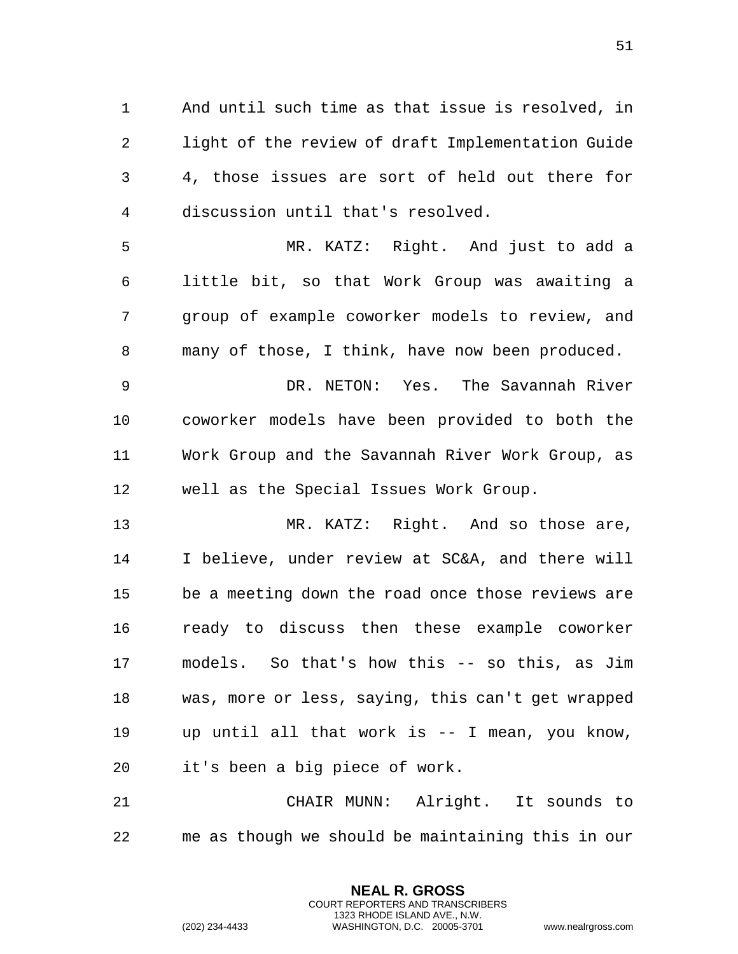And until such time as that issue is resolved, in light of the review of draft Implementation Guide 4, those issues are sort of held out there for discussion until that's resolved.

 MR. KATZ: Right. And just to add a little bit, so that Work Group was awaiting a group of example coworker models to review, and many of those, I think, have now been produced.

 DR. NETON: Yes. The Savannah River coworker models have been provided to both the Work Group and the Savannah River Work Group, as well as the Special Issues Work Group.

 MR. KATZ: Right. And so those are, I believe, under review at SC&A, and there will be a meeting down the road once those reviews are ready to discuss then these example coworker models. So that's how this -- so this, as Jim was, more or less, saying, this can't get wrapped up until all that work is -- I mean, you know, it's been a big piece of work.

 CHAIR MUNN: Alright. It sounds to me as though we should be maintaining this in our

> **NEAL R. GROSS** COURT REPORTERS AND TRANSCRIBERS 1323 RHODE ISLAND AVE., N.W.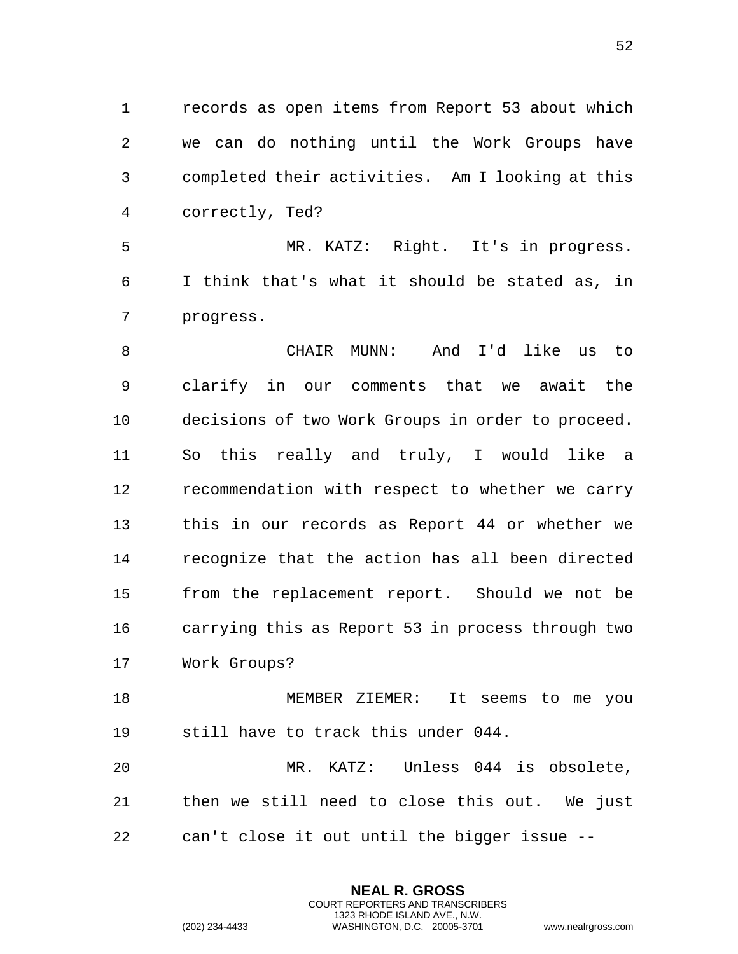records as open items from Report 53 about which we can do nothing until the Work Groups have completed their activities. Am I looking at this correctly, Ted?

 MR. KATZ: Right. It's in progress. I think that's what it should be stated as, in progress.

 CHAIR MUNN: And I'd like us to clarify in our comments that we await the decisions of two Work Groups in order to proceed. So this really and truly, I would like a recommendation with respect to whether we carry this in our records as Report 44 or whether we recognize that the action has all been directed from the replacement report. Should we not be carrying this as Report 53 in process through two Work Groups?

 MEMBER ZIEMER: It seems to me you still have to track this under 044.

 MR. KATZ: Unless 044 is obsolete, then we still need to close this out. We just can't close it out until the bigger issue --

> **NEAL R. GROSS** COURT REPORTERS AND TRANSCRIBERS 1323 RHODE ISLAND AVE., N.W.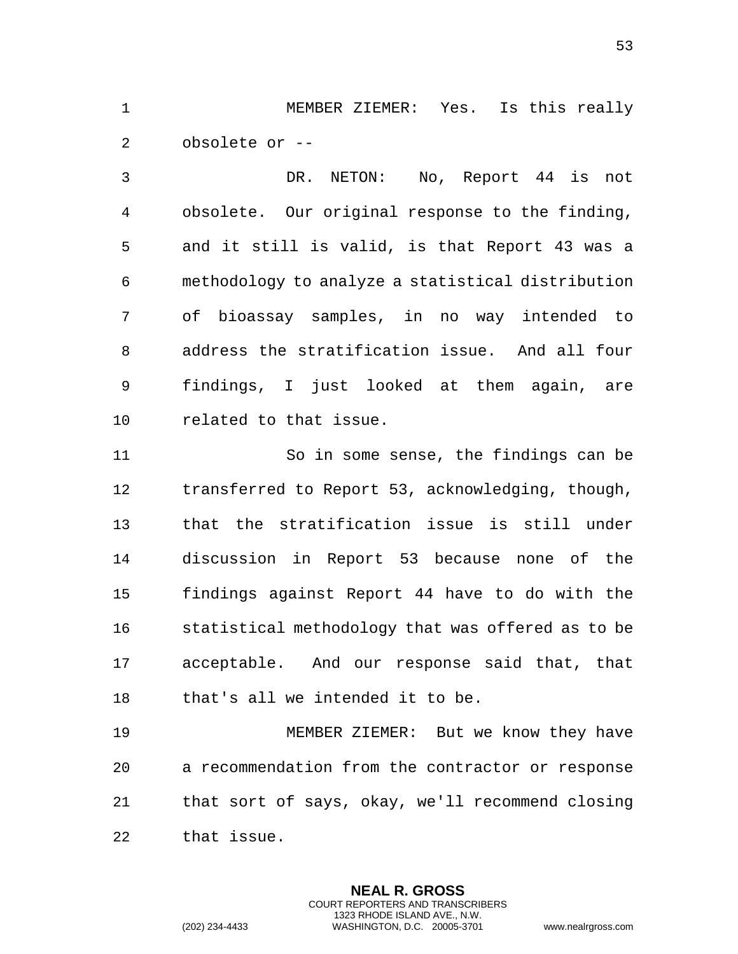MEMBER ZIEMER: Yes. Is this really obsolete or --

 DR. NETON: No, Report 44 is not obsolete. Our original response to the finding, and it still is valid, is that Report 43 was a methodology to analyze a statistical distribution of bioassay samples, in no way intended to address the stratification issue. And all four findings, I just looked at them again, are related to that issue.

 So in some sense, the findings can be transferred to Report 53, acknowledging, though, that the stratification issue is still under discussion in Report 53 because none of the findings against Report 44 have to do with the statistical methodology that was offered as to be acceptable. And our response said that, that that's all we intended it to be.

 MEMBER ZIEMER: But we know they have a recommendation from the contractor or response that sort of says, okay, we'll recommend closing that issue.

> **NEAL R. GROSS** COURT REPORTERS AND TRANSCRIBERS 1323 RHODE ISLAND AVE., N.W.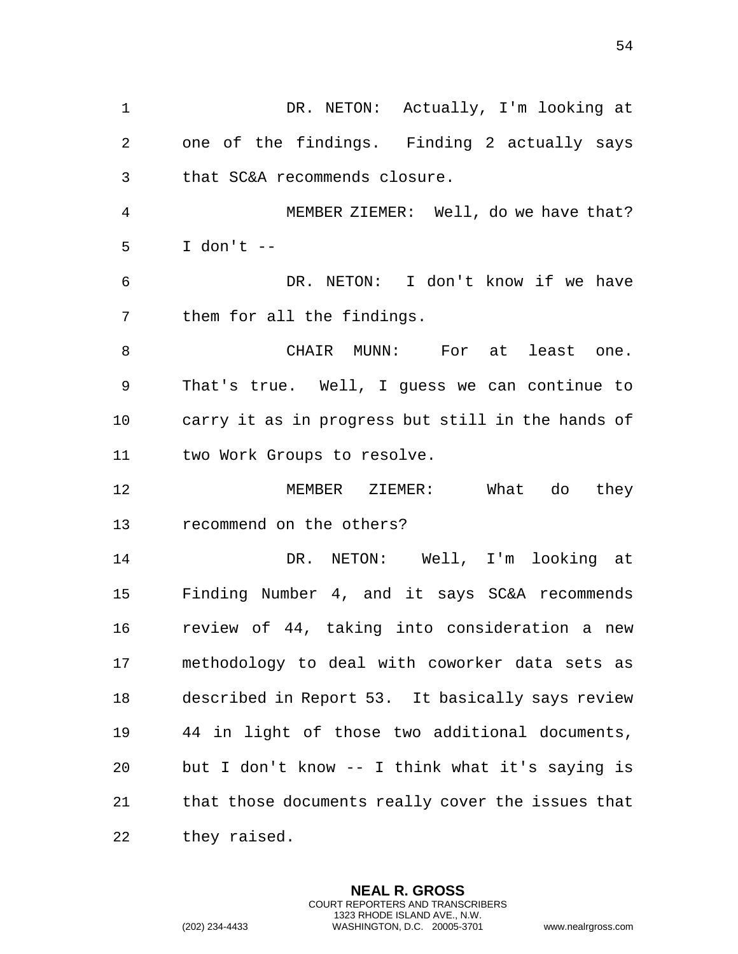DR. NETON: Actually, I'm looking at one of the findings. Finding 2 actually says that SC&A recommends closure. MEMBER ZIEMER: Well, do we have that? I don't -- DR. NETON: I don't know if we have them for all the findings. CHAIR MUNN: For at least one. That's true. Well, I guess we can continue to carry it as in progress but still in the hands of two Work Groups to resolve. MEMBER ZIEMER: What do they recommend on the others? DR. NETON: Well, I'm looking at Finding Number 4, and it says SC&A recommends review of 44, taking into consideration a new methodology to deal with coworker data sets as described in Report 53. It basically says review 44 in light of those two additional documents, but I don't know -- I think what it's saying is that those documents really cover the issues that they raised.

> **NEAL R. GROSS** COURT REPORTERS AND TRANSCRIBERS 1323 RHODE ISLAND AVE., N.W.

(202) 234-4433 WASHINGTON, D.C. 20005-3701 www.nealrgross.com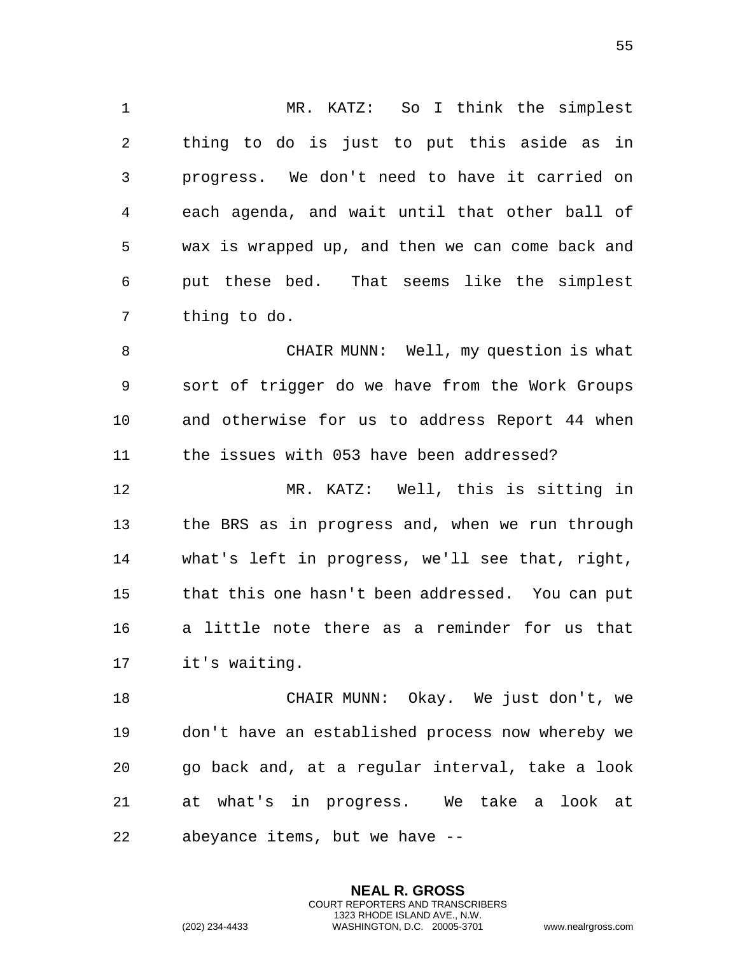MR. KATZ: So I think the simplest thing to do is just to put this aside as in progress. We don't need to have it carried on each agenda, and wait until that other ball of wax is wrapped up, and then we can come back and put these bed. That seems like the simplest thing to do.

 CHAIR MUNN: Well, my question is what sort of trigger do we have from the Work Groups and otherwise for us to address Report 44 when the issues with 053 have been addressed?

 MR. KATZ: Well, this is sitting in the BRS as in progress and, when we run through what's left in progress, we'll see that, right, that this one hasn't been addressed. You can put a little note there as a reminder for us that it's waiting.

 CHAIR MUNN: Okay. We just don't, we don't have an established process now whereby we go back and, at a regular interval, take a look at what's in progress. We take a look at abeyance items, but we have --

> **NEAL R. GROSS** COURT REPORTERS AND TRANSCRIBERS 1323 RHODE ISLAND AVE., N.W.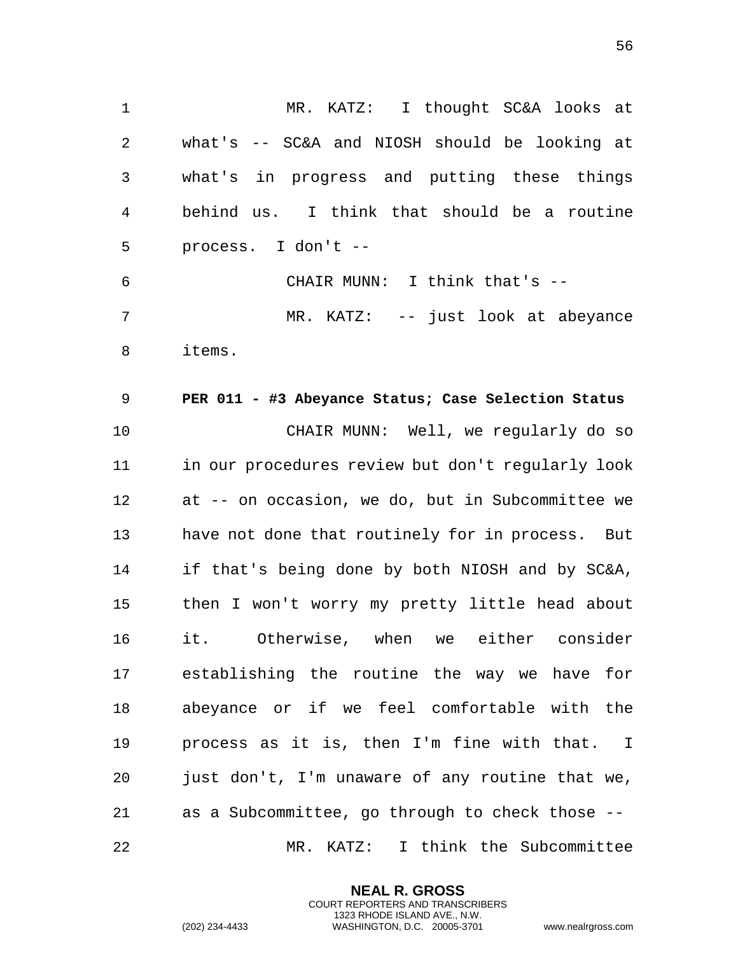1 MR. KATZ: I thought SC&A looks at 2 what's -- SC&A and NIOSH should be looking at 3 what's in progress and putting these things 4 behind us. I think that should be a routine 5 process. I don't -- 6 CHAIR MUNN: I think that's -- 7 MR. KATZ: -- just look at abeyance 8 items.

9 **PER 011 - #3 Abeyance Status; Case Selection Status**  10 CHAIR MUNN: Well, we regularly do so 11 in our procedures review but don't regularly look 12 at -- on occasion, we do, but in Subcommittee we 13 have not done that routinely for in process. But 14 if that's being done by both NIOSH and by SC&A, 15 then I won't worry my pretty little head about 16 it. Otherwise, when we either consider 17 establishing the routine the way we have for 18 abeyance or if we feel comfortable with the 19 process as it is, then I'm fine with that. I 20 just don't, I'm unaware of any routine that we, 21 as a Subcommittee, go through to check those -- 22 MR. KATZ: I think the Subcommittee

> **NEAL R. GROSS** COURT REPORTERS AND TRANSCRIBERS 1323 RHODE ISLAND AVE., N.W.

(202) 234-4433 WASHINGTON, D.C. 20005-3701 www.nealrgross.com

56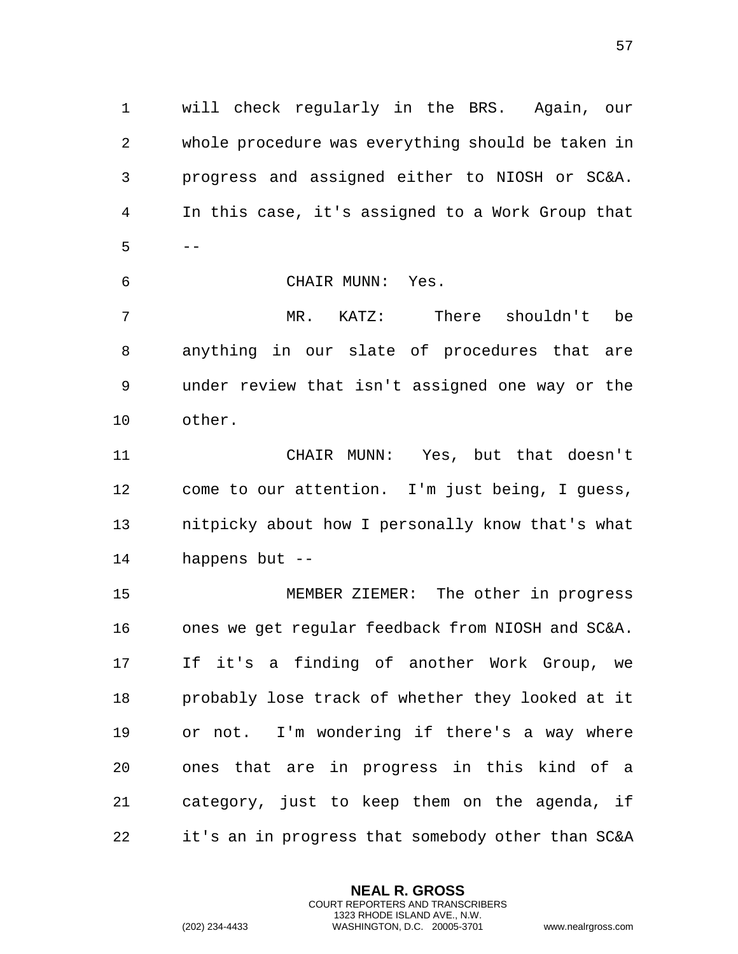will check regularly in the BRS. Again, our whole procedure was everything should be taken in progress and assigned either to NIOSH or SC&A. In this case, it's assigned to a Work Group that  $5 - -$ 

CHAIR MUNN: Yes.

 MR. KATZ: There shouldn't be anything in our slate of procedures that are under review that isn't assigned one way or the other.

 CHAIR MUNN: Yes, but that doesn't come to our attention. I'm just being, I guess, nitpicky about how I personally know that's what happens but --

 MEMBER ZIEMER: The other in progress ones we get regular feedback from NIOSH and SC&A. If it's a finding of another Work Group, we probably lose track of whether they looked at it or not. I'm wondering if there's a way where ones that are in progress in this kind of a category, just to keep them on the agenda, if it's an in progress that somebody other than SC&A

> **NEAL R. GROSS** COURT REPORTERS AND TRANSCRIBERS 1323 RHODE ISLAND AVE., N.W.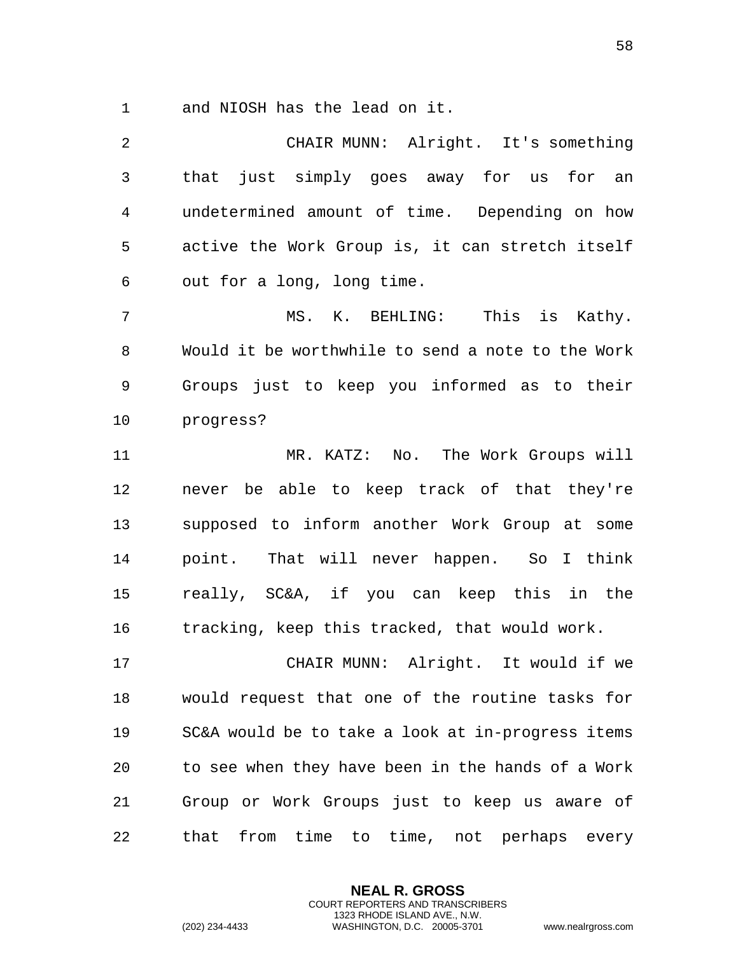and NIOSH has the lead on it.

 CHAIR MUNN: Alright. It's something that just simply goes away for us for an undetermined amount of time. Depending on how active the Work Group is, it can stretch itself out for a long, long time. MS. K. BEHLING: This is Kathy. Would it be worthwhile to send a note to the Work Groups just to keep you informed as to their progress? MR. KATZ: No. The Work Groups will never be able to keep track of that they're supposed to inform another Work Group at some point. That will never happen. So I think really, SC&A, if you can keep this in the tracking, keep this tracked, that would work. CHAIR MUNN: Alright. It would if we would request that one of the routine tasks for SC&A would be to take a look at in-progress items to see when they have been in the hands of a Work Group or Work Groups just to keep us aware of that from time to time, not perhaps every

> **NEAL R. GROSS** COURT REPORTERS AND TRANSCRIBERS 1323 RHODE ISLAND AVE., N.W.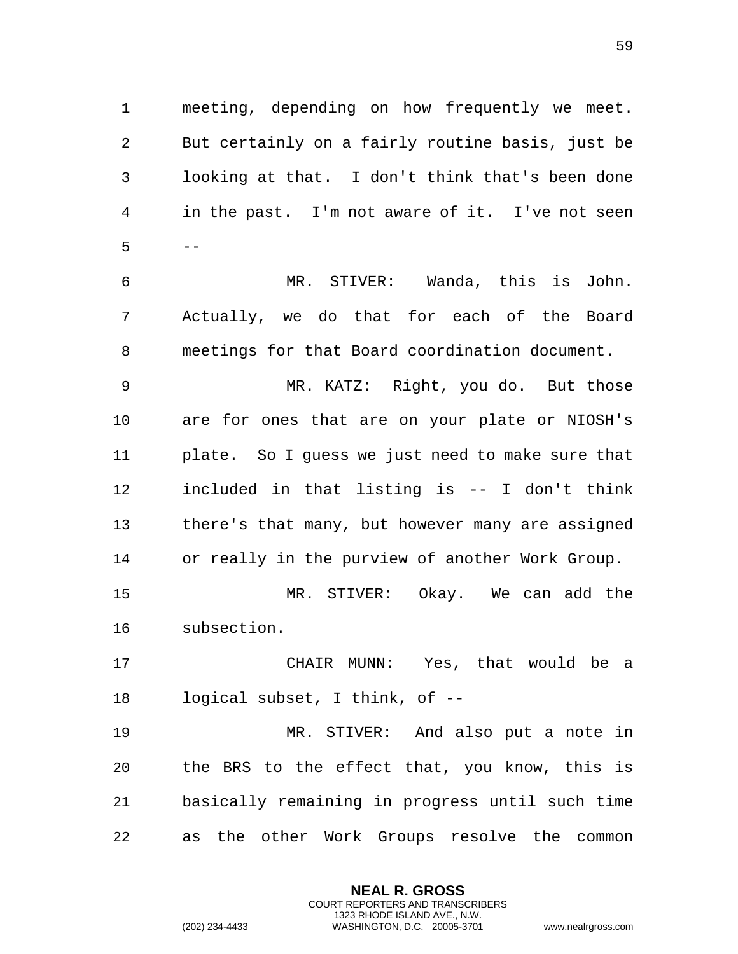meeting, depending on how frequently we meet. But certainly on a fairly routine basis, just be looking at that. I don't think that's been done in the past. I'm not aware of it. I've not seen  $5 - -$ 

 MR. STIVER: Wanda, this is John. Actually, we do that for each of the Board meetings for that Board coordination document.

 MR. KATZ: Right, you do. But those are for ones that are on your plate or NIOSH's plate. So I guess we just need to make sure that included in that listing is -- I don't think there's that many, but however many are assigned or really in the purview of another Work Group.

 MR. STIVER: Okay. We can add the subsection.

 CHAIR MUNN: Yes, that would be a logical subset, I think, of --

 MR. STIVER: And also put a note in the BRS to the effect that, you know, this is basically remaining in progress until such time as the other Work Groups resolve the common

> **NEAL R. GROSS** COURT REPORTERS AND TRANSCRIBERS 1323 RHODE ISLAND AVE., N.W.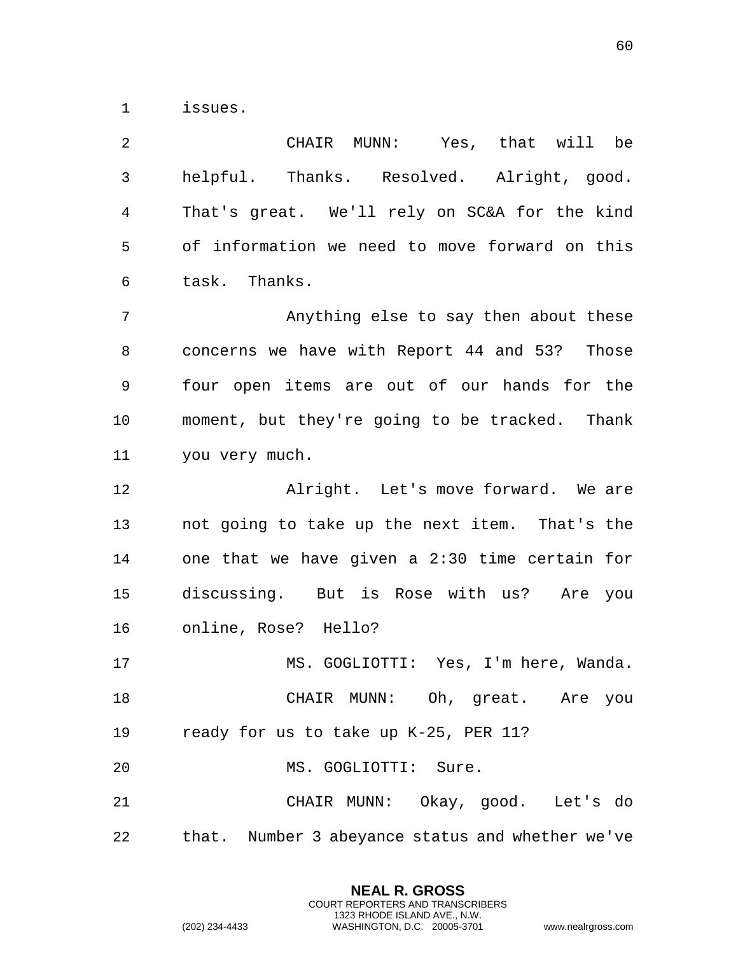issues.

 CHAIR MUNN: Yes, that will be helpful. Thanks. Resolved. Alright, good. That's great. We'll rely on SC&A for the kind of information we need to move forward on this task. Thanks. Anything else to say then about these concerns we have with Report 44 and 53? Those four open items are out of our hands for the moment, but they're going to be tracked. Thank you very much. Alright. Let's move forward. We are not going to take up the next item. That's the one that we have given a 2:30 time certain for discussing. But is Rose with us? Are you online, Rose? Hello? MS. GOGLIOTTI: Yes, I'm here, Wanda. CHAIR MUNN: Oh, great. Are you ready for us to take up K-25, PER 11? MS. GOGLIOTTI: Sure. CHAIR MUNN: Okay, good. Let's do that. Number 3 abeyance status and whether we've

> **NEAL R. GROSS** COURT REPORTERS AND TRANSCRIBERS 1323 RHODE ISLAND AVE., N.W.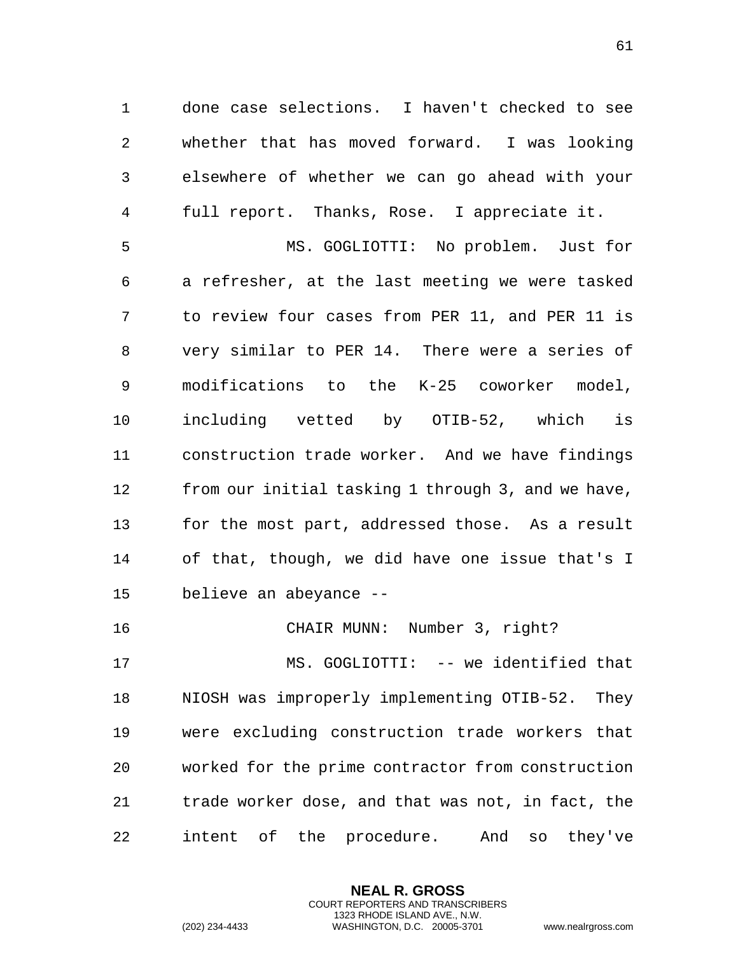done case selections. I haven't checked to see whether that has moved forward. I was looking elsewhere of whether we can go ahead with your full report. Thanks, Rose. I appreciate it.

 MS. GOGLIOTTI: No problem. Just for a refresher, at the last meeting we were tasked to review four cases from PER 11, and PER 11 is very similar to PER 14. There were a series of modifications to the K-25 coworker model, including vetted by OTIB-52, which is construction trade worker. And we have findings from our initial tasking 1 through 3, and we have, for the most part, addressed those. As a result of that, though, we did have one issue that's I believe an abeyance --

CHAIR MUNN: Number 3, right?

 MS. GOGLIOTTI: -- we identified that NIOSH was improperly implementing OTIB-52. They were excluding construction trade workers that worked for the prime contractor from construction trade worker dose, and that was not, in fact, the intent of the procedure. And so they've

> **NEAL R. GROSS** COURT REPORTERS AND TRANSCRIBERS 1323 RHODE ISLAND AVE., N.W.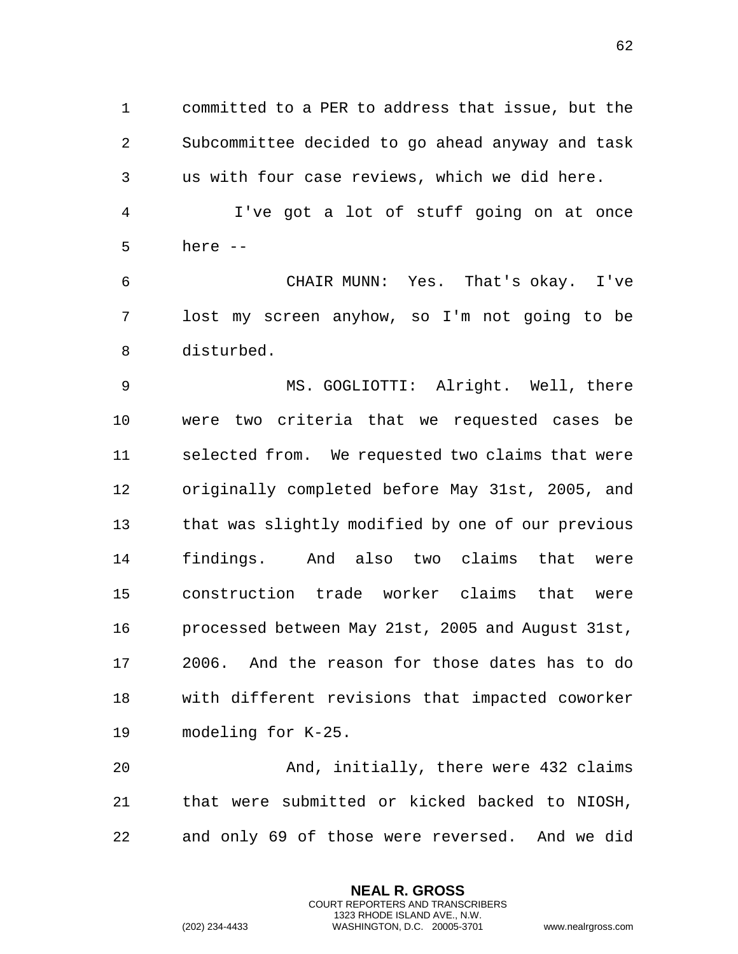committed to a PER to address that issue, but the Subcommittee decided to go ahead anyway and task us with four case reviews, which we did here.

 I've got a lot of stuff going on at once here --

 CHAIR MUNN: Yes. That's okay. I've lost my screen anyhow, so I'm not going to be disturbed.

 MS. GOGLIOTTI: Alright. Well, there were two criteria that we requested cases be selected from. We requested two claims that were originally completed before May 31st, 2005, and that was slightly modified by one of our previous findings. And also two claims that were construction trade worker claims that were processed between May 21st, 2005 and August 31st, 2006. And the reason for those dates has to do with different revisions that impacted coworker modeling for K-25.

 And, initially, there were 432 claims that were submitted or kicked backed to NIOSH, and only 69 of those were reversed. And we did

> **NEAL R. GROSS** COURT REPORTERS AND TRANSCRIBERS 1323 RHODE ISLAND AVE., N.W.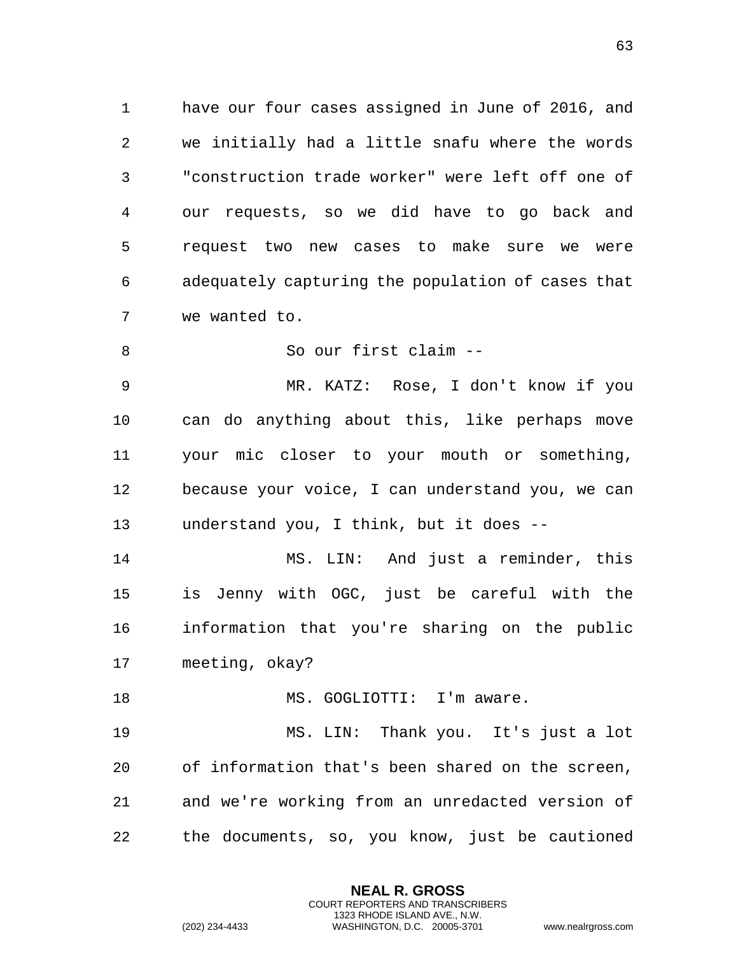have our four cases assigned in June of 2016, and we initially had a little snafu where the words "construction trade worker" were left off one of our requests, so we did have to go back and request two new cases to make sure we were adequately capturing the population of cases that we wanted to.

So our first claim --

 MR. KATZ: Rose, I don't know if you can do anything about this, like perhaps move your mic closer to your mouth or something, because your voice, I can understand you, we can understand you, I think, but it does --

 MS. LIN: And just a reminder, this is Jenny with OGC, just be careful with the information that you're sharing on the public meeting, okay?

18 MS. GOGLIOTTI: I'm aware.

 MS. LIN: Thank you. It's just a lot of information that's been shared on the screen, and we're working from an unredacted version of the documents, so, you know, just be cautioned

> **NEAL R. GROSS** COURT REPORTERS AND TRANSCRIBERS 1323 RHODE ISLAND AVE., N.W.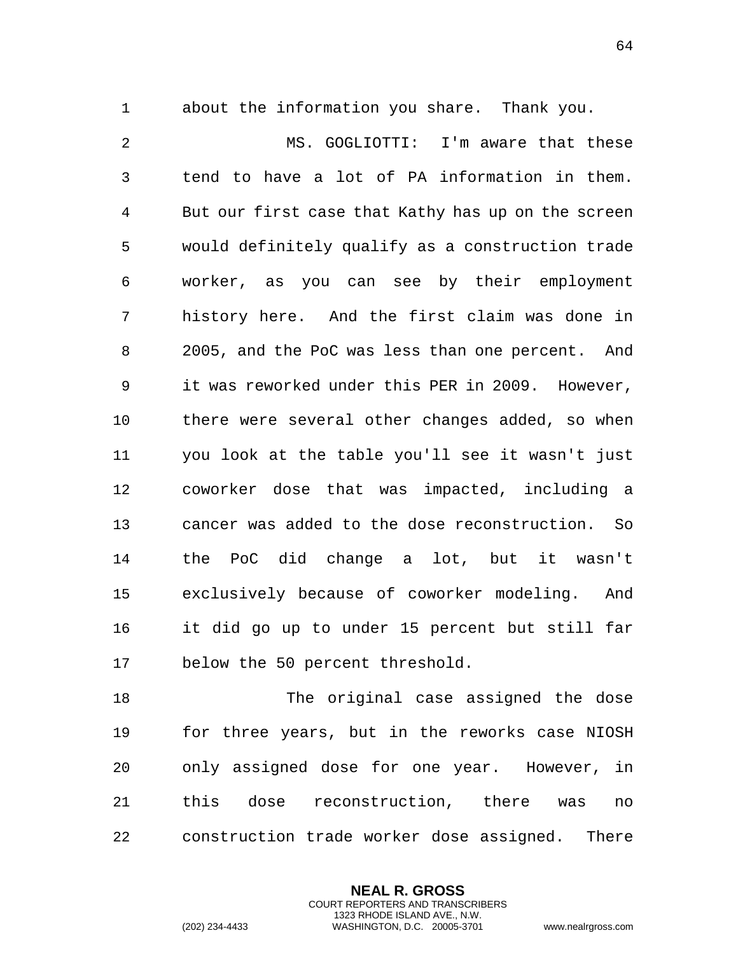about the information you share. Thank you.

 MS. GOGLIOTTI: I'm aware that these tend to have a lot of PA information in them. But our first case that Kathy has up on the screen would definitely qualify as a construction trade worker, as you can see by their employment history here. And the first claim was done in 2005, and the PoC was less than one percent. And it was reworked under this PER in 2009. However, there were several other changes added, so when you look at the table you'll see it wasn't just coworker dose that was impacted, including a cancer was added to the dose reconstruction. So the PoC did change a lot, but it wasn't exclusively because of coworker modeling. And it did go up to under 15 percent but still far below the 50 percent threshold.

 The original case assigned the dose for three years, but in the reworks case NIOSH only assigned dose for one year. However, in this dose reconstruction, there was no construction trade worker dose assigned. There

> **NEAL R. GROSS** COURT REPORTERS AND TRANSCRIBERS 1323 RHODE ISLAND AVE., N.W.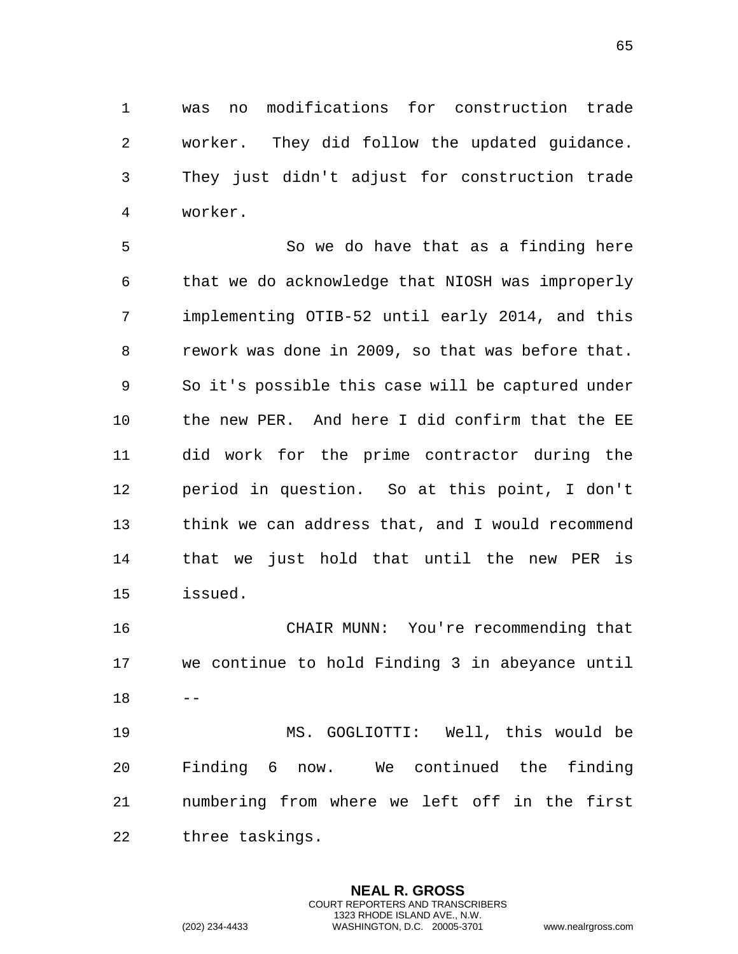was no modifications for construction trade worker. They did follow the updated guidance. They just didn't adjust for construction trade worker.

 So we do have that as a finding here that we do acknowledge that NIOSH was improperly implementing OTIB-52 until early 2014, and this rework was done in 2009, so that was before that. So it's possible this case will be captured under the new PER. And here I did confirm that the EE did work for the prime contractor during the period in question. So at this point, I don't think we can address that, and I would recommend that we just hold that until the new PER is issued.

 CHAIR MUNN: You're recommending that we continue to hold Finding 3 in abeyance until  $18 - -$ 

 MS. GOGLIOTTI: Well, this would be Finding 6 now. We continued the finding numbering from where we left off in the first three taskings.

> **NEAL R. GROSS** COURT REPORTERS AND TRANSCRIBERS 1323 RHODE ISLAND AVE., N.W.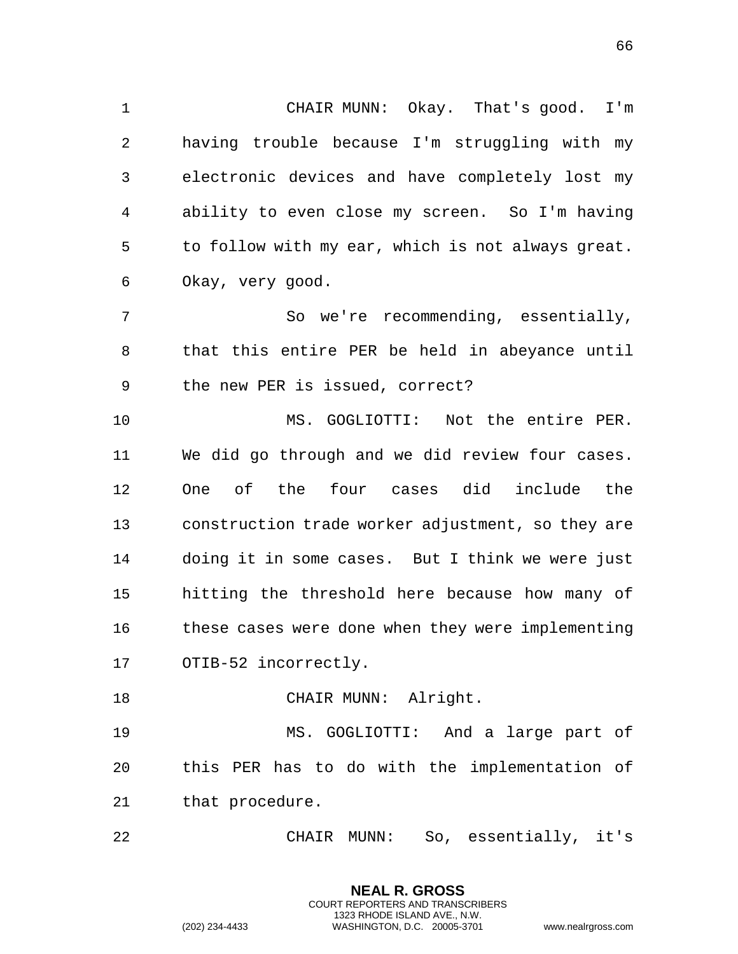CHAIR MUNN: Okay. That's good. I'm having trouble because I'm struggling with my electronic devices and have completely lost my ability to even close my screen. So I'm having to follow with my ear, which is not always great. Okay, very good.

 So we're recommending, essentially, that this entire PER be held in abeyance until the new PER is issued, correct?

 MS. GOGLIOTTI: Not the entire PER. We did go through and we did review four cases. One of the four cases did include the construction trade worker adjustment, so they are doing it in some cases. But I think we were just hitting the threshold here because how many of these cases were done when they were implementing OTIB-52 incorrectly.

18 CHAIR MUNN: Alright.

 MS. GOGLIOTTI: And a large part of this PER has to do with the implementation of that procedure.

CHAIR MUNN: So, essentially, it's

**NEAL R. GROSS**

1323 RHODE ISLAND AVE., N.W.

COURT REPORTERS AND TRANSCRIBERS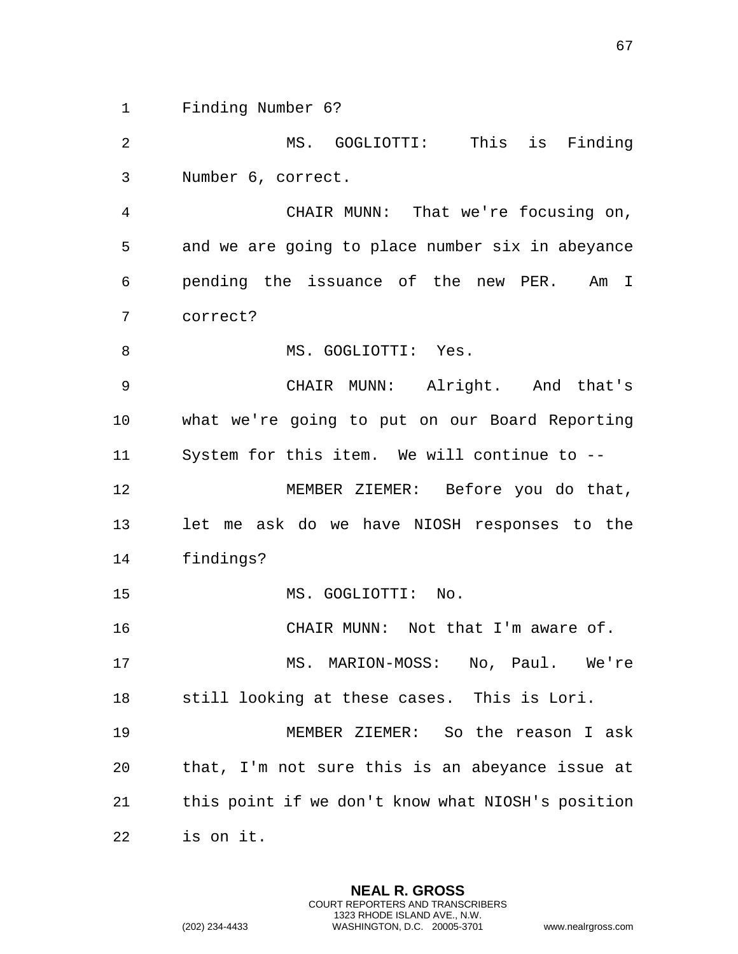Finding Number 6?

 MS. GOGLIOTTI: This is Finding Number 6, correct.

 CHAIR MUNN: That we're focusing on, and we are going to place number six in abeyance pending the issuance of the new PER. Am I correct?

8 MS. GOGLIOTTI: Yes.

 CHAIR MUNN: Alright. And that's what we're going to put on our Board Reporting System for this item. We will continue to --

12 MEMBER ZIEMER: Before you do that, let me ask do we have NIOSH responses to the findings?

MS. GOGLIOTTI: No.

CHAIR MUNN: Not that I'm aware of.

17 MS. MARION-MOSS: No, Paul. We're still looking at these cases. This is Lori.

 MEMBER ZIEMER: So the reason I ask that, I'm not sure this is an abeyance issue at this point if we don't know what NIOSH's position is on it.

> **NEAL R. GROSS** COURT REPORTERS AND TRANSCRIBERS 1323 RHODE ISLAND AVE., N.W.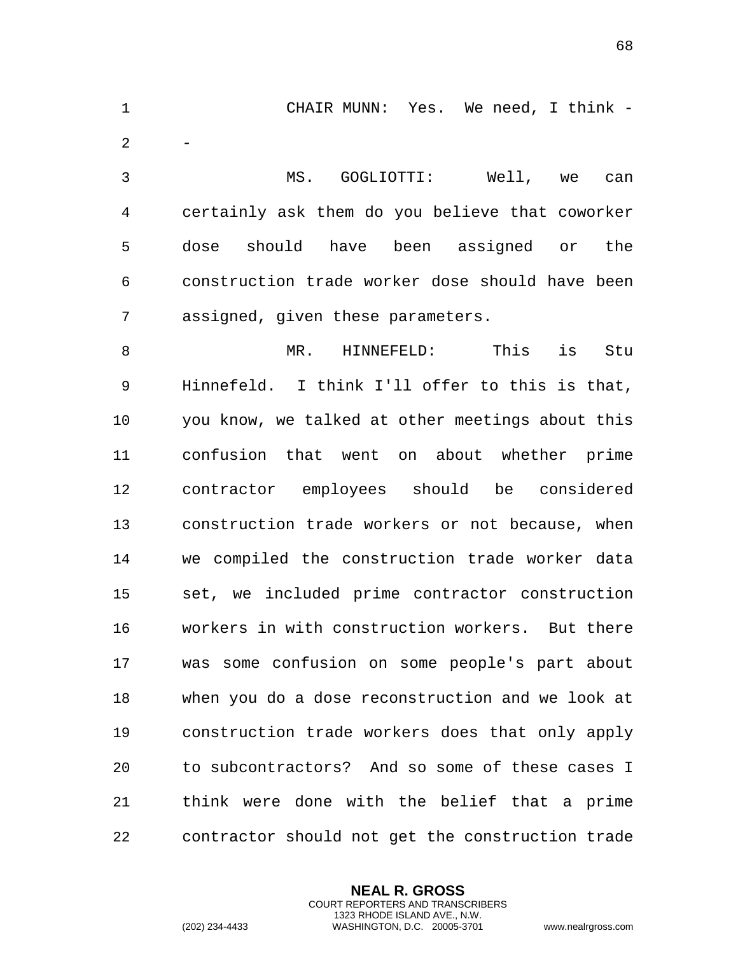CHAIR MUNN: Yes. We need, I think - - MS. GOGLIOTTI: Well, we can certainly ask them do you believe that coworker dose should have been assigned or the construction trade worker dose should have been assigned, given these parameters. MR. HINNEFELD: This is Stu Hinnefeld. I think I'll offer to this is that, you know, we talked at other meetings about this confusion that went on about whether prime contractor employees should be considered construction trade workers or not because, when we compiled the construction trade worker data set, we included prime contractor construction workers in with construction workers. But there was some confusion on some people's part about when you do a dose reconstruction and we look at construction trade workers does that only apply to subcontractors? And so some of these cases I think were done with the belief that a prime contractor should not get the construction trade

> **NEAL R. GROSS** COURT REPORTERS AND TRANSCRIBERS 1323 RHODE ISLAND AVE., N.W.

(202) 234-4433 WASHINGTON, D.C. 20005-3701 www.nealrgross.com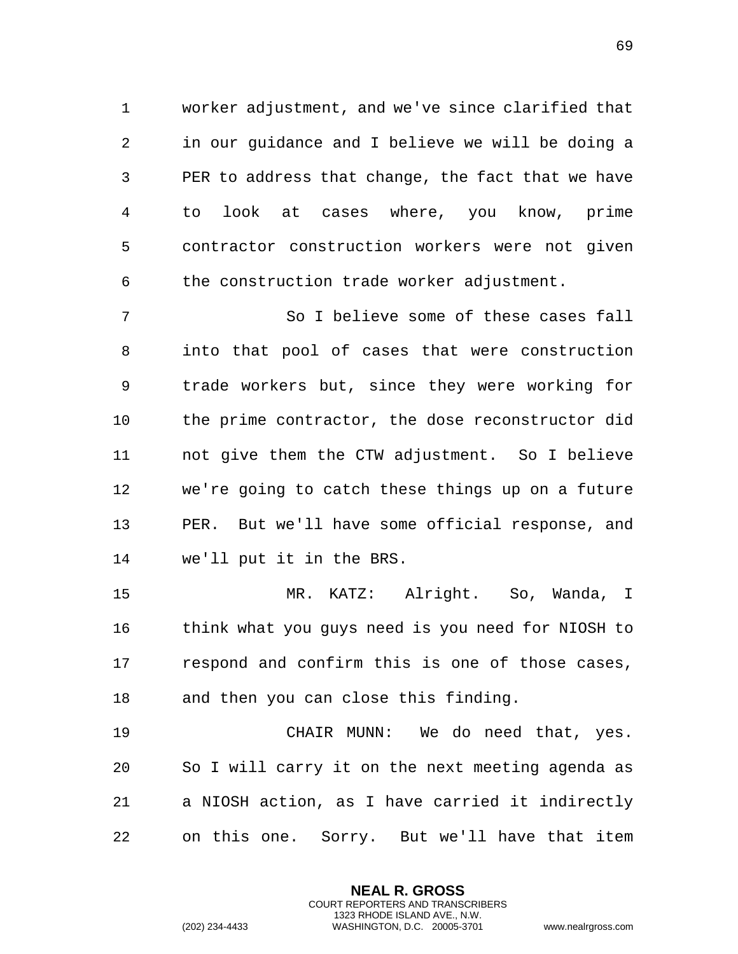worker adjustment, and we've since clarified that in our guidance and I believe we will be doing a PER to address that change, the fact that we have to look at cases where, you know, prime contractor construction workers were not given the construction trade worker adjustment.

 So I believe some of these cases fall into that pool of cases that were construction trade workers but, since they were working for the prime contractor, the dose reconstructor did not give them the CTW adjustment. So I believe we're going to catch these things up on a future PER. But we'll have some official response, and we'll put it in the BRS.

 MR. KATZ: Alright. So, Wanda, I think what you guys need is you need for NIOSH to respond and confirm this is one of those cases, and then you can close this finding.

 CHAIR MUNN: We do need that, yes. So I will carry it on the next meeting agenda as a NIOSH action, as I have carried it indirectly on this one. Sorry. But we'll have that item

> **NEAL R. GROSS** COURT REPORTERS AND TRANSCRIBERS 1323 RHODE ISLAND AVE., N.W.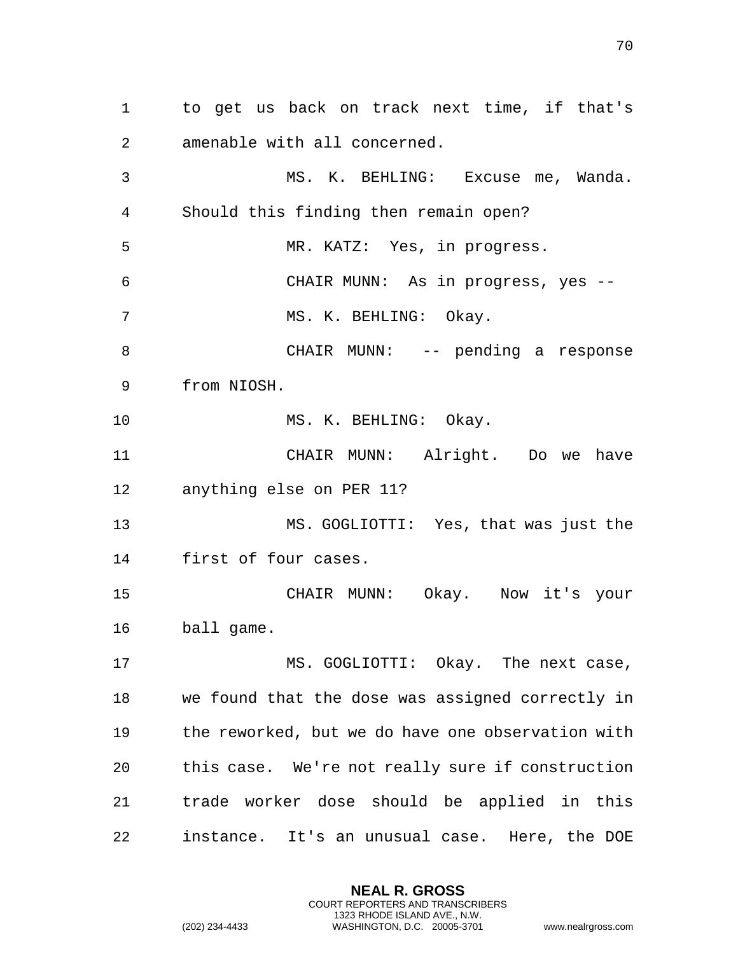to get us back on track next time, if that's amenable with all concerned. MS. K. BEHLING: Excuse me, Wanda. Should this finding then remain open? MR. KATZ: Yes, in progress. CHAIR MUNN: As in progress, yes -- 7 MS. K. BEHLING: Okay. CHAIR MUNN: -- pending a response from NIOSH. 10 MS. K. BEHLING: Okay. CHAIR MUNN: Alright. Do we have anything else on PER 11? MS. GOGLIOTTI: Yes, that was just the first of four cases. CHAIR MUNN: Okay. Now it's your ball game. 17 MS. GOGLIOTTI: Okay. The next case, we found that the dose was assigned correctly in the reworked, but we do have one observation with this case. We're not really sure if construction trade worker dose should be applied in this instance. It's an unusual case. Here, the DOE

> **NEAL R. GROSS** COURT REPORTERS AND TRANSCRIBERS 1323 RHODE ISLAND AVE., N.W.

(202) 234-4433 WASHINGTON, D.C. 20005-3701 www.nealrgross.com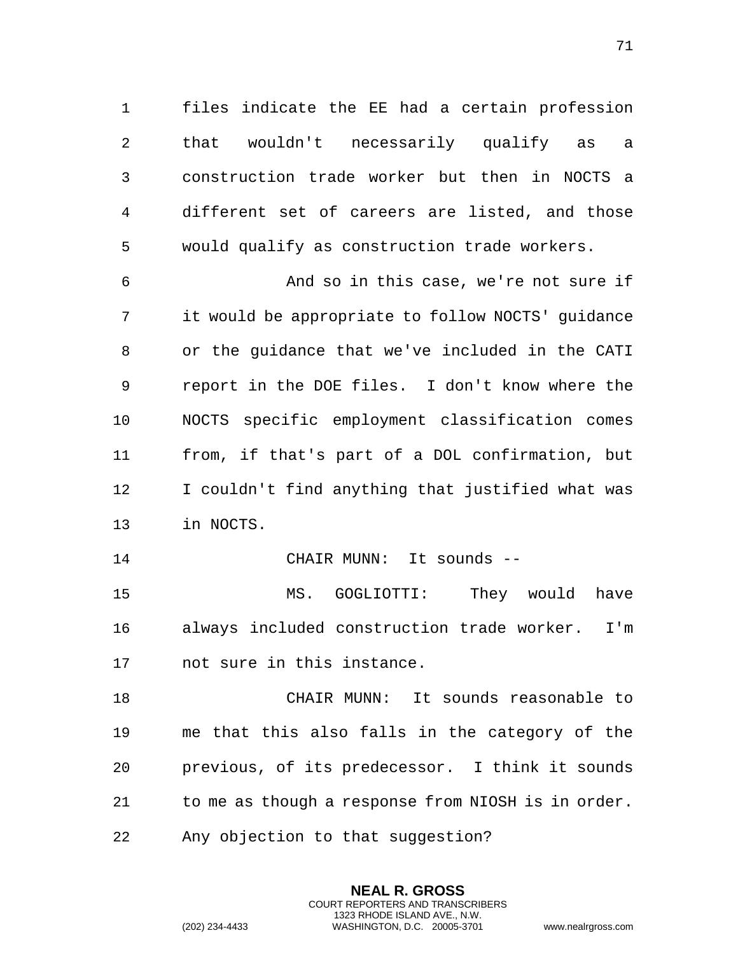files indicate the EE had a certain profession that wouldn't necessarily qualify as a construction trade worker but then in NOCTS a different set of careers are listed, and those would qualify as construction trade workers.

 And so in this case, we're not sure if it would be appropriate to follow NOCTS' guidance or the guidance that we've included in the CATI report in the DOE files. I don't know where the NOCTS specific employment classification comes from, if that's part of a DOL confirmation, but I couldn't find anything that justified what was in NOCTS.

CHAIR MUNN: It sounds --

 MS. GOGLIOTTI: They would have always included construction trade worker. I'm not sure in this instance.

 CHAIR MUNN: It sounds reasonable to me that this also falls in the category of the previous, of its predecessor. I think it sounds to me as though a response from NIOSH is in order. Any objection to that suggestion?

> **NEAL R. GROSS** COURT REPORTERS AND TRANSCRIBERS 1323 RHODE ISLAND AVE., N.W.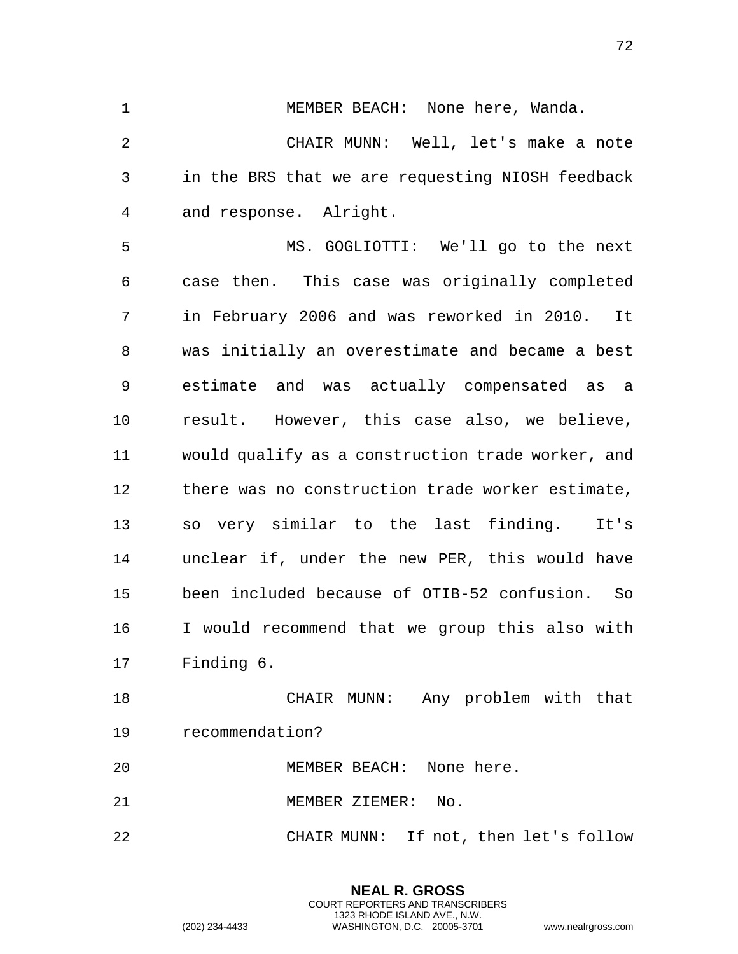CHAIR MUNN: Well, let's make a note in the BRS that we are requesting NIOSH feedback and response. Alright. MS. GOGLIOTTI: We'll go to the next case then. This case was originally completed in February 2006 and was reworked in 2010. It was initially an overestimate and became a best estimate and was actually compensated as a result. However, this case also, we believe, would qualify as a construction trade worker, and there was no construction trade worker estimate, so very similar to the last finding. It's unclear if, under the new PER, this would have been included because of OTIB-52 confusion. So I would recommend that we group this also with Finding 6. CHAIR MUNN: Any problem with that recommendation?

1 MEMBER BEACH: None here, Wanda.

MEMBER BEACH: None here.

MEMBER ZIEMER: No.

CHAIR MUNN: If not, then let's follow

**NEAL R. GROSS** COURT REPORTERS AND TRANSCRIBERS 1323 RHODE ISLAND AVE., N.W.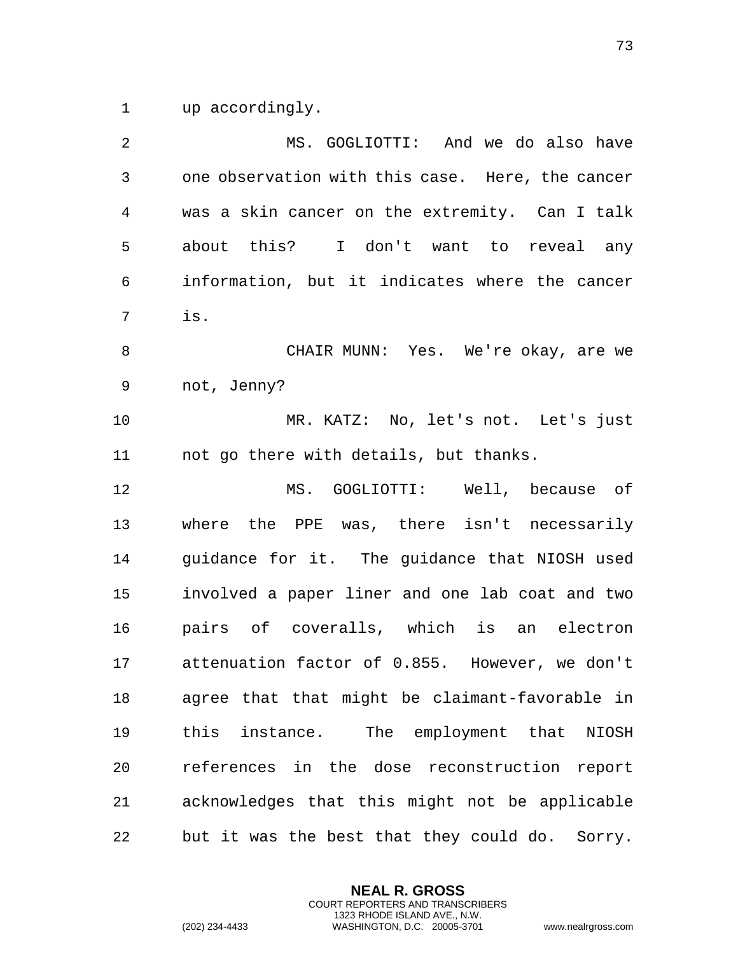up accordingly.

| $\overline{2}$ | MS. GOGLIOTTI: And we do also have                |
|----------------|---------------------------------------------------|
| $\mathsf{3}$   | one observation with this case. Here, the cancer  |
| 4              | was a skin cancer on the extremity. Can I talk    |
| 5              | about this? I don't want to reveal any            |
| 6              | information, but it indicates where the cancer    |
| 7              | is.                                               |
| 8              | CHAIR MUNN: Yes. We're okay, are we               |
| 9              | not, Jenny?                                       |
| 10             | MR. KATZ: No, let's not. Let's just               |
| 11             | not go there with details, but thanks.            |
| 12             | MS. GOGLIOTTI: Well, because of                   |
| 13             | where the PPE was, there isn't necessarily        |
| 14             | guidance for it. The guidance that NIOSH used     |
| 15             | involved a paper liner and one lab coat and two   |
| 16             | pairs of coveralls, which is an electron          |
| 17             | attenuation factor of 0.855. However, we don't    |
| 18             | agree that that might be claimant-favorable in    |
| 19             | this instance. The employment that NIOSH          |
| 20             | references in the dose reconstruction report      |
| 21             | acknowledges that this might not be applicable    |
| 22             | but it was the best that they could do.<br>Sorry. |

**NEAL R. GROSS** COURT REPORTERS AND TRANSCRIBERS 1323 RHODE ISLAND AVE., N.W.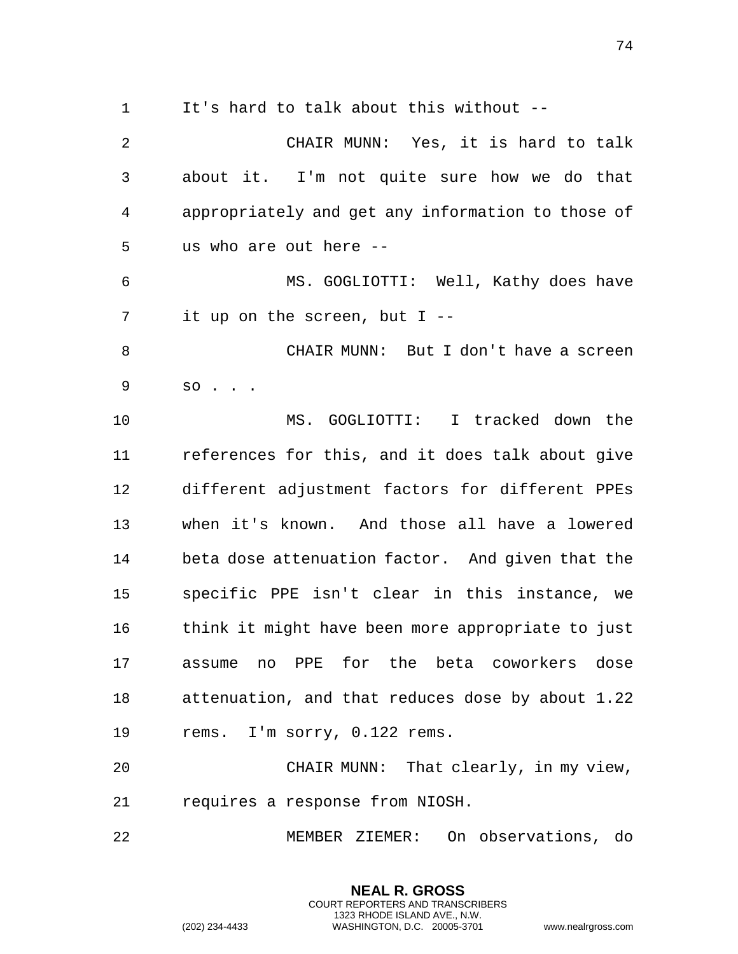It's hard to talk about this without --

 CHAIR MUNN: Yes, it is hard to talk about it. I'm not quite sure how we do that appropriately and get any information to those of us who are out here -- MS. GOGLIOTTI: Well, Kathy does have it up on the screen, but I -- CHAIR MUNN: But I don't have a screen so . . . MS. GOGLIOTTI: I tracked down the references for this, and it does talk about give different adjustment factors for different PPEs when it's known. And those all have a lowered beta dose attenuation factor. And given that the specific PPE isn't clear in this instance, we think it might have been more appropriate to just assume no PPE for the beta coworkers dose attenuation, and that reduces dose by about 1.22 rems. I'm sorry, 0.122 rems. CHAIR MUNN: That clearly, in my view, requires a response from NIOSH. MEMBER ZIEMER: On observations, do

> **NEAL R. GROSS** COURT REPORTERS AND TRANSCRIBERS 1323 RHODE ISLAND AVE., N.W.

(202) 234-4433 WASHINGTON, D.C. 20005-3701 www.nealrgross.com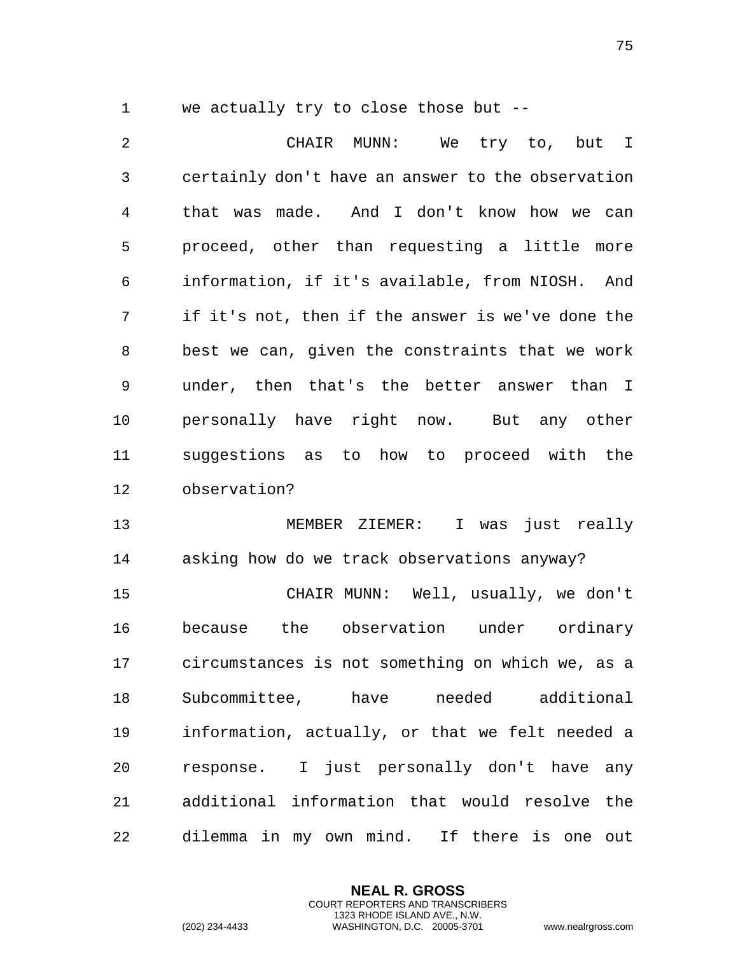| we actually try to close those but -- |  |
|---------------------------------------|--|
|---------------------------------------|--|

 CHAIR MUNN: We try to, but I certainly don't have an answer to the observation that was made. And I don't know how we can proceed, other than requesting a little more information, if it's available, from NIOSH. And if it's not, then if the answer is we've done the best we can, given the constraints that we work under, then that's the better answer than I personally have right now. But any other suggestions as to how to proceed with the observation?

 MEMBER ZIEMER: I was just really asking how do we track observations anyway?

 CHAIR MUNN: Well, usually, we don't because the observation under ordinary circumstances is not something on which we, as a Subcommittee, have needed additional information, actually, or that we felt needed a response. I just personally don't have any additional information that would resolve the dilemma in my own mind. If there is one out

> **NEAL R. GROSS** COURT REPORTERS AND TRANSCRIBERS 1323 RHODE ISLAND AVE., N.W.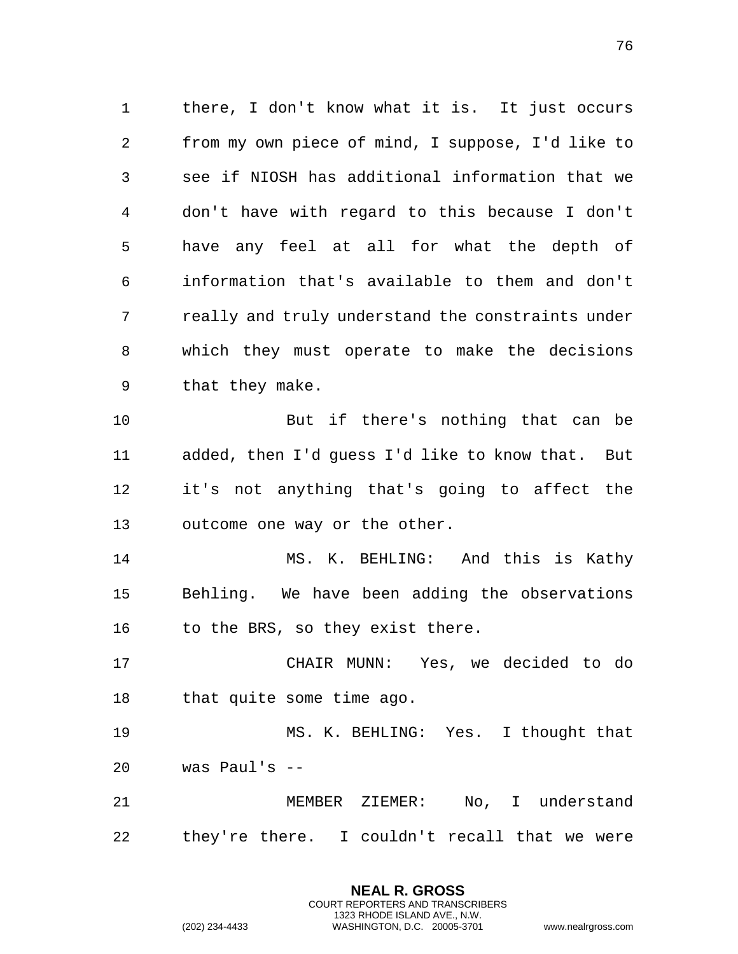there, I don't know what it is. It just occurs from my own piece of mind, I suppose, I'd like to see if NIOSH has additional information that we don't have with regard to this because I don't have any feel at all for what the depth of information that's available to them and don't really and truly understand the constraints under which they must operate to make the decisions that they make. But if there's nothing that can be added, then I'd guess I'd like to know that. But

 it's not anything that's going to affect the outcome one way or the other.

 MS. K. BEHLING: And this is Kathy Behling. We have been adding the observations 16 to the BRS, so they exist there.

 CHAIR MUNN: Yes, we decided to do that quite some time ago.

 MS. K. BEHLING: Yes. I thought that was Paul's --

 MEMBER ZIEMER: No, I understand they're there. I couldn't recall that we were

> **NEAL R. GROSS** COURT REPORTERS AND TRANSCRIBERS 1323 RHODE ISLAND AVE., N.W.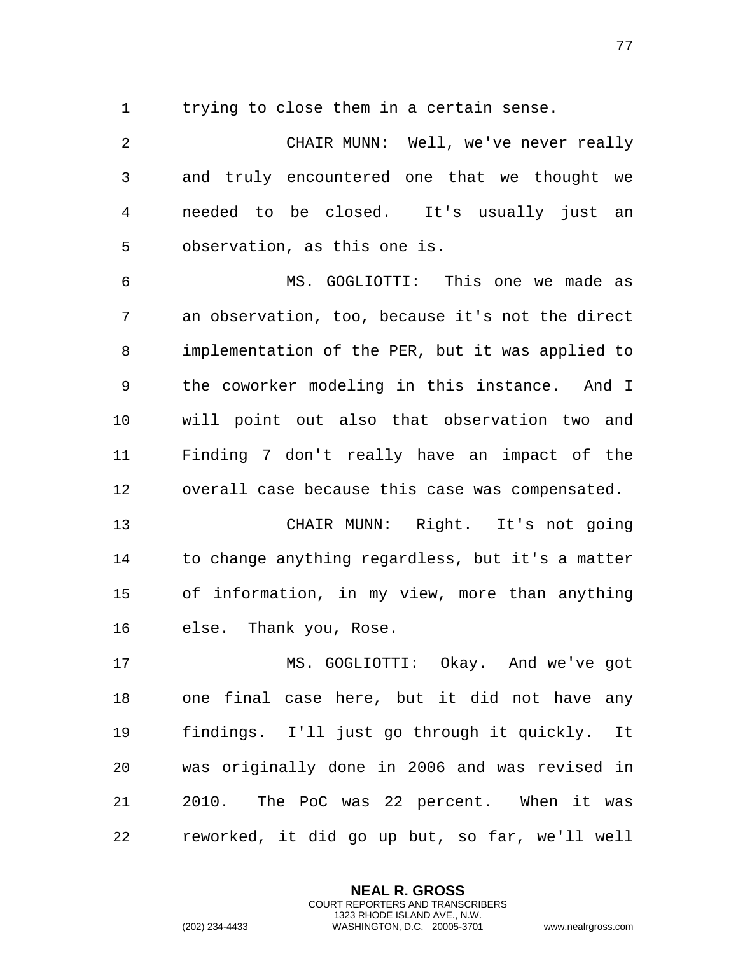trying to close them in a certain sense.

 CHAIR MUNN: Well, we've never really and truly encountered one that we thought we needed to be closed. It's usually just an observation, as this one is.

 MS. GOGLIOTTI: This one we made as an observation, too, because it's not the direct implementation of the PER, but it was applied to the coworker modeling in this instance. And I will point out also that observation two and Finding 7 don't really have an impact of the overall case because this case was compensated.

 CHAIR MUNN: Right. It's not going to change anything regardless, but it's a matter of information, in my view, more than anything else. Thank you, Rose.

 MS. GOGLIOTTI: Okay. And we've got one final case here, but it did not have any findings. I'll just go through it quickly. It was originally done in 2006 and was revised in 2010. The PoC was 22 percent. When it was reworked, it did go up but, so far, we'll well

> **NEAL R. GROSS** COURT REPORTERS AND TRANSCRIBERS 1323 RHODE ISLAND AVE., N.W.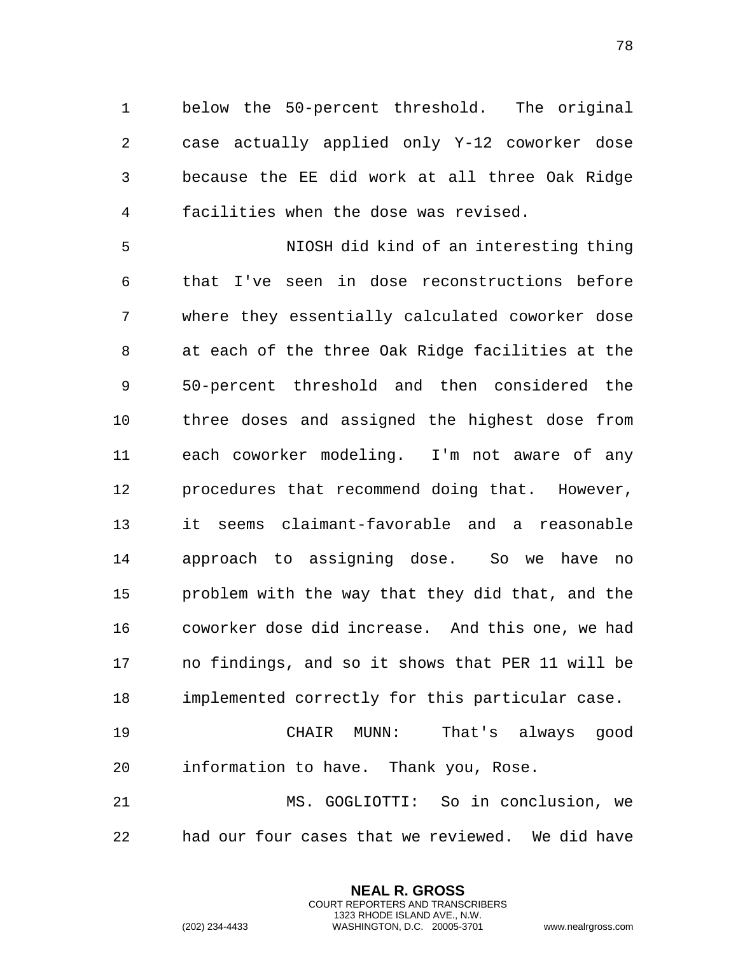below the 50-percent threshold. The original case actually applied only Y-12 coworker dose because the EE did work at all three Oak Ridge facilities when the dose was revised.

 NIOSH did kind of an interesting thing that I've seen in dose reconstructions before where they essentially calculated coworker dose at each of the three Oak Ridge facilities at the 50-percent threshold and then considered the three doses and assigned the highest dose from each coworker modeling. I'm not aware of any procedures that recommend doing that. However, it seems claimant-favorable and a reasonable approach to assigning dose. So we have no problem with the way that they did that, and the coworker dose did increase. And this one, we had no findings, and so it shows that PER 11 will be implemented correctly for this particular case. CHAIR MUNN: That's always good

information to have. Thank you, Rose.

 MS. GOGLIOTTI: So in conclusion, we had our four cases that we reviewed. We did have

> **NEAL R. GROSS** COURT REPORTERS AND TRANSCRIBERS 1323 RHODE ISLAND AVE., N.W.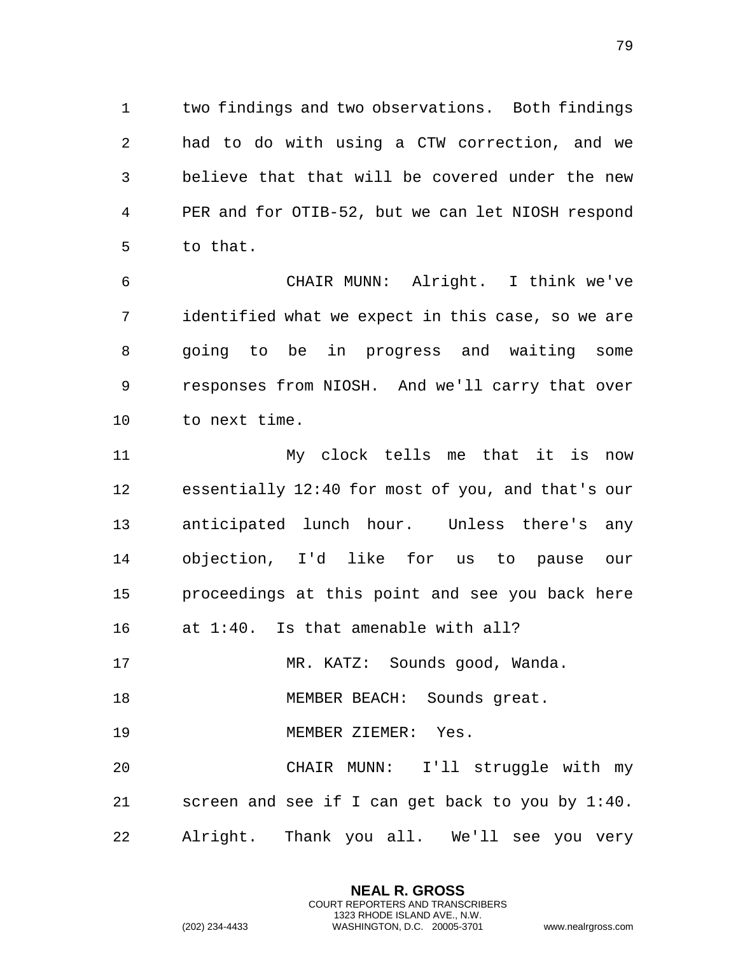two findings and two observations. Both findings had to do with using a CTW correction, and we believe that that will be covered under the new PER and for OTIB-52, but we can let NIOSH respond to that.

 CHAIR MUNN: Alright. I think we've identified what we expect in this case, so we are going to be in progress and waiting some responses from NIOSH. And we'll carry that over to next time.

 My clock tells me that it is now essentially 12:40 for most of you, and that's our anticipated lunch hour. Unless there's any objection, I'd like for us to pause our proceedings at this point and see you back here at 1:40. Is that amenable with all?

MR. KATZ: Sounds good, Wanda.

18 MEMBER BEACH: Sounds great.

MEMBER ZIEMER: Yes.

 CHAIR MUNN: I'll struggle with my screen and see if I can get back to you by 1:40. Alright. Thank you all. We'll see you very

> **NEAL R. GROSS** COURT REPORTERS AND TRANSCRIBERS 1323 RHODE ISLAND AVE., N.W.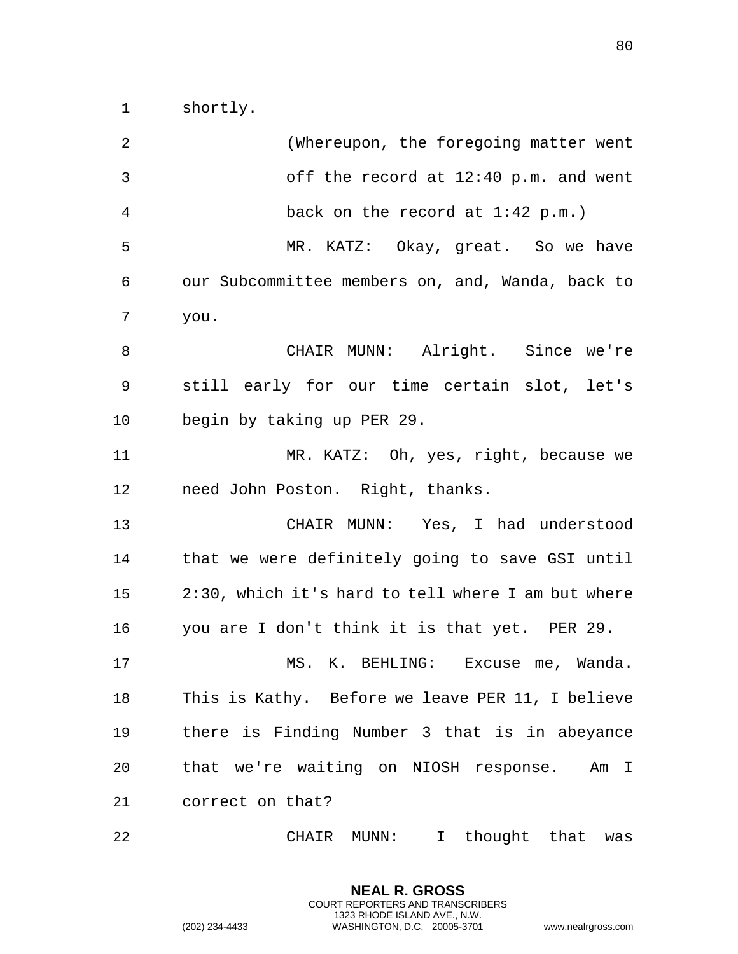shortly.

| 2              | (Whereupon, the foregoing matter went                 |
|----------------|-------------------------------------------------------|
| $\mathfrak{Z}$ | off the record at 12:40 p.m. and went                 |
| $\overline{4}$ | back on the record at $1:42$ p.m.)                    |
| 5              | MR. KATZ: Okay, great. So we have                     |
| 6              | our Subcommittee members on, and, Wanda, back to      |
| 7              | you.                                                  |
| 8              | CHAIR MUNN: Alright. Since we're                      |
| 9              | still early for our time certain slot, let's          |
| 10             | begin by taking up PER 29.                            |
| 11             | MR. KATZ: Oh, yes, right, because we                  |
| 12             | need John Poston. Right, thanks.                      |
| 13             | CHAIR MUNN: Yes, I had understood                     |
| 14             | that we were definitely going to save GSI until       |
| 15             | 2:30, which it's hard to tell where I am but where    |
| 16             | you are I don't think it is that yet. PER 29.         |
| 17             | MS. K. BEHLING: Excuse me, Wanda.                     |
| 18             | This is Kathy. Before we leave PER 11, I believe      |
| 19             | there is Finding Number 3 that is in abeyance         |
| 20             | that we're waiting on NIOSH response. Am I            |
| 21             | correct on that?                                      |
| 22             | thought that<br>CHAIR<br>MUNN:<br>$\mathbf{I}$<br>was |

**NEAL R. GROSS** COURT REPORTERS AND TRANSCRIBERS 1323 RHODE ISLAND AVE., N.W.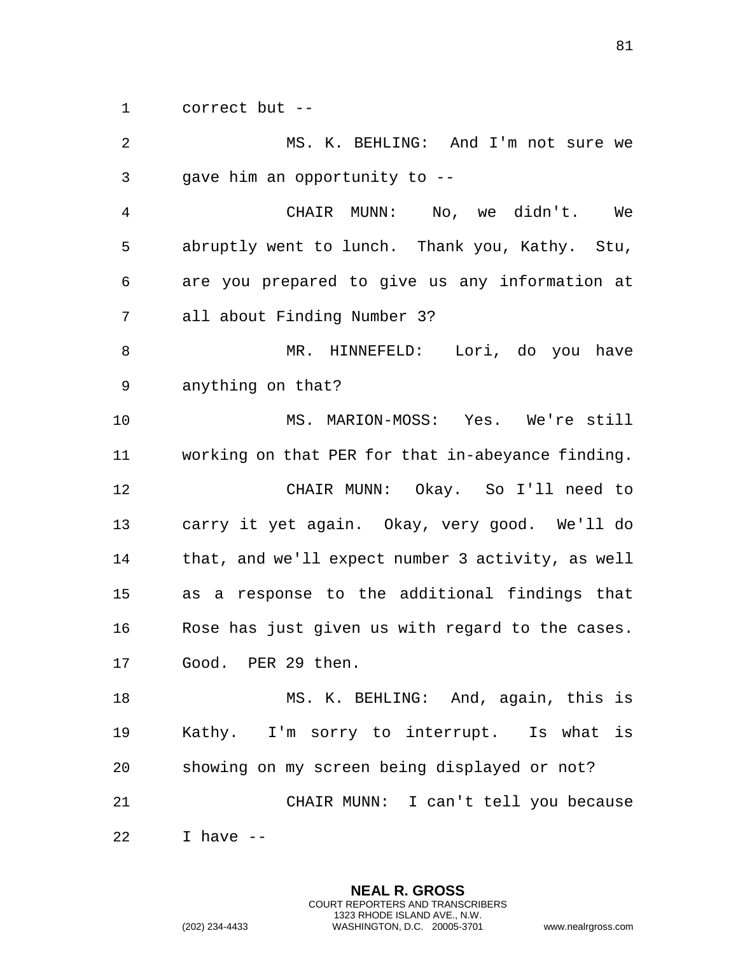correct but --

| 2            | MS. K. BEHLING: And I'm not sure we               |
|--------------|---------------------------------------------------|
| $\mathsf{3}$ | gave him an opportunity to --                     |
| 4            | CHAIR MUNN: No, we didn't. We                     |
| 5            | abruptly went to lunch. Thank you, Kathy. Stu,    |
| 6            | are you prepared to give us any information at    |
| 7            | all about Finding Number 3?                       |
| 8            | MR. HINNEFELD: Lori, do you have                  |
| 9            | anything on that?                                 |
| 10           | MS. MARION-MOSS: Yes. We're still                 |
| 11           | working on that PER for that in-abeyance finding. |
| 12           | CHAIR MUNN: Okay. So I'll need to                 |
| 13           | carry it yet again. Okay, very good. We'll do     |
| 14           | that, and we'll expect number 3 activity, as well |
| 15           | as a response to the additional findings that     |
| 16           | Rose has just given us with regard to the cases.  |
| 17           | Good. PER 29 then.                                |
| 18           | MS. K. BEHLING: And, again, this is               |
| 19           | Kathy. I'm sorry to interrupt. Is what is         |
| 20           | showing on my screen being displayed or not?      |
| 21           | CHAIR MUNN: I can't tell you because              |
| 22           | I have $-$                                        |

**NEAL R. GROSS** COURT REPORTERS AND TRANSCRIBERS 1323 RHODE ISLAND AVE., N.W.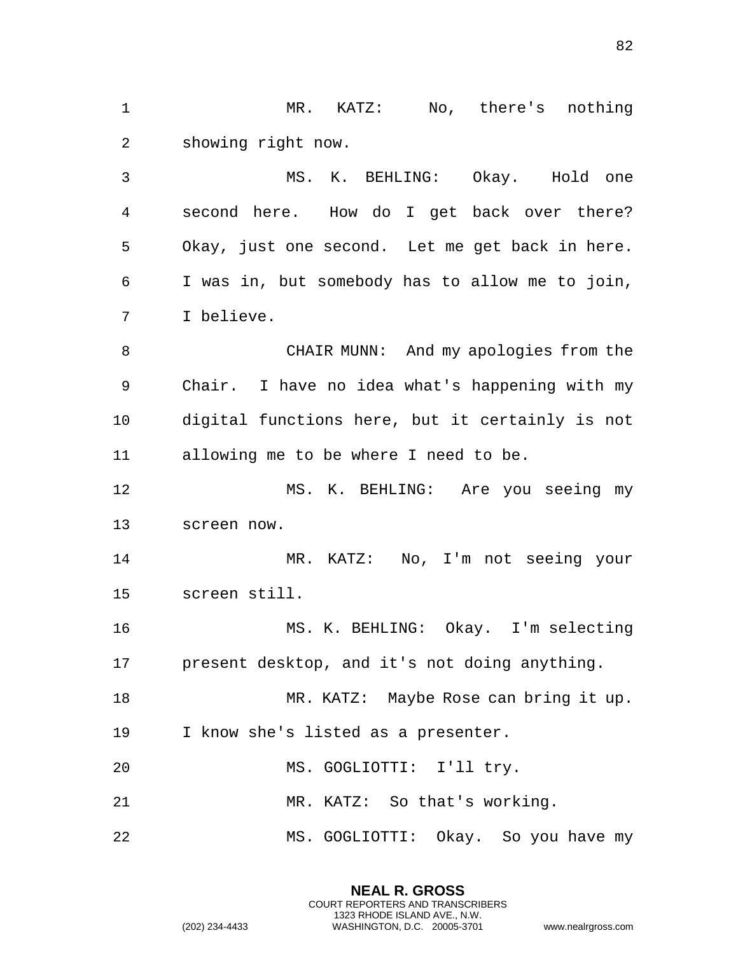MR. KATZ: No, there's nothing showing right now. MS. K. BEHLING: Okay. Hold one second here. How do I get back over there? Okay, just one second. Let me get back in here. I was in, but somebody has to allow me to join, I believe. CHAIR MUNN: And my apologies from the Chair. I have no idea what's happening with my digital functions here, but it certainly is not allowing me to be where I need to be. MS. K. BEHLING: Are you seeing my screen now. MR. KATZ: No, I'm not seeing your screen still. MS. K. BEHLING: Okay. I'm selecting present desktop, and it's not doing anything. MR. KATZ: Maybe Rose can bring it up. I know she's listed as a presenter. MS. GOGLIOTTI: I'll try. MR. KATZ: So that's working. 22 MS. GOGLIOTTI: Okay. So you have my

> **NEAL R. GROSS** COURT REPORTERS AND TRANSCRIBERS 1323 RHODE ISLAND AVE., N.W.

(202) 234-4433 WASHINGTON, D.C. 20005-3701 www.nealrgross.com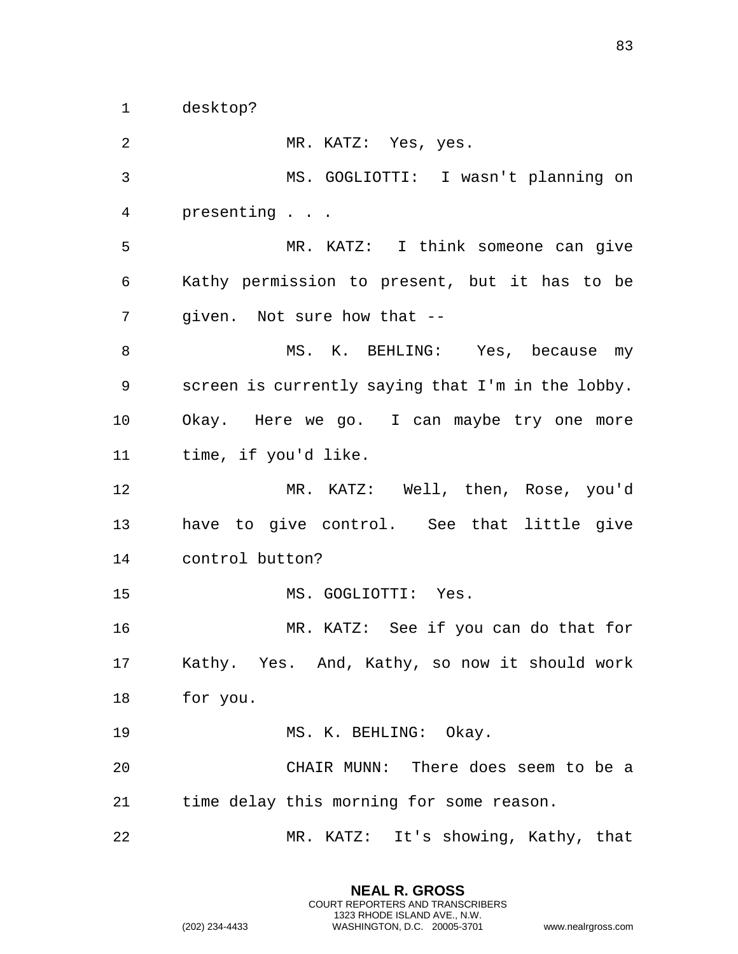desktop?

 MR. KATZ: Yes, yes. MS. GOGLIOTTI: I wasn't planning on presenting . . . MR. KATZ: I think someone can give Kathy permission to present, but it has to be given. Not sure how that -- 8 MS. K. BEHLING: Yes, because my screen is currently saying that I'm in the lobby. Okay. Here we go. I can maybe try one more time, if you'd like. MR. KATZ: Well, then, Rose, you'd have to give control. See that little give control button? MS. GOGLIOTTI: Yes. MR. KATZ: See if you can do that for Kathy. Yes. And, Kathy, so now it should work for you. 19 MS. K. BEHLING: Okay. CHAIR MUNN: There does seem to be a time delay this morning for some reason. MR. KATZ: It's showing, Kathy, that

> **NEAL R. GROSS** COURT REPORTERS AND TRANSCRIBERS 1323 RHODE ISLAND AVE., N.W.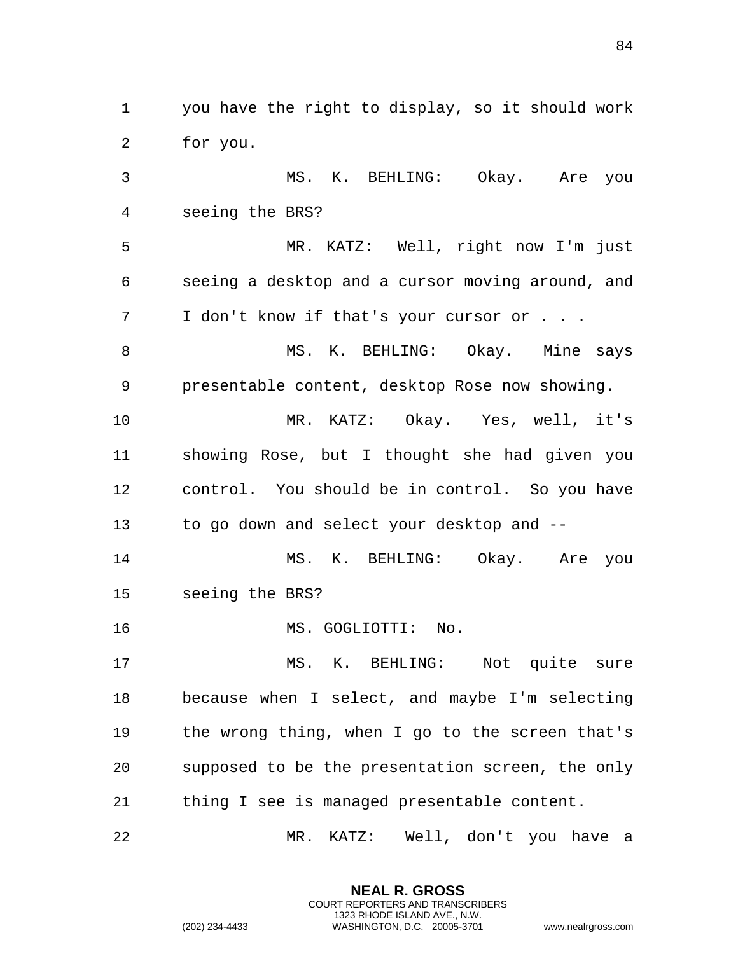you have the right to display, so it should work for you. MS. K. BEHLING: Okay. Are you seeing the BRS? MR. KATZ: Well, right now I'm just seeing a desktop and a cursor moving around, and I don't know if that's your cursor or . . . 8 MS. K. BEHLING: Okay. Mine says presentable content, desktop Rose now showing. MR. KATZ: Okay. Yes, well, it's showing Rose, but I thought she had given you control. You should be in control. So you have to go down and select your desktop and -- MS. K. BEHLING: Okay. Are you seeing the BRS? MS. GOGLIOTTI: No. MS. K. BEHLING: Not quite sure because when I select, and maybe I'm selecting the wrong thing, when I go to the screen that's supposed to be the presentation screen, the only thing I see is managed presentable content. MR. KATZ: Well, don't you have a

> **NEAL R. GROSS** COURT REPORTERS AND TRANSCRIBERS 1323 RHODE ISLAND AVE., N.W.

(202) 234-4433 WASHINGTON, D.C. 20005-3701 www.nealrgross.com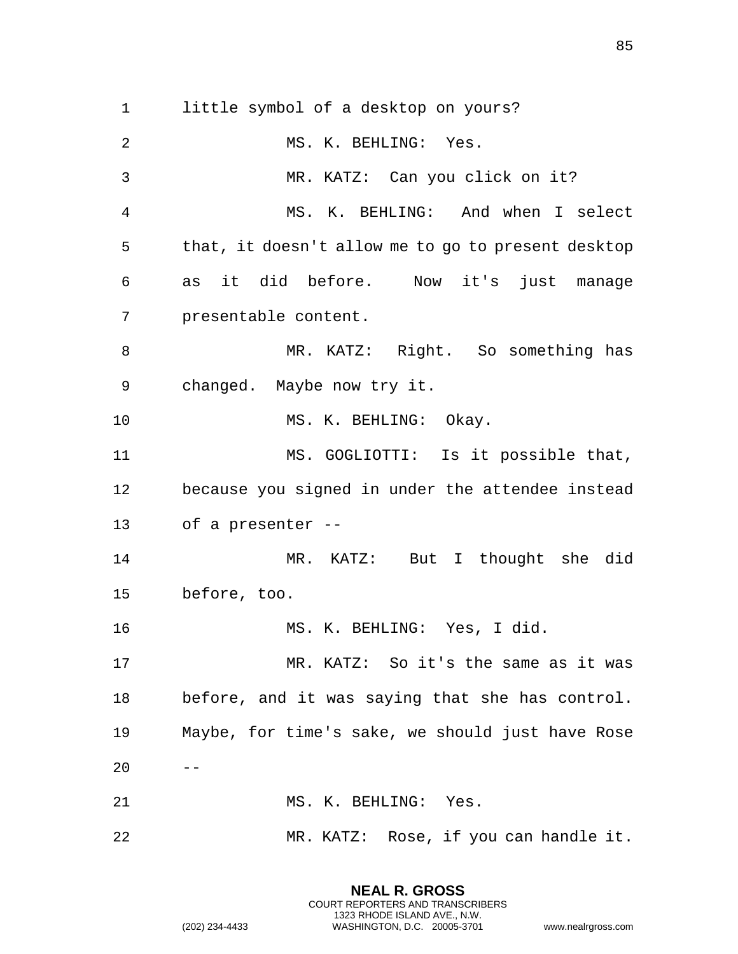little symbol of a desktop on yours? MS. K. BEHLING: Yes. MR. KATZ: Can you click on it? MS. K. BEHLING: And when I select that, it doesn't allow me to go to present desktop as it did before. Now it's just manage presentable content. 8 MR. KATZ: Right. So something has changed. Maybe now try it. 10 MS. K. BEHLING: Okay. MS. GOGLIOTTI: Is it possible that, because you signed in under the attendee instead of a presenter -- MR. KATZ: But I thought she did before, too. MS. K. BEHLING: Yes, I did. MR. KATZ: So it's the same as it was before, and it was saying that she has control. Maybe, for time's sake, we should just have Rose  $20 - -$  MS. K. BEHLING: Yes. MR. KATZ: Rose, if you can handle it.

> **NEAL R. GROSS** COURT REPORTERS AND TRANSCRIBERS 1323 RHODE ISLAND AVE., N.W.

(202) 234-4433 WASHINGTON, D.C. 20005-3701 www.nealrgross.com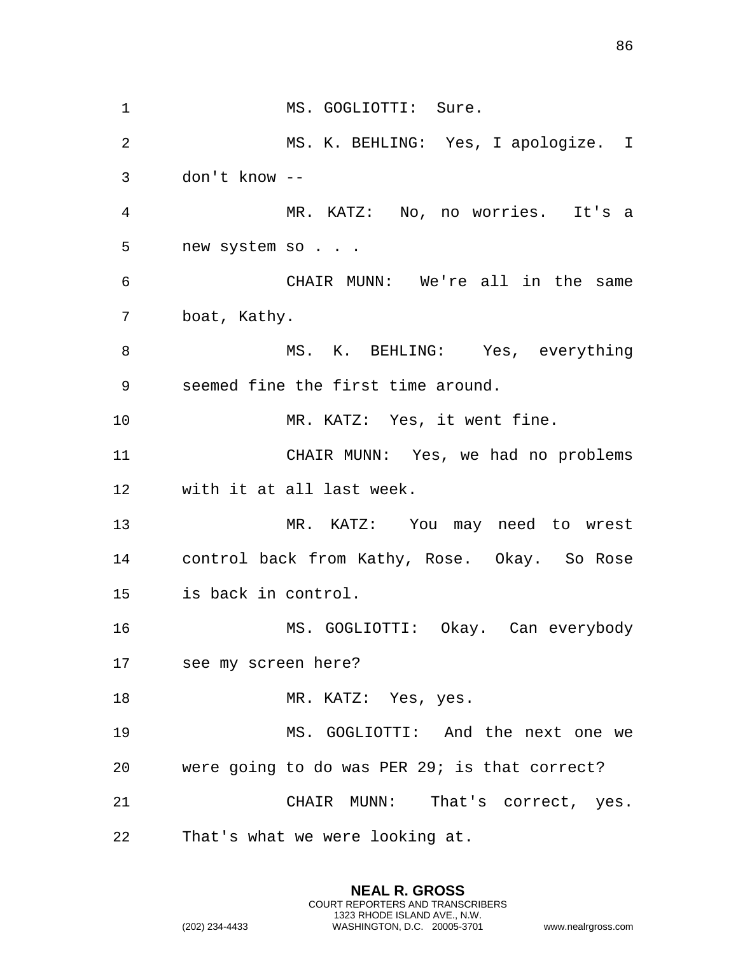1 MS. GOGLIOTTI: Sure. MS. K. BEHLING: Yes, I apologize. I don't know -- MR. KATZ: No, no worries. It's a 5 new system so . . . CHAIR MUNN: We're all in the same boat, Kathy. 8 MS. K. BEHLING: Yes, everything seemed fine the first time around. 10 MR. KATZ: Yes, it went fine. CHAIR MUNN: Yes, we had no problems with it at all last week. MR. KATZ: You may need to wrest control back from Kathy, Rose. Okay. So Rose is back in control. MS. GOGLIOTTI: Okay. Can everybody see my screen here? 18 MR. KATZ: Yes, yes. MS. GOGLIOTTI: And the next one we were going to do was PER 29; is that correct? CHAIR MUNN: That's correct, yes. That's what we were looking at.

> **NEAL R. GROSS** COURT REPORTERS AND TRANSCRIBERS 1323 RHODE ISLAND AVE., N.W.

(202) 234-4433 WASHINGTON, D.C. 20005-3701 www.nealrgross.com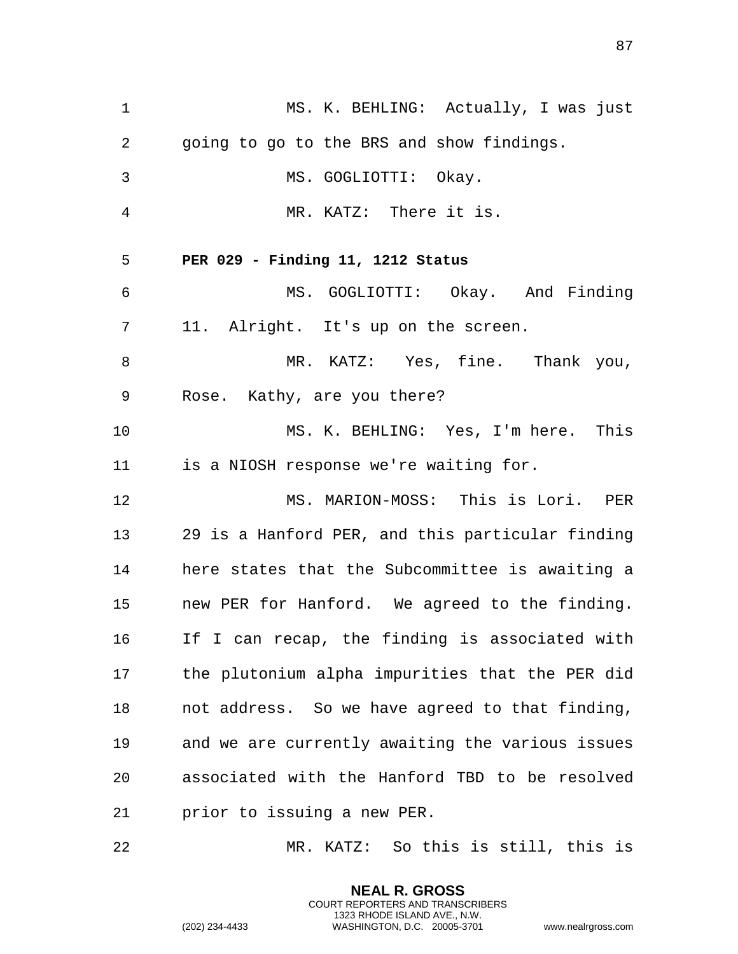1 MS. K. BEHLING: Actually, I was just 2 going to go to the BRS and show findings. 3 MS. GOGLIOTTI: Okay. 4 MR. KATZ: There it is. 5 **PER 029 - Finding 11, 1212 Status**  6 MS. GOGLIOTTI: Okay. And Finding 7 11. Alright. It's up on the screen. 8 MR. KATZ: Yes, fine. Thank you, 9 Rose. Kathy, are you there? 10 MS. K. BEHLING: Yes, I'm here. This 11 is a NIOSH response we're waiting for. 12 MS. MARION-MOSS: This is Lori. PER 13 29 is a Hanford PER, and this particular finding 14 here states that the Subcommittee is awaiting a 15 new PER for Hanford. We agreed to the finding. 16 If I can recap, the finding is associated with 17 the plutonium alpha impurities that the PER did 18 not address. So we have agreed to that finding, 19 and we are currently awaiting the various issues 20 associated with the Hanford TBD to be resolved 21 prior to issuing a new PER.

22 MR. KATZ: So this is still, this is

**NEAL R. GROSS** COURT REPORTERS AND TRANSCRIBERS 1323 RHODE ISLAND AVE., N.W.

(202) 234-4433 WASHINGTON, D.C. 20005-3701 www.nealrgross.com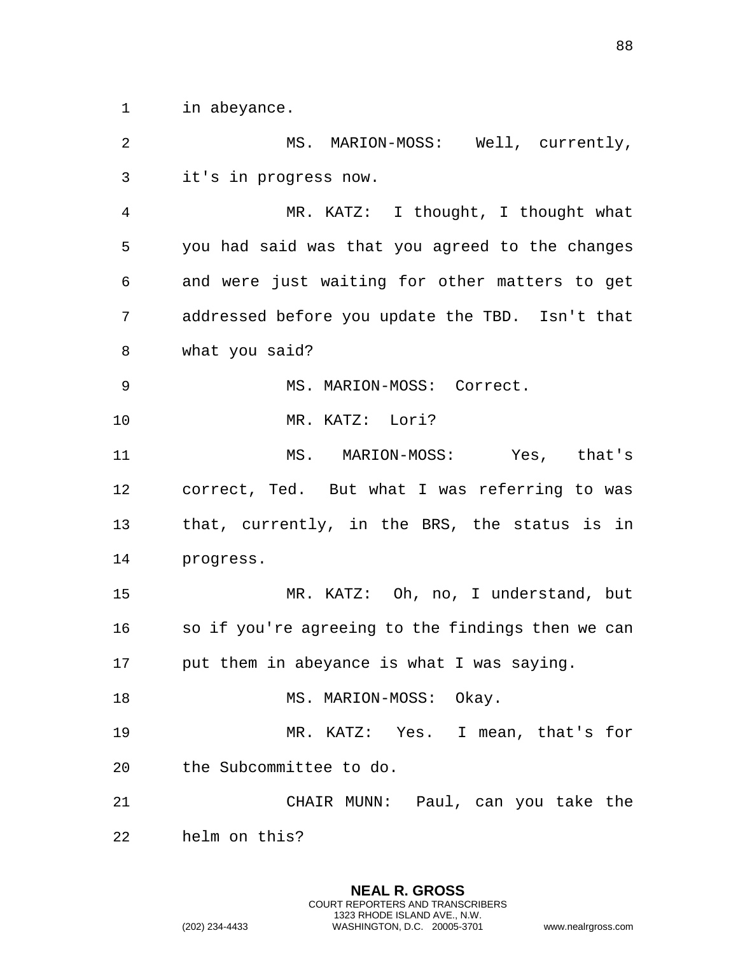in abeyance.

| 2              | MS. MARION-MOSS: Well, currently,                 |
|----------------|---------------------------------------------------|
| 3              | it's in progress now.                             |
| $\overline{4}$ | MR. KATZ: I thought, I thought what               |
| 5              | you had said was that you agreed to the changes   |
| 6              | and were just waiting for other matters to get    |
| 7              | addressed before you update the TBD. Isn't that   |
| 8              | what you said?                                    |
| 9              | MS. MARION-MOSS: Correct.                         |
| 10             | MR. KATZ: Lori?                                   |
| 11             | MS. MARION-MOSS: Yes, that's                      |
| 12             | correct, Ted. But what I was referring to was     |
| 13             | that, currently, in the BRS, the status is in     |
| 14             | progress.                                         |
| 15             | MR. KATZ: Oh, no, I understand, but               |
| 16             | so if you're agreeing to the findings then we can |
| 17             | put them in abeyance is what I was saying.        |
| 18             | MS. MARION-MOSS: Okay.                            |
| 19             | MR. KATZ: Yes. I mean, that's for                 |
| 20             | the Subcommittee to do.                           |
| 21             | CHAIR MUNN: Paul, can you take the                |
| 22             | helm on this?                                     |

**NEAL R. GROSS** COURT REPORTERS AND TRANSCRIBERS 1323 RHODE ISLAND AVE., N.W.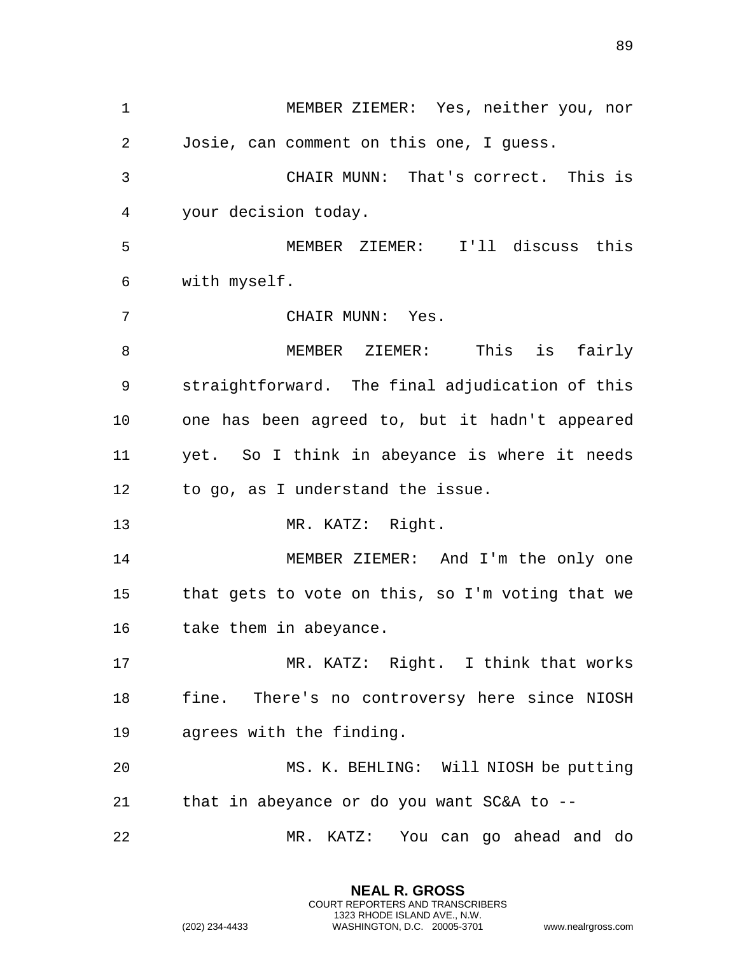MEMBER ZIEMER: Yes, neither you, nor Josie, can comment on this one, I guess. CHAIR MUNN: That's correct. This is your decision today. MEMBER ZIEMER: I'll discuss this with myself. CHAIR MUNN: Yes. 8 MEMBER ZIEMER: This is fairly straightforward. The final adjudication of this one has been agreed to, but it hadn't appeared yet. So I think in abeyance is where it needs to go, as I understand the issue. MR. KATZ: Right. 14 MEMBER ZIEMER: And I'm the only one that gets to vote on this, so I'm voting that we take them in abeyance. MR. KATZ: Right. I think that works fine. There's no controversy here since NIOSH agrees with the finding. MS. K. BEHLING: Will NIOSH be putting that in abeyance or do you want SC&A to -- MR. KATZ: You can go ahead and do

> **NEAL R. GROSS** COURT REPORTERS AND TRANSCRIBERS 1323 RHODE ISLAND AVE., N.W.

(202) 234-4433 WASHINGTON, D.C. 20005-3701 www.nealrgross.com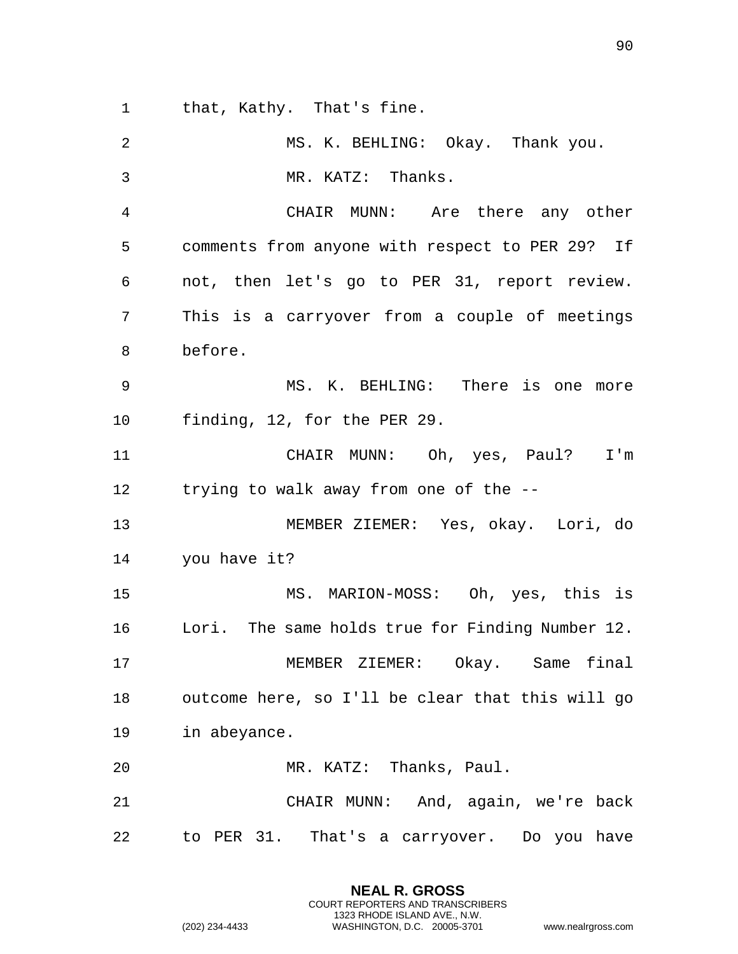that, Kathy. That's fine.

| 2              | MS. K. BEHLING: Okay. Thank you.                 |
|----------------|--------------------------------------------------|
| 3              | MR. KATZ: Thanks.                                |
| $\overline{4}$ | CHAIR MUNN: Are there any other                  |
| 5              | comments from anyone with respect to PER 29? If  |
| 6              | not, then let's go to PER 31, report review.     |
| 7              | This is a carryover from a couple of meetings    |
| 8              | before.                                          |
| 9              | MS. K. BEHLING: There is one more                |
| 10             | finding, 12, for the PER 29.                     |
| 11             | CHAIR MUNN: Oh, yes, Paul? I'm                   |
| 12             | trying to walk away from one of the --           |
| 13             | MEMBER ZIEMER: Yes, okay. Lori, do               |
| 14             | you have it?                                     |
| 15             | MS. MARION-MOSS: Oh, yes, this is                |
| 16             | Lori. The same holds true for Finding Number 12. |
| 17             | MEMBER ZIEMER: Okay. Same final                  |
| 18             | outcome here, so I'll be clear that this will go |
| 19             | in abeyance.                                     |
| 20             | MR. KATZ: Thanks, Paul.                          |
| 21             | CHAIR MUNN: And, again, we're back               |
| 22             | to PER 31. That's a carryover. Do you have       |

**NEAL R. GROSS** COURT REPORTERS AND TRANSCRIBERS 1323 RHODE ISLAND AVE., N.W.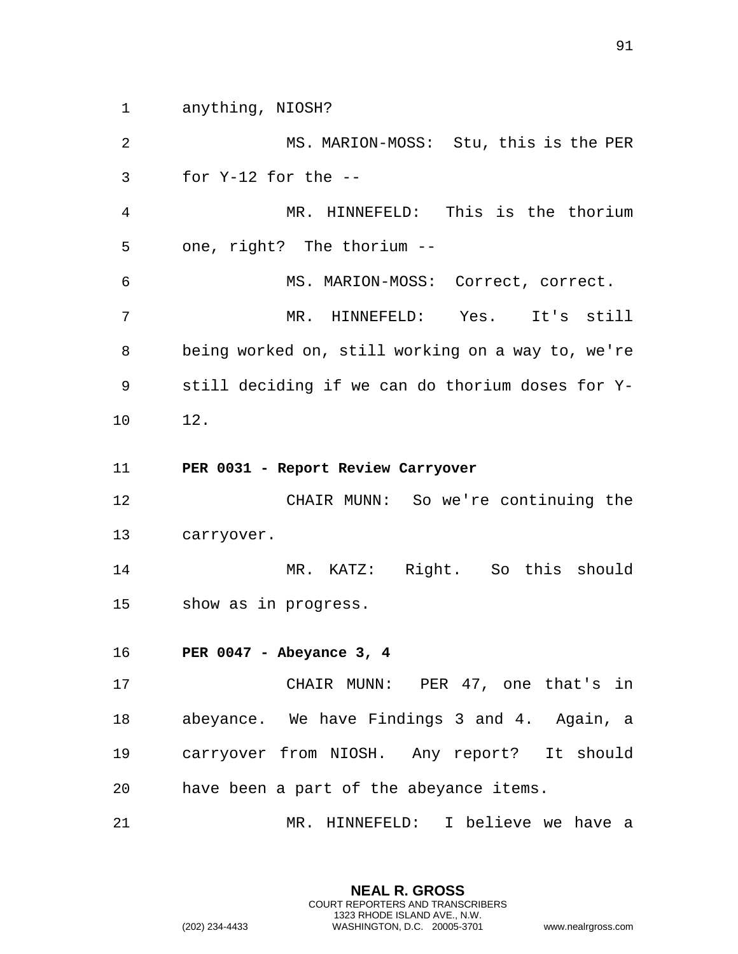1 anything, NIOSH?

2 MS. MARION-MOSS: Stu, this is the PER 3 for Y-12 for the -- 4 MR. HINNEFELD: This is the thorium 5 one, right? The thorium -- 6 MS. MARION-MOSS: Correct, correct. 7 MR. HINNEFELD: Yes. It's still 8 being worked on, still working on a way to, we're 9 still deciding if we can do thorium doses for Y-10 12.

11 **PER 0031 - Report Review Carryover** 

12 CHAIR MUNN: So we're continuing the 13 carryover.

14 MR. KATZ: Right. So this should 15 show as in progress.

16 **PER 0047 - Abeyance 3, 4** 

17 CHAIR MUNN: PER 47, one that's in 18 abeyance. We have Findings 3 and 4. Again, a 19 carryover from NIOSH. Any report? It should 20 have been a part of the abeyance items.

21 MR. HINNEFELD: I believe we have a

**NEAL R. GROSS** COURT REPORTERS AND TRANSCRIBERS 1323 RHODE ISLAND AVE., N.W.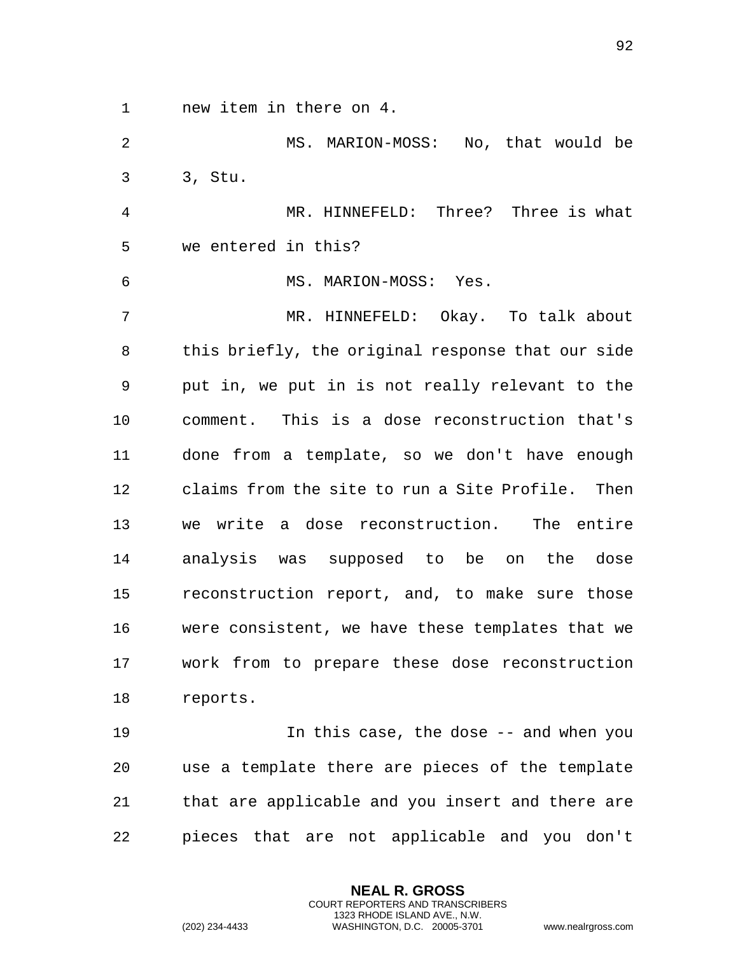1 new item in there on 4.

2 MS. MARION-MOSS: No, that would be 3 3, Stu.

4 MR. HINNEFELD: Three? Three is what 5 we entered in this?

6 MS. MARION-MOSS: Yes.

7 MR. HINNEFELD: Okay. To talk about 8 this briefly, the original response that our side 9 put in, we put in is not really relevant to the 10 comment. This is a dose reconstruction that's 11 done from a template, so we don't have enough 12 claims from the site to run a Site Profile. Then 13 we write a dose reconstruction. The entire 14 analysis was supposed to be on the dose 15 reconstruction report, and, to make sure those 16 were consistent, we have these templates that we 17 work from to prepare these dose reconstruction 18 reports.

19 In this case, the dose -- and when you 20 use a template there are pieces of the template 21 that are applicable and you insert and there are 22 pieces that are not applicable and you don't

> **NEAL R. GROSS** COURT REPORTERS AND TRANSCRIBERS 1323 RHODE ISLAND AVE., N.W.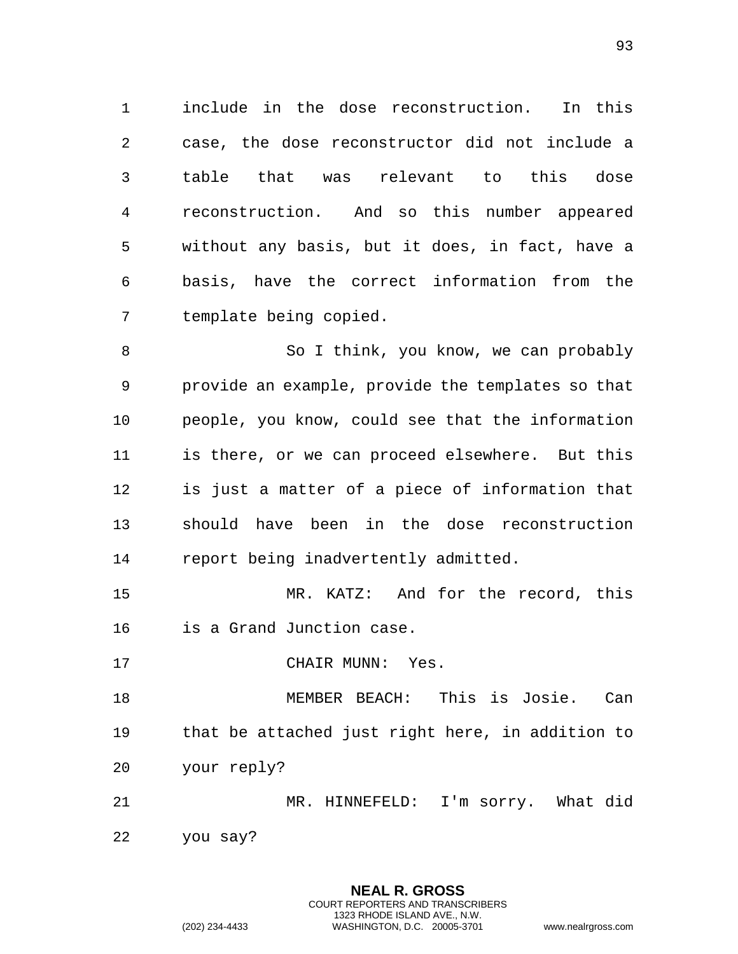include in the dose reconstruction. In this case, the dose reconstructor did not include a table that was relevant to this dose reconstruction. And so this number appeared without any basis, but it does, in fact, have a basis, have the correct information from the template being copied.

8 So I think, you know, we can probably provide an example, provide the templates so that people, you know, could see that the information is there, or we can proceed elsewhere. But this is just a matter of a piece of information that should have been in the dose reconstruction report being inadvertently admitted.

 MR. KATZ: And for the record, this is a Grand Junction case.

17 CHAIR MUNN: Yes.

 MEMBER BEACH: This is Josie. Can that be attached just right here, in addition to your reply?

 MR. HINNEFELD: I'm sorry. What did you say?

> **NEAL R. GROSS** COURT REPORTERS AND TRANSCRIBERS 1323 RHODE ISLAND AVE., N.W.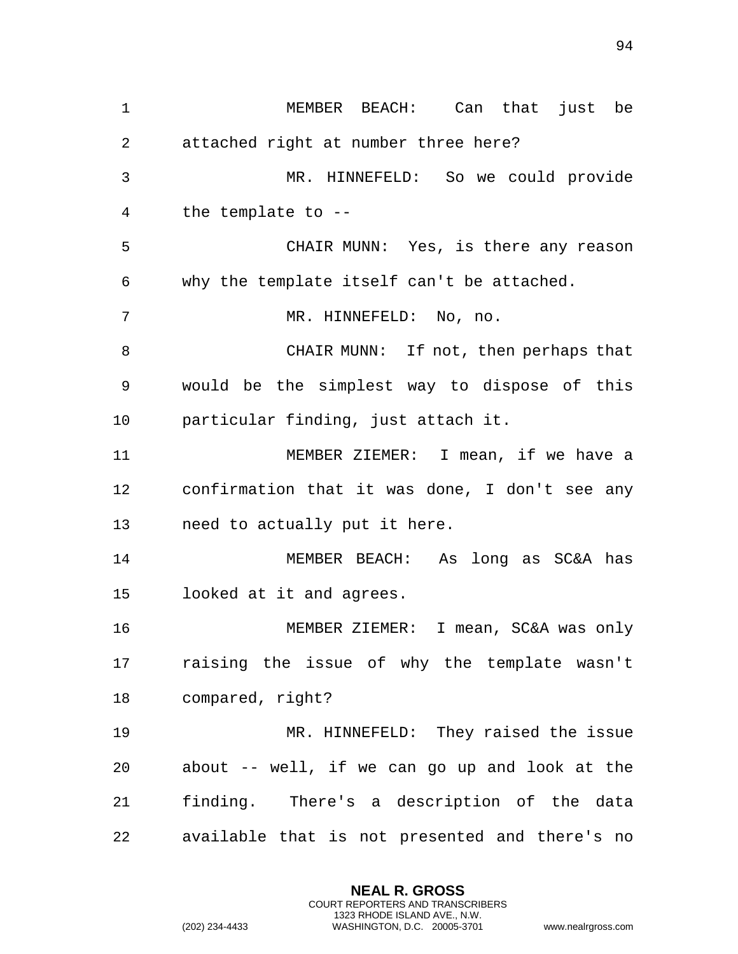MEMBER BEACH: Can that just be attached right at number three here? MR. HINNEFELD: So we could provide the template to -- CHAIR MUNN: Yes, is there any reason why the template itself can't be attached. MR. HINNEFELD: No, no. CHAIR MUNN: If not, then perhaps that would be the simplest way to dispose of this particular finding, just attach it. MEMBER ZIEMER: I mean, if we have a confirmation that it was done, I don't see any need to actually put it here. MEMBER BEACH: As long as SC&A has looked at it and agrees. MEMBER ZIEMER: I mean, SC&A was only raising the issue of why the template wasn't compared, right? MR. HINNEFELD: They raised the issue about -- well, if we can go up and look at the finding. There's a description of the data available that is not presented and there's no

> **NEAL R. GROSS** COURT REPORTERS AND TRANSCRIBERS 1323 RHODE ISLAND AVE., N.W.

(202) 234-4433 WASHINGTON, D.C. 20005-3701 www.nealrgross.com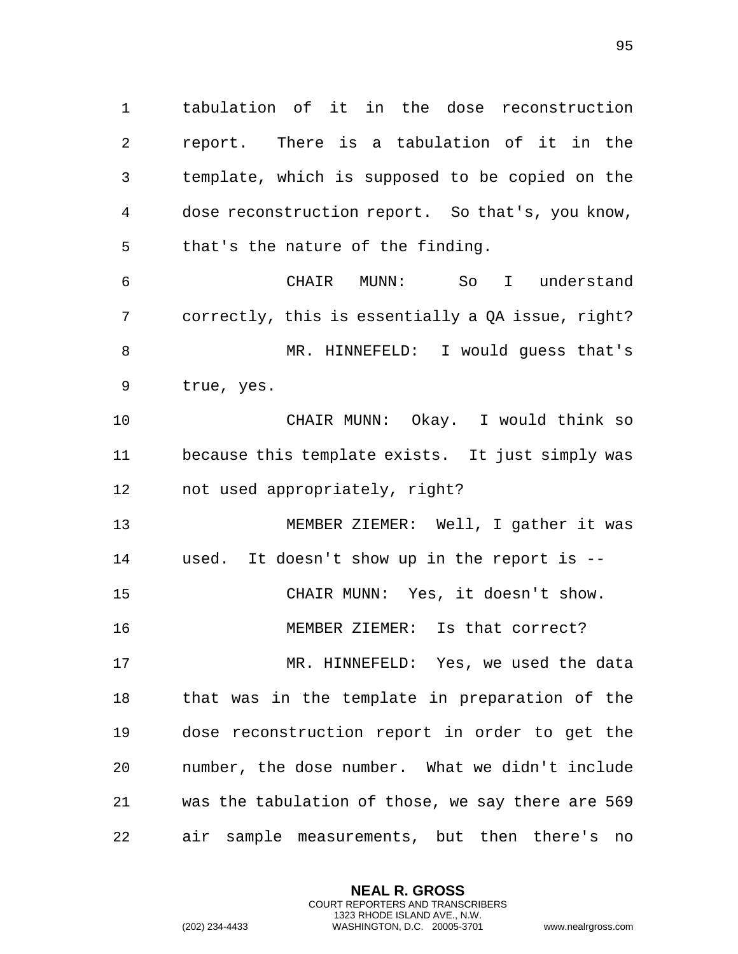tabulation of it in the dose reconstruction report. There is a tabulation of it in the template, which is supposed to be copied on the dose reconstruction report. So that's, you know, that's the nature of the finding.

 CHAIR MUNN: So I understand correctly, this is essentially a QA issue, right? 8 MR. HINNEFELD: I would guess that's true, yes.

 CHAIR MUNN: Okay. I would think so because this template exists. It just simply was not used appropriately, right?

 MEMBER ZIEMER: Well, I gather it was used. It doesn't show up in the report is -- CHAIR MUNN: Yes, it doesn't show. MEMBER ZIEMER: Is that correct?

 MR. HINNEFELD: Yes, we used the data that was in the template in preparation of the dose reconstruction report in order to get the number, the dose number. What we didn't include was the tabulation of those, we say there are 569 air sample measurements, but then there's no

> **NEAL R. GROSS** COURT REPORTERS AND TRANSCRIBERS 1323 RHODE ISLAND AVE., N.W.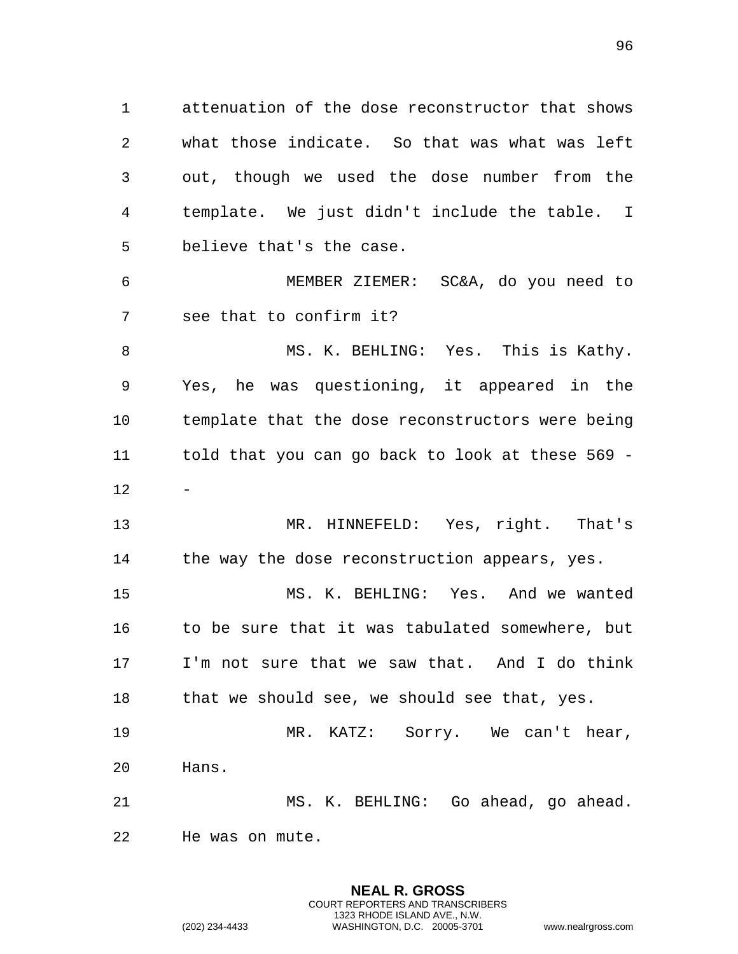attenuation of the dose reconstructor that shows what those indicate. So that was what was left out, though we used the dose number from the template. We just didn't include the table. I believe that's the case.

 MEMBER ZIEMER: SC&A, do you need to see that to confirm it?

 MS. K. BEHLING: Yes. This is Kathy. Yes, he was questioning, it appeared in the template that the dose reconstructors were being told that you can go back to look at these 569 - 

 MR. HINNEFELD: Yes, right. That's 14 the way the dose reconstruction appears, yes.

 MS. K. BEHLING: Yes. And we wanted to be sure that it was tabulated somewhere, but I'm not sure that we saw that. And I do think 18 that we should see, we should see that, yes.

 MR. KATZ: Sorry. We can't hear, Hans.

 MS. K. BEHLING: Go ahead, go ahead. He was on mute.

> **NEAL R. GROSS** COURT REPORTERS AND TRANSCRIBERS 1323 RHODE ISLAND AVE., N.W.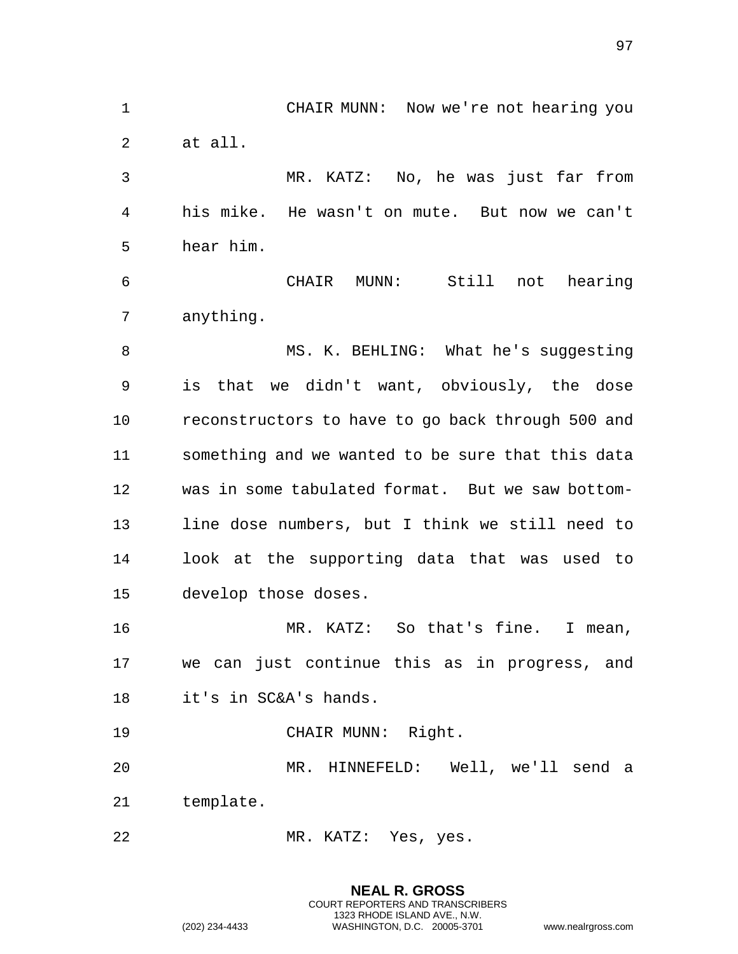CHAIR MUNN: Now we're not hearing you at all. MR. KATZ: No, he was just far from his mike. He wasn't on mute. But now we can't hear him. CHAIR MUNN: Still not hearing anything. 8 MS. K. BEHLING: What he's suggesting is that we didn't want, obviously, the dose reconstructors to have to go back through 500 and something and we wanted to be sure that this data was in some tabulated format. But we saw bottom- line dose numbers, but I think we still need to look at the supporting data that was used to develop those doses. MR. KATZ: So that's fine. I mean, we can just continue this as in progress, and it's in SC&A's hands. CHAIR MUNN: Right. MR. HINNEFELD: Well, we'll send a template. MR. KATZ: Yes, yes.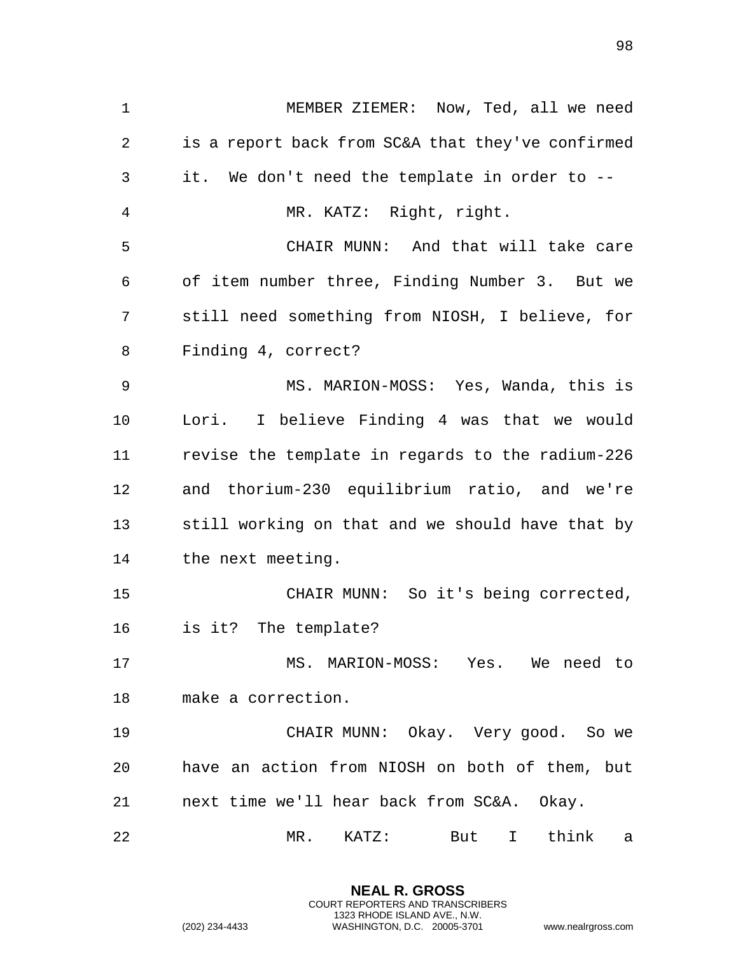MEMBER ZIEMER: Now, Ted, all we need is a report back from SC&A that they've confirmed it. We don't need the template in order to -- MR. KATZ: Right, right. CHAIR MUNN: And that will take care of item number three, Finding Number 3. But we still need something from NIOSH, I believe, for Finding 4, correct? MS. MARION-MOSS: Yes, Wanda, this is Lori. I believe Finding 4 was that we would revise the template in regards to the radium-226 and thorium-230 equilibrium ratio, and we're still working on that and we should have that by the next meeting. CHAIR MUNN: So it's being corrected, is it? The template? MS. MARION-MOSS: Yes. We need to make a correction. CHAIR MUNN: Okay. Very good. So we have an action from NIOSH on both of them, but next time we'll hear back from SC&A. Okay. MR. KATZ: But I think a

> **NEAL R. GROSS** COURT REPORTERS AND TRANSCRIBERS 1323 RHODE ISLAND AVE., N.W.

(202) 234-4433 WASHINGTON, D.C. 20005-3701 www.nealrgross.com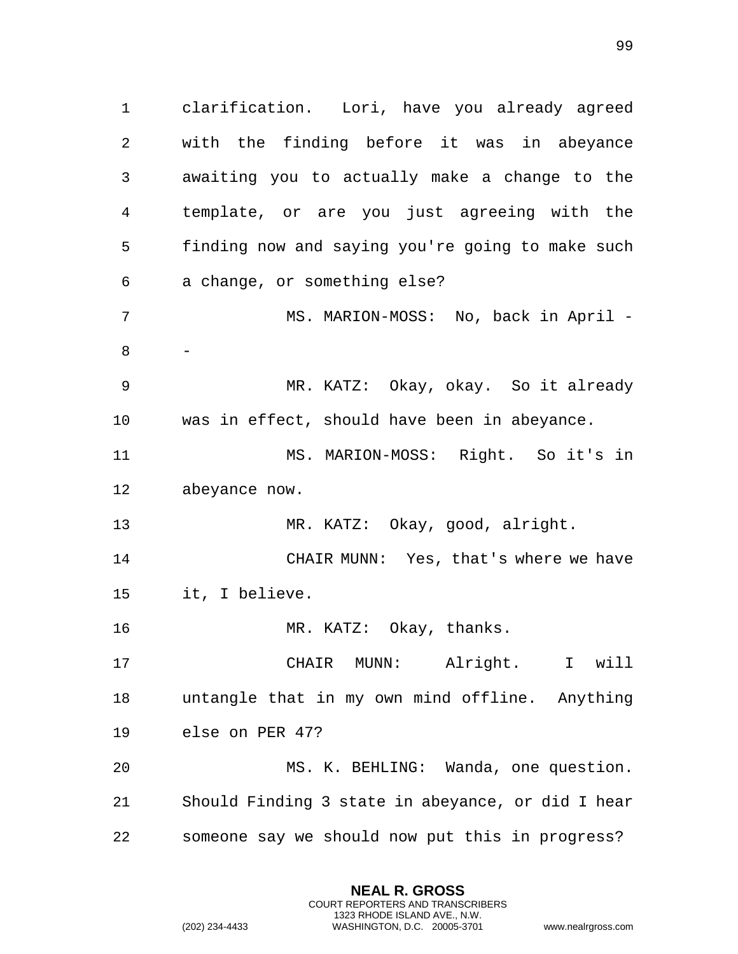clarification. Lori, have you already agreed with the finding before it was in abeyance awaiting you to actually make a change to the template, or are you just agreeing with the finding now and saying you're going to make such a change, or something else? 7 MS. MARION-MOSS: No, back in April - - MR. KATZ: Okay, okay. So it already was in effect, should have been in abeyance. MS. MARION-MOSS: Right. So it's in abeyance now. MR. KATZ: Okay, good, alright. CHAIR MUNN: Yes, that's where we have it, I believe. 16 MR. KATZ: Okay, thanks. CHAIR MUNN: Alright. I will untangle that in my own mind offline. Anything else on PER 47? MS. K. BEHLING: Wanda, one question. Should Finding 3 state in abeyance, or did I hear someone say we should now put this in progress?

> **NEAL R. GROSS** COURT REPORTERS AND TRANSCRIBERS 1323 RHODE ISLAND AVE., N.W.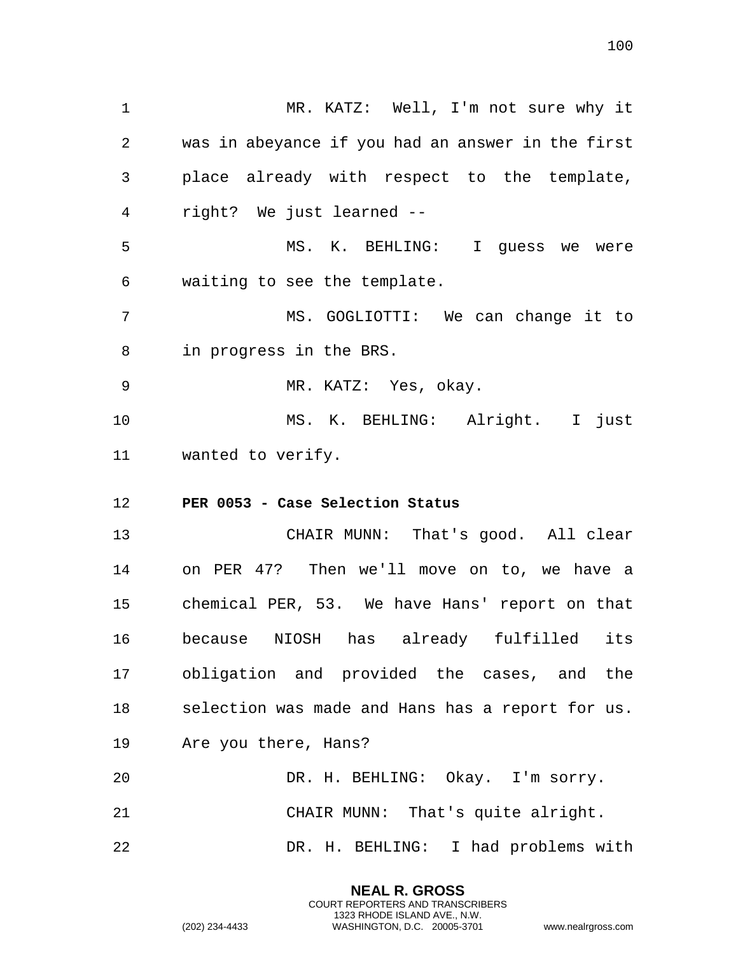1 MR. KATZ: Well, I'm not sure why it 2 was in abeyance if you had an answer in the first 3 place already with respect to the template, 4 right? We just learned -- 5 MS. K. BEHLING: I guess we were 6 waiting to see the template. 7 MS. GOGLIOTTI: We can change it to 8 in progress in the BRS. 9 MR. KATZ: Yes, okay. 10 MS. K. BEHLING: Alright. I just 11 wanted to verify. 12 **PER 0053 - Case Selection Status**  13 CHAIR MUNN: That's good. All clear 14 on PER 47? Then we'll move on to, we have a 15 chemical PER, 53. We have Hans' report on that 16 because NIOSH has already fulfilled its 17 obligation and provided the cases, and the 18 selection was made and Hans has a report for us. 19 Are you there, Hans? 20 DR. H. BEHLING: Okay. I'm sorry. 21 CHAIR MUNN: That's quite alright. 22 DR. H. BEHLING: I had problems with

> **NEAL R. GROSS** COURT REPORTERS AND TRANSCRIBERS 1323 RHODE ISLAND AVE., N.W.

(202) 234-4433 WASHINGTON, D.C. 20005-3701 www.nealrgross.com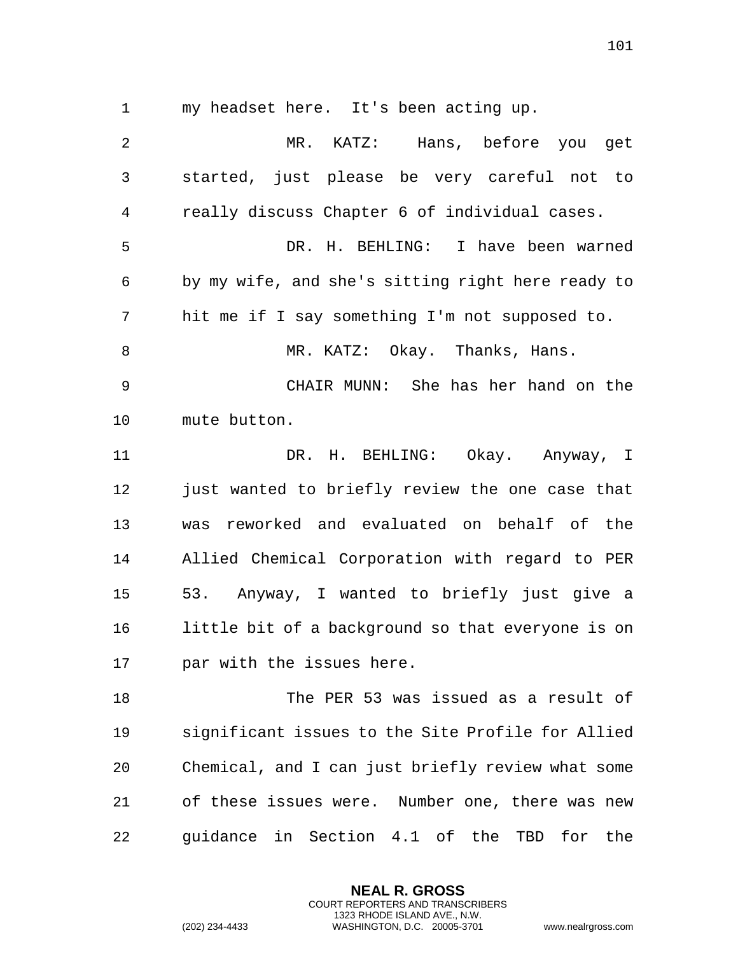1 my headset here. It's been acting up.

2 MR. KATZ: Hans, before you get 3 started, just please be very careful not to 4 really discuss Chapter 6 of individual cases. 5 DR. H. BEHLING: I have been warned 6 by my wife, and she's sitting right here ready to 7 hit me if I say something I'm not supposed to. 8 MR. KATZ: Okay. Thanks, Hans. 9 CHAIR MUNN: She has her hand on the 10 mute button. 11 DR. H. BEHLING: Okay. Anyway, I 12 just wanted to briefly review the one case that 13 was reworked and evaluated on behalf of the 14 Allied Chemical Corporation with regard to PER 15 53. Anyway, I wanted to briefly just give a 16 little bit of a background so that everyone is on 17 par with the issues here. 18 The PER 53 was issued as a result of 19 significant issues to the Site Profile for Allied 20 Chemical, and I can just briefly review what some 21 of these issues were. Number one, there was new 22 guidance in Section 4.1 of the TBD for the

> **NEAL R. GROSS** COURT REPORTERS AND TRANSCRIBERS 1323 RHODE ISLAND AVE., N.W.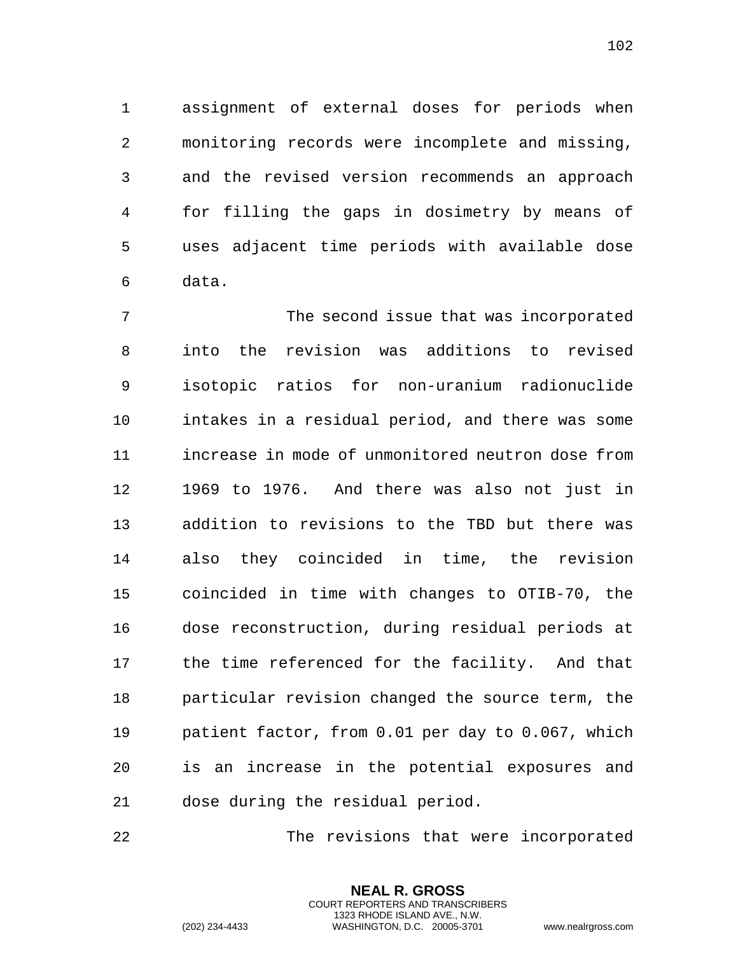assignment of external doses for periods when monitoring records were incomplete and missing, and the revised version recommends an approach for filling the gaps in dosimetry by means of uses adjacent time periods with available dose data.

 The second issue that was incorporated into the revision was additions to revised isotopic ratios for non-uranium radionuclide intakes in a residual period, and there was some increase in mode of unmonitored neutron dose from 1969 to 1976. And there was also not just in addition to revisions to the TBD but there was also they coincided in time, the revision coincided in time with changes to OTIB-70, the dose reconstruction, during residual periods at the time referenced for the facility. And that particular revision changed the source term, the patient factor, from 0.01 per day to 0.067, which is an increase in the potential exposures and dose during the residual period.

The revisions that were incorporated

**NEAL R. GROSS** COURT REPORTERS AND TRANSCRIBERS 1323 RHODE ISLAND AVE., N.W.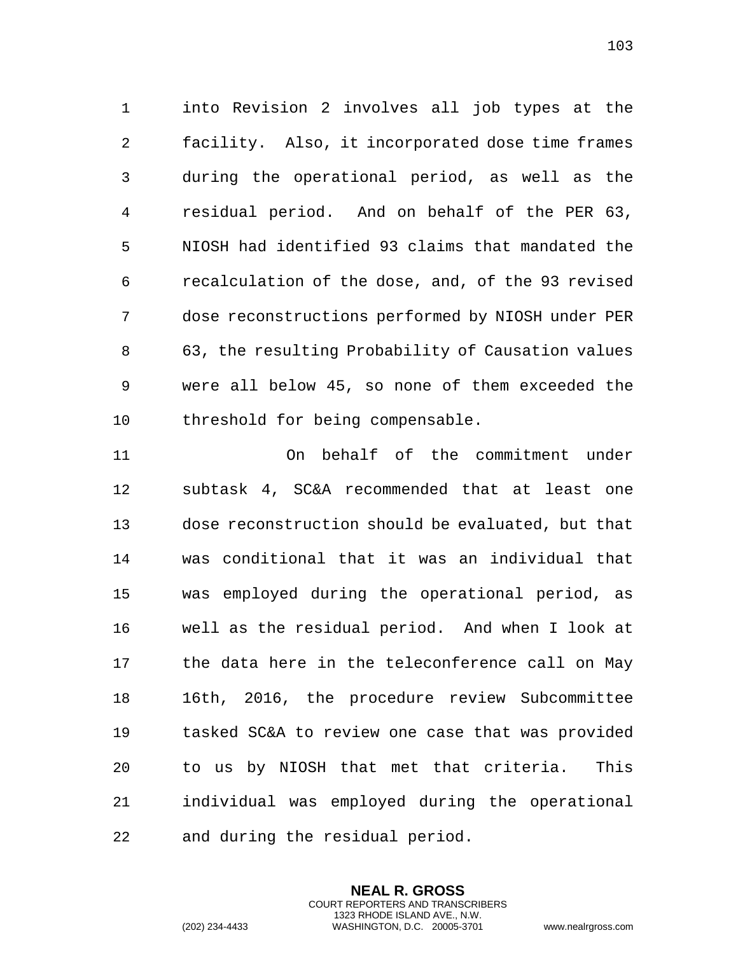into Revision 2 involves all job types at the facility. Also, it incorporated dose time frames during the operational period, as well as the residual period. And on behalf of the PER 63, NIOSH had identified 93 claims that mandated the recalculation of the dose, and, of the 93 revised dose reconstructions performed by NIOSH under PER 63, the resulting Probability of Causation values were all below 45, so none of them exceeded the threshold for being compensable.

 On behalf of the commitment under subtask 4, SC&A recommended that at least one dose reconstruction should be evaluated, but that was conditional that it was an individual that was employed during the operational period, as well as the residual period. And when I look at the data here in the teleconference call on May 16th, 2016, the procedure review Subcommittee tasked SC&A to review one case that was provided to us by NIOSH that met that criteria. This individual was employed during the operational and during the residual period.

> **NEAL R. GROSS** COURT REPORTERS AND TRANSCRIBERS 1323 RHODE ISLAND AVE., N.W.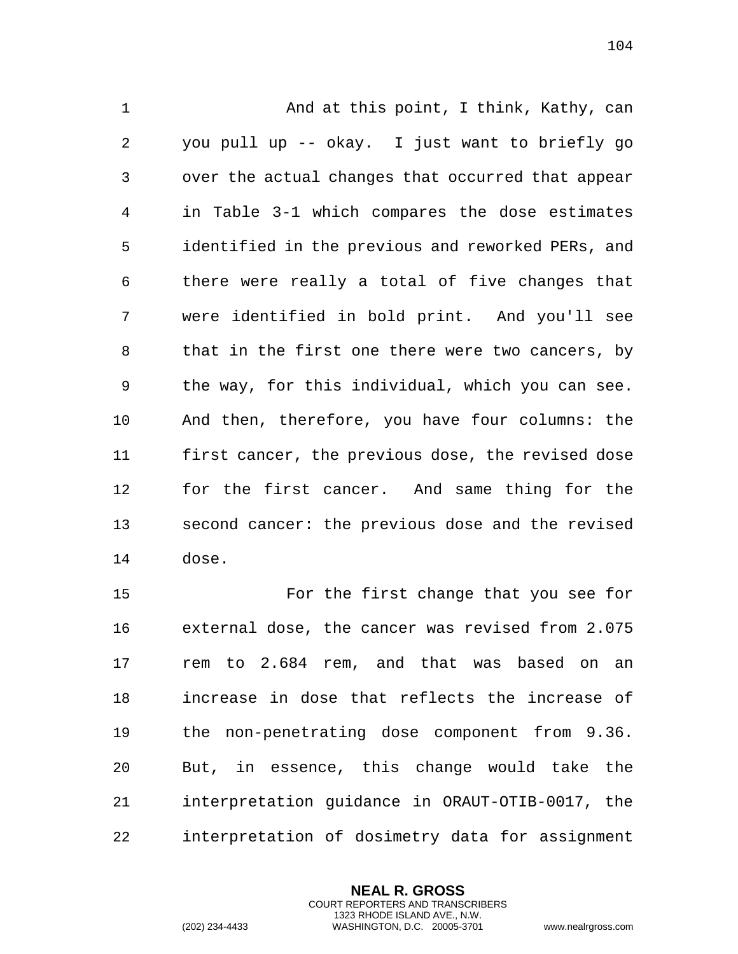1 And at this point, I think, Kathy, can you pull up -- okay. I just want to briefly go over the actual changes that occurred that appear in Table 3-1 which compares the dose estimates identified in the previous and reworked PERs, and there were really a total of five changes that were identified in bold print. And you'll see 8 that in the first one there were two cancers, by the way, for this individual, which you can see. And then, therefore, you have four columns: the first cancer, the previous dose, the revised dose for the first cancer. And same thing for the second cancer: the previous dose and the revised dose.

 For the first change that you see for external dose, the cancer was revised from 2.075 rem to 2.684 rem, and that was based on an increase in dose that reflects the increase of the non-penetrating dose component from 9.36. But, in essence, this change would take the interpretation guidance in ORAUT-OTIB-0017, the interpretation of dosimetry data for assignment

> **NEAL R. GROSS** COURT REPORTERS AND TRANSCRIBERS 1323 RHODE ISLAND AVE., N.W.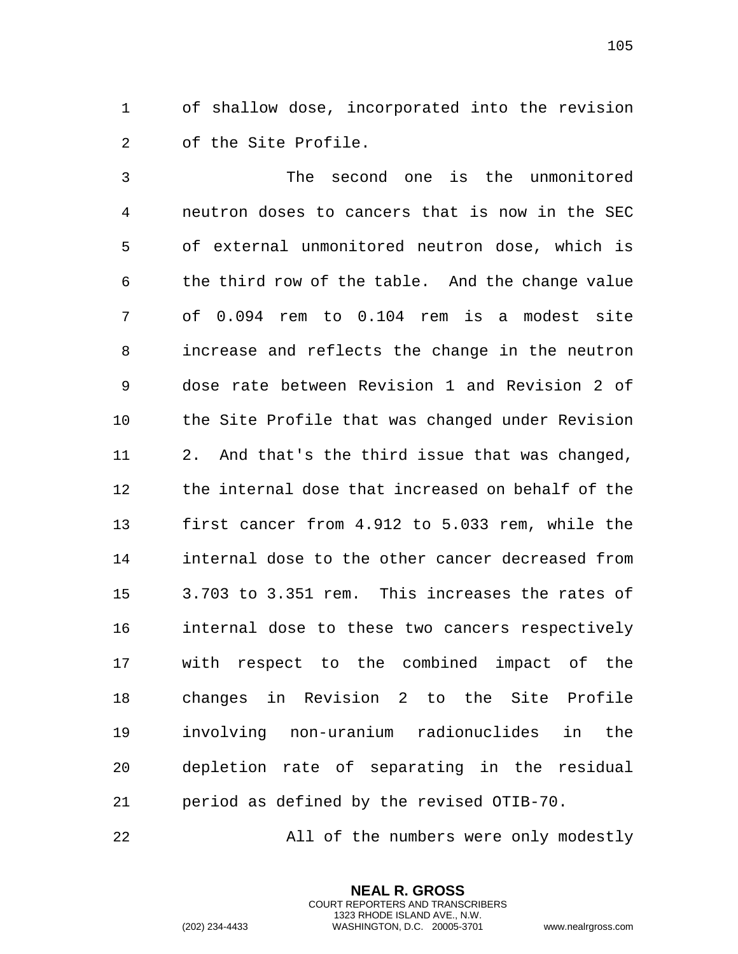of shallow dose, incorporated into the revision of the Site Profile.

 The second one is the unmonitored neutron doses to cancers that is now in the SEC of external unmonitored neutron dose, which is the third row of the table. And the change value of 0.094 rem to 0.104 rem is a modest site increase and reflects the change in the neutron dose rate between Revision 1 and Revision 2 of the Site Profile that was changed under Revision 2. And that's the third issue that was changed, the internal dose that increased on behalf of the first cancer from 4.912 to 5.033 rem, while the internal dose to the other cancer decreased from 3.703 to 3.351 rem. This increases the rates of internal dose to these two cancers respectively with respect to the combined impact of the changes in Revision 2 to the Site Profile involving non-uranium radionuclides in the depletion rate of separating in the residual period as defined by the revised OTIB-70.

All of the numbers were only modestly

**NEAL R. GROSS** COURT REPORTERS AND TRANSCRIBERS 1323 RHODE ISLAND AVE., N.W.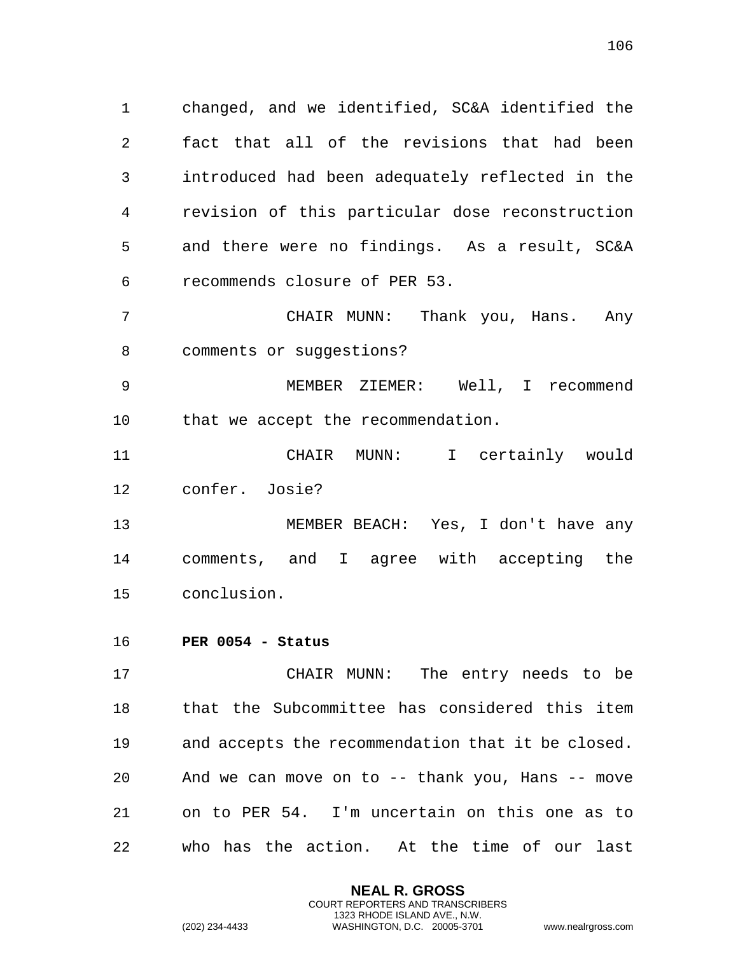1 changed, and we identified, SC&A identified the 2 fact that all of the revisions that had been 3 introduced had been adequately reflected in the 4 revision of this particular dose reconstruction 5 and there were no findings. As a result, SC&A 6 recommends closure of PER 53.

7 CHAIR MUNN: Thank you, Hans. Any 8 comments or suggestions?

9 MEMBER ZIEMER: Well, I recommend 10 that we accept the recommendation.

11 CHAIR MUNN: I certainly would 12 confer. Josie?

13 MEMBER BEACH: Yes, I don't have any 14 comments, and I agree with accepting the 15 conclusion.

## 16 **PER 0054 - Status**

17 CHAIR MUNN: The entry needs to be 18 that the Subcommittee has considered this item 19 and accepts the recommendation that it be closed. 20 And we can move on to -- thank you, Hans -- move 21 on to PER 54. I'm uncertain on this one as to 22 who has the action. At the time of our last

> **NEAL R. GROSS** COURT REPORTERS AND TRANSCRIBERS 1323 RHODE ISLAND AVE., N.W.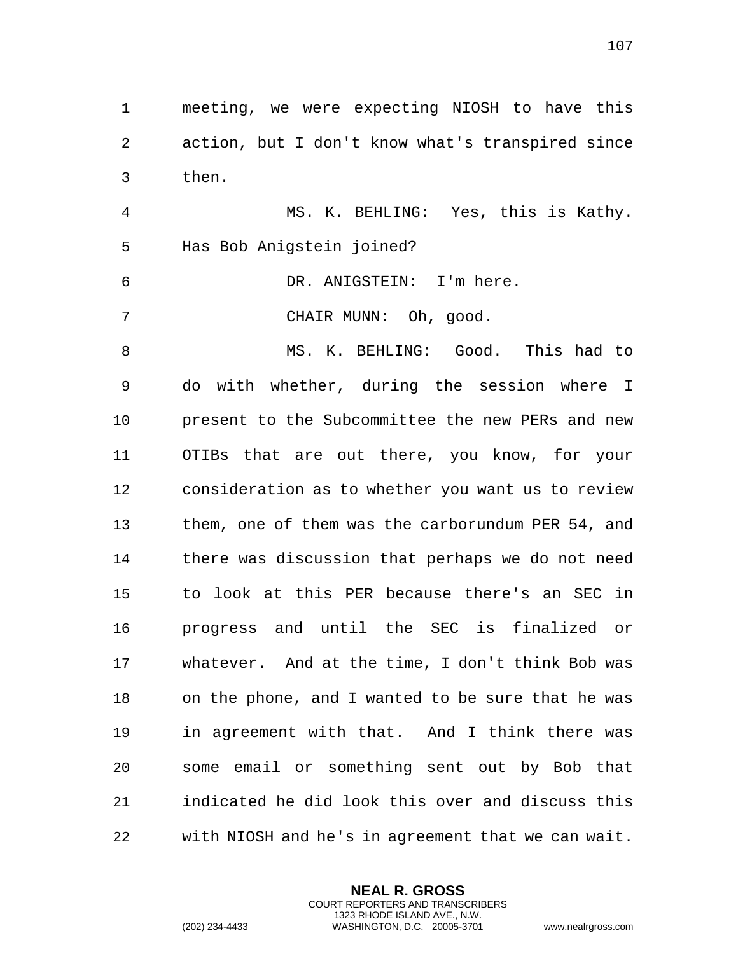1 meeting, we were expecting NIOSH to have this 2 action, but I don't know what's transpired since 3 then. 4 MS. K. BEHLING: Yes, this is Kathy. 5 Has Bob Anigstein joined? 6 DR. ANIGSTEIN: I'm here.

7 CHAIR MUNN: Oh, good.

8 MS. K. BEHLING: Good. This had to 9 do with whether, during the session where I 10 present to the Subcommittee the new PERs and new 11 OTIBs that are out there, you know, for your 12 consideration as to whether you want us to review 13 them, one of them was the carborundum PER 54, and 14 there was discussion that perhaps we do not need 15 to look at this PER because there's an SEC in 16 progress and until the SEC is finalized or 17 whatever. And at the time, I don't think Bob was 18 on the phone, and I wanted to be sure that he was 19 in agreement with that. And I think there was 20 some email or something sent out by Bob that 21 indicated he did look this over and discuss this 22 with NIOSH and he's in agreement that we can wait.

> **NEAL R. GROSS** COURT REPORTERS AND TRANSCRIBERS 1323 RHODE ISLAND AVE., N.W.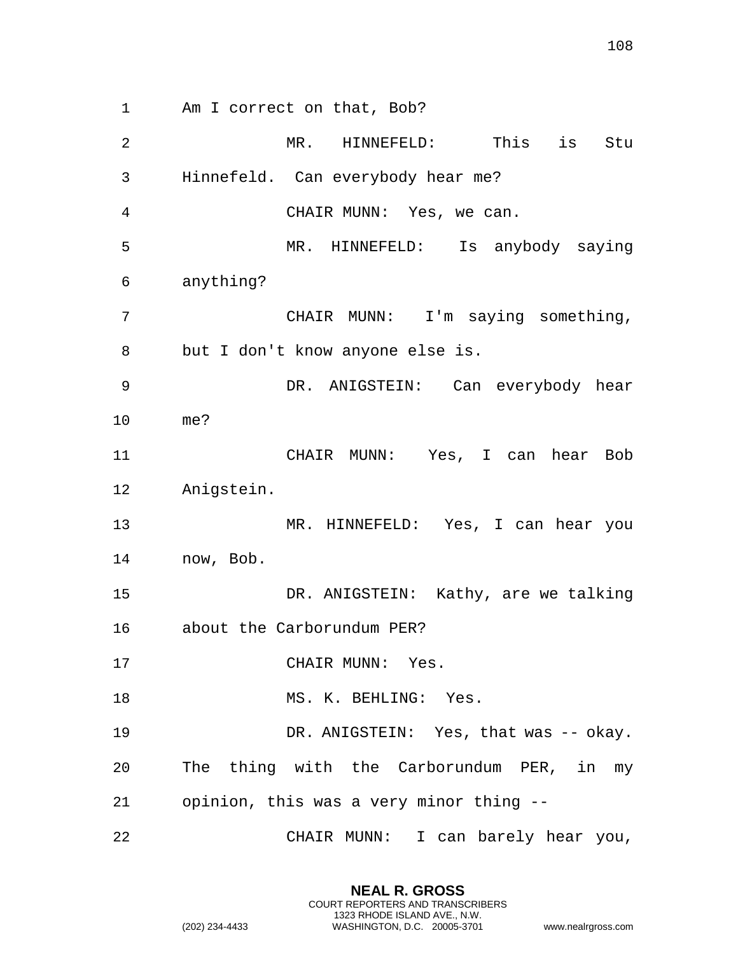Am I correct on that, Bob? MR. HINNEFELD: This is Stu Hinnefeld. Can everybody hear me? CHAIR MUNN: Yes, we can. MR. HINNEFELD: Is anybody saying anything? CHAIR MUNN: I'm saying something, but I don't know anyone else is. DR. ANIGSTEIN: Can everybody hear me? CHAIR MUNN: Yes, I can hear Bob Anigstein. MR. HINNEFELD: Yes, I can hear you now, Bob. DR. ANIGSTEIN: Kathy, are we talking about the Carborundum PER? 17 CHAIR MUNN: Yes. 18 MS. K. BEHLING: Yes. DR. ANIGSTEIN: Yes, that was -- okay. The thing with the Carborundum PER, in my

opinion, this was a very minor thing --

CHAIR MUNN: I can barely hear you,

**NEAL R. GROSS** COURT REPORTERS AND TRANSCRIBERS 1323 RHODE ISLAND AVE., N.W.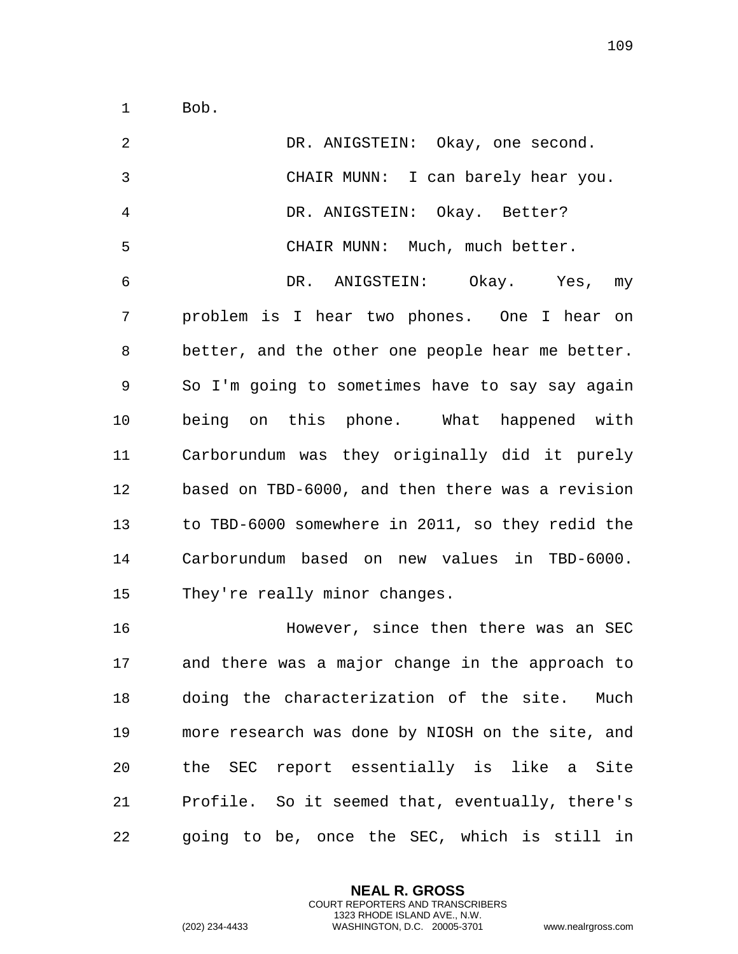Bob.

 DR. ANIGSTEIN: Okay, one second. CHAIR MUNN: I can barely hear you. DR. ANIGSTEIN: Okay. Better? CHAIR MUNN: Much, much better. DR. ANIGSTEIN: Okay. Yes, my problem is I hear two phones. One I hear on better, and the other one people hear me better. So I'm going to sometimes have to say say again being on this phone. What happened with Carborundum was they originally did it purely based on TBD-6000, and then there was a revision to TBD-6000 somewhere in 2011, so they redid the Carborundum based on new values in TBD-6000. They're really minor changes. However, since then there was an SEC and there was a major change in the approach to doing the characterization of the site. Much more research was done by NIOSH on the site, and the SEC report essentially is like a Site Profile. So it seemed that, eventually, there's going to be, once the SEC, which is still in

> **NEAL R. GROSS** COURT REPORTERS AND TRANSCRIBERS 1323 RHODE ISLAND AVE., N.W.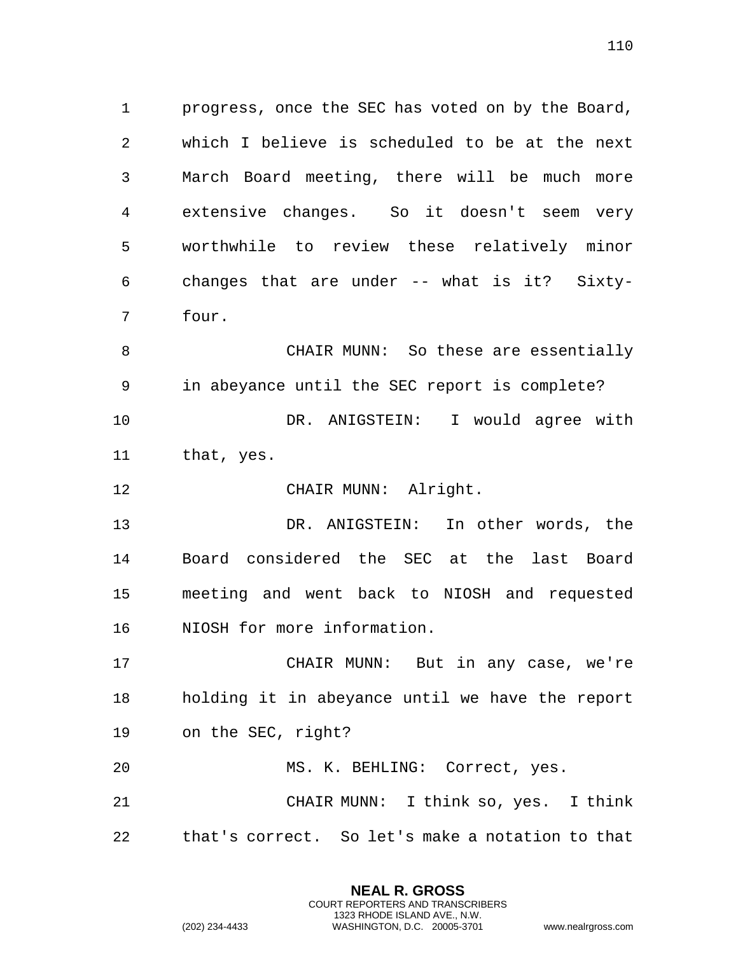progress, once the SEC has voted on by the Board, which I believe is scheduled to be at the next March Board meeting, there will be much more extensive changes. So it doesn't seem very worthwhile to review these relatively minor changes that are under -- what is it? Sixty-four.

 CHAIR MUNN: So these are essentially in abeyance until the SEC report is complete? DR. ANIGSTEIN: I would agree with that, yes.

12 CHAIR MUNN: Alright.

 DR. ANIGSTEIN: In other words, the Board considered the SEC at the last Board meeting and went back to NIOSH and requested NIOSH for more information.

 CHAIR MUNN: But in any case, we're holding it in abeyance until we have the report on the SEC, right?

 MS. K. BEHLING: Correct, yes. CHAIR MUNN: I think so, yes. I think that's correct. So let's make a notation to that

> **NEAL R. GROSS** COURT REPORTERS AND TRANSCRIBERS 1323 RHODE ISLAND AVE., N.W.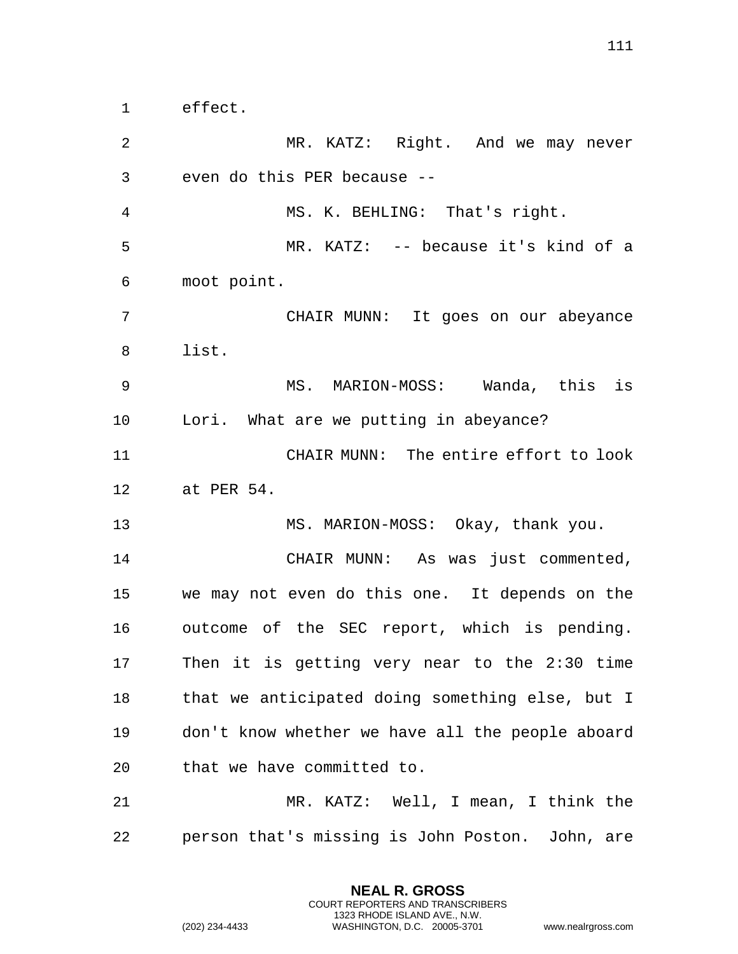effect. MR. KATZ: Right. And we may never even do this PER because -- MS. K. BEHLING: That's right. MR. KATZ: -- because it's kind of a moot point. CHAIR MUNN: It goes on our abeyance list. MS. MARION-MOSS: Wanda, this is Lori. What are we putting in abeyance? CHAIR MUNN: The entire effort to look at PER 54. MS. MARION-MOSS: Okay, thank you. CHAIR MUNN: As was just commented, we may not even do this one. It depends on the outcome of the SEC report, which is pending. Then it is getting very near to the 2:30 time that we anticipated doing something else, but I don't know whether we have all the people aboard that we have committed to. MR. KATZ: Well, I mean, I think the person that's missing is John Poston. John, are

> **NEAL R. GROSS** COURT REPORTERS AND TRANSCRIBERS 1323 RHODE ISLAND AVE., N.W.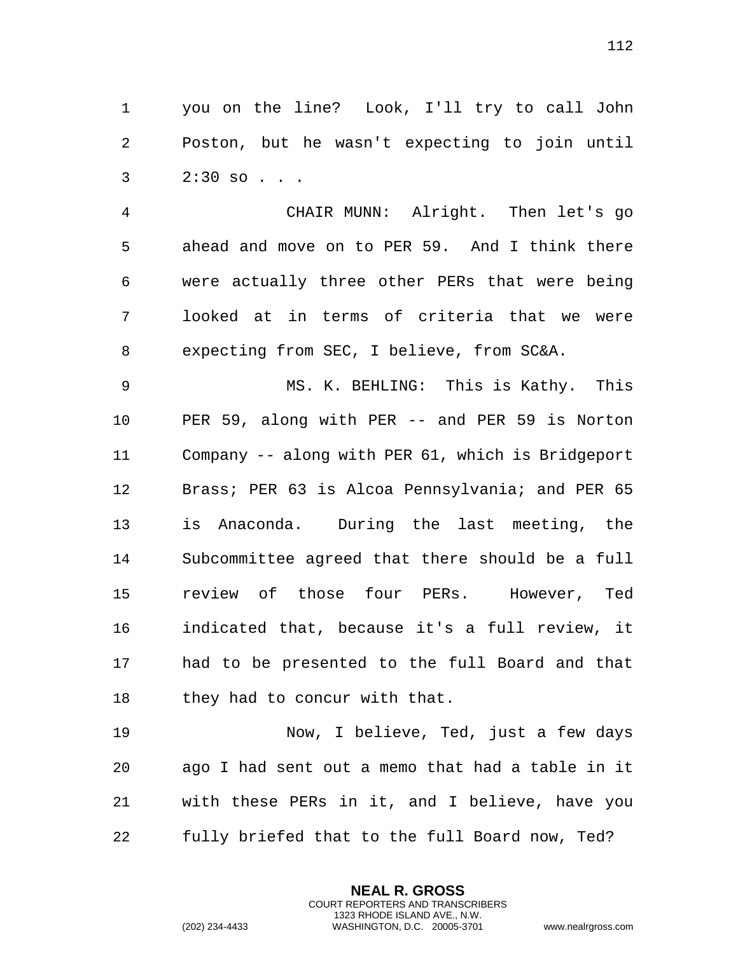you on the line? Look, I'll try to call John Poston, but he wasn't expecting to join until 2:30 so . . .

 CHAIR MUNN: Alright. Then let's go ahead and move on to PER 59. And I think there were actually three other PERs that were being looked at in terms of criteria that we were expecting from SEC, I believe, from SC&A.

 MS. K. BEHLING: This is Kathy. This PER 59, along with PER -- and PER 59 is Norton Company -- along with PER 61, which is Bridgeport 12 Brass; PER 63 is Alcoa Pennsylvania; and PER 65 is Anaconda. During the last meeting, the Subcommittee agreed that there should be a full review of those four PERs. However, Ted indicated that, because it's a full review, it had to be presented to the full Board and that 18 they had to concur with that.

 Now, I believe, Ted, just a few days ago I had sent out a memo that had a table in it with these PERs in it, and I believe, have you fully briefed that to the full Board now, Ted?

> **NEAL R. GROSS** COURT REPORTERS AND TRANSCRIBERS 1323 RHODE ISLAND AVE., N.W.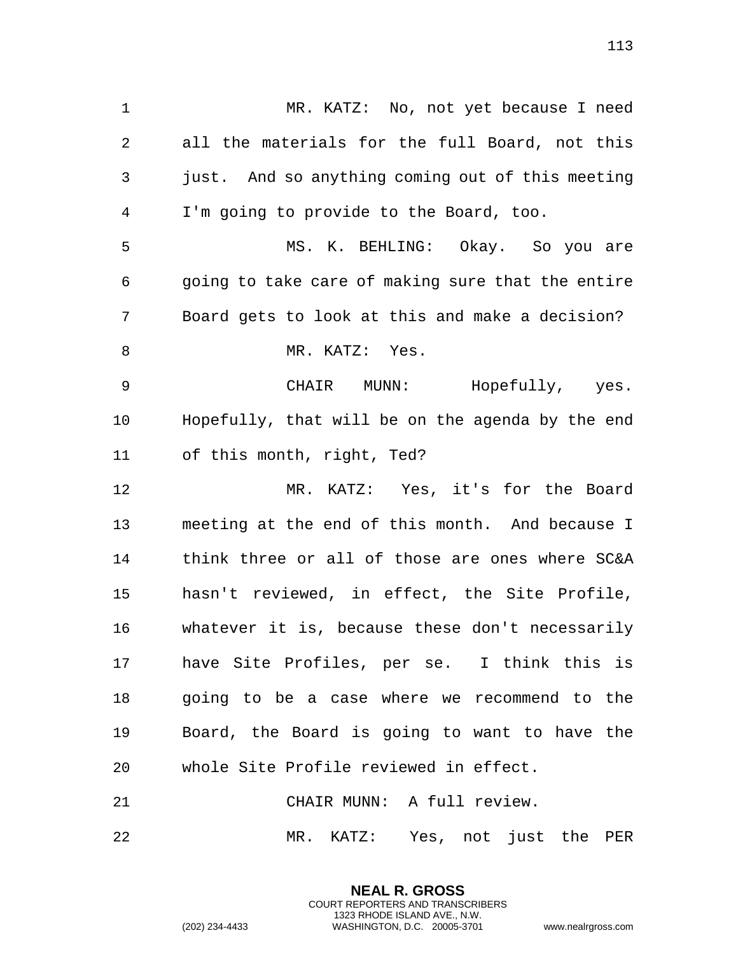MR. KATZ: No, not yet because I need all the materials for the full Board, not this just. And so anything coming out of this meeting I'm going to provide to the Board, too. MS. K. BEHLING: Okay. So you are going to take care of making sure that the entire Board gets to look at this and make a decision? 8 MR. KATZ: Yes. CHAIR MUNN: Hopefully, yes. Hopefully, that will be on the agenda by the end of this month, right, Ted? MR. KATZ: Yes, it's for the Board meeting at the end of this month. And because I think three or all of those are ones where SC&A hasn't reviewed, in effect, the Site Profile, whatever it is, because these don't necessarily have Site Profiles, per se. I think this is going to be a case where we recommend to the Board, the Board is going to want to have the whole Site Profile reviewed in effect. CHAIR MUNN: A full review.

MR. KATZ: Yes, not just the PER

**NEAL R. GROSS** COURT REPORTERS AND TRANSCRIBERS 1323 RHODE ISLAND AVE., N.W.

(202) 234-4433 WASHINGTON, D.C. 20005-3701 www.nealrgross.com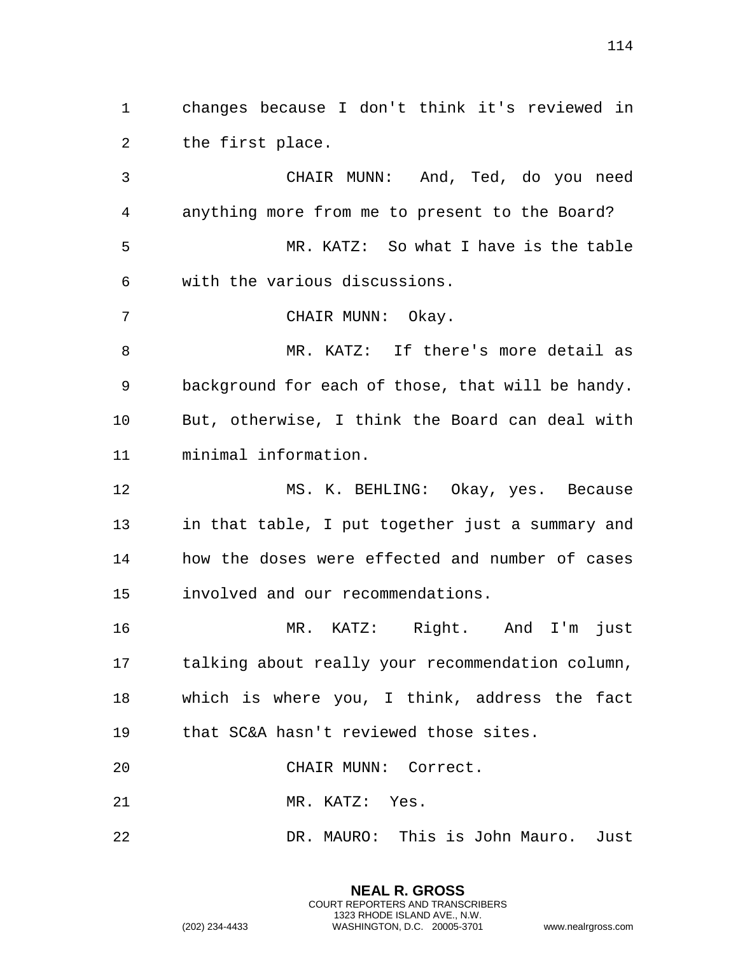changes because I don't think it's reviewed in the first place.

 CHAIR MUNN: And, Ted, do you need anything more from me to present to the Board? MR. KATZ: So what I have is the table with the various discussions.

CHAIR MUNN: Okay.

8 MR. KATZ: If there's more detail as background for each of those, that will be handy. But, otherwise, I think the Board can deal with minimal information.

 MS. K. BEHLING: Okay, yes. Because in that table, I put together just a summary and how the doses were effected and number of cases involved and our recommendations.

 MR. KATZ: Right. And I'm just talking about really your recommendation column, which is where you, I think, address the fact that SC&A hasn't reviewed those sites.

CHAIR MUNN: Correct.

MR. KATZ: Yes.

DR. MAURO: This is John Mauro. Just

**NEAL R. GROSS** COURT REPORTERS AND TRANSCRIBERS 1323 RHODE ISLAND AVE., N.W.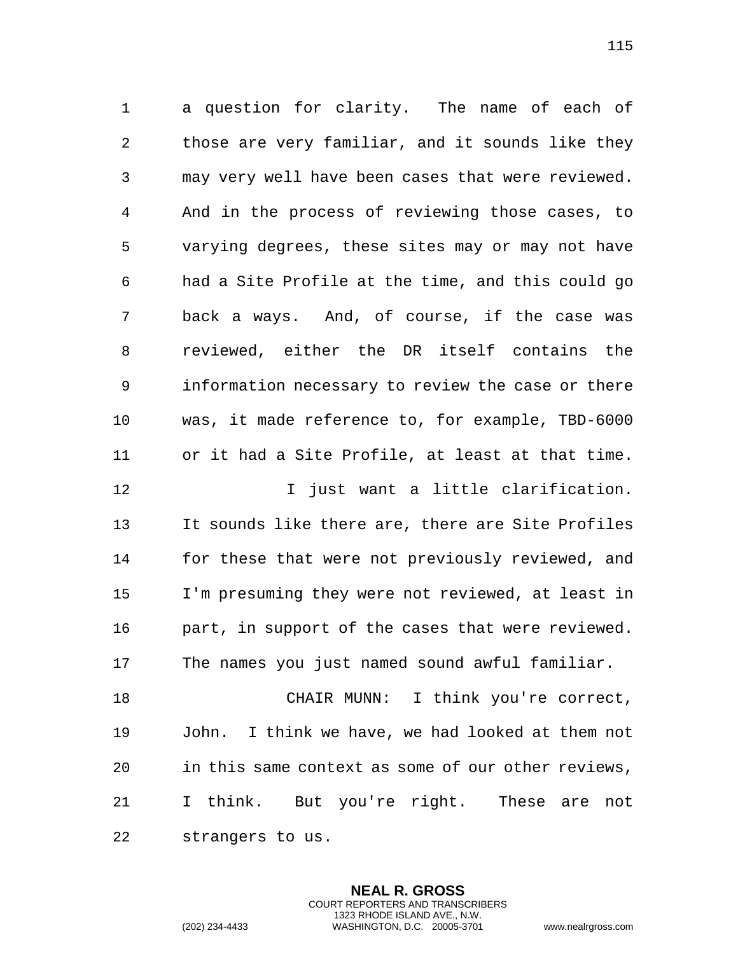a question for clarity. The name of each of those are very familiar, and it sounds like they may very well have been cases that were reviewed. And in the process of reviewing those cases, to varying degrees, these sites may or may not have had a Site Profile at the time, and this could go back a ways. And, of course, if the case was reviewed, either the DR itself contains the information necessary to review the case or there was, it made reference to, for example, TBD-6000 or it had a Site Profile, at least at that time.

**I** just want a little clarification. It sounds like there are, there are Site Profiles for these that were not previously reviewed, and I'm presuming they were not reviewed, at least in part, in support of the cases that were reviewed. The names you just named sound awful familiar.

 CHAIR MUNN: I think you're correct, John. I think we have, we had looked at them not in this same context as some of our other reviews, I think. But you're right. These are not strangers to us.

> **NEAL R. GROSS** COURT REPORTERS AND TRANSCRIBERS 1323 RHODE ISLAND AVE., N.W.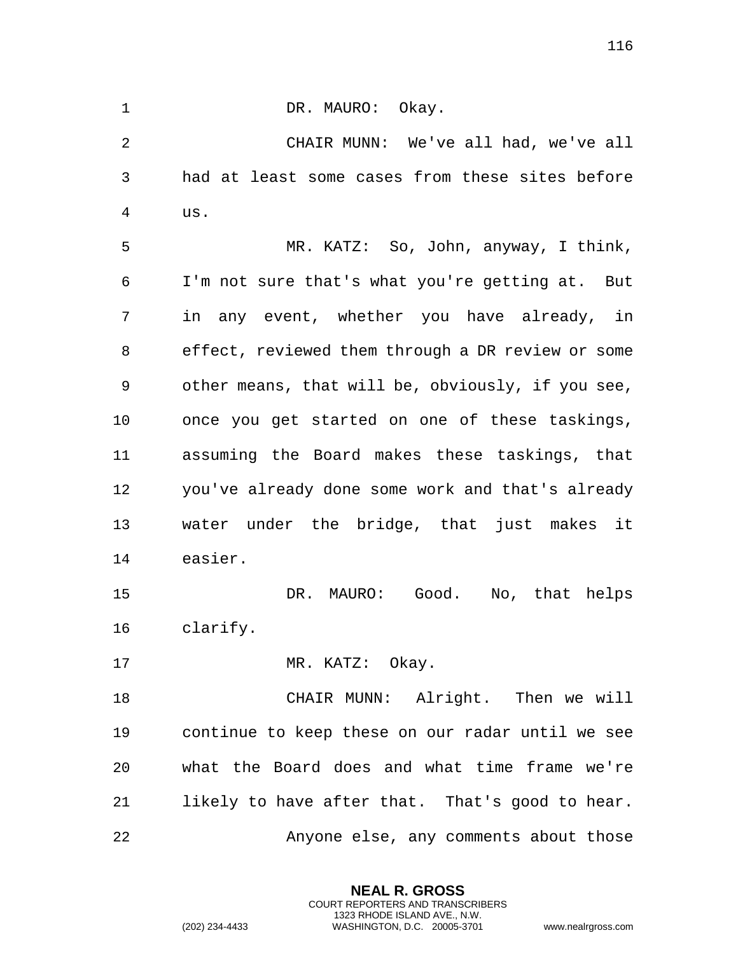CHAIR MUNN: We've all had, we've all had at least some cases from these sites before us.

1 DR. MAURO: Okay.

 MR. KATZ: So, John, anyway, I think, I'm not sure that's what you're getting at. But in any event, whether you have already, in effect, reviewed them through a DR review or some other means, that will be, obviously, if you see, once you get started on one of these taskings, assuming the Board makes these taskings, that you've already done some work and that's already water under the bridge, that just makes it easier.

 DR. MAURO: Good. No, that helps clarify.

17 MR. KATZ: Okay.

 CHAIR MUNN: Alright. Then we will continue to keep these on our radar until we see what the Board does and what time frame we're likely to have after that. That's good to hear. Anyone else, any comments about those

> **NEAL R. GROSS** COURT REPORTERS AND TRANSCRIBERS 1323 RHODE ISLAND AVE., N.W.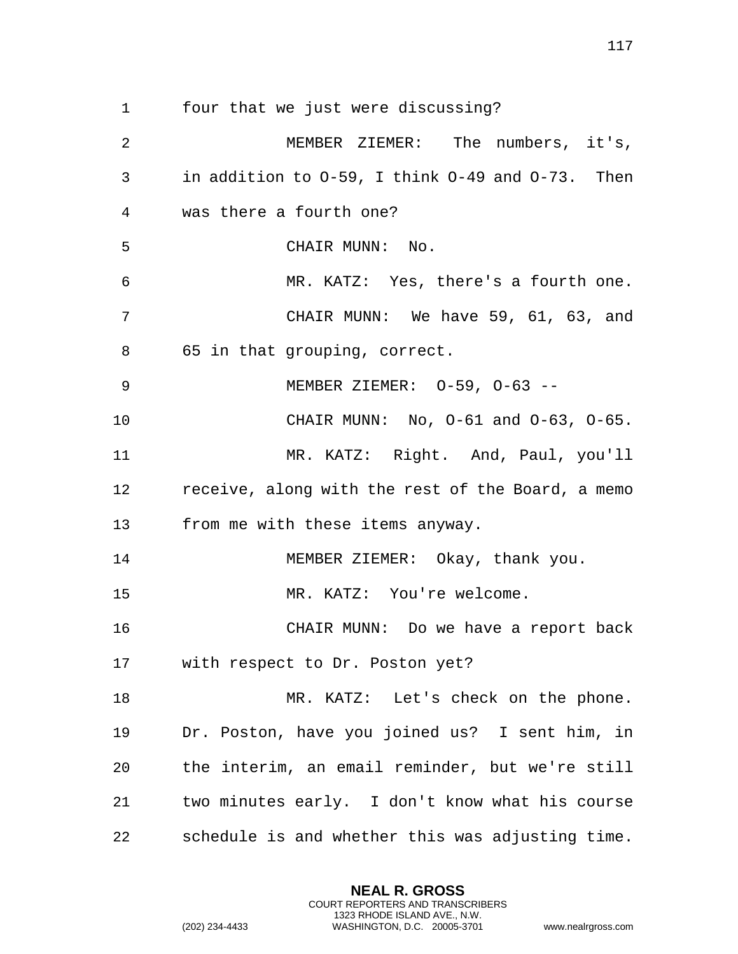four that we just were discussing?

 MEMBER ZIEMER: The numbers, it's, in addition to O-59, I think O-49 and O-73. Then was there a fourth one? CHAIR MUNN: No. MR. KATZ: Yes, there's a fourth one. CHAIR MUNN: We have 59, 61, 63, and 65 in that grouping, correct. MEMBER ZIEMER: O-59, O-63 -- CHAIR MUNN: No, O-61 and O-63, O-65. MR. KATZ: Right. And, Paul, you'll receive, along with the rest of the Board, a memo from me with these items anyway. 14 MEMBER ZIEMER: Okay, thank you. MR. KATZ: You're welcome. CHAIR MUNN: Do we have a report back with respect to Dr. Poston yet? MR. KATZ: Let's check on the phone. Dr. Poston, have you joined us? I sent him, in the interim, an email reminder, but we're still two minutes early. I don't know what his course schedule is and whether this was adjusting time.

> **NEAL R. GROSS** COURT REPORTERS AND TRANSCRIBERS 1323 RHODE ISLAND AVE., N.W.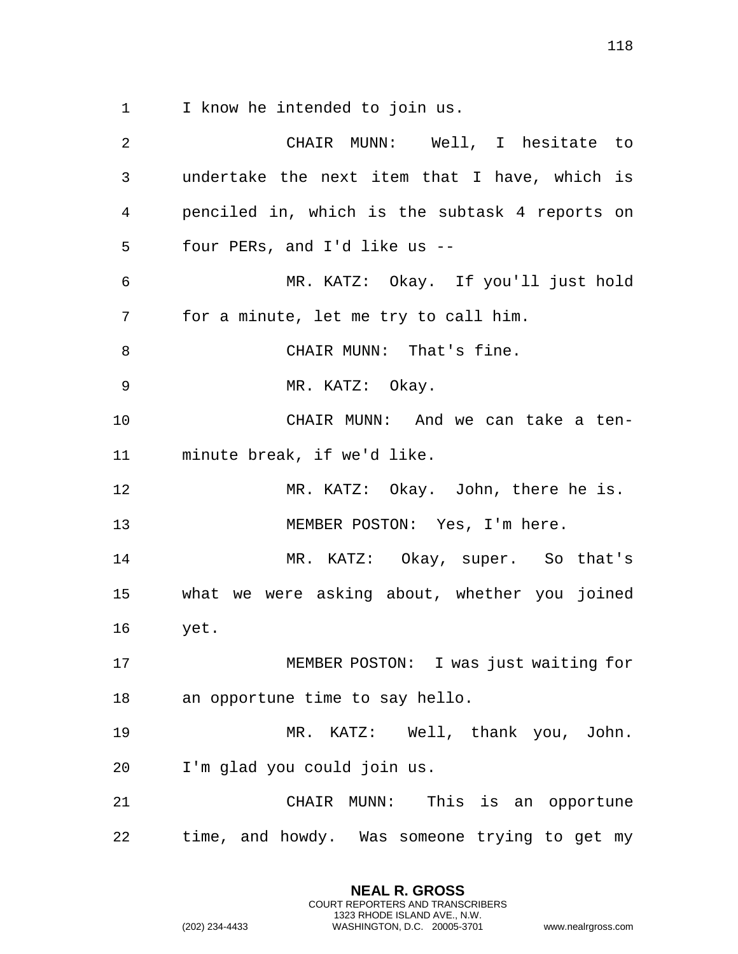I know he intended to join us.

 CHAIR MUNN: Well, I hesitate to undertake the next item that I have, which is penciled in, which is the subtask 4 reports on four PERs, and I'd like us -- MR. KATZ: Okay. If you'll just hold for a minute, let me try to call him. 8 CHAIR MUNN: That's fine. 9 MR. KATZ: Okay. CHAIR MUNN: And we can take a ten- minute break, if we'd like. 12 MR. KATZ: Okay. John, there he is. 13 MEMBER POSTON: Yes, I'm here. MR. KATZ: Okay, super. So that's what we were asking about, whether you joined yet. MEMBER POSTON: I was just waiting for an opportune time to say hello. MR. KATZ: Well, thank you, John. I'm glad you could join us. CHAIR MUNN: This is an opportune time, and howdy. Was someone trying to get my

> **NEAL R. GROSS** COURT REPORTERS AND TRANSCRIBERS 1323 RHODE ISLAND AVE., N.W.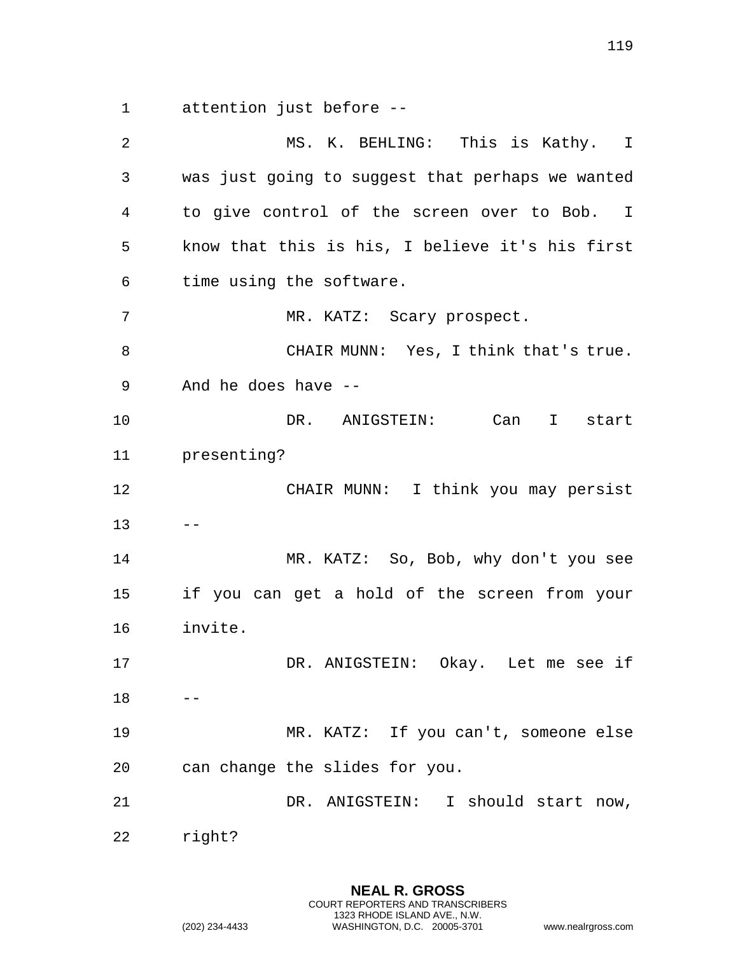attention just before --

 MS. K. BEHLING: This is Kathy. I was just going to suggest that perhaps we wanted to give control of the screen over to Bob. I know that this is his, I believe it's his first time using the software. MR. KATZ: Scary prospect. CHAIR MUNN: Yes, I think that's true. And he does have -- DR. ANIGSTEIN: Can I start presenting? CHAIR MUNN: I think you may persist  $13 - -$  MR. KATZ: So, Bob, why don't you see if you can get a hold of the screen from your invite. DR. ANIGSTEIN: Okay. Let me see if  $18 - -$  MR. KATZ: If you can't, someone else can change the slides for you. DR. ANIGSTEIN: I should start now, right?

> **NEAL R. GROSS** COURT REPORTERS AND TRANSCRIBERS 1323 RHODE ISLAND AVE., N.W.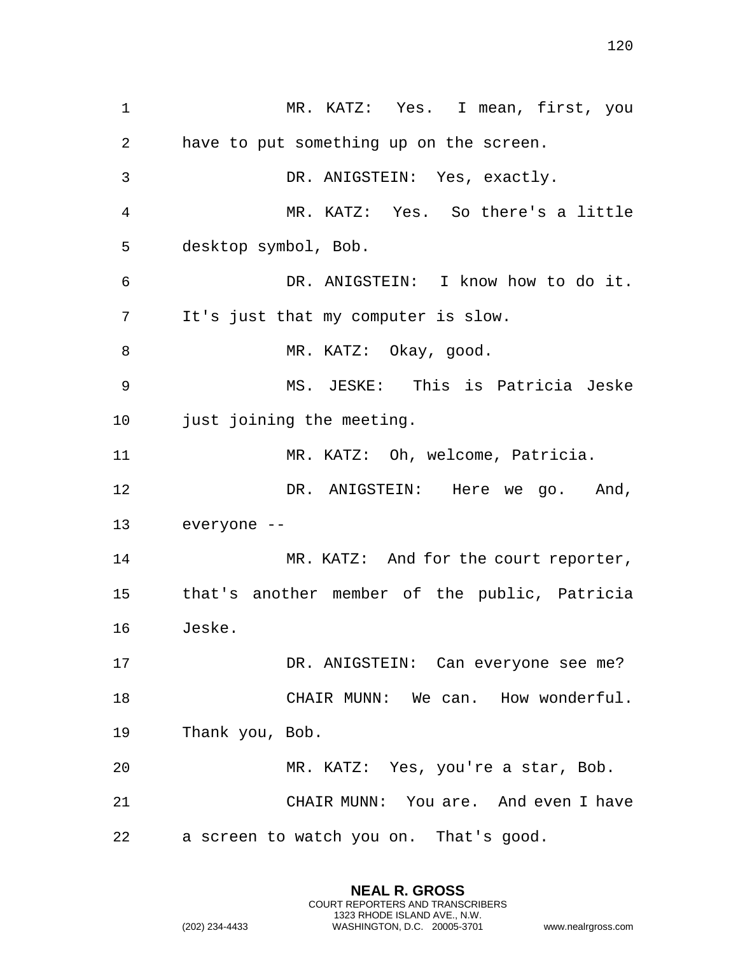MR. KATZ: Yes. I mean, first, you have to put something up on the screen. DR. ANIGSTEIN: Yes, exactly. MR. KATZ: Yes. So there's a little desktop symbol, Bob. DR. ANIGSTEIN: I know how to do it. It's just that my computer is slow. 8 MR. KATZ: Okay, good. MS. JESKE: This is Patricia Jeske 10 just joining the meeting. MR. KATZ: Oh, welcome, Patricia. 12 DR. ANIGSTEIN: Here we go. And, everyone -- MR. KATZ: And for the court reporter, that's another member of the public, Patricia Jeske. DR. ANIGSTEIN: Can everyone see me? 18 CHAIR MUNN: We can. How wonderful. Thank you, Bob. MR. KATZ: Yes, you're a star, Bob. CHAIR MUNN: You are. And even I have a screen to watch you on. That's good.

> **NEAL R. GROSS** COURT REPORTERS AND TRANSCRIBERS 1323 RHODE ISLAND AVE., N.W.

(202) 234-4433 WASHINGTON, D.C. 20005-3701 www.nealrgross.com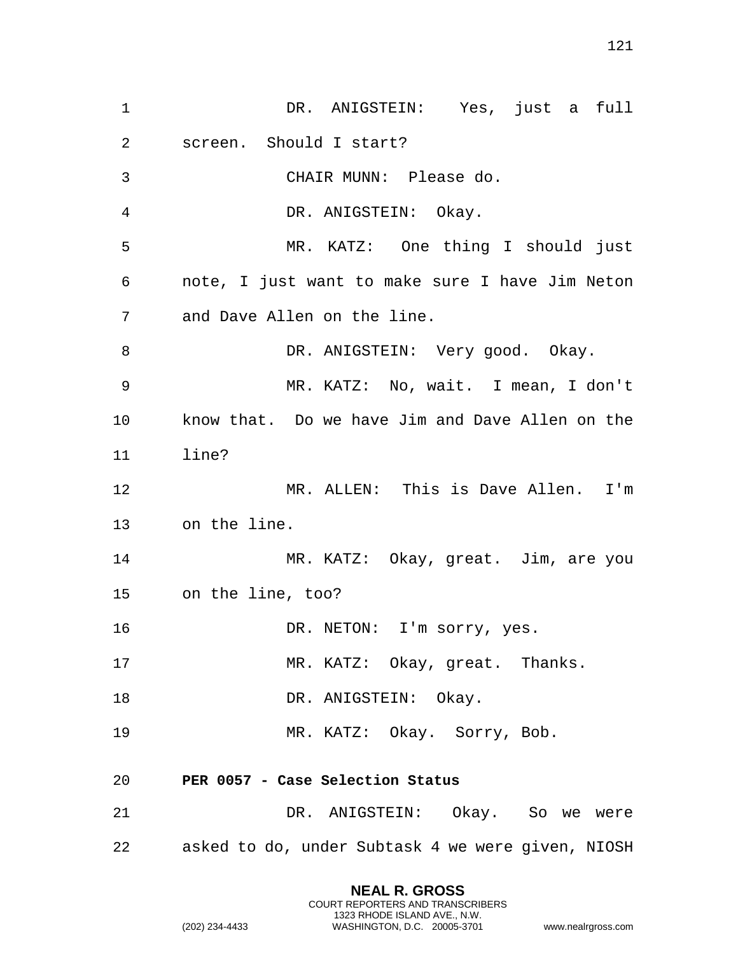| $\mathbf 1$ | DR. ANIGSTEIN: Yes, just a full                      |
|-------------|------------------------------------------------------|
| 2           | screen. Should I start?                              |
| 3           | CHAIR MUNN: Please do.                               |
| 4           | DR. ANIGSTEIN: Okay.                                 |
| 5           | MR. KATZ: One thing I should just                    |
| 6           | note, I just want to make sure I have Jim Neton      |
| 7           | and Dave Allen on the line.                          |
| 8           | DR. ANIGSTEIN: Very good. Okay.                      |
| 9           | MR. KATZ: No, wait. I mean, I don't                  |
| 10          | know that. Do we have Jim and Dave Allen on the      |
| 11          | line?                                                |
| 12          | MR. ALLEN: This is Dave Allen. I'm                   |
| 13          | on the line.                                         |
| 14          | MR. KATZ: Okay, great. Jim, are you                  |
| 15          | on the line, too?                                    |
| 16          | DR. NETON: I'm sorry, yes.                           |
| 17          | MR. KATZ: Okay, great. Thanks.                       |
| 18          | DR. ANIGSTEIN: Okay.                                 |
| 19          | MR. KATZ: Okay. Sorry, Bob.                          |
| 20          | PER 0057 - Case Selection Status                     |
| 21          | DR. ANIGSTEIN: Okay. So we were                      |
|             | 22 asked to do, under Subtask 4 we were given, NIOSH |
|             |                                                      |

**NEAL R. GROSS** COURT REPORTERS AND TRANSCRIBERS 1323 RHODE ISLAND AVE., N.W.

(202) 234-4433 WASHINGTON, D.C. 20005-3701 www.nealrgross.com

121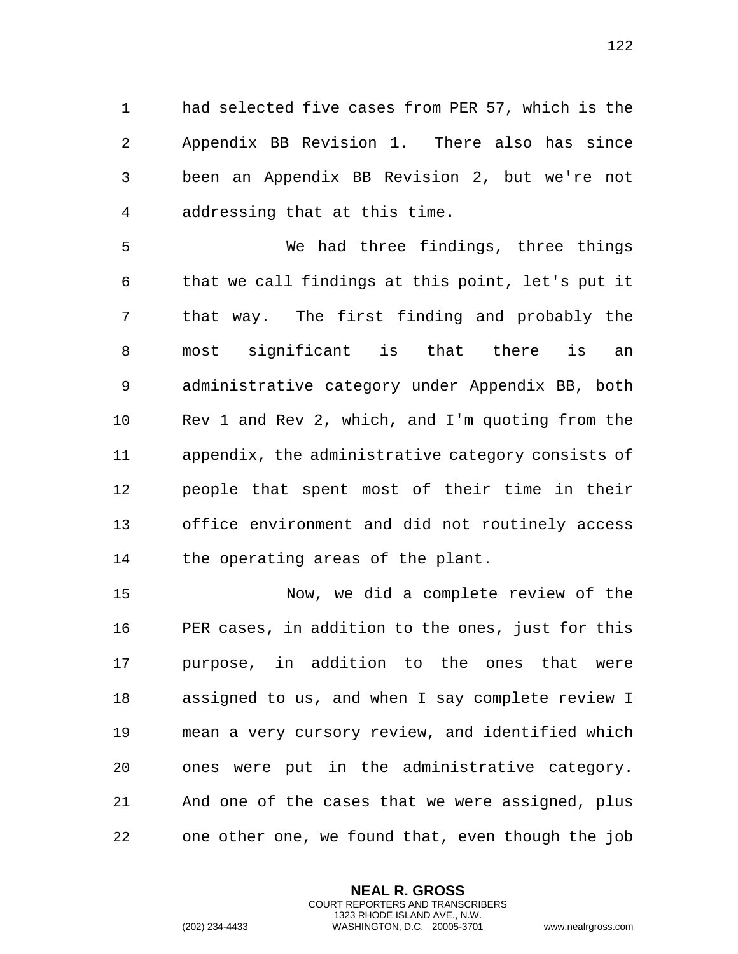1 had selected five cases from PER 57, which is the 2 Appendix BB Revision 1. There also has since 3 been an Appendix BB Revision 2, but we're not 4 addressing that at this time.

5 We had three findings, three things 6 that we call findings at this point, let's put it 7 that way. The first finding and probably the 8 most significant is that there is an 9 administrative category under Appendix BB, both 10 Rev 1 and Rev 2, which, and I'm quoting from the 11 appendix, the administrative category consists of 12 people that spent most of their time in their 13 office environment and did not routinely access 14 the operating areas of the plant.

15 Now, we did a complete review of the 16 PER cases, in addition to the ones, just for this 17 purpose, in addition to the ones that were 18 assigned to us, and when I say complete review I 19 mean a very cursory review, and identified which 20 ones were put in the administrative category. 21 And one of the cases that we were assigned, plus 22 one other one, we found that, even though the job

> **NEAL R. GROSS** COURT REPORTERS AND TRANSCRIBERS 1323 RHODE ISLAND AVE., N.W.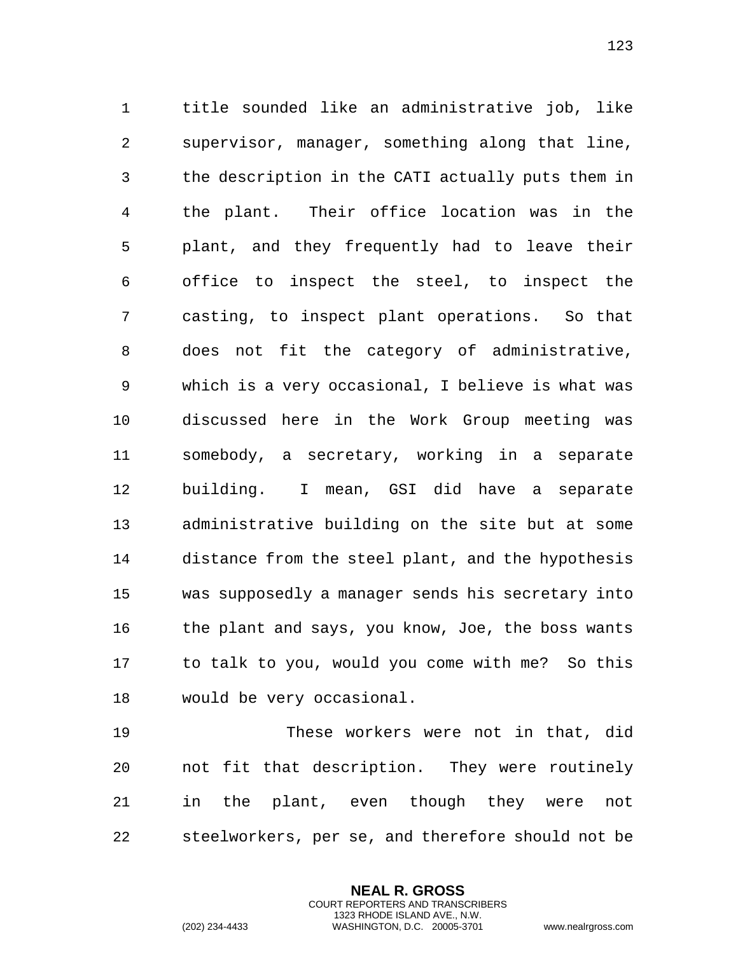title sounded like an administrative job, like supervisor, manager, something along that line, the description in the CATI actually puts them in the plant. Their office location was in the plant, and they frequently had to leave their office to inspect the steel, to inspect the casting, to inspect plant operations. So that does not fit the category of administrative, which is a very occasional, I believe is what was discussed here in the Work Group meeting was somebody, a secretary, working in a separate building. I mean, GSI did have a separate administrative building on the site but at some distance from the steel plant, and the hypothesis was supposedly a manager sends his secretary into 16 the plant and says, you know, Joe, the boss wants to talk to you, would you come with me? So this would be very occasional.

 These workers were not in that, did not fit that description. They were routinely in the plant, even though they were not steelworkers, per se, and therefore should not be

> **NEAL R. GROSS** COURT REPORTERS AND TRANSCRIBERS 1323 RHODE ISLAND AVE., N.W.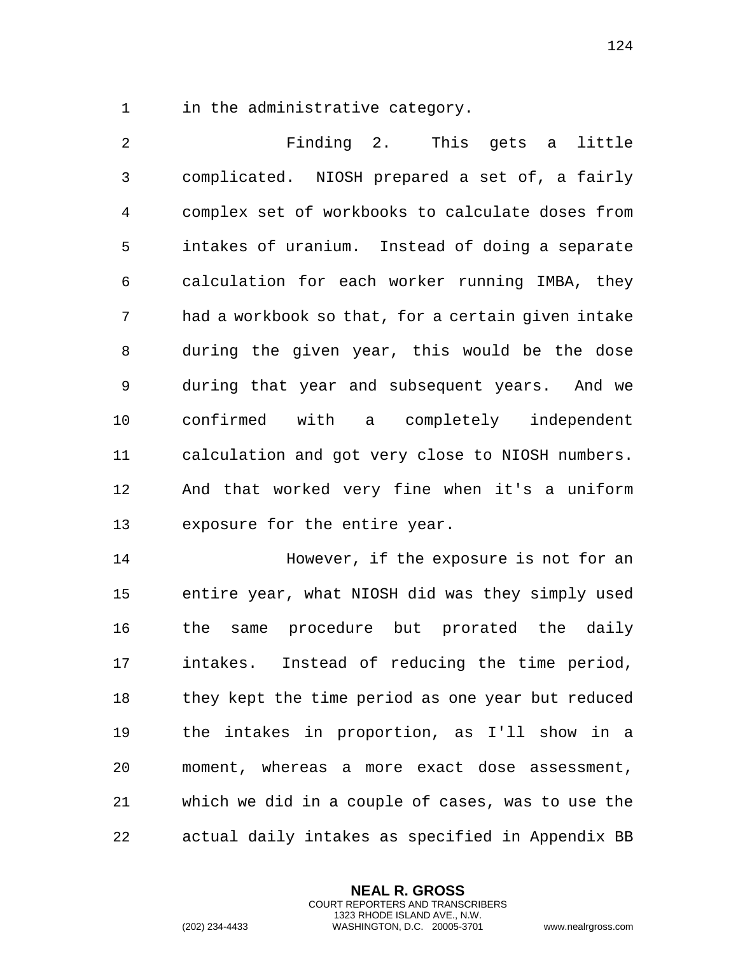1 in the administrative category.

 Finding 2. This gets a little complicated. NIOSH prepared a set of, a fairly complex set of workbooks to calculate doses from intakes of uranium. Instead of doing a separate calculation for each worker running IMBA, they had a workbook so that, for a certain given intake during the given year, this would be the dose during that year and subsequent years. And we confirmed with a completely independent calculation and got very close to NIOSH numbers. And that worked very fine when it's a uniform exposure for the entire year.

 However, if the exposure is not for an entire year, what NIOSH did was they simply used the same procedure but prorated the daily intakes. Instead of reducing the time period, they kept the time period as one year but reduced the intakes in proportion, as I'll show in a moment, whereas a more exact dose assessment, which we did in a couple of cases, was to use the actual daily intakes as specified in Appendix BB

> **NEAL R. GROSS** COURT REPORTERS AND TRANSCRIBERS 1323 RHODE ISLAND AVE., N.W.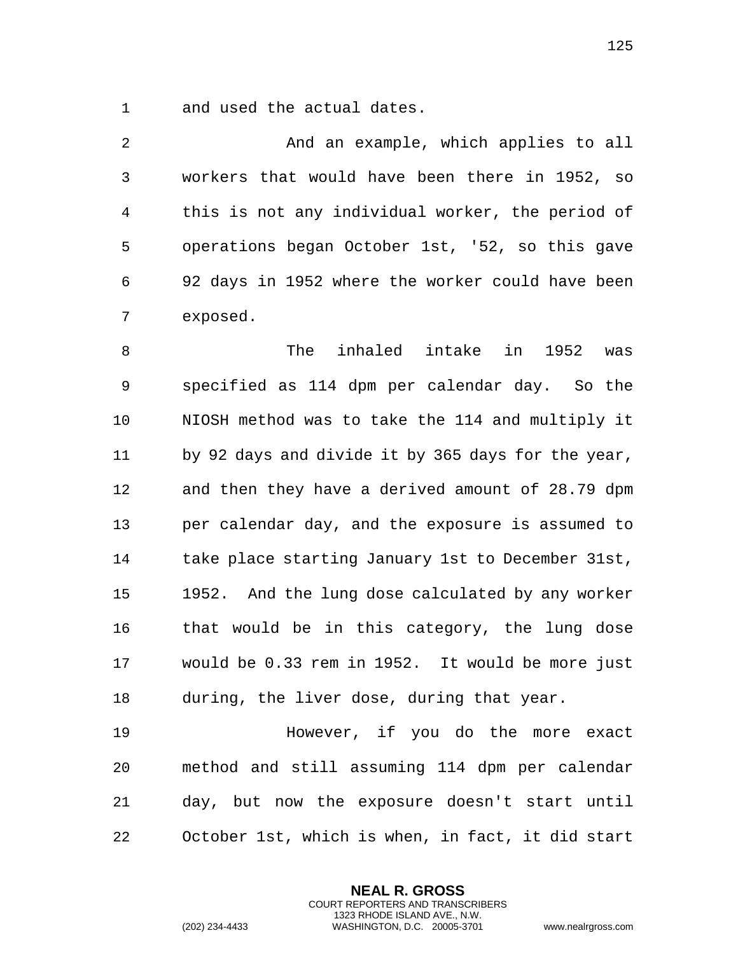and used the actual dates.

 And an example, which applies to all workers that would have been there in 1952, so this is not any individual worker, the period of operations began October 1st, '52, so this gave 92 days in 1952 where the worker could have been exposed.

 The inhaled intake in 1952 was specified as 114 dpm per calendar day. So the NIOSH method was to take the 114 and multiply it by 92 days and divide it by 365 days for the year, and then they have a derived amount of 28.79 dpm per calendar day, and the exposure is assumed to take place starting January 1st to December 31st, 1952. And the lung dose calculated by any worker that would be in this category, the lung dose would be 0.33 rem in 1952. It would be more just during, the liver dose, during that year.

19 However, if you do the more exact method and still assuming 114 dpm per calendar day, but now the exposure doesn't start until October 1st, which is when, in fact, it did start

> **NEAL R. GROSS** COURT REPORTERS AND TRANSCRIBERS 1323 RHODE ISLAND AVE., N.W.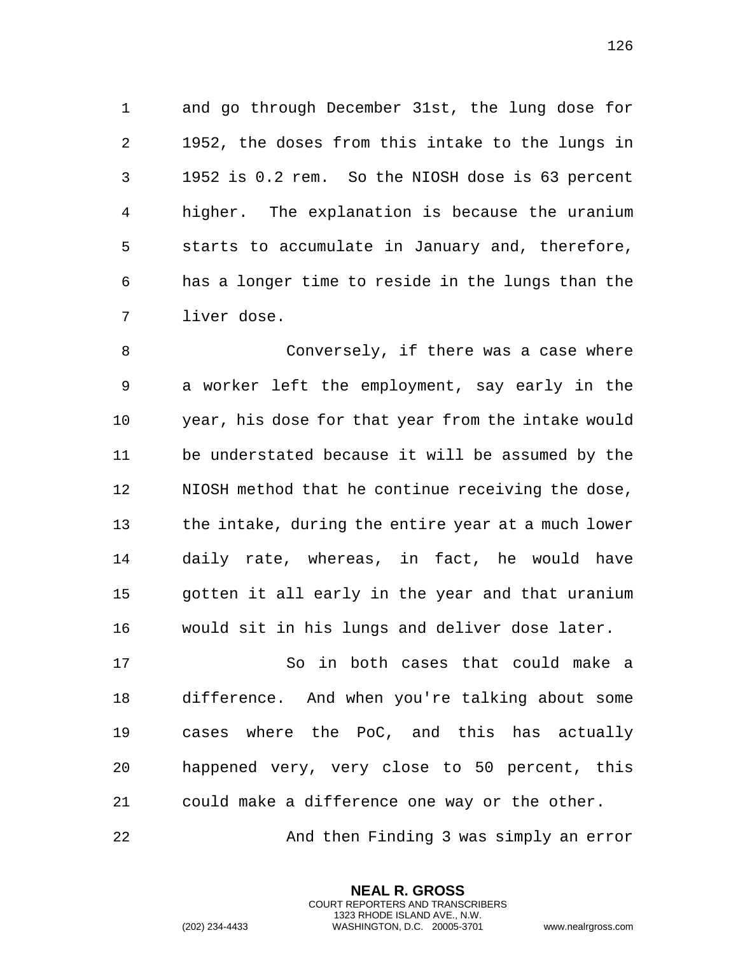and go through December 31st, the lung dose for 1952, the doses from this intake to the lungs in 1952 is 0.2 rem. So the NIOSH dose is 63 percent higher. The explanation is because the uranium starts to accumulate in January and, therefore, has a longer time to reside in the lungs than the liver dose.

 Conversely, if there was a case where a worker left the employment, say early in the year, his dose for that year from the intake would be understated because it will be assumed by the NIOSH method that he continue receiving the dose, the intake, during the entire year at a much lower daily rate, whereas, in fact, he would have gotten it all early in the year and that uranium would sit in his lungs and deliver dose later.

 So in both cases that could make a difference. And when you're talking about some cases where the PoC, and this has actually happened very, very close to 50 percent, this could make a difference one way or the other.

And then Finding 3 was simply an error

**NEAL R. GROSS** COURT REPORTERS AND TRANSCRIBERS 1323 RHODE ISLAND AVE., N.W.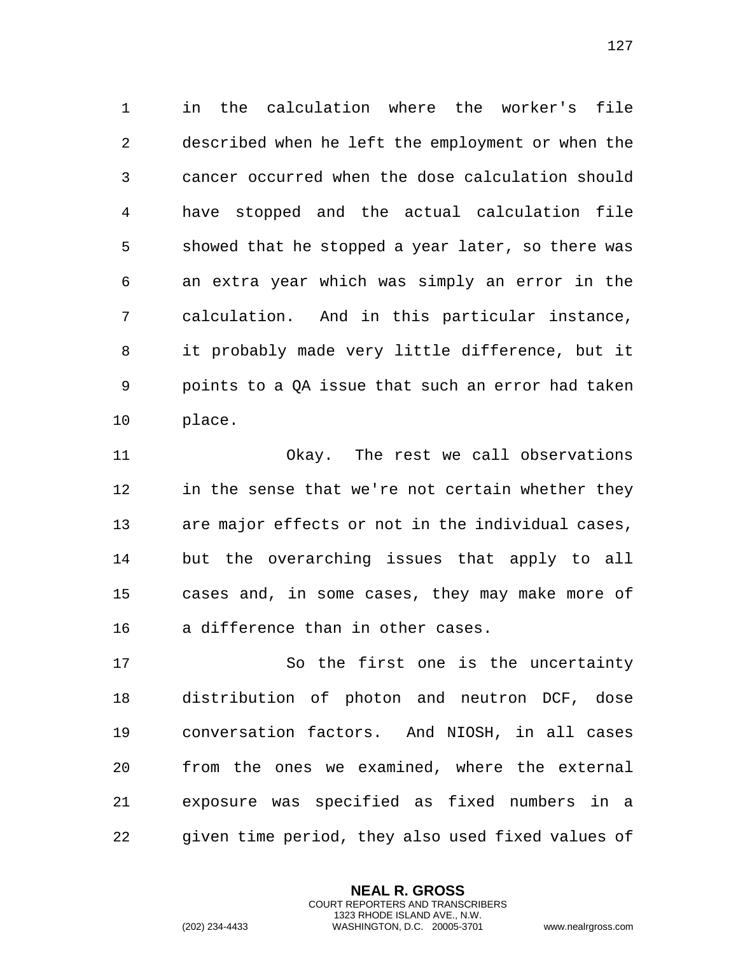in the calculation where the worker's file described when he left the employment or when the cancer occurred when the dose calculation should have stopped and the actual calculation file showed that he stopped a year later, so there was an extra year which was simply an error in the calculation. And in this particular instance, it probably made very little difference, but it points to a QA issue that such an error had taken place.

 Okay. The rest we call observations in the sense that we're not certain whether they are major effects or not in the individual cases, but the overarching issues that apply to all cases and, in some cases, they may make more of a difference than in other cases.

 So the first one is the uncertainty distribution of photon and neutron DCF, dose conversation factors. And NIOSH, in all cases from the ones we examined, where the external exposure was specified as fixed numbers in a given time period, they also used fixed values of

> **NEAL R. GROSS** COURT REPORTERS AND TRANSCRIBERS 1323 RHODE ISLAND AVE., N.W.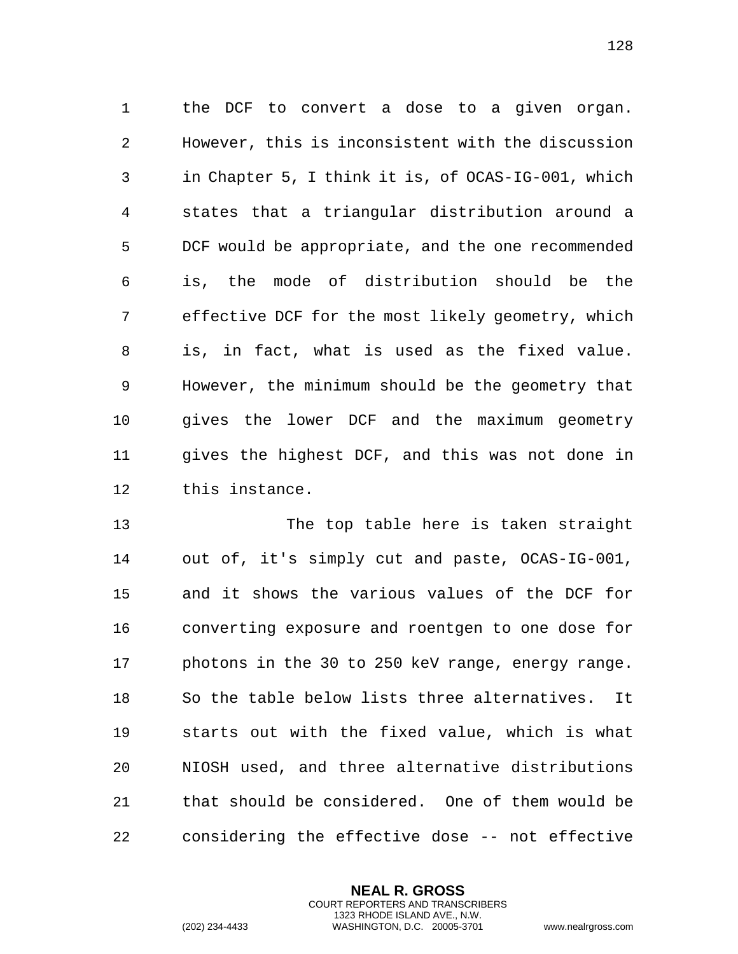the DCF to convert a dose to a given organ. However, this is inconsistent with the discussion in Chapter 5, I think it is, of OCAS-IG-001, which states that a triangular distribution around a DCF would be appropriate, and the one recommended is, the mode of distribution should be the effective DCF for the most likely geometry, which is, in fact, what is used as the fixed value. However, the minimum should be the geometry that gives the lower DCF and the maximum geometry gives the highest DCF, and this was not done in this instance.

 The top table here is taken straight out of, it's simply cut and paste, OCAS-IG-001, and it shows the various values of the DCF for converting exposure and roentgen to one dose for photons in the 30 to 250 keV range, energy range. So the table below lists three alternatives. It starts out with the fixed value, which is what NIOSH used, and three alternative distributions that should be considered. One of them would be considering the effective dose -- not effective

> **NEAL R. GROSS** COURT REPORTERS AND TRANSCRIBERS 1323 RHODE ISLAND AVE., N.W.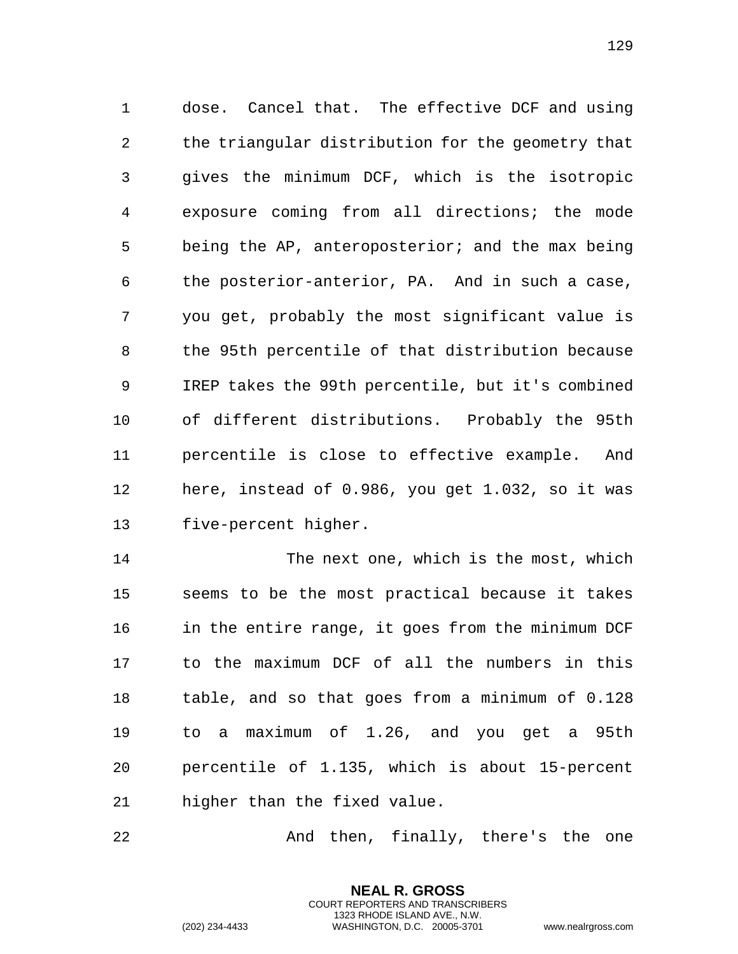dose. Cancel that. The effective DCF and using the triangular distribution for the geometry that gives the minimum DCF, which is the isotropic exposure coming from all directions; the mode being the AP, anteroposterior; and the max being the posterior-anterior, PA. And in such a case, you get, probably the most significant value is the 95th percentile of that distribution because IREP takes the 99th percentile, but it's combined of different distributions. Probably the 95th percentile is close to effective example. And here, instead of 0.986, you get 1.032, so it was five-percent higher.

 The next one, which is the most, which seems to be the most practical because it takes in the entire range, it goes from the minimum DCF to the maximum DCF of all the numbers in this table, and so that goes from a minimum of 0.128 to a maximum of 1.26, and you get a 95th percentile of 1.135, which is about 15-percent higher than the fixed value.

22 And then, finally, there's the one

**NEAL R. GROSS** COURT REPORTERS AND TRANSCRIBERS 1323 RHODE ISLAND AVE., N.W.

```
(202) 234-4433 WASHINGTON, D.C. 20005-3701 www.nealrgross.com
```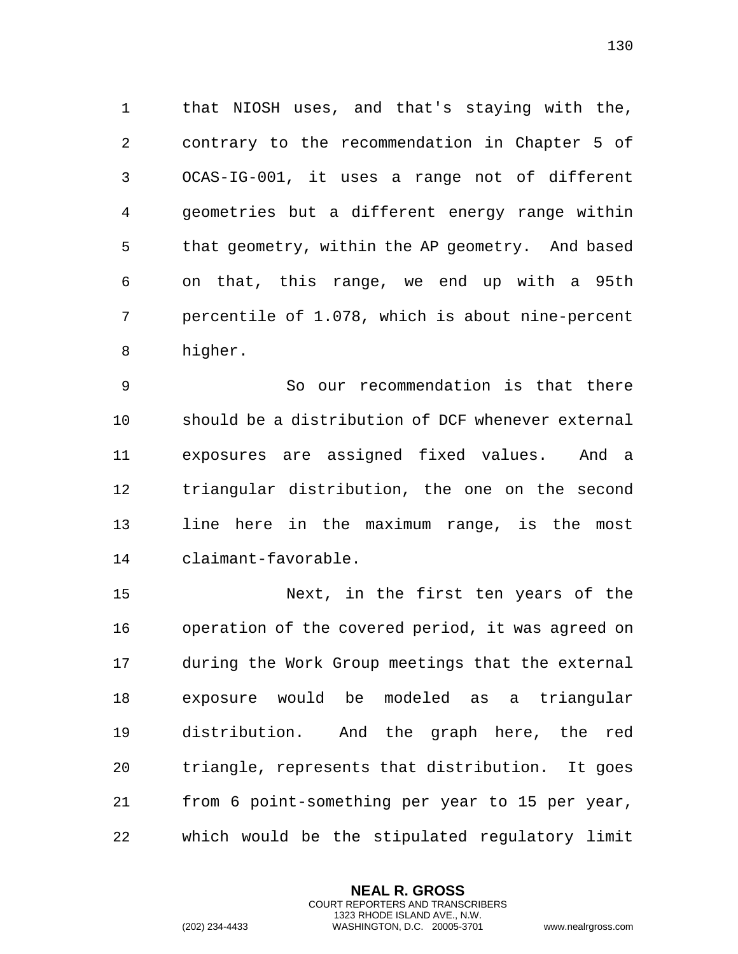that NIOSH uses, and that's staying with the, contrary to the recommendation in Chapter 5 of OCAS-IG-001, it uses a range not of different geometries but a different energy range within that geometry, within the AP geometry. And based on that, this range, we end up with a 95th percentile of 1.078, which is about nine-percent higher.

 So our recommendation is that there should be a distribution of DCF whenever external exposures are assigned fixed values. And a triangular distribution, the one on the second line here in the maximum range, is the most claimant-favorable.

 Next, in the first ten years of the operation of the covered period, it was agreed on during the Work Group meetings that the external exposure would be modeled as a triangular distribution. And the graph here, the red triangle, represents that distribution. It goes from 6 point-something per year to 15 per year, which would be the stipulated regulatory limit

> **NEAL R. GROSS** COURT REPORTERS AND TRANSCRIBERS 1323 RHODE ISLAND AVE., N.W.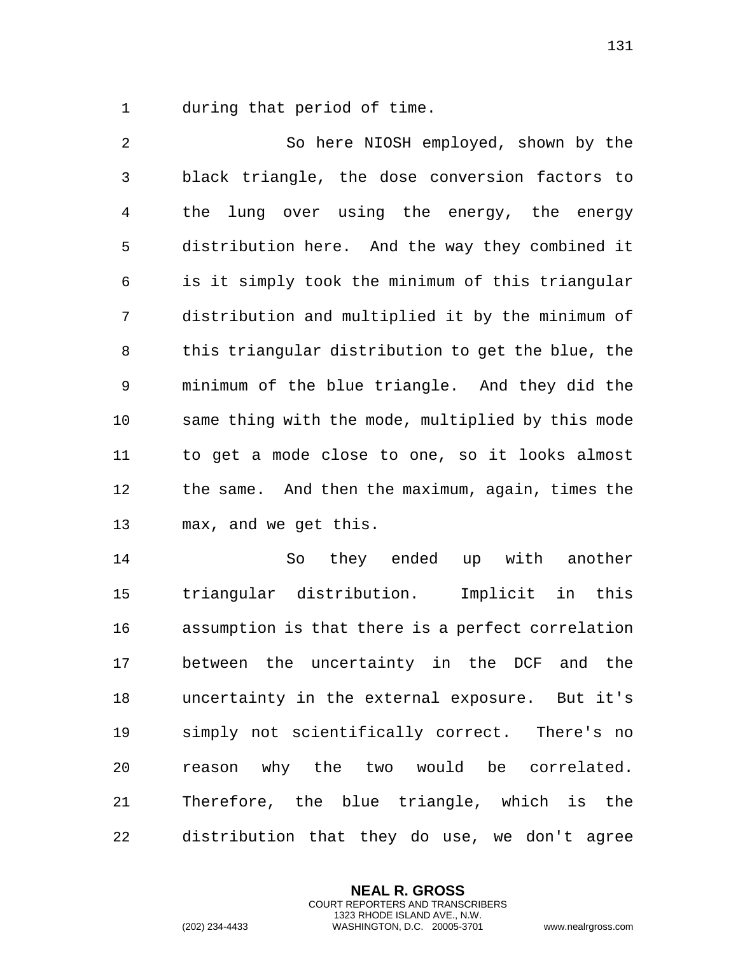during that period of time.

 So here NIOSH employed, shown by the black triangle, the dose conversion factors to the lung over using the energy, the energy distribution here. And the way they combined it is it simply took the minimum of this triangular distribution and multiplied it by the minimum of this triangular distribution to get the blue, the minimum of the blue triangle. And they did the same thing with the mode, multiplied by this mode to get a mode close to one, so it looks almost the same. And then the maximum, again, times the max, and we get this.

 So they ended up with another triangular distribution. Implicit in this assumption is that there is a perfect correlation between the uncertainty in the DCF and the uncertainty in the external exposure. But it's simply not scientifically correct. There's no reason why the two would be correlated. Therefore, the blue triangle, which is the distribution that they do use, we don't agree

> **NEAL R. GROSS** COURT REPORTERS AND TRANSCRIBERS 1323 RHODE ISLAND AVE., N.W.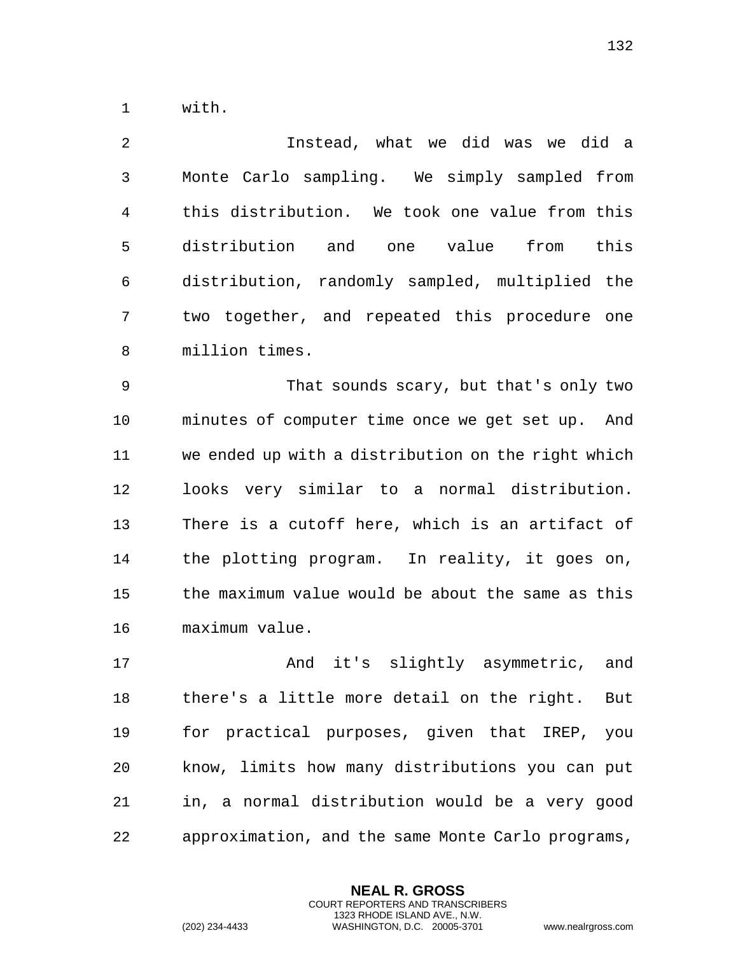with.

 Instead, what we did was we did a Monte Carlo sampling. We simply sampled from this distribution. We took one value from this distribution and one value from this distribution, randomly sampled, multiplied the two together, and repeated this procedure one million times.

 That sounds scary, but that's only two minutes of computer time once we get set up. And we ended up with a distribution on the right which looks very similar to a normal distribution. There is a cutoff here, which is an artifact of the plotting program. In reality, it goes on, the maximum value would be about the same as this maximum value.

17 And it's slightly asymmetric, and there's a little more detail on the right. But for practical purposes, given that IREP, you know, limits how many distributions you can put in, a normal distribution would be a very good approximation, and the same Monte Carlo programs,

> **NEAL R. GROSS** COURT REPORTERS AND TRANSCRIBERS 1323 RHODE ISLAND AVE., N.W.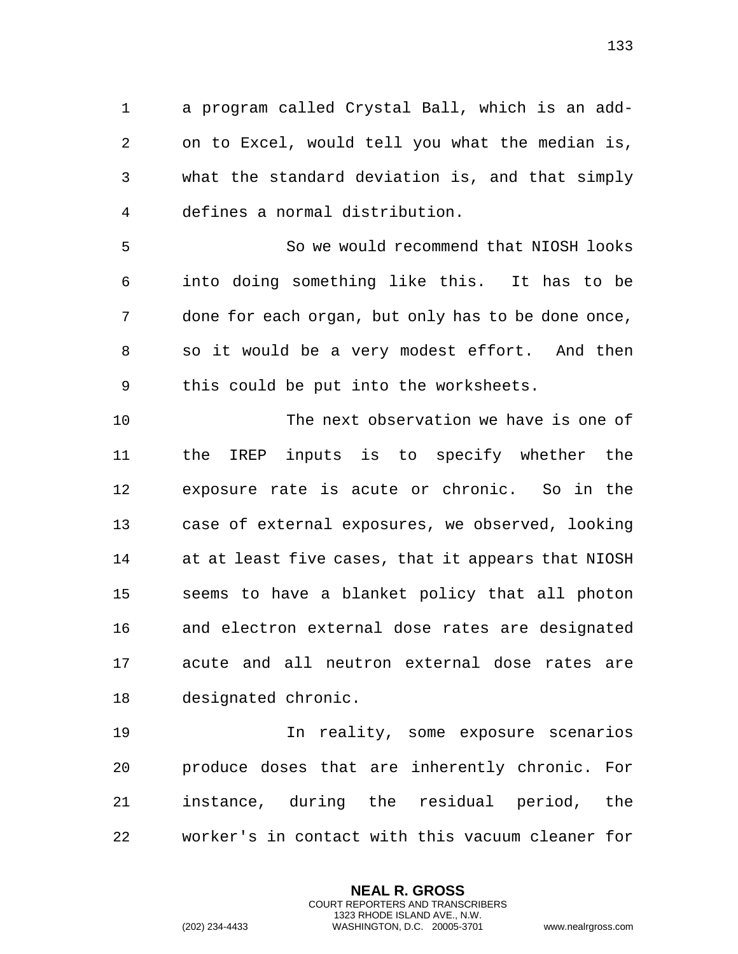a program called Crystal Ball, which is an add- on to Excel, would tell you what the median is, what the standard deviation is, and that simply defines a normal distribution.

 So we would recommend that NIOSH looks into doing something like this. It has to be done for each organ, but only has to be done once, so it would be a very modest effort. And then this could be put into the worksheets.

 The next observation we have is one of the IREP inputs is to specify whether the exposure rate is acute or chronic. So in the case of external exposures, we observed, looking at at least five cases, that it appears that NIOSH seems to have a blanket policy that all photon and electron external dose rates are designated acute and all neutron external dose rates are designated chronic.

 In reality, some exposure scenarios produce doses that are inherently chronic. For instance, during the residual period, the worker's in contact with this vacuum cleaner for

> **NEAL R. GROSS** COURT REPORTERS AND TRANSCRIBERS 1323 RHODE ISLAND AVE., N.W.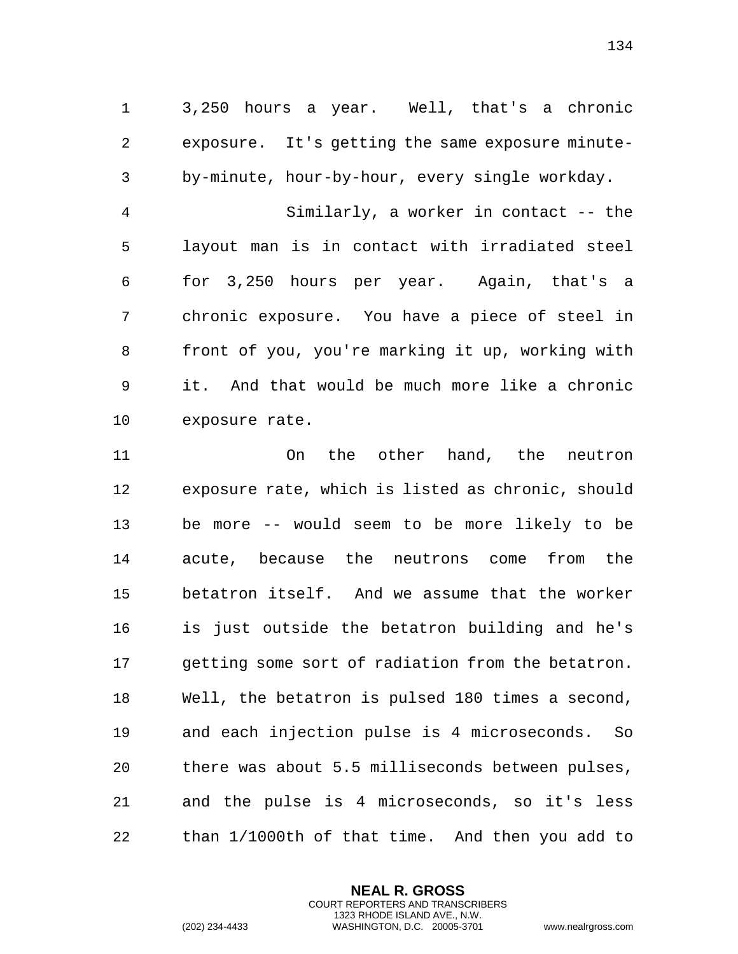3,250 hours a year. Well, that's a chronic exposure. It's getting the same exposure minute-by-minute, hour-by-hour, every single workday.

 Similarly, a worker in contact -- the layout man is in contact with irradiated steel for 3,250 hours per year. Again, that's a chronic exposure. You have a piece of steel in front of you, you're marking it up, working with it. And that would be much more like a chronic exposure rate.

 On the other hand, the neutron exposure rate, which is listed as chronic, should be more -- would seem to be more likely to be acute, because the neutrons come from the betatron itself. And we assume that the worker is just outside the betatron building and he's getting some sort of radiation from the betatron. Well, the betatron is pulsed 180 times a second, and each injection pulse is 4 microseconds. So there was about 5.5 milliseconds between pulses, and the pulse is 4 microseconds, so it's less than 1/1000th of that time. And then you add to

> **NEAL R. GROSS** COURT REPORTERS AND TRANSCRIBERS 1323 RHODE ISLAND AVE., N.W.

(202) 234-4433 WASHINGTON, D.C. 20005-3701 www.nealrgross.com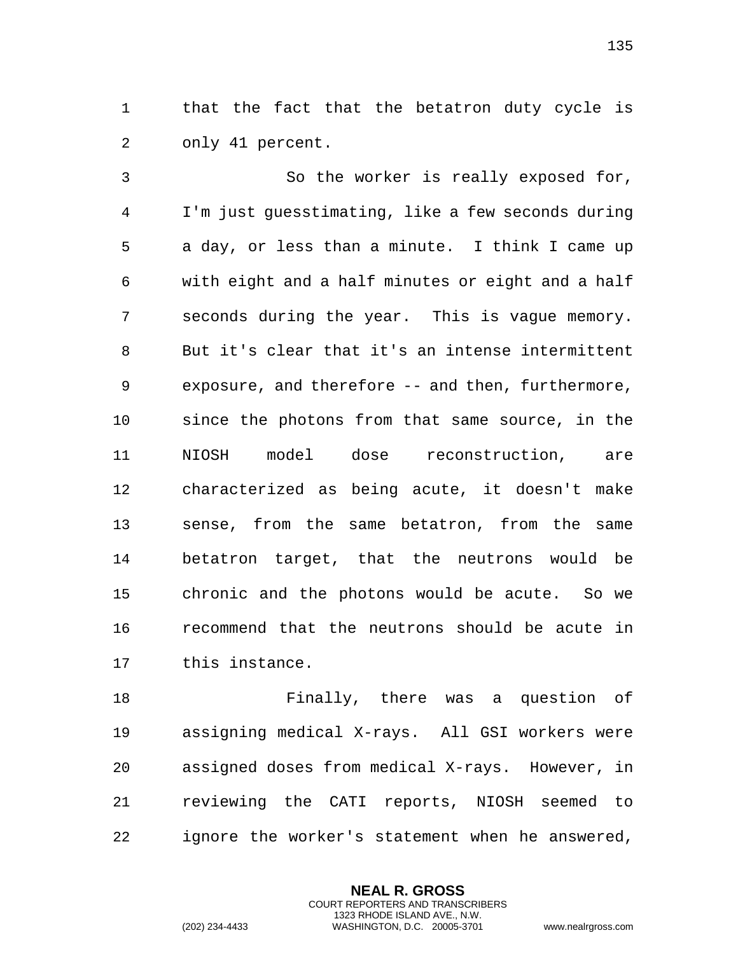that the fact that the betatron duty cycle is only 41 percent.

 So the worker is really exposed for, I'm just guesstimating, like a few seconds during a day, or less than a minute. I think I came up with eight and a half minutes or eight and a half seconds during the year. This is vague memory. But it's clear that it's an intense intermittent exposure, and therefore -- and then, furthermore, since the photons from that same source, in the NIOSH model dose reconstruction, are characterized as being acute, it doesn't make sense, from the same betatron, from the same betatron target, that the neutrons would be chronic and the photons would be acute. So we recommend that the neutrons should be acute in this instance.

 Finally, there was a question of assigning medical X-rays. All GSI workers were assigned doses from medical X-rays. However, in reviewing the CATI reports, NIOSH seemed to ignore the worker's statement when he answered,

> **NEAL R. GROSS** COURT REPORTERS AND TRANSCRIBERS 1323 RHODE ISLAND AVE., N.W.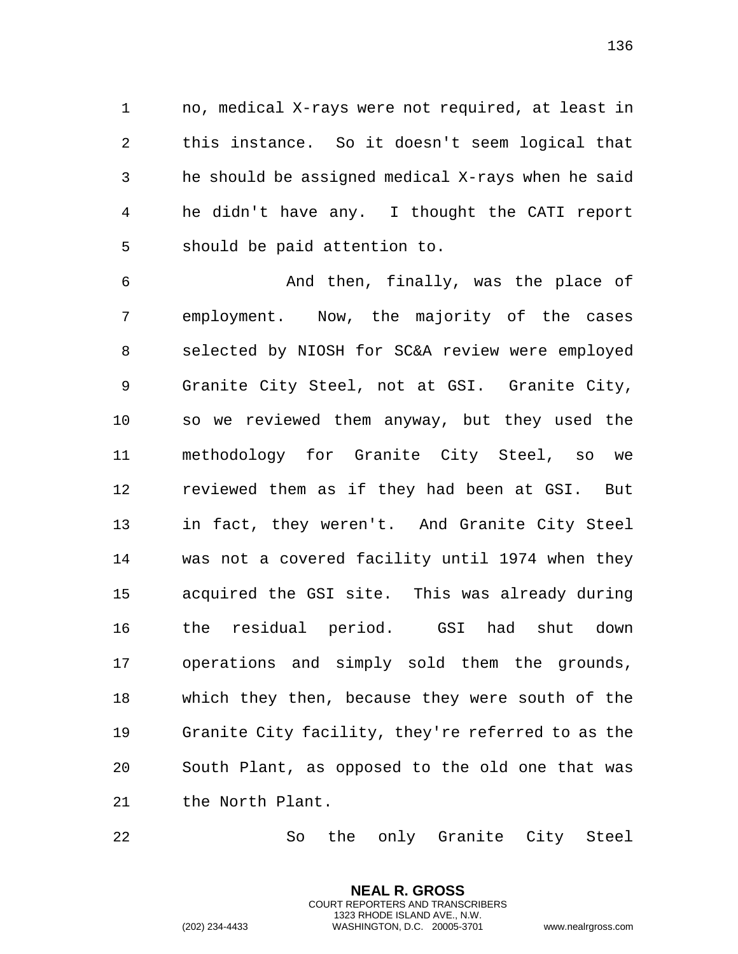no, medical X-rays were not required, at least in this instance. So it doesn't seem logical that he should be assigned medical X-rays when he said he didn't have any. I thought the CATI report should be paid attention to.

 And then, finally, was the place of employment. Now, the majority of the cases selected by NIOSH for SC&A review were employed Granite City Steel, not at GSI. Granite City, so we reviewed them anyway, but they used the methodology for Granite City Steel, so we reviewed them as if they had been at GSI. But in fact, they weren't. And Granite City Steel was not a covered facility until 1974 when they acquired the GSI site. This was already during the residual period. GSI had shut down operations and simply sold them the grounds, which they then, because they were south of the Granite City facility, they're referred to as the South Plant, as opposed to the old one that was the North Plant.

So the only Granite City Steel

**NEAL R. GROSS** COURT REPORTERS AND TRANSCRIBERS 1323 RHODE ISLAND AVE., N.W.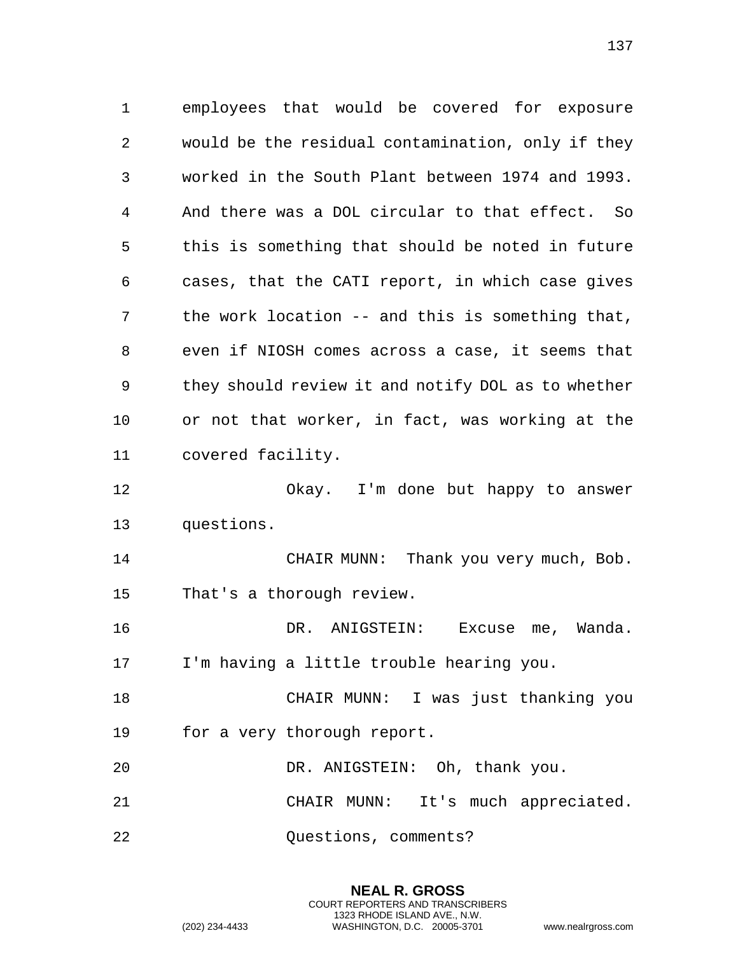employees that would be covered for exposure would be the residual contamination, only if they worked in the South Plant between 1974 and 1993. And there was a DOL circular to that effect. So this is something that should be noted in future cases, that the CATI report, in which case gives the work location -- and this is something that, even if NIOSH comes across a case, it seems that they should review it and notify DOL as to whether or not that worker, in fact, was working at the covered facility. Okay. I'm done but happy to answer questions. CHAIR MUNN: Thank you very much, Bob. That's a thorough review. DR. ANIGSTEIN: Excuse me, Wanda.

I'm having a little trouble hearing you.

 CHAIR MUNN: I was just thanking you for a very thorough report.

 DR. ANIGSTEIN: Oh, thank you. CHAIR MUNN: It's much appreciated. Questions, comments?

> **NEAL R. GROSS** COURT REPORTERS AND TRANSCRIBERS 1323 RHODE ISLAND AVE., N.W.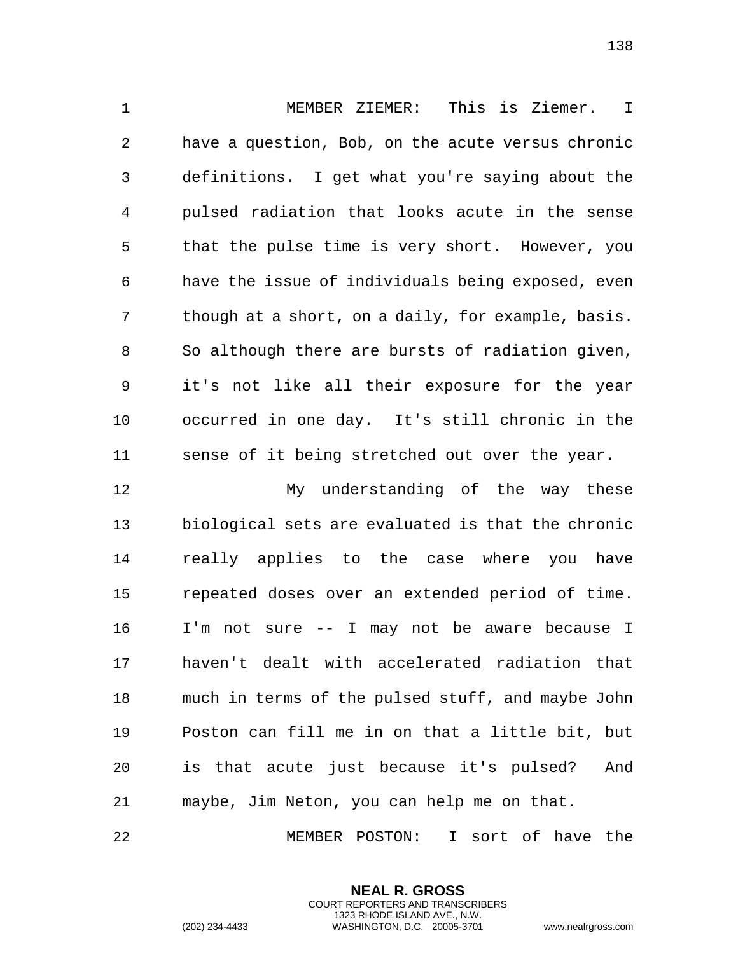MEMBER ZIEMER: This is Ziemer. I have a question, Bob, on the acute versus chronic definitions. I get what you're saying about the pulsed radiation that looks acute in the sense that the pulse time is very short. However, you have the issue of individuals being exposed, even though at a short, on a daily, for example, basis. So although there are bursts of radiation given, it's not like all their exposure for the year occurred in one day. It's still chronic in the sense of it being stretched out over the year.

 My understanding of the way these biological sets are evaluated is that the chronic really applies to the case where you have repeated doses over an extended period of time. I'm not sure -- I may not be aware because I haven't dealt with accelerated radiation that much in terms of the pulsed stuff, and maybe John Poston can fill me in on that a little bit, but is that acute just because it's pulsed? And maybe, Jim Neton, you can help me on that.

MEMBER POSTON: I sort of have the

**NEAL R. GROSS** COURT REPORTERS AND TRANSCRIBERS 1323 RHODE ISLAND AVE., N.W.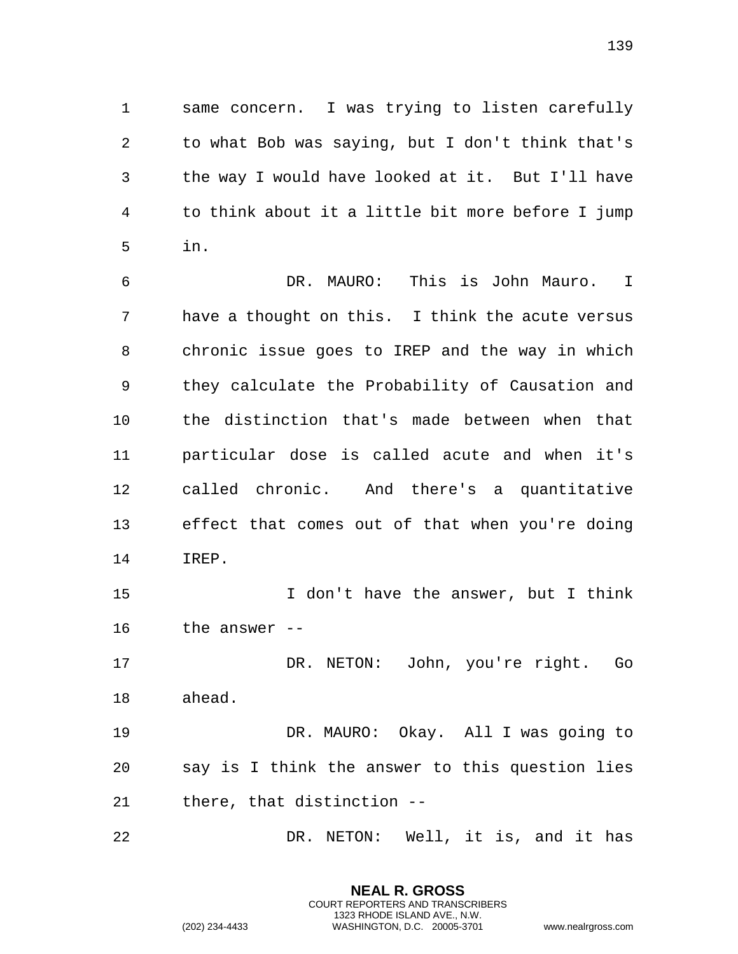same concern. I was trying to listen carefully to what Bob was saying, but I don't think that's the way I would have looked at it. But I'll have to think about it a little bit more before I jump in.

 DR. MAURO: This is John Mauro. I have a thought on this. I think the acute versus chronic issue goes to IREP and the way in which they calculate the Probability of Causation and the distinction that's made between when that particular dose is called acute and when it's called chronic. And there's a quantitative effect that comes out of that when you're doing IREP. 15 15 I don't have the answer, but I think the answer -- DR. NETON: John, you're right. Go ahead. DR. MAURO: Okay. All I was going to

 say is I think the answer to this question lies there, that distinction --

DR. NETON: Well, it is, and it has

**NEAL R. GROSS** COURT REPORTERS AND TRANSCRIBERS 1323 RHODE ISLAND AVE., N.W.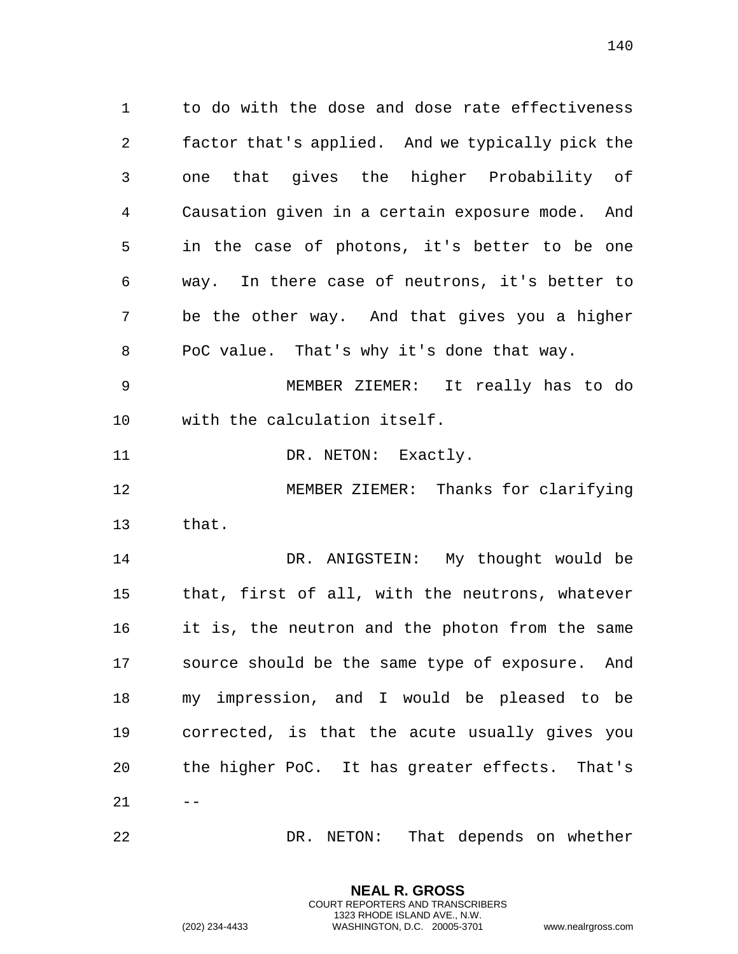to do with the dose and dose rate effectiveness factor that's applied. And we typically pick the one that gives the higher Probability of Causation given in a certain exposure mode. And in the case of photons, it's better to be one way. In there case of neutrons, it's better to be the other way. And that gives you a higher PoC value. That's why it's done that way.

 MEMBER ZIEMER: It really has to do with the calculation itself.

11 DR. NETON: Exactly.

 MEMBER ZIEMER: Thanks for clarifying that.

14 DR. ANIGSTEIN: My thought would be that, first of all, with the neutrons, whatever it is, the neutron and the photon from the same source should be the same type of exposure. And my impression, and I would be pleased to be corrected, is that the acute usually gives you the higher PoC. It has greater effects. That's 

DR. NETON: That depends on whether

**NEAL R. GROSS** COURT REPORTERS AND TRANSCRIBERS 1323 RHODE ISLAND AVE., N.W.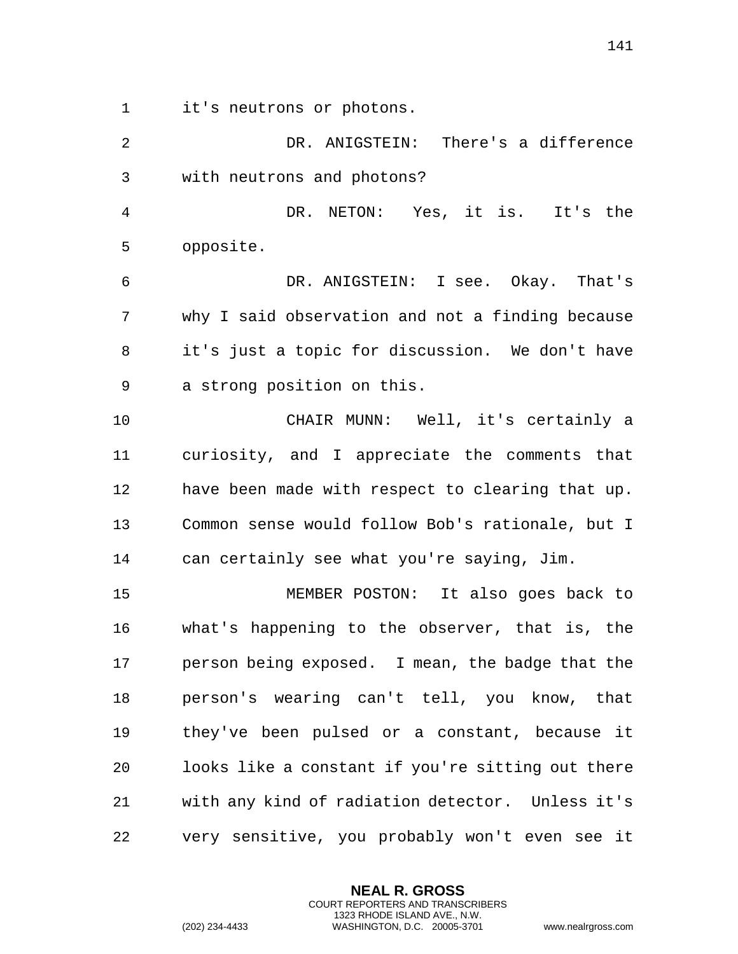it's neutrons or photons.

| $\overline{2}$ | DR. ANIGSTEIN: There's a difference               |
|----------------|---------------------------------------------------|
| $\mathfrak{Z}$ | with neutrons and photons?                        |
| $\overline{4}$ | DR. NETON: Yes, it is. It's the                   |
| 5              | opposite.                                         |
| 6              | DR. ANIGSTEIN: I see. Okay. That's                |
| 7              | why I said observation and not a finding because  |
| 8              | it's just a topic for discussion. We don't have   |
| 9              | a strong position on this.                        |
| 10             | CHAIR MUNN: Well, it's certainly a                |
| 11             | curiosity, and I appreciate the comments that     |
| 12             | have been made with respect to clearing that up.  |
| 13             | Common sense would follow Bob's rationale, but I  |
| 14             | can certainly see what you're saying, Jim.        |
| 15             | MEMBER POSTON: It also goes back to               |
| 16             | what's happening to the observer, that is, the    |
| 17             | person being exposed. I mean, the badge that the  |
| 18             | person's wearing can't tell, you know, that       |
| 19             | they've been pulsed or a constant, because it     |
| 20             | looks like a constant if you're sitting out there |
| 21             | with any kind of radiation detector. Unless it's  |
| 22             | very sensitive, you probably won't even see it    |

**NEAL R. GROSS** COURT REPORTERS AND TRANSCRIBERS 1323 RHODE ISLAND AVE., N.W.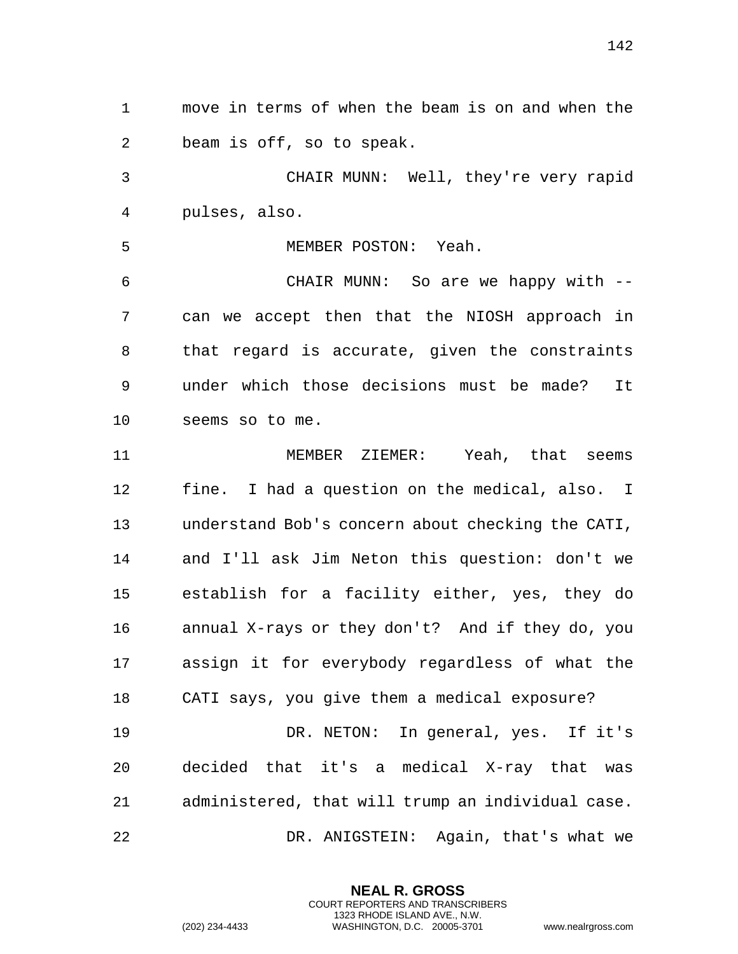move in terms of when the beam is on and when the beam is off, so to speak.

 CHAIR MUNN: Well, they're very rapid pulses, also.

MEMBER POSTON: Yeah.

 CHAIR MUNN: So are we happy with -- can we accept then that the NIOSH approach in that regard is accurate, given the constraints under which those decisions must be made? It seems so to me.

 MEMBER ZIEMER: Yeah, that seems fine. I had a question on the medical, also. I understand Bob's concern about checking the CATI, and I'll ask Jim Neton this question: don't we establish for a facility either, yes, they do annual X-rays or they don't? And if they do, you assign it for everybody regardless of what the CATI says, you give them a medical exposure? DR. NETON: In general, yes. If it's decided that it's a medical X-ray that was administered, that will trump an individual case.

DR. ANIGSTEIN: Again, that's what we

**NEAL R. GROSS** COURT REPORTERS AND TRANSCRIBERS 1323 RHODE ISLAND AVE., N.W.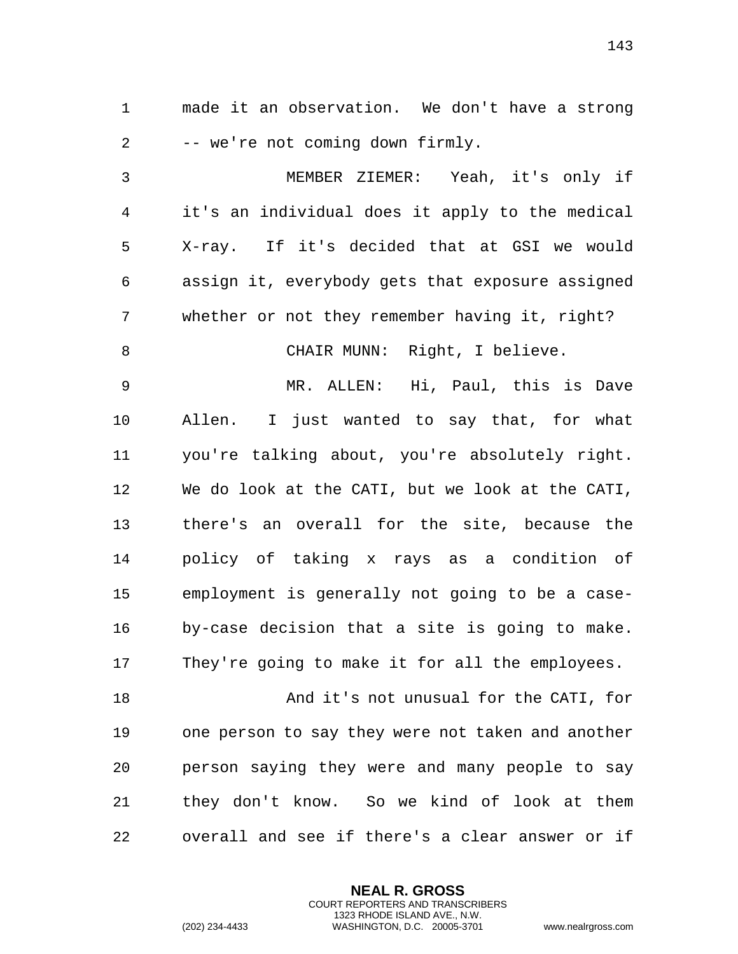made it an observation. We don't have a strong -- we're not coming down firmly.

 MEMBER ZIEMER: Yeah, it's only if it's an individual does it apply to the medical X-ray. If it's decided that at GSI we would assign it, everybody gets that exposure assigned whether or not they remember having it, right? 8 CHAIR MUNN: Right, I believe. MR. ALLEN: Hi, Paul, this is Dave Allen. I just wanted to say that, for what you're talking about, you're absolutely right. We do look at the CATI, but we look at the CATI, there's an overall for the site, because the policy of taking x rays as a condition of employment is generally not going to be a case- by-case decision that a site is going to make. They're going to make it for all the employees.

 And it's not unusual for the CATI, for one person to say they were not taken and another person saying they were and many people to say they don't know. So we kind of look at them overall and see if there's a clear answer or if

> **NEAL R. GROSS** COURT REPORTERS AND TRANSCRIBERS 1323 RHODE ISLAND AVE., N.W.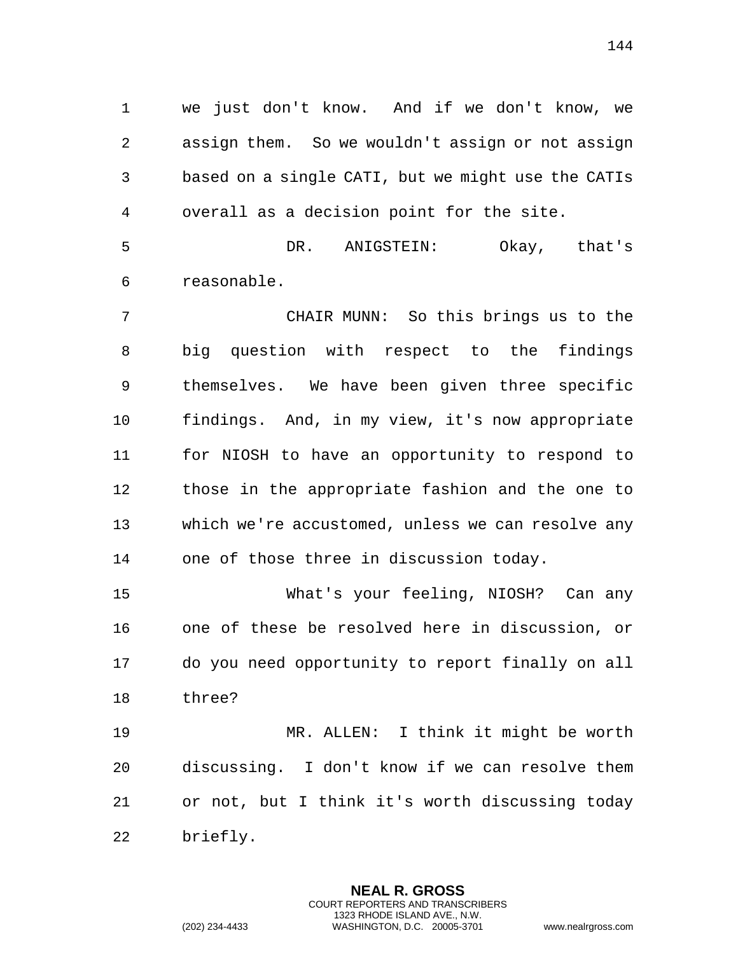we just don't know. And if we don't know, we assign them. So we wouldn't assign or not assign based on a single CATI, but we might use the CATIs overall as a decision point for the site.

 DR. ANIGSTEIN: Okay, that's reasonable.

 CHAIR MUNN: So this brings us to the big question with respect to the findings themselves. We have been given three specific findings. And, in my view, it's now appropriate for NIOSH to have an opportunity to respond to those in the appropriate fashion and the one to which we're accustomed, unless we can resolve any one of those three in discussion today.

 What's your feeling, NIOSH? Can any one of these be resolved here in discussion, or do you need opportunity to report finally on all three?

 MR. ALLEN: I think it might be worth discussing. I don't know if we can resolve them or not, but I think it's worth discussing today briefly.

> **NEAL R. GROSS** COURT REPORTERS AND TRANSCRIBERS 1323 RHODE ISLAND AVE., N.W.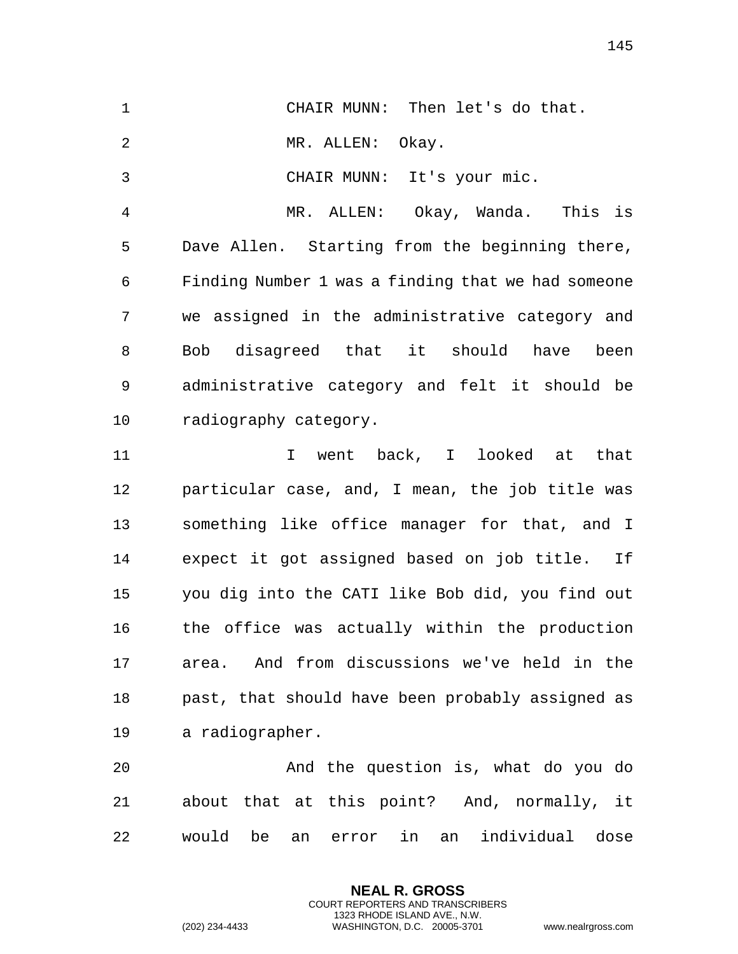| $\mathbf 1$    | Then let's do that.<br>CHAIR MUNN:                 |
|----------------|----------------------------------------------------|
| $\sqrt{2}$     | MR. ALLEN:<br>Okay.                                |
| $\mathsf{3}$   | CHAIR MUNN: It's your mic.                         |
| $\overline{4}$ | MR. ALLEN: Okay, Wanda. This is                    |
| 5              | Dave Allen. Starting from the beginning there,     |
| 6              | Finding Number 1 was a finding that we had someone |
| 7              | we assigned in the administrative category and     |
| 8              | Bob disagreed that it should have<br>been          |
| 9              | administrative category and felt it should be      |
| 10             | radiography category.                              |
| 11             | went back, I looked at that<br>T.                  |
| 12             | particular case, and, I mean, the job title was    |
| 13             | something like office manager for that, and I      |
| 14             | expect it got assigned based on job title. If      |
| 15             | you dig into the CATI like Bob did, you find out   |
| 16             | the office was actually within the production      |
| 17             | And from discussions we've held in the<br>area.    |
| 18             | past, that should have been probably assigned as   |

a radiographer.

 And the question is, what do you do about that at this point? And, normally, it would be an error in an individual dose

> **NEAL R. GROSS** COURT REPORTERS AND TRANSCRIBERS 1323 RHODE ISLAND AVE., N.W.

(202) 234-4433 WASHINGTON, D.C. 20005-3701 www.nealrgross.com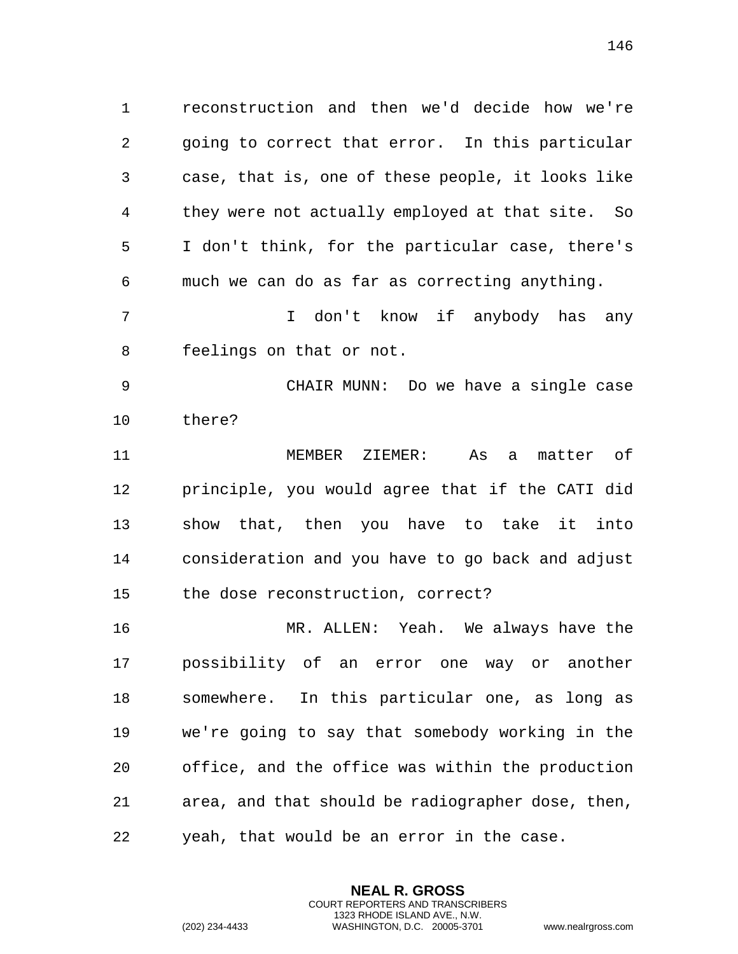reconstruction and then we'd decide how we're going to correct that error. In this particular case, that is, one of these people, it looks like they were not actually employed at that site. So I don't think, for the particular case, there's much we can do as far as correcting anything.

 I don't know if anybody has any feelings on that or not.

 CHAIR MUNN: Do we have a single case there?

 MEMBER ZIEMER: As a matter of principle, you would agree that if the CATI did show that, then you have to take it into consideration and you have to go back and adjust the dose reconstruction, correct?

 MR. ALLEN: Yeah. We always have the possibility of an error one way or another somewhere. In this particular one, as long as we're going to say that somebody working in the office, and the office was within the production area, and that should be radiographer dose, then, yeah, that would be an error in the case.

> **NEAL R. GROSS** COURT REPORTERS AND TRANSCRIBERS 1323 RHODE ISLAND AVE., N.W.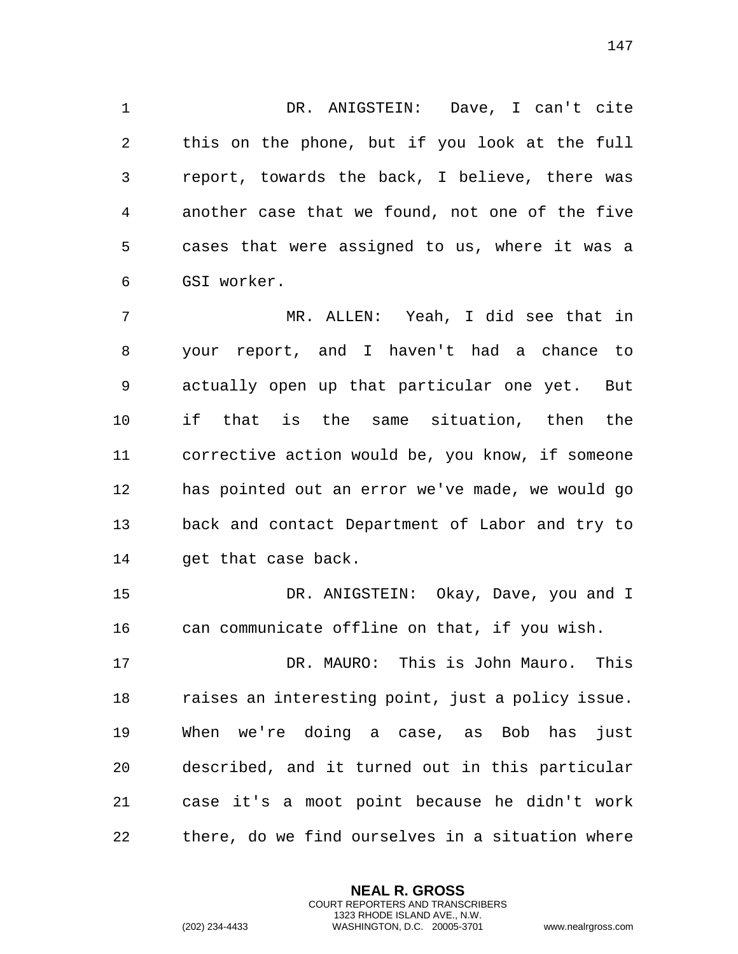DR. ANIGSTEIN: Dave, I can't cite this on the phone, but if you look at the full report, towards the back, I believe, there was another case that we found, not one of the five cases that were assigned to us, where it was a GSI worker.

 MR. ALLEN: Yeah, I did see that in your report, and I haven't had a chance to actually open up that particular one yet. But if that is the same situation, then the corrective action would be, you know, if someone has pointed out an error we've made, we would go back and contact Department of Labor and try to 14 get that case back.

 DR. ANIGSTEIN: Okay, Dave, you and I can communicate offline on that, if you wish.

 DR. MAURO: This is John Mauro. This raises an interesting point, just a policy issue. When we're doing a case, as Bob has just described, and it turned out in this particular case it's a moot point because he didn't work there, do we find ourselves in a situation where

> **NEAL R. GROSS** COURT REPORTERS AND TRANSCRIBERS 1323 RHODE ISLAND AVE., N.W.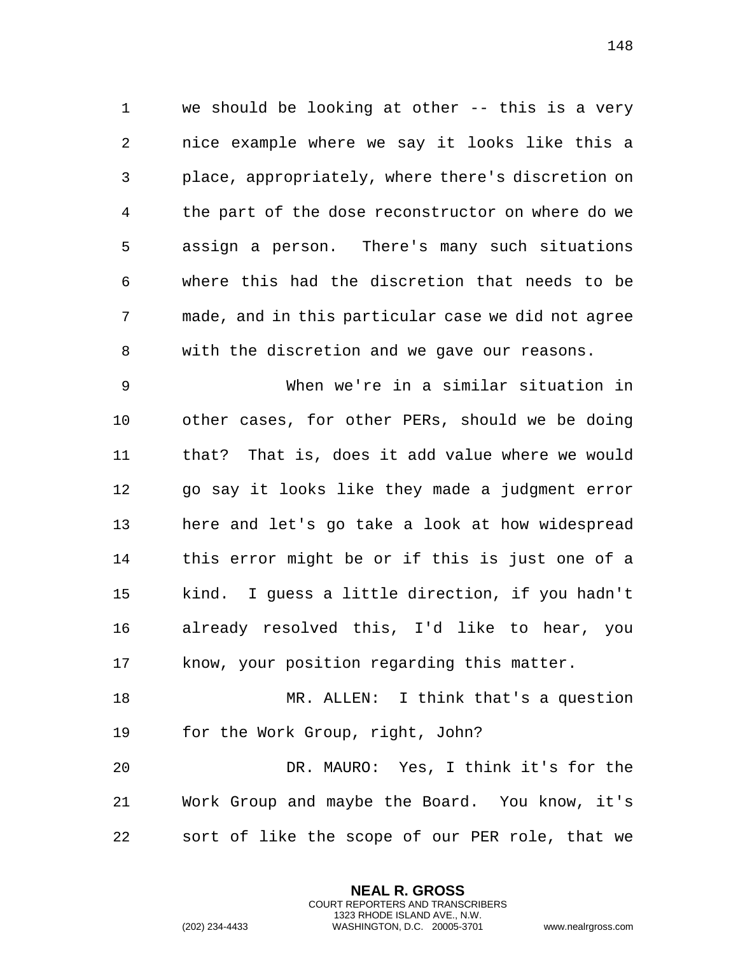we should be looking at other -- this is a very nice example where we say it looks like this a place, appropriately, where there's discretion on the part of the dose reconstructor on where do we assign a person. There's many such situations where this had the discretion that needs to be made, and in this particular case we did not agree with the discretion and we gave our reasons.

 When we're in a similar situation in other cases, for other PERs, should we be doing that? That is, does it add value where we would go say it looks like they made a judgment error here and let's go take a look at how widespread this error might be or if this is just one of a kind. I guess a little direction, if you hadn't already resolved this, I'd like to hear, you know, your position regarding this matter.

 MR. ALLEN: I think that's a question for the Work Group, right, John?

 DR. MAURO: Yes, I think it's for the Work Group and maybe the Board. You know, it's sort of like the scope of our PER role, that we

> **NEAL R. GROSS** COURT REPORTERS AND TRANSCRIBERS 1323 RHODE ISLAND AVE., N.W.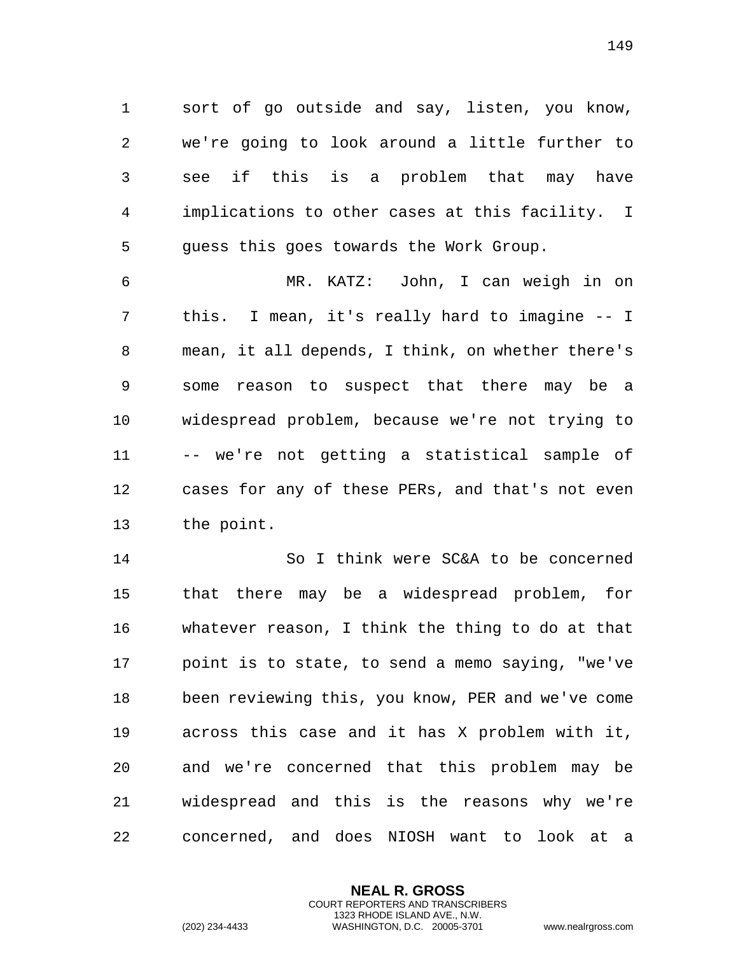sort of go outside and say, listen, you know, we're going to look around a little further to see if this is a problem that may have implications to other cases at this facility. I guess this goes towards the Work Group.

 MR. KATZ: John, I can weigh in on this. I mean, it's really hard to imagine -- I mean, it all depends, I think, on whether there's some reason to suspect that there may be a widespread problem, because we're not trying to -- we're not getting a statistical sample of cases for any of these PERs, and that's not even the point.

 So I think were SC&A to be concerned that there may be a widespread problem, for whatever reason, I think the thing to do at that point is to state, to send a memo saying, "we've been reviewing this, you know, PER and we've come across this case and it has X problem with it, and we're concerned that this problem may be widespread and this is the reasons why we're concerned, and does NIOSH want to look at a

> **NEAL R. GROSS** COURT REPORTERS AND TRANSCRIBERS 1323 RHODE ISLAND AVE., N.W.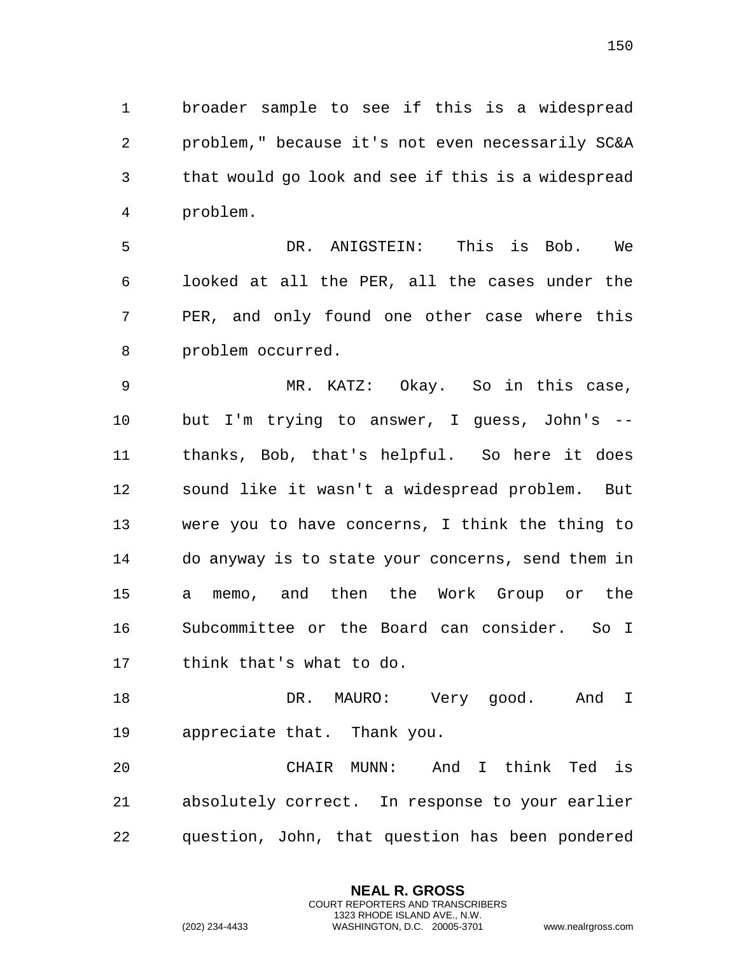broader sample to see if this is a widespread problem," because it's not even necessarily SC&A that would go look and see if this is a widespread problem.

 DR. ANIGSTEIN: This is Bob. We looked at all the PER, all the cases under the PER, and only found one other case where this problem occurred.

 MR. KATZ: Okay. So in this case, but I'm trying to answer, I guess, John's -- thanks, Bob, that's helpful. So here it does sound like it wasn't a widespread problem. But were you to have concerns, I think the thing to do anyway is to state your concerns, send them in a memo, and then the Work Group or the Subcommittee or the Board can consider. So I think that's what to do.

 DR. MAURO: Very good. And I appreciate that. Thank you.

 CHAIR MUNN: And I think Ted is absolutely correct. In response to your earlier question, John, that question has been pondered

> **NEAL R. GROSS** COURT REPORTERS AND TRANSCRIBERS 1323 RHODE ISLAND AVE., N.W.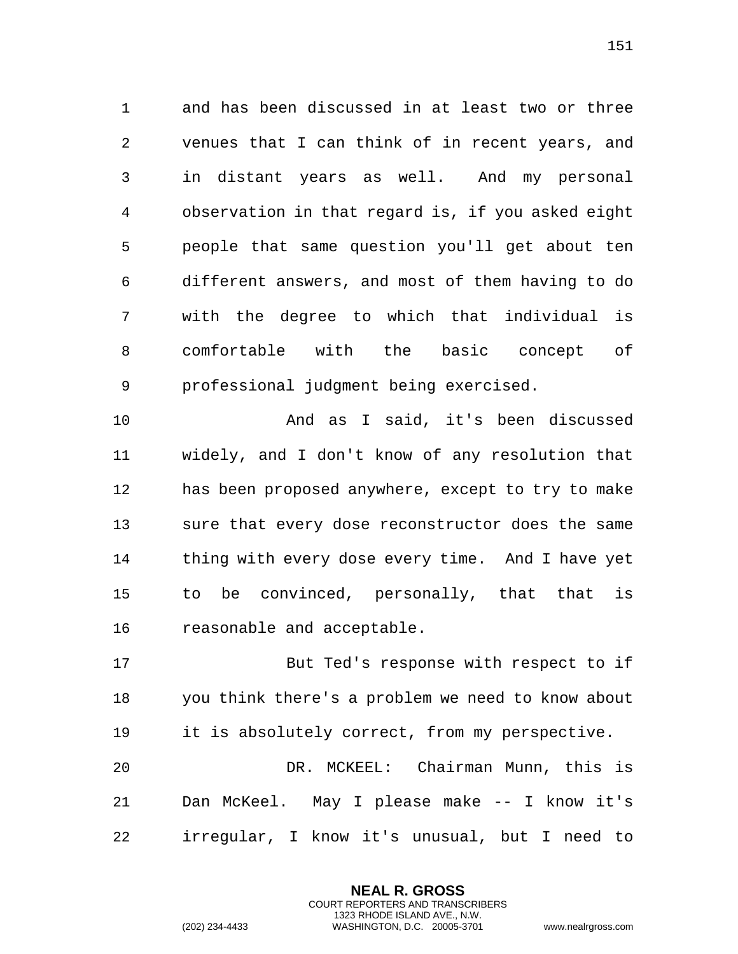and has been discussed in at least two or three venues that I can think of in recent years, and in distant years as well. And my personal observation in that regard is, if you asked eight people that same question you'll get about ten different answers, and most of them having to do with the degree to which that individual is comfortable with the basic concept of professional judgment being exercised.

 And as I said, it's been discussed widely, and I don't know of any resolution that has been proposed anywhere, except to try to make sure that every dose reconstructor does the same thing with every dose every time. And I have yet to be convinced, personally, that that is reasonable and acceptable.

 But Ted's response with respect to if you think there's a problem we need to know about it is absolutely correct, from my perspective.

 DR. MCKEEL: Chairman Munn, this is Dan McKeel. May I please make -- I know it's irregular, I know it's unusual, but I need to

> **NEAL R. GROSS** COURT REPORTERS AND TRANSCRIBERS 1323 RHODE ISLAND AVE., N.W.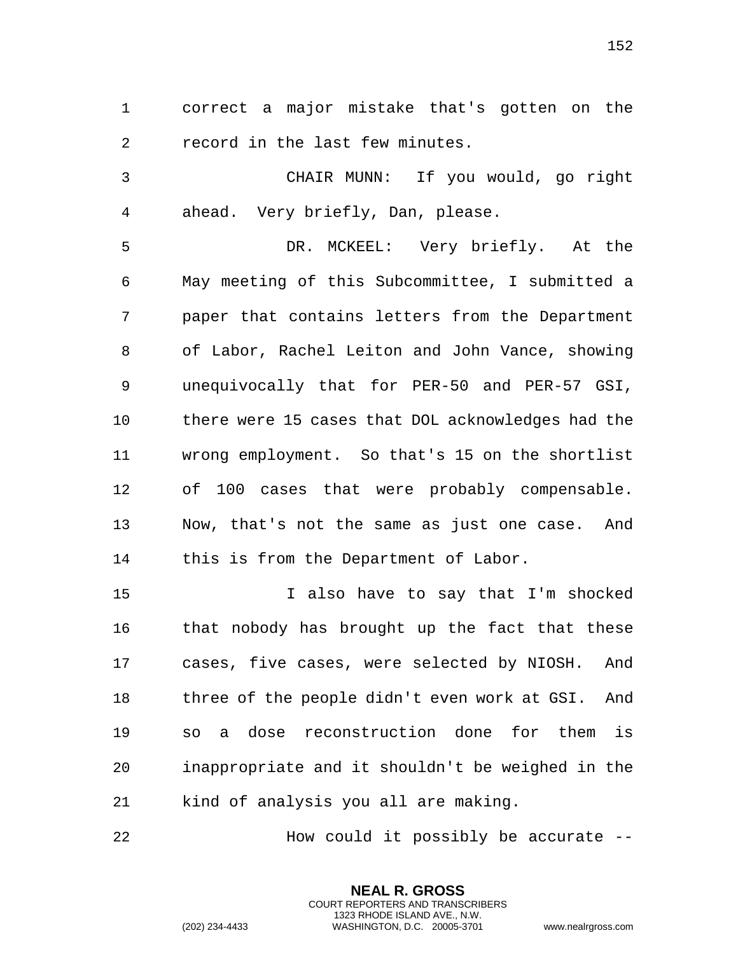correct a major mistake that's gotten on the record in the last few minutes.

 CHAIR MUNN: If you would, go right ahead. Very briefly, Dan, please.

 DR. MCKEEL: Very briefly. At the May meeting of this Subcommittee, I submitted a paper that contains letters from the Department of Labor, Rachel Leiton and John Vance, showing unequivocally that for PER-50 and PER-57 GSI, there were 15 cases that DOL acknowledges had the wrong employment. So that's 15 on the shortlist of 100 cases that were probably compensable. Now, that's not the same as just one case. And this is from the Department of Labor.

 I also have to say that I'm shocked that nobody has brought up the fact that these cases, five cases, were selected by NIOSH. And three of the people didn't even work at GSI. And so a dose reconstruction done for them is inappropriate and it shouldn't be weighed in the kind of analysis you all are making.

How could it possibly be accurate --

**NEAL R. GROSS** COURT REPORTERS AND TRANSCRIBERS 1323 RHODE ISLAND AVE., N.W.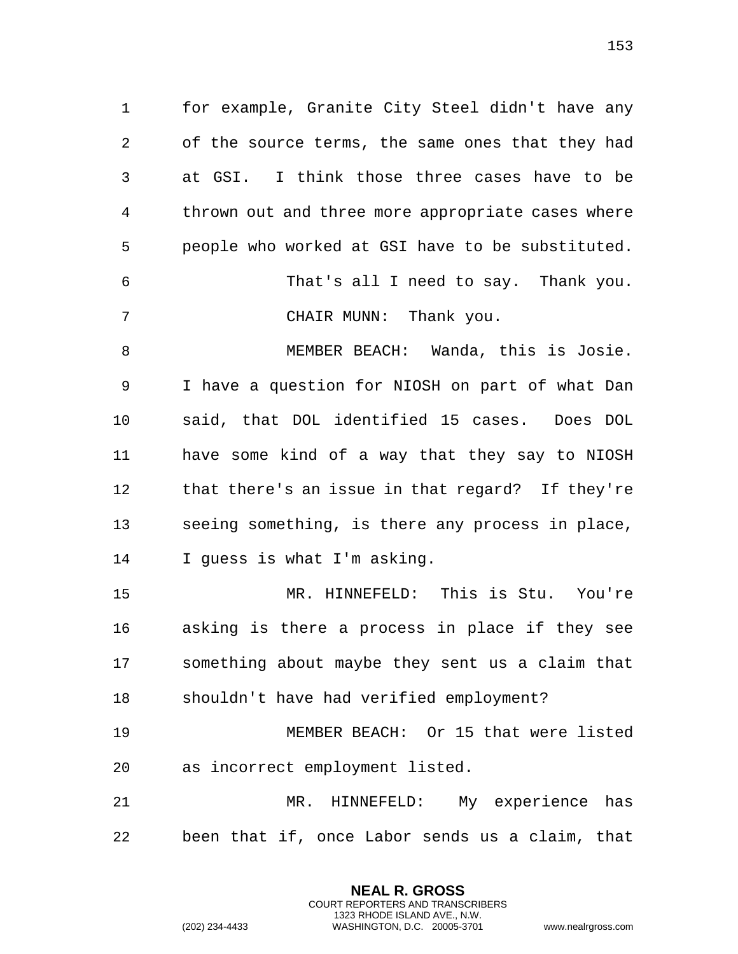for example, Granite City Steel didn't have any of the source terms, the same ones that they had at GSI. I think those three cases have to be thrown out and three more appropriate cases where people who worked at GSI have to be substituted. That's all I need to say. Thank you. CHAIR MUNN: Thank you. MEMBER BEACH: Wanda, this is Josie.

 I have a question for NIOSH on part of what Dan said, that DOL identified 15 cases. Does DOL have some kind of a way that they say to NIOSH that there's an issue in that regard? If they're seeing something, is there any process in place, I guess is what I'm asking.

 MR. HINNEFELD: This is Stu. You're asking is there a process in place if they see something about maybe they sent us a claim that shouldn't have had verified employment?

 MEMBER BEACH: Or 15 that were listed as incorrect employment listed.

 MR. HINNEFELD: My experience has been that if, once Labor sends us a claim, that

> **NEAL R. GROSS** COURT REPORTERS AND TRANSCRIBERS 1323 RHODE ISLAND AVE., N.W.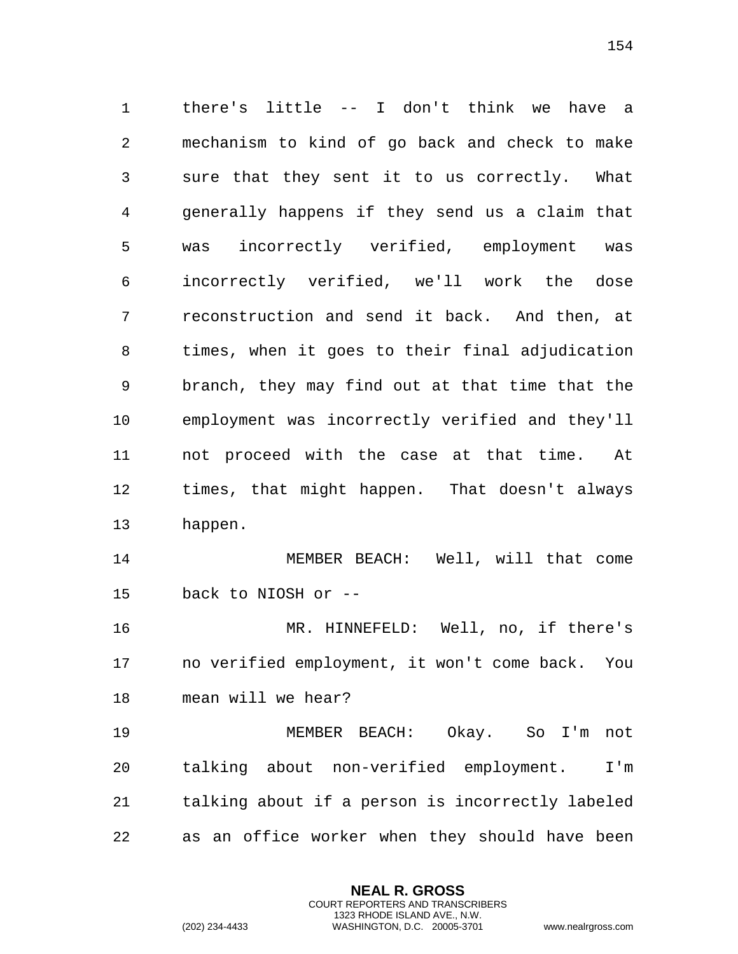there's little -- I don't think we have a mechanism to kind of go back and check to make sure that they sent it to us correctly. What generally happens if they send us a claim that was incorrectly verified, employment was incorrectly verified, we'll work the dose reconstruction and send it back. And then, at times, when it goes to their final adjudication branch, they may find out at that time that the employment was incorrectly verified and they'll not proceed with the case at that time. At times, that might happen. That doesn't always happen. MEMBER BEACH: Well, will that come back to NIOSH or -- MR. HINNEFELD: Well, no, if there's no verified employment, it won't come back. You mean will we hear? MEMBER BEACH: Okay. So I'm not talking about non-verified employment. I'm

as an office worker when they should have been

talking about if a person is incorrectly labeled

**NEAL R. GROSS** COURT REPORTERS AND TRANSCRIBERS 1323 RHODE ISLAND AVE., N.W.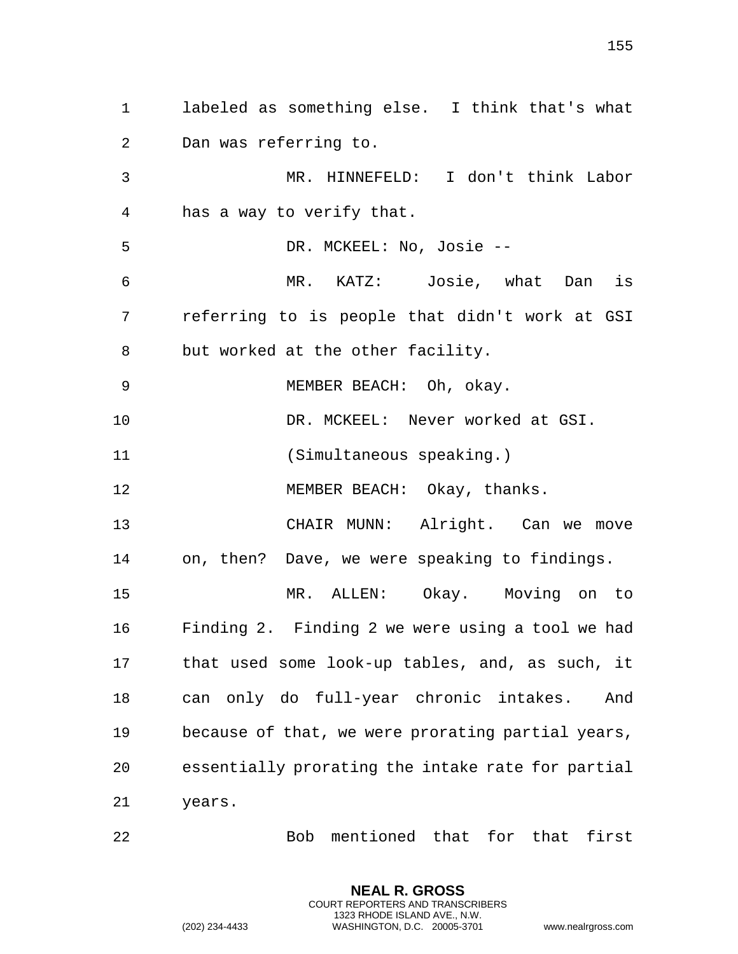labeled as something else. I think that's what Dan was referring to. MR. HINNEFELD: I don't think Labor has a way to verify that. DR. MCKEEL: No, Josie -- MR. KATZ: Josie, what Dan is referring to is people that didn't work at GSI but worked at the other facility. MEMBER BEACH: Oh, okay. DR. MCKEEL: Never worked at GSI. (Simultaneous speaking.) 12 MEMBER BEACH: Okay, thanks. CHAIR MUNN: Alright. Can we move on, then? Dave, we were speaking to findings. MR. ALLEN: Okay. Moving on to Finding 2. Finding 2 we were using a tool we had that used some look-up tables, and, as such, it can only do full-year chronic intakes. And because of that, we were prorating partial years, essentially prorating the intake rate for partial years.

Bob mentioned that for that first

**NEAL R. GROSS** COURT REPORTERS AND TRANSCRIBERS 1323 RHODE ISLAND AVE., N.W.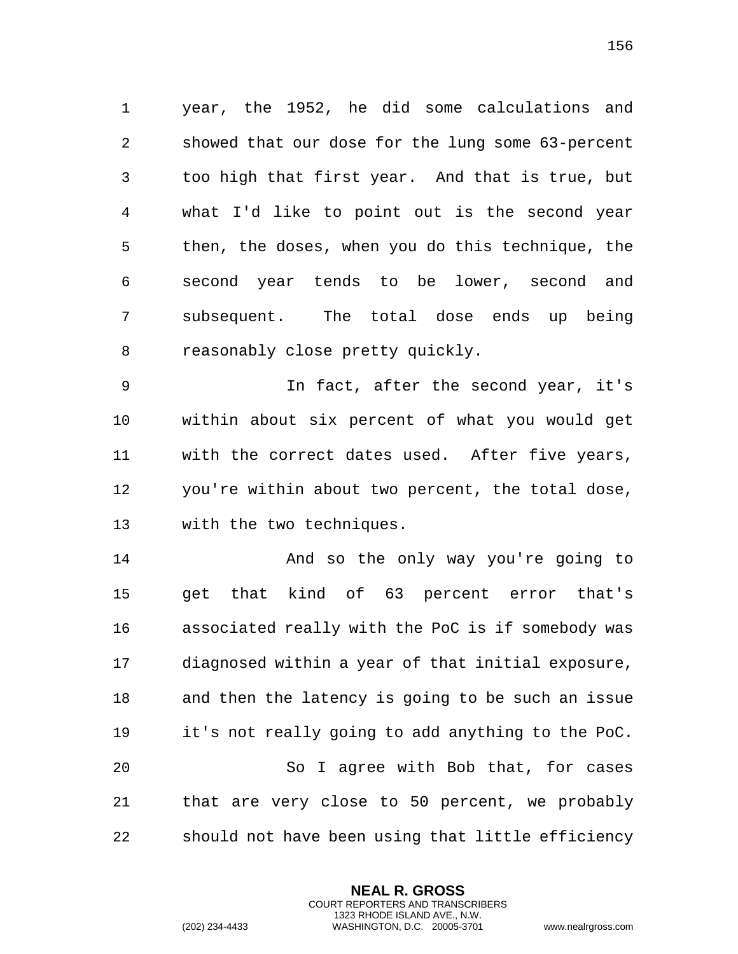year, the 1952, he did some calculations and showed that our dose for the lung some 63-percent too high that first year. And that is true, but what I'd like to point out is the second year then, the doses, when you do this technique, the second year tends to be lower, second and subsequent. The total dose ends up being reasonably close pretty quickly.

 In fact, after the second year, it's within about six percent of what you would get with the correct dates used. After five years, you're within about two percent, the total dose, with the two techniques.

 And so the only way you're going to get that kind of 63 percent error that's associated really with the PoC is if somebody was diagnosed within a year of that initial exposure, and then the latency is going to be such an issue it's not really going to add anything to the PoC. So I agree with Bob that, for cases that are very close to 50 percent, we probably should not have been using that little efficiency

> **NEAL R. GROSS** COURT REPORTERS AND TRANSCRIBERS 1323 RHODE ISLAND AVE., N.W.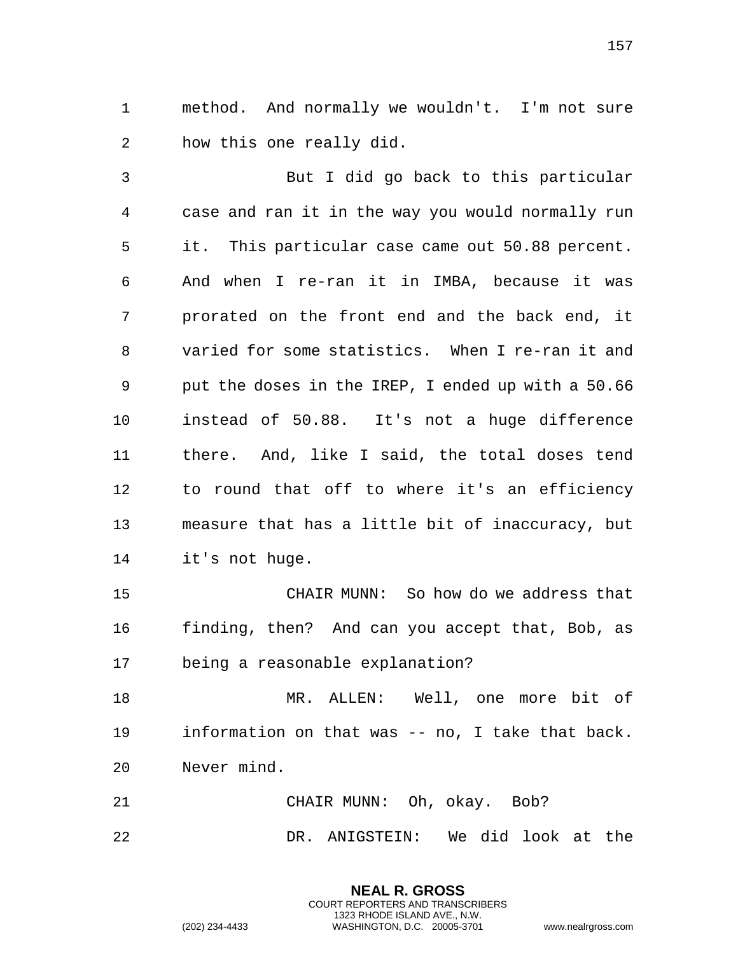method. And normally we wouldn't. I'm not sure how this one really did.

 But I did go back to this particular case and ran it in the way you would normally run it. This particular case came out 50.88 percent. And when I re-ran it in IMBA, because it was prorated on the front end and the back end, it varied for some statistics. When I re-ran it and put the doses in the IREP, I ended up with a 50.66 instead of 50.88. It's not a huge difference there. And, like I said, the total doses tend to round that off to where it's an efficiency measure that has a little bit of inaccuracy, but it's not huge.

 CHAIR MUNN: So how do we address that finding, then? And can you accept that, Bob, as being a reasonable explanation?

 MR. ALLEN: Well, one more bit of information on that was -- no, I take that back. Never mind.

 CHAIR MUNN: Oh, okay. Bob? DR. ANIGSTEIN: We did look at the

> **NEAL R. GROSS** COURT REPORTERS AND TRANSCRIBERS 1323 RHODE ISLAND AVE., N.W.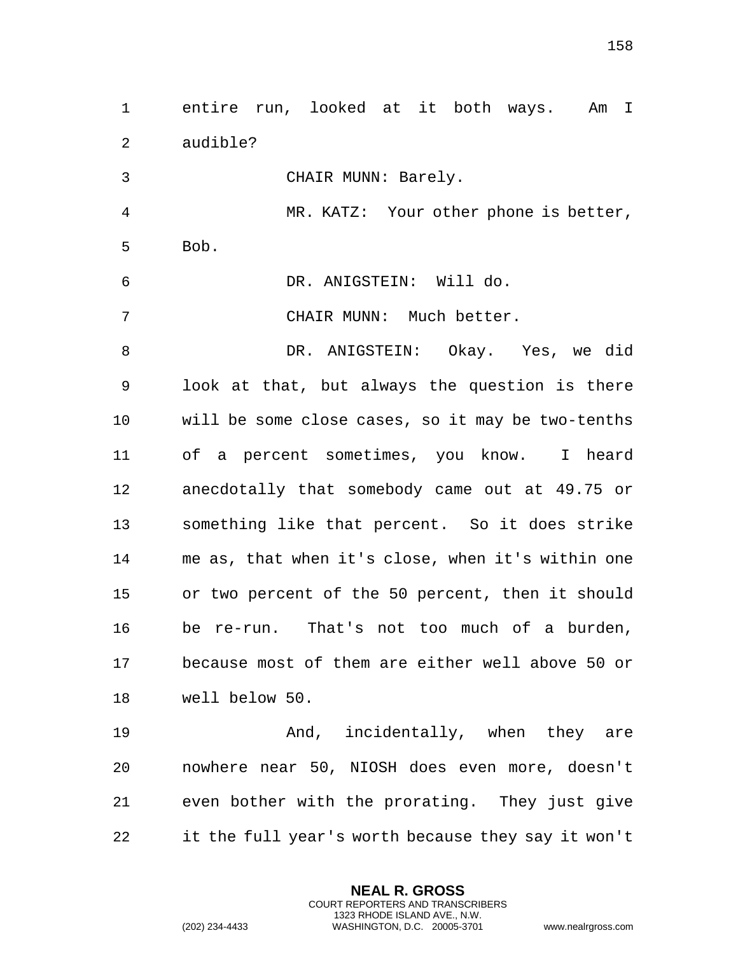| 3              | CHAIR MUNN: Barely.                                                                             |
|----------------|-------------------------------------------------------------------------------------------------|
| $\overline{4}$ | MR. KATZ: Your other phone is better,                                                           |
| 5              | Bob.                                                                                            |
| 6              | DR. ANIGSTEIN: Will do.                                                                         |
| 7              | CHAIR MUNN: Much better.                                                                        |
| 8              | DR. ANIGSTEIN: Okay. Yes, we did                                                                |
| 9              | look at that, but always the question is there                                                  |
| 10             | will be some close cases, so it may be two-tenths                                               |
| 11             | of a percent sometimes, you know. I heard                                                       |
| 12             | anecdotally that somebody came out at 49.75 or                                                  |
| 13             | something like that percent. So it does strike                                                  |
| 14             | me as, that when it's close, when it's within one                                               |
| 15             | or two percent of the 50 percent, then it should                                                |
| 16             | be re-run. That's not too much of a burden,                                                     |
| 17             | because most of them are either well above 50 or                                                |
| 18             | well below 50.                                                                                  |
| 19             | And, incidentally, when they are                                                                |
| 20             | nowhere near 50, NIOSH does even more, doesn't                                                  |
| 21             | even bother with the prorating. They just give                                                  |
| 22             | it the full year's worth because they say it won't                                              |
|                | <b>NEAL R. GROSS</b><br><b>COURT REPORTERS AND TRANSCRIBERS</b><br>1323 RHODE ISLAND AVE., N.W. |
|                | (202) 234-4433<br>WASHINGTON, D.C. 20005-3701<br>www.nealrgross.com                             |

entire run, looked at it both ways. Am I

audible?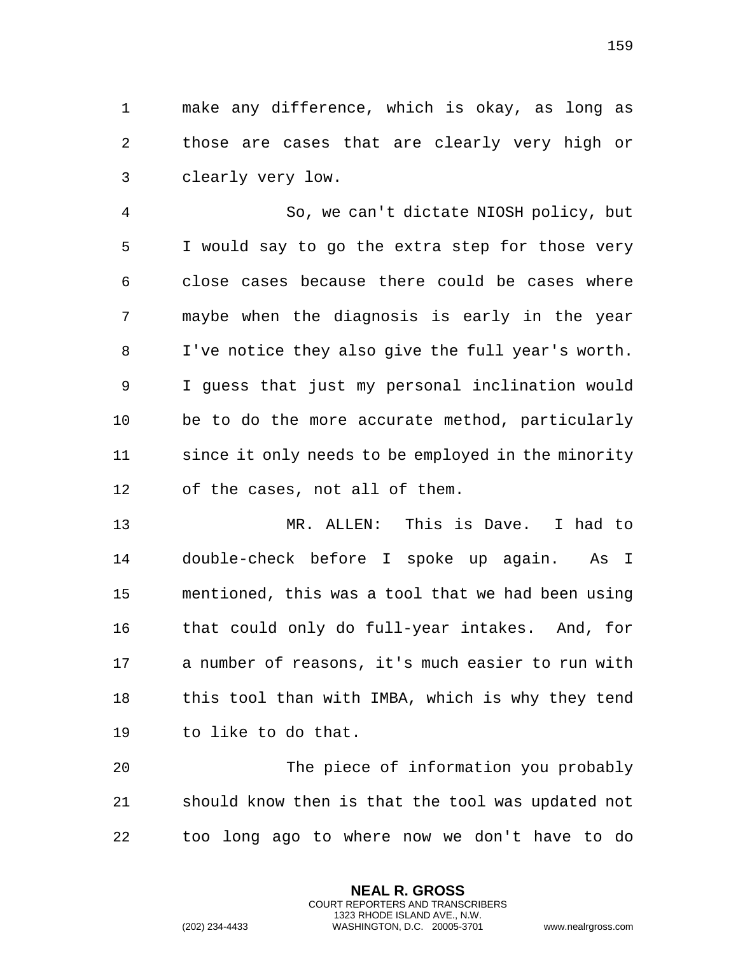make any difference, which is okay, as long as those are cases that are clearly very high or clearly very low.

 So, we can't dictate NIOSH policy, but I would say to go the extra step for those very close cases because there could be cases where maybe when the diagnosis is early in the year I've notice they also give the full year's worth. I guess that just my personal inclination would be to do the more accurate method, particularly since it only needs to be employed in the minority of the cases, not all of them.

 MR. ALLEN: This is Dave. I had to double-check before I spoke up again. As I mentioned, this was a tool that we had been using that could only do full-year intakes. And, for a number of reasons, it's much easier to run with this tool than with IMBA, which is why they tend to like to do that.

 The piece of information you probably should know then is that the tool was updated not too long ago to where now we don't have to do

> **NEAL R. GROSS** COURT REPORTERS AND TRANSCRIBERS 1323 RHODE ISLAND AVE., N.W.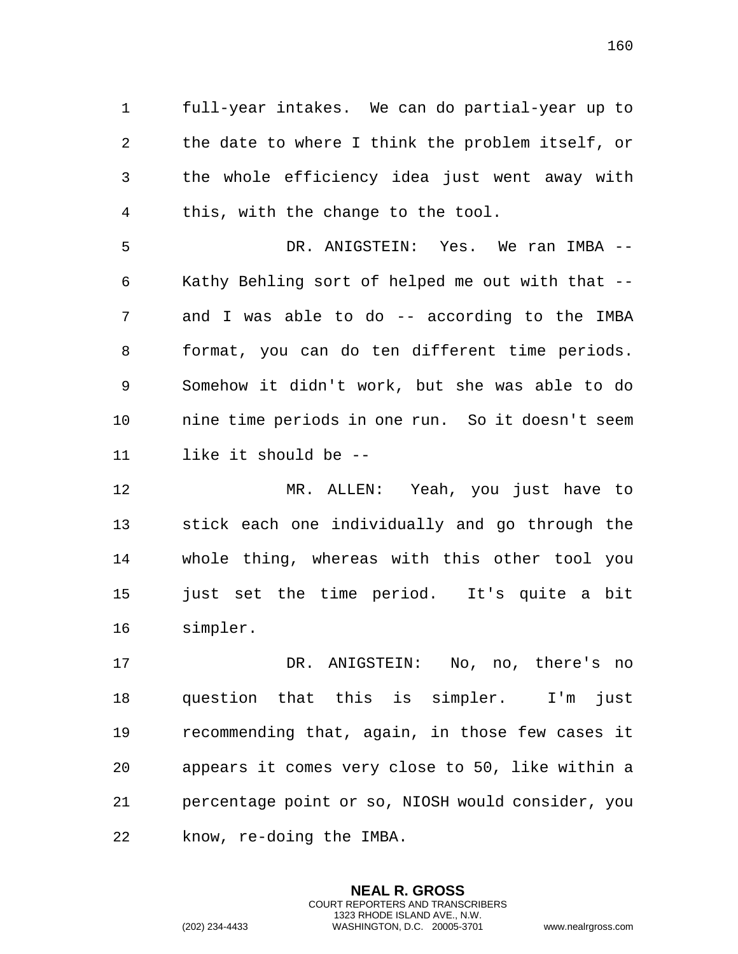full-year intakes. We can do partial-year up to the date to where I think the problem itself, or the whole efficiency idea just went away with this, with the change to the tool.

 DR. ANIGSTEIN: Yes. We ran IMBA -- Kathy Behling sort of helped me out with that -- and I was able to do -- according to the IMBA format, you can do ten different time periods. Somehow it didn't work, but she was able to do nine time periods in one run. So it doesn't seem like it should be --

 MR. ALLEN: Yeah, you just have to stick each one individually and go through the whole thing, whereas with this other tool you just set the time period. It's quite a bit simpler.

 DR. ANIGSTEIN: No, no, there's no question that this is simpler. I'm just recommending that, again, in those few cases it appears it comes very close to 50, like within a percentage point or so, NIOSH would consider, you know, re-doing the IMBA.

> **NEAL R. GROSS** COURT REPORTERS AND TRANSCRIBERS 1323 RHODE ISLAND AVE., N.W.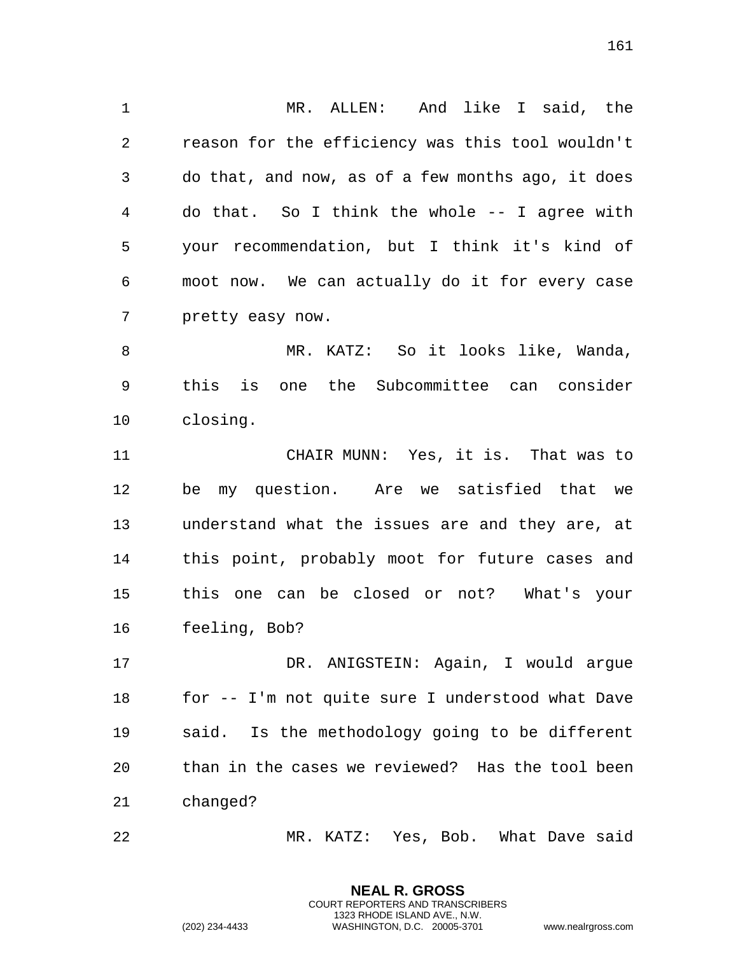MR. ALLEN: And like I said, the reason for the efficiency was this tool wouldn't do that, and now, as of a few months ago, it does do that. So I think the whole -- I agree with your recommendation, but I think it's kind of moot now. We can actually do it for every case pretty easy now.

 MR. KATZ: So it looks like, Wanda, this is one the Subcommittee can consider closing.

 CHAIR MUNN: Yes, it is. That was to be my question. Are we satisfied that we understand what the issues are and they are, at this point, probably moot for future cases and this one can be closed or not? What's your feeling, Bob?

 DR. ANIGSTEIN: Again, I would argue for -- I'm not quite sure I understood what Dave said. Is the methodology going to be different than in the cases we reviewed? Has the tool been changed?

MR. KATZ: Yes, Bob. What Dave said

**NEAL R. GROSS** COURT REPORTERS AND TRANSCRIBERS 1323 RHODE ISLAND AVE., N.W.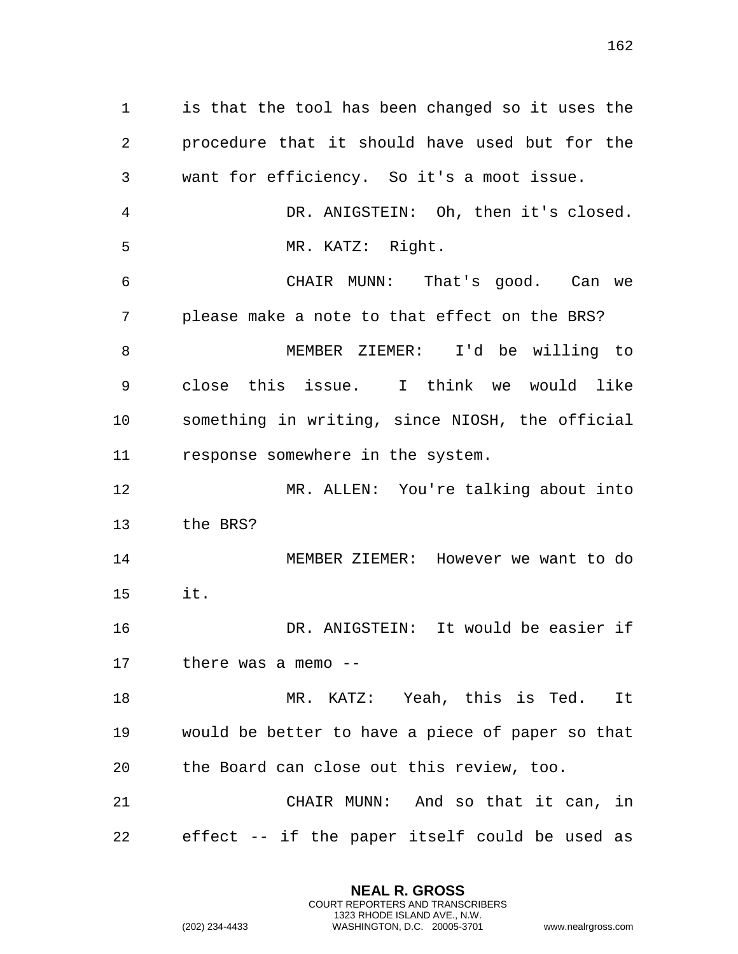is that the tool has been changed so it uses the procedure that it should have used but for the want for efficiency. So it's a moot issue. DR. ANIGSTEIN: Oh, then it's closed. MR. KATZ: Right. CHAIR MUNN: That's good. Can we please make a note to that effect on the BRS? MEMBER ZIEMER: I'd be willing to close this issue. I think we would like something in writing, since NIOSH, the official response somewhere in the system. MR. ALLEN: You're talking about into the BRS? MEMBER ZIEMER: However we want to do it. DR. ANIGSTEIN: It would be easier if there was a memo -- MR. KATZ: Yeah, this is Ted. It would be better to have a piece of paper so that the Board can close out this review, too. CHAIR MUNN: And so that it can, in effect -- if the paper itself could be used as

> **NEAL R. GROSS** COURT REPORTERS AND TRANSCRIBERS 1323 RHODE ISLAND AVE., N.W.

(202) 234-4433 WASHINGTON, D.C. 20005-3701 www.nealrgross.com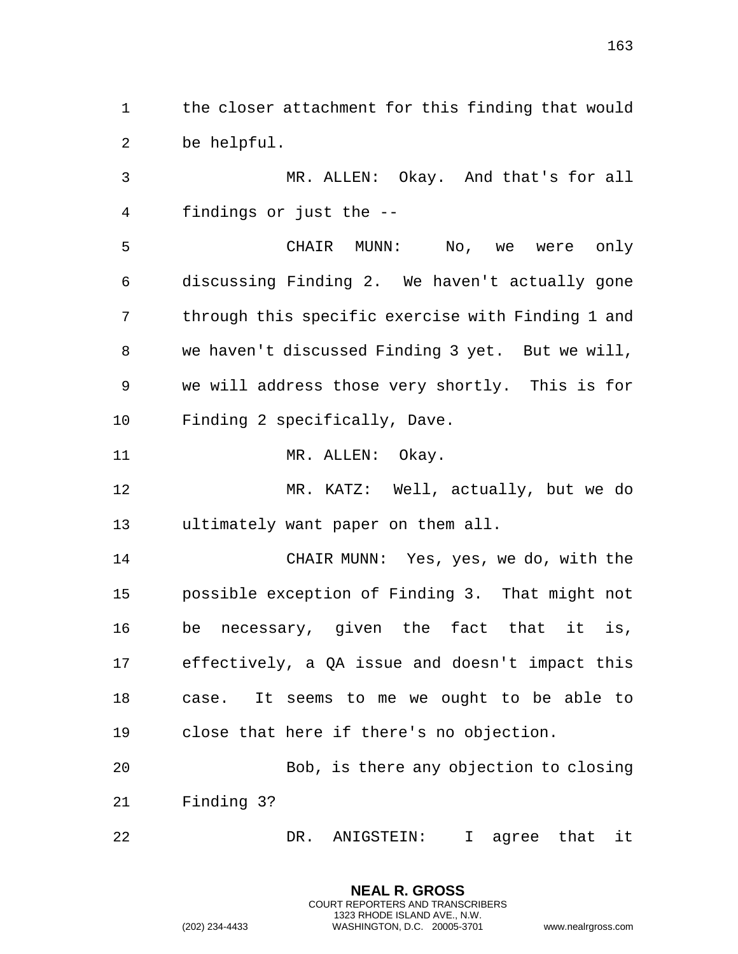the closer attachment for this finding that would be helpful.

 MR. ALLEN: Okay. And that's for all findings or just the --

 CHAIR MUNN: No, we were only discussing Finding 2. We haven't actually gone through this specific exercise with Finding 1 and we haven't discussed Finding 3 yet. But we will, we will address those very shortly. This is for Finding 2 specifically, Dave.

11 MR. ALLEN: Okay.

 MR. KATZ: Well, actually, but we do ultimately want paper on them all.

 CHAIR MUNN: Yes, yes, we do, with the possible exception of Finding 3. That might not be necessary, given the fact that it is, effectively, a QA issue and doesn't impact this case. It seems to me we ought to be able to close that here if there's no objection.

 Bob, is there any objection to closing Finding 3?

DR. ANIGSTEIN: I agree that it

**NEAL R. GROSS** COURT REPORTERS AND TRANSCRIBERS 1323 RHODE ISLAND AVE., N.W.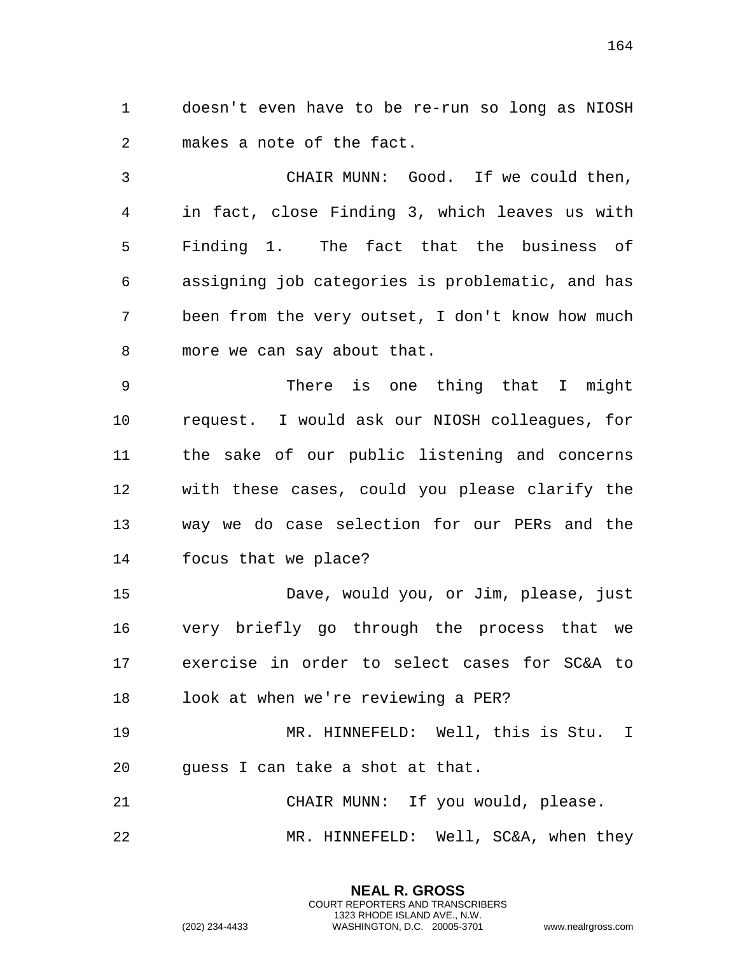doesn't even have to be re-run so long as NIOSH makes a note of the fact.

 CHAIR MUNN: Good. If we could then, in fact, close Finding 3, which leaves us with Finding 1. The fact that the business of assigning job categories is problematic, and has been from the very outset, I don't know how much more we can say about that.

 There is one thing that I might request. I would ask our NIOSH colleagues, for the sake of our public listening and concerns with these cases, could you please clarify the way we do case selection for our PERs and the focus that we place?

 Dave, would you, or Jim, please, just very briefly go through the process that we exercise in order to select cases for SC&A to look at when we're reviewing a PER?

 MR. HINNEFELD: Well, this is Stu. I guess I can take a shot at that.

 CHAIR MUNN: If you would, please. MR. HINNEFELD: Well, SC&A, when they

> **NEAL R. GROSS** COURT REPORTERS AND TRANSCRIBERS 1323 RHODE ISLAND AVE., N.W.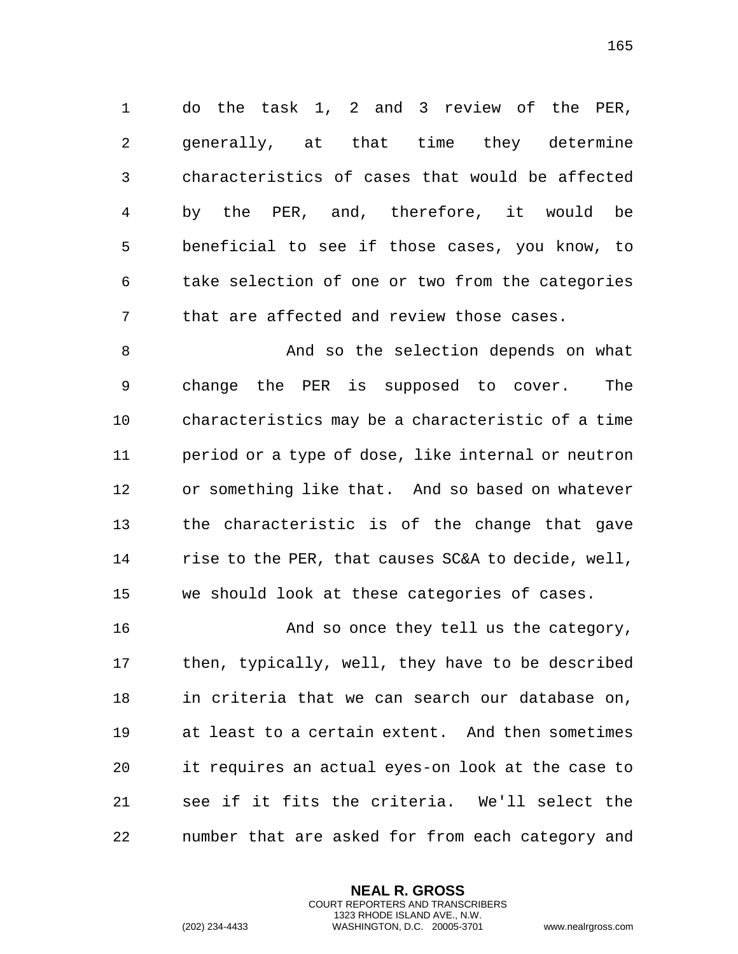do the task 1, 2 and 3 review of the PER, generally, at that time they determine characteristics of cases that would be affected by the PER, and, therefore, it would be beneficial to see if those cases, you know, to take selection of one or two from the categories that are affected and review those cases.

8 And so the selection depends on what change the PER is supposed to cover. The characteristics may be a characteristic of a time period or a type of dose, like internal or neutron or something like that. And so based on whatever the characteristic is of the change that gave rise to the PER, that causes SC&A to decide, well, we should look at these categories of cases.

16 And so once they tell us the category, then, typically, well, they have to be described in criteria that we can search our database on, at least to a certain extent. And then sometimes it requires an actual eyes-on look at the case to see if it fits the criteria. We'll select the number that are asked for from each category and

> **NEAL R. GROSS** COURT REPORTERS AND TRANSCRIBERS 1323 RHODE ISLAND AVE., N.W.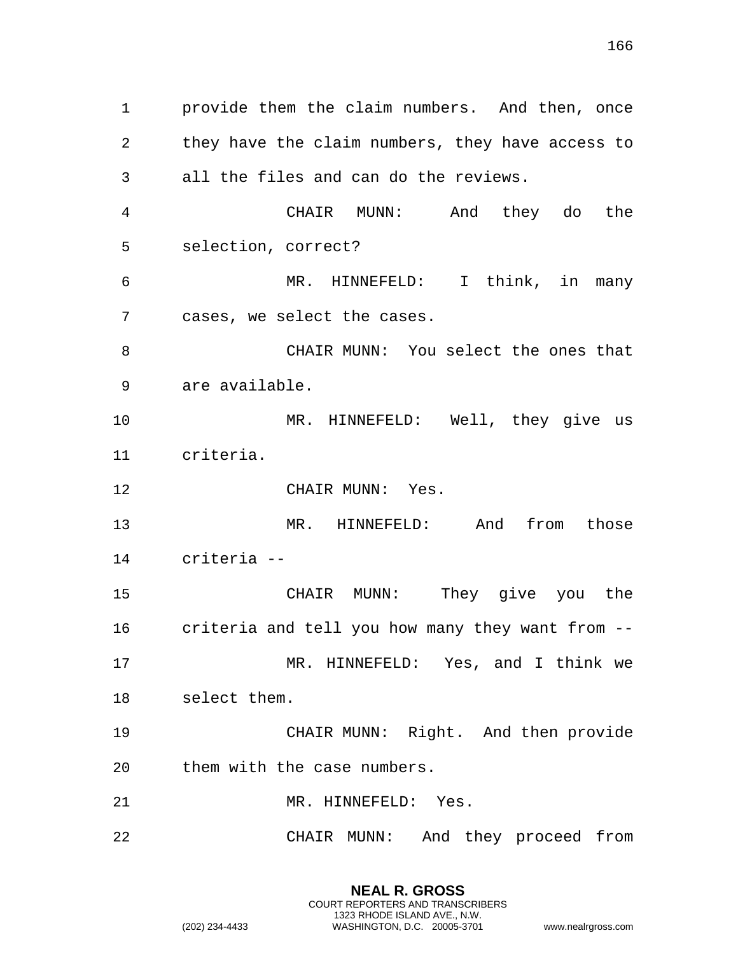provide them the claim numbers. And then, once they have the claim numbers, they have access to all the files and can do the reviews. CHAIR MUNN: And they do the selection, correct? MR. HINNEFELD: I think, in many cases, we select the cases. CHAIR MUNN: You select the ones that are available. MR. HINNEFELD: Well, they give us criteria. 12 CHAIR MUNN: Yes. 13 MR. HINNEFELD: And from those criteria -- CHAIR MUNN: They give you the criteria and tell you how many they want from -- MR. HINNEFELD: Yes, and I think we select them. CHAIR MUNN: Right. And then provide them with the case numbers. 21 MR. HINNEFELD: Yes. CHAIR MUNN: And they proceed from

> **NEAL R. GROSS** COURT REPORTERS AND TRANSCRIBERS 1323 RHODE ISLAND AVE., N.W.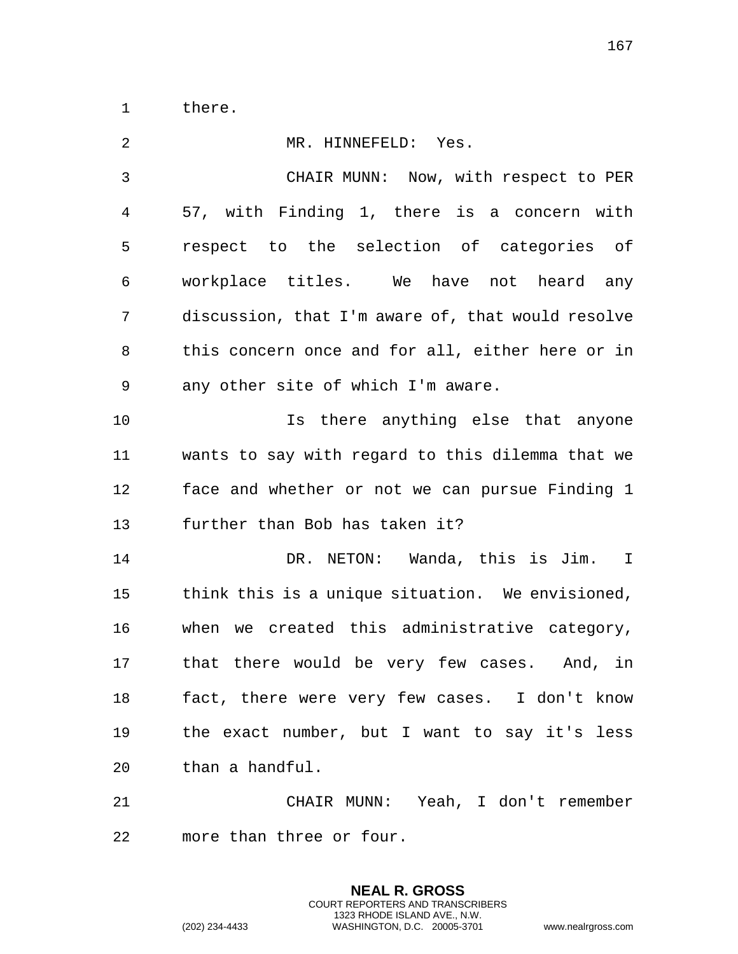there.

| $\overline{2}$ | MR. HINNEFELD: Yes.                               |
|----------------|---------------------------------------------------|
| 3              | CHAIR MUNN: Now, with respect to PER              |
| 4              | 57, with Finding 1, there is a concern with       |
| 5              | respect to the selection of categories of         |
| 6              | workplace titles. We have not heard any           |
| 7              | discussion, that I'm aware of, that would resolve |
| 8              | this concern once and for all, either here or in  |
| 9              | any other site of which I'm aware.                |
| 10             | Is there anything else that anyone                |
| 11             | wants to say with regard to this dilemma that we  |
| 12             | face and whether or not we can pursue Finding 1   |
| 13             | further than Bob has taken it?                    |
| 14             | DR. NETON: Wanda, this is Jim. I                  |
| 15             | think this is a unique situation. We envisioned,  |
| 16             | when we created this administrative category,     |
| 17             | that there would be very few cases. And, in       |
|                | fact, there were very few cases. I don't know     |
| 19             | the exact number, but I want to say it's less     |
| 20             | than a handful.                                   |
| 21             | CHAIR MUNN: Yeah, I don't remember                |
| 22             | more than three or four.                          |

**NEAL R. GROSS** COURT REPORTERS AND TRANSCRIBERS 1323 RHODE ISLAND AVE., N.W.

(202) 234-4433 WASHINGTON, D.C. 20005-3701 www.nealrgross.com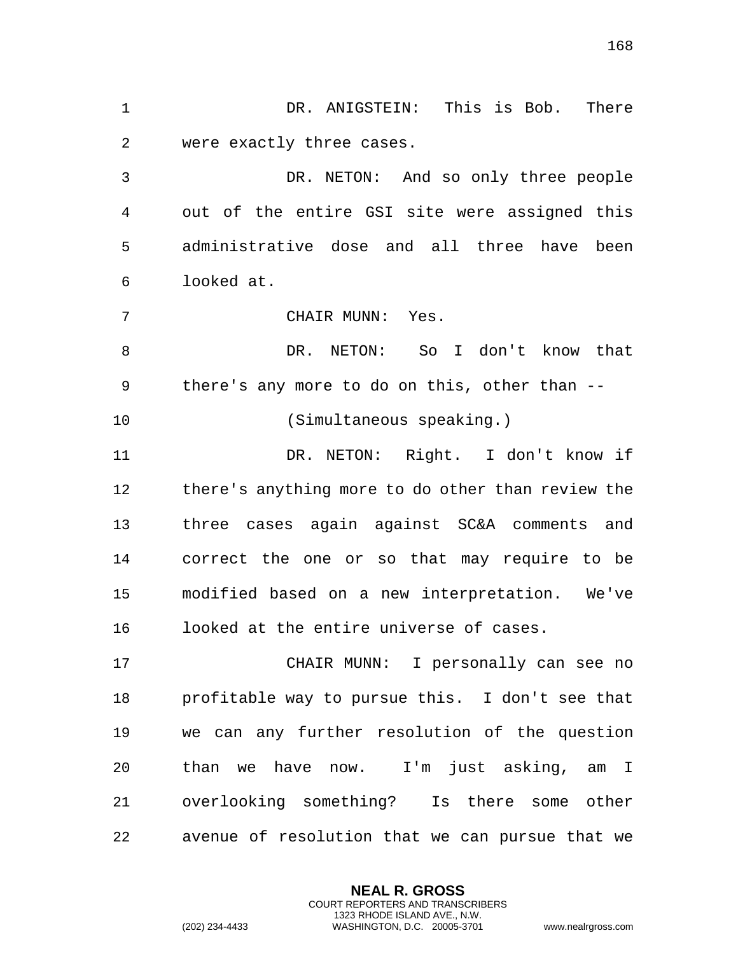DR. ANIGSTEIN: This is Bob. There were exactly three cases. DR. NETON: And so only three people out of the entire GSI site were assigned this administrative dose and all three have been looked at. CHAIR MUNN: Yes. 8 DR. NETON: So I don't know that there's any more to do on this, other than -- (Simultaneous speaking.) DR. NETON: Right. I don't know if there's anything more to do other than review the three cases again against SC&A comments and correct the one or so that may require to be modified based on a new interpretation. We've looked at the entire universe of cases. CHAIR MUNN: I personally can see no profitable way to pursue this. I don't see that we can any further resolution of the question than we have now. I'm just asking, am I overlooking something? Is there some other avenue of resolution that we can pursue that we

> **NEAL R. GROSS** COURT REPORTERS AND TRANSCRIBERS 1323 RHODE ISLAND AVE., N.W.

(202) 234-4433 WASHINGTON, D.C. 20005-3701 www.nealrgross.com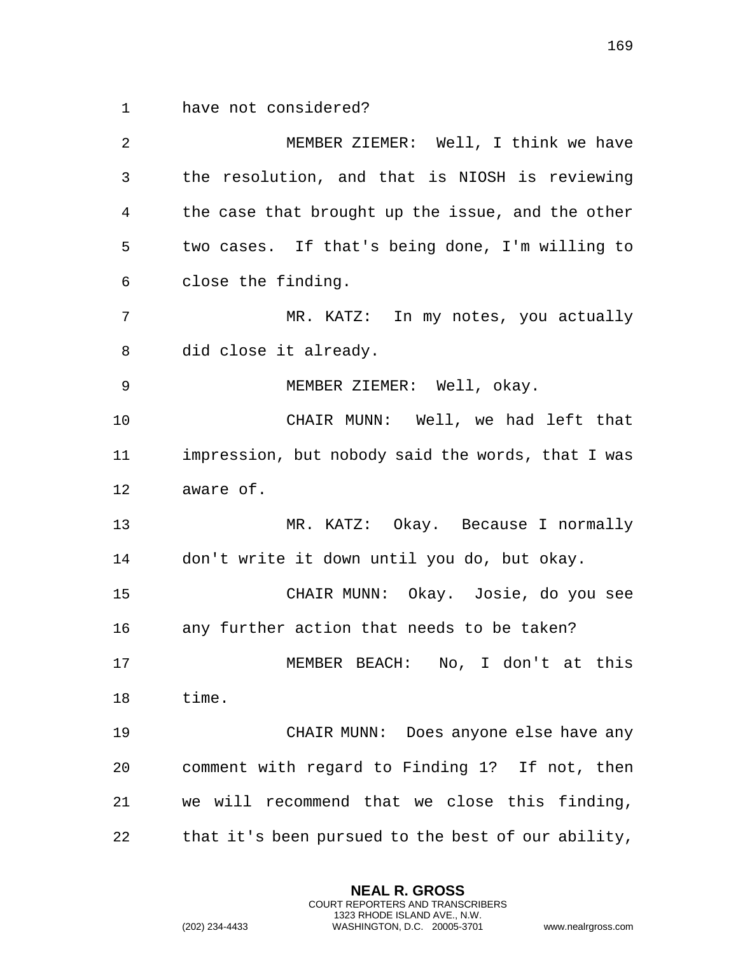have not considered?

 MEMBER ZIEMER: Well, I think we have the resolution, and that is NIOSH is reviewing the case that brought up the issue, and the other two cases. If that's being done, I'm willing to close the finding. MR. KATZ: In my notes, you actually did close it already. MEMBER ZIEMER: Well, okay. CHAIR MUNN: Well, we had left that impression, but nobody said the words, that I was aware of. MR. KATZ: Okay. Because I normally don't write it down until you do, but okay. CHAIR MUNN: Okay. Josie, do you see any further action that needs to be taken? MEMBER BEACH: No, I don't at this time. CHAIR MUNN: Does anyone else have any comment with regard to Finding 1? If not, then we will recommend that we close this finding, that it's been pursued to the best of our ability,

> **NEAL R. GROSS** COURT REPORTERS AND TRANSCRIBERS 1323 RHODE ISLAND AVE., N.W.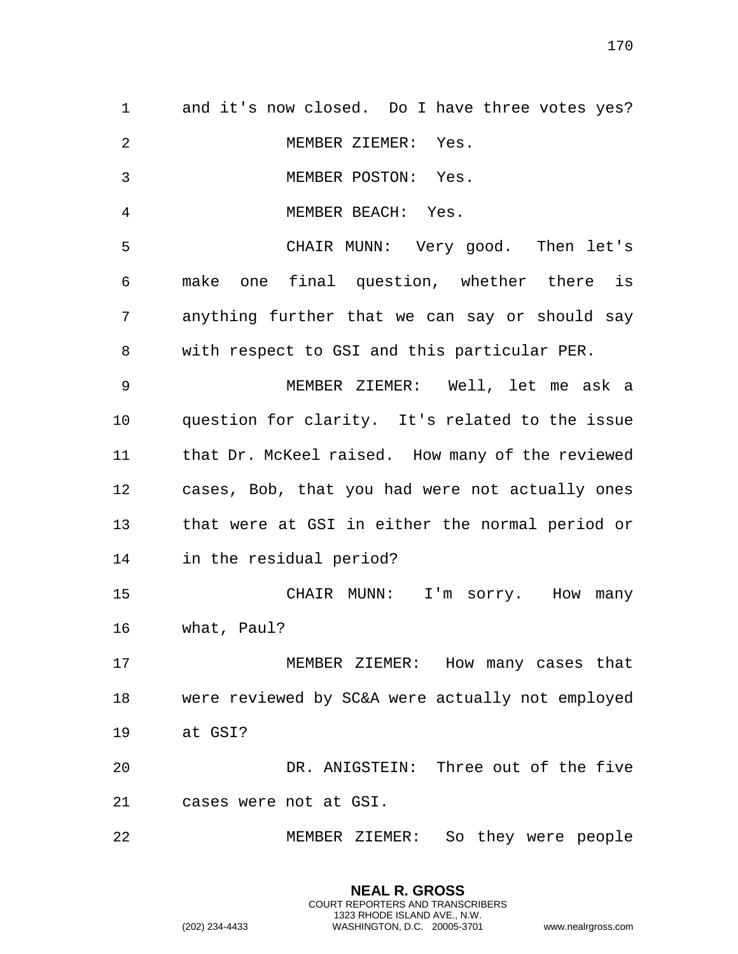| $\mathbf{1}$   | and it's now closed. Do I have three votes yes?  |
|----------------|--------------------------------------------------|
| $\overline{2}$ | MEMBER ZIEMER: Yes.                              |
| 3              | MEMBER POSTON: Yes.                              |
| 4              | MEMBER BEACH: Yes.                               |
| 5              | CHAIR MUNN: Very good. Then let's                |
| 6              | make one final question, whether there is        |
| 7              | anything further that we can say or should say   |
| 8              | with respect to GSI and this particular PER.     |
| 9              | MEMBER ZIEMER: Well, let me ask a                |
| 10             | question for clarity. It's related to the issue  |
| 11             | that Dr. McKeel raised. How many of the reviewed |
| 12             | cases, Bob, that you had were not actually ones  |
| 13             | that were at GSI in either the normal period or  |
| 14             | in the residual period?                          |
| 15             | CHAIR MUNN: I'm sorry. How many                  |
| 16             | what, Paul?                                      |
| 17             | MEMBER ZIEMER: How many cases that               |
| 18             | were reviewed by SC&A were actually not employed |
| 19             | at GSI?                                          |
| 20             | DR. ANIGSTEIN: Three out of the five             |
| 21             | cases were not at GSI.                           |
| 22             | So they were people<br>MEMBER ZIEMER:            |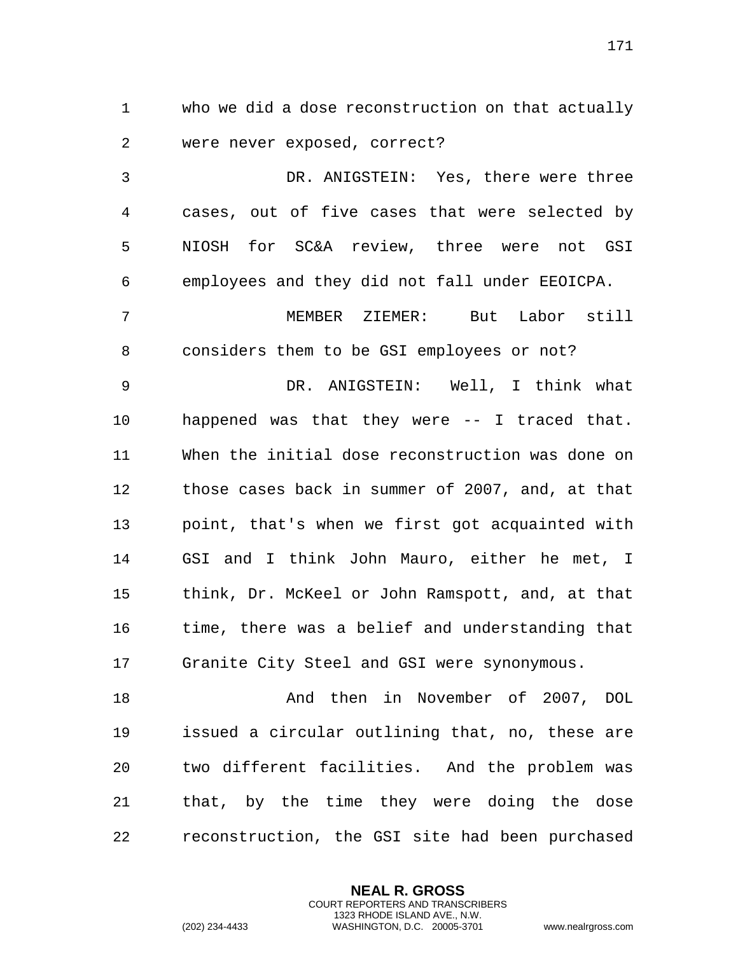who we did a dose reconstruction on that actually were never exposed, correct?

 DR. ANIGSTEIN: Yes, there were three cases, out of five cases that were selected by NIOSH for SC&A review, three were not GSI employees and they did not fall under EEOICPA.

 MEMBER ZIEMER: But Labor still considers them to be GSI employees or not?

 DR. ANIGSTEIN: Well, I think what happened was that they were -- I traced that. When the initial dose reconstruction was done on those cases back in summer of 2007, and, at that point, that's when we first got acquainted with GSI and I think John Mauro, either he met, I think, Dr. McKeel or John Ramspott, and, at that time, there was a belief and understanding that Granite City Steel and GSI were synonymous.

 And then in November of 2007, DOL issued a circular outlining that, no, these are two different facilities. And the problem was that, by the time they were doing the dose reconstruction, the GSI site had been purchased

> **NEAL R. GROSS** COURT REPORTERS AND TRANSCRIBERS 1323 RHODE ISLAND AVE., N.W.

(202) 234-4433 WASHINGTON, D.C. 20005-3701 www.nealrgross.com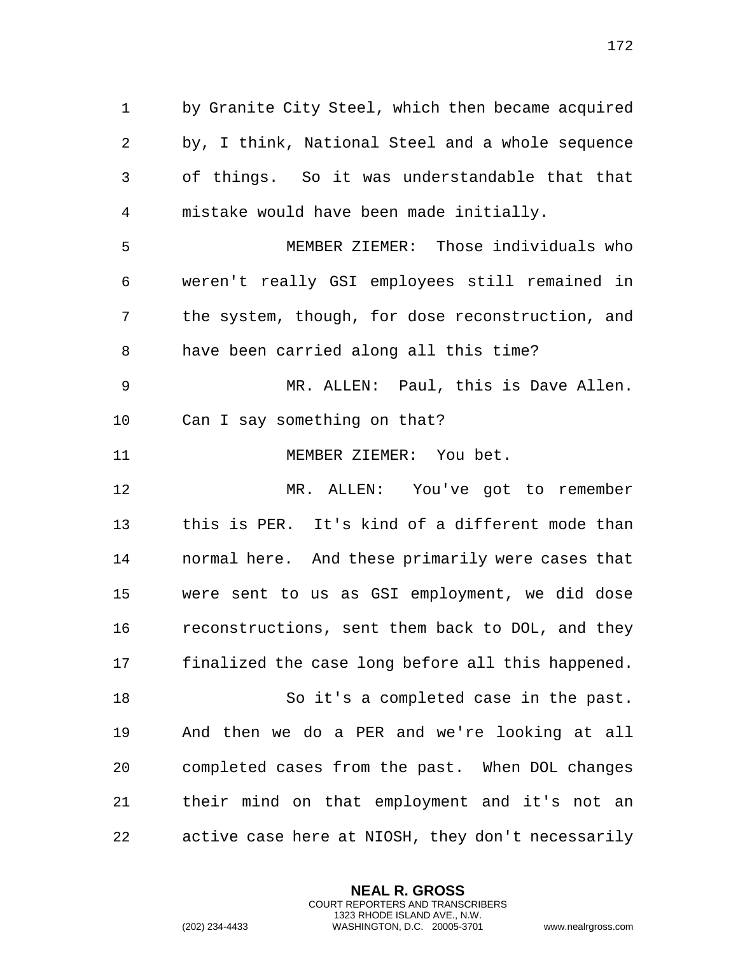by, I think, National Steel and a whole sequence of things. So it was understandable that that mistake would have been made initially. MEMBER ZIEMER: Those individuals who weren't really GSI employees still remained in the system, though, for dose reconstruction, and have been carried along all this time? MR. ALLEN: Paul, this is Dave Allen. Can I say something on that? MEMBER ZIEMER: You bet. MR. ALLEN: You've got to remember this is PER. It's kind of a different mode than normal here. And these primarily were cases that were sent to us as GSI employment, we did dose reconstructions, sent them back to DOL, and they finalized the case long before all this happened. So it's a completed case in the past. And then we do a PER and we're looking at all completed cases from the past. When DOL changes their mind on that employment and it's not an active case here at NIOSH, they don't necessarily

by Granite City Steel, which then became acquired

**NEAL R. GROSS** COURT REPORTERS AND TRANSCRIBERS 1323 RHODE ISLAND AVE., N.W.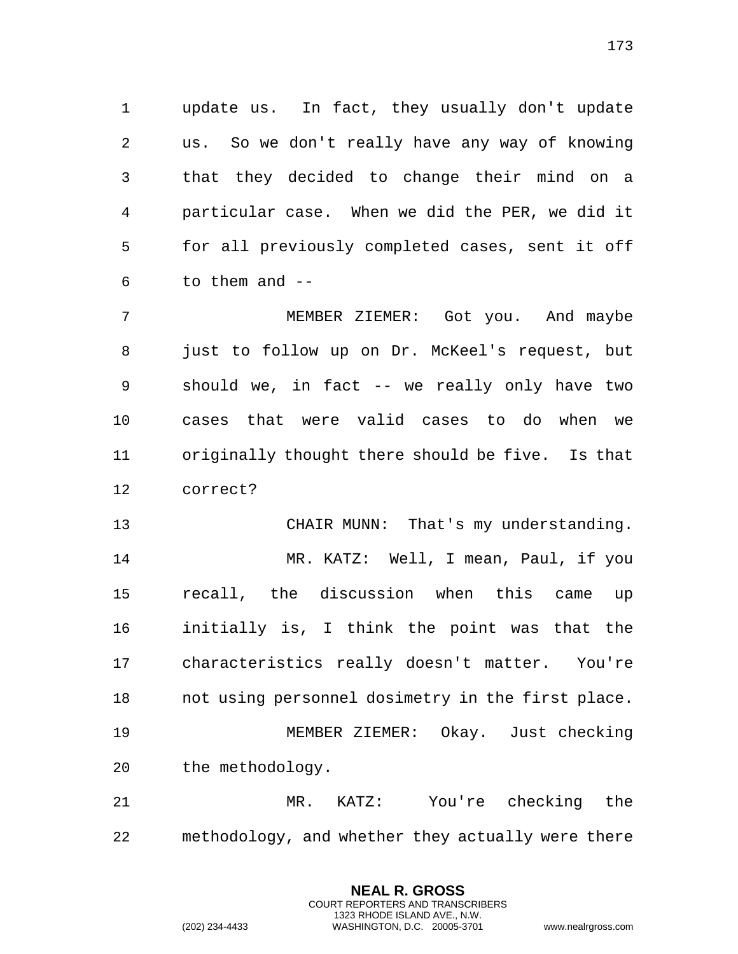update us. In fact, they usually don't update us. So we don't really have any way of knowing that they decided to change their mind on a particular case. When we did the PER, we did it for all previously completed cases, sent it off to them and  $-$ 

 MEMBER ZIEMER: Got you. And maybe just to follow up on Dr. McKeel's request, but should we, in fact -- we really only have two cases that were valid cases to do when we originally thought there should be five. Is that correct?

 CHAIR MUNN: That's my understanding. MR. KATZ: Well, I mean, Paul, if you recall, the discussion when this came up initially is, I think the point was that the characteristics really doesn't matter. You're not using personnel dosimetry in the first place. MEMBER ZIEMER: Okay. Just checking the methodology.

 MR. KATZ: You're checking the methodology, and whether they actually were there

> **NEAL R. GROSS** COURT REPORTERS AND TRANSCRIBERS 1323 RHODE ISLAND AVE., N.W.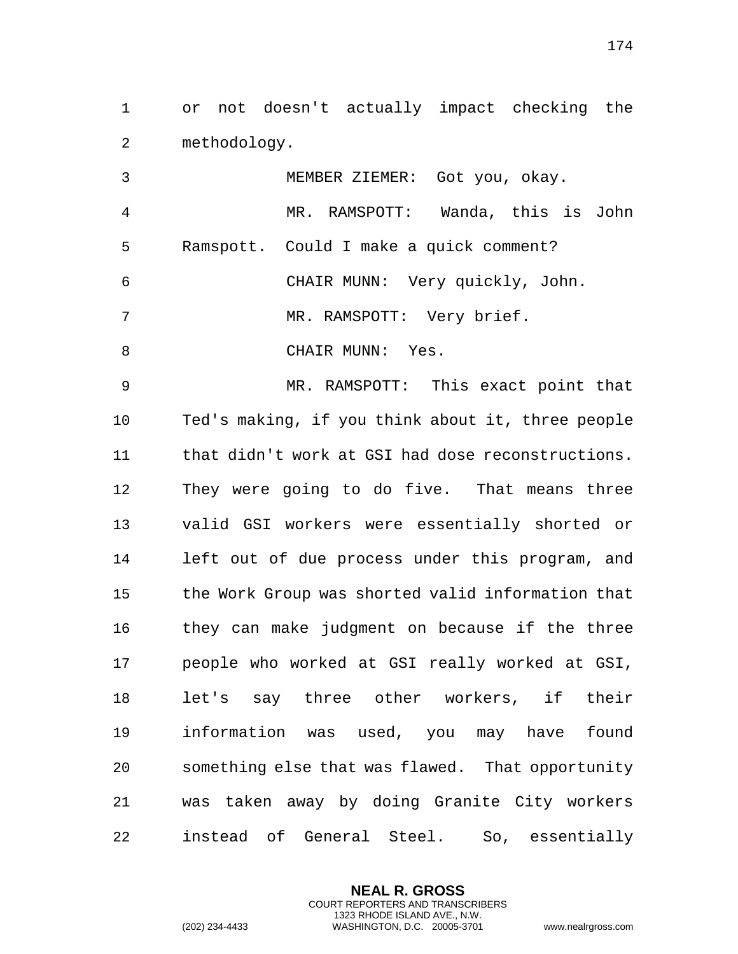or not doesn't actually impact checking the methodology.

 MEMBER ZIEMER: Got you, okay. MR. RAMSPOTT: Wanda, this is John Ramspott. Could I make a quick comment? CHAIR MUNN: Very quickly, John. 7 MR. RAMSPOTT: Very brief. 8 CHAIR MUNN: Yes.

 MR. RAMSPOTT: This exact point that Ted's making, if you think about it, three people that didn't work at GSI had dose reconstructions. They were going to do five. That means three valid GSI workers were essentially shorted or left out of due process under this program, and the Work Group was shorted valid information that they can make judgment on because if the three people who worked at GSI really worked at GSI, let's say three other workers, if their information was used, you may have found something else that was flawed. That opportunity was taken away by doing Granite City workers instead of General Steel. So, essentially

> **NEAL R. GROSS** COURT REPORTERS AND TRANSCRIBERS 1323 RHODE ISLAND AVE., N.W.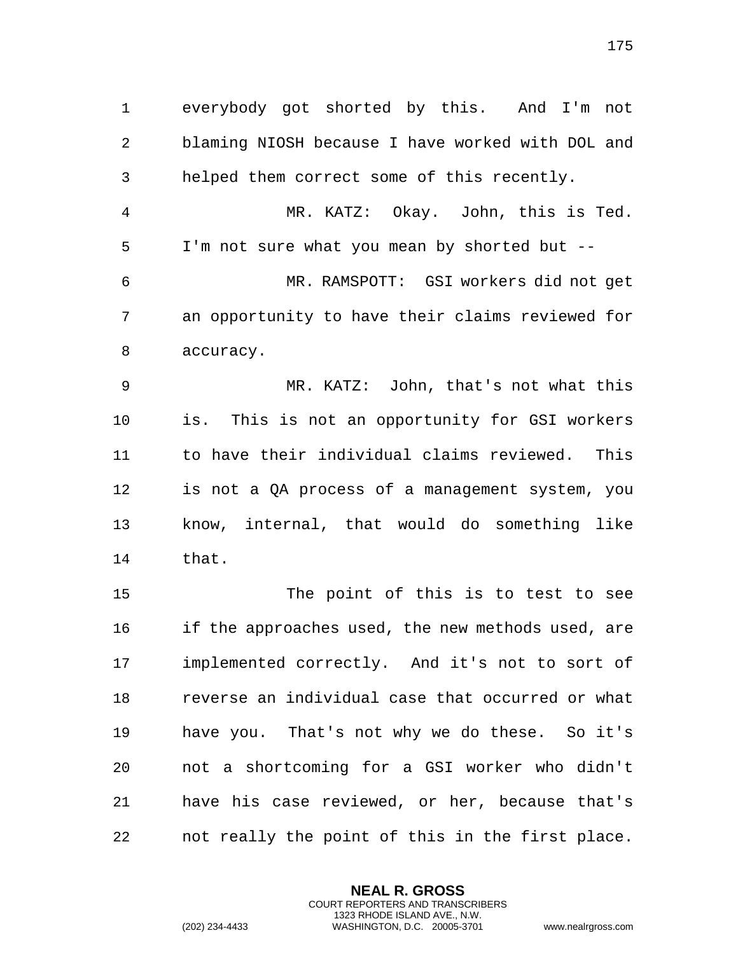everybody got shorted by this. And I'm not blaming NIOSH because I have worked with DOL and helped them correct some of this recently. MR. KATZ: Okay. John, this is Ted. I'm not sure what you mean by shorted but -- MR. RAMSPOTT: GSI workers did not get an opportunity to have their claims reviewed for accuracy. MR. KATZ: John, that's not what this is. This is not an opportunity for GSI workers to have their individual claims reviewed. This is not a QA process of a management system, you know, internal, that would do something like that. The point of this is to test to see if the approaches used, the new methods used, are implemented correctly. And it's not to sort of reverse an individual case that occurred or what have you. That's not why we do these. So it's not a shortcoming for a GSI worker who didn't have his case reviewed, or her, because that's

not really the point of this in the first place.

**NEAL R. GROSS** COURT REPORTERS AND TRANSCRIBERS 1323 RHODE ISLAND AVE., N.W.

(202) 234-4433 WASHINGTON, D.C. 20005-3701 www.nealrgross.com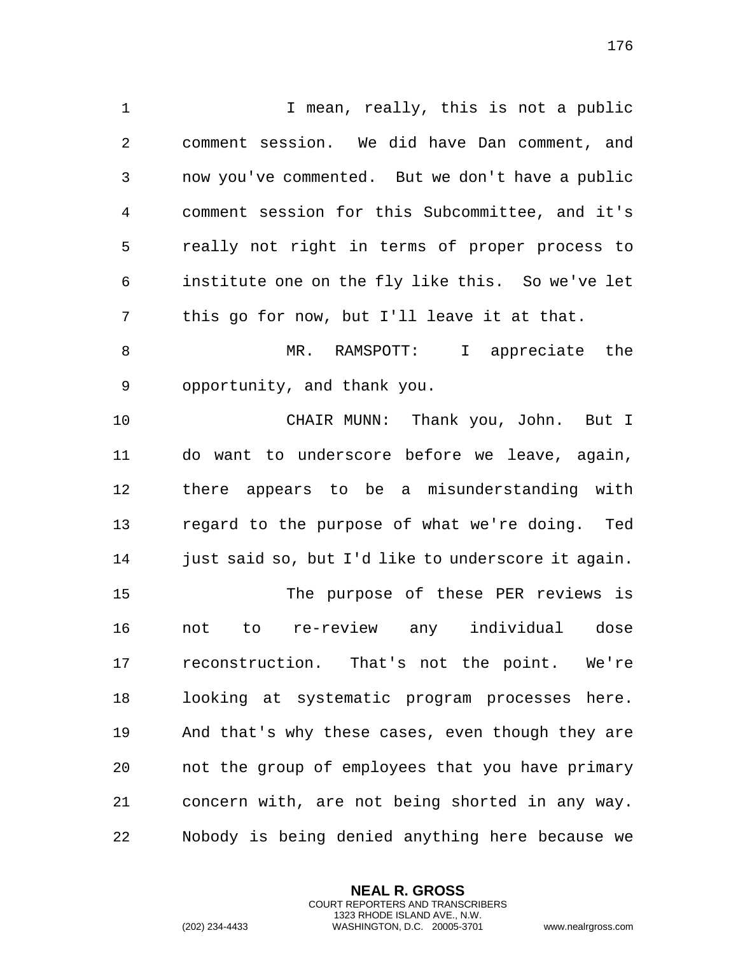1 1 I mean, really, this is not a public comment session. We did have Dan comment, and now you've commented. But we don't have a public comment session for this Subcommittee, and it's really not right in terms of proper process to institute one on the fly like this. So we've let this go for now, but I'll leave it at that. 8 MR. RAMSPOTT: I appreciate the opportunity, and thank you. CHAIR MUNN: Thank you, John. But I do want to underscore before we leave, again, there appears to be a misunderstanding with regard to the purpose of what we're doing. Ted 14 just said so, but I'd like to underscore it again. The purpose of these PER reviews is not to re-review any individual dose reconstruction. That's not the point. We're looking at systematic program processes here. And that's why these cases, even though they are not the group of employees that you have primary concern with, are not being shorted in any way. Nobody is being denied anything here because we

> **NEAL R. GROSS** COURT REPORTERS AND TRANSCRIBERS 1323 RHODE ISLAND AVE., N.W.

(202) 234-4433 WASHINGTON, D.C. 20005-3701 www.nealrgross.com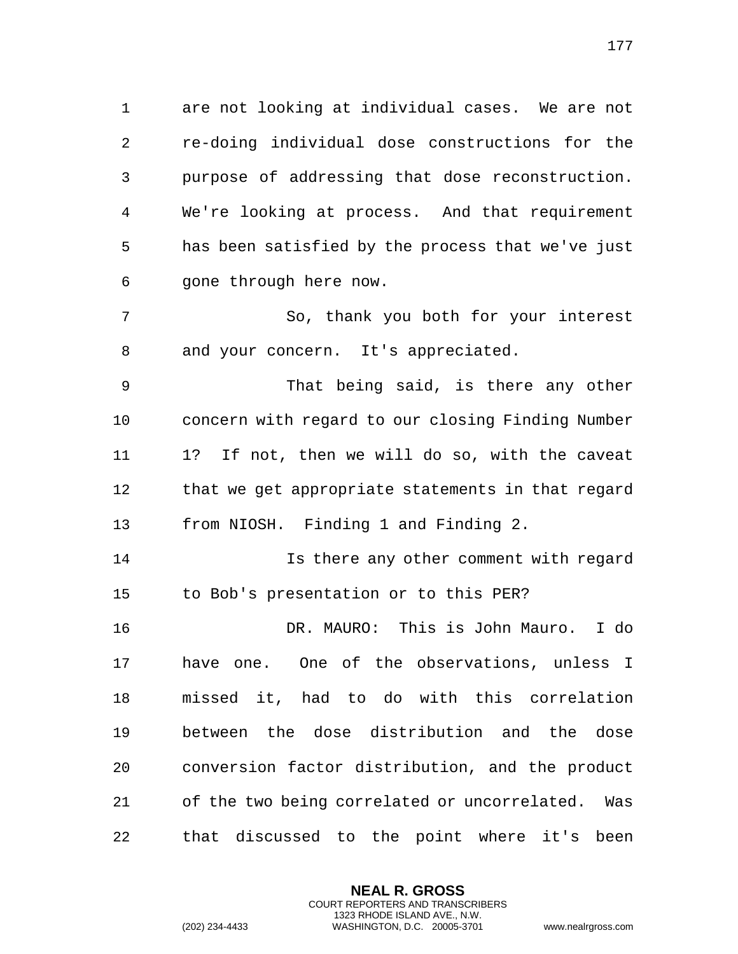are not looking at individual cases. We are not re-doing individual dose constructions for the purpose of addressing that dose reconstruction. We're looking at process. And that requirement has been satisfied by the process that we've just gone through here now.

 So, thank you both for your interest and your concern. It's appreciated.

 That being said, is there any other concern with regard to our closing Finding Number 1? If not, then we will do so, with the caveat that we get appropriate statements in that regard from NIOSH. Finding 1 and Finding 2.

 Is there any other comment with regard to Bob's presentation or to this PER?

 DR. MAURO: This is John Mauro. I do have one. One of the observations, unless I missed it, had to do with this correlation between the dose distribution and the dose conversion factor distribution, and the product of the two being correlated or uncorrelated. Was that discussed to the point where it's been

> **NEAL R. GROSS** COURT REPORTERS AND TRANSCRIBERS 1323 RHODE ISLAND AVE., N.W.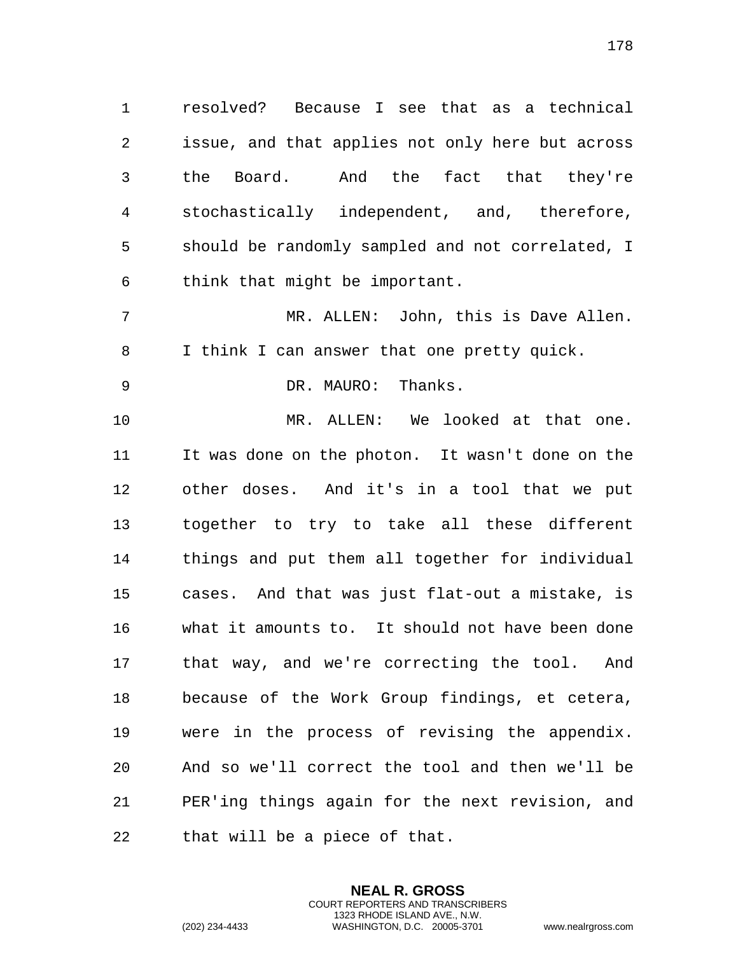resolved? Because I see that as a technical issue, and that applies not only here but across the Board. And the fact that they're stochastically independent, and, therefore, should be randomly sampled and not correlated, I think that might be important.

 MR. ALLEN: John, this is Dave Allen. I think I can answer that one pretty quick.

DR. MAURO: Thanks.

 MR. ALLEN: We looked at that one. It was done on the photon. It wasn't done on the other doses. And it's in a tool that we put together to try to take all these different things and put them all together for individual cases. And that was just flat-out a mistake, is what it amounts to. It should not have been done that way, and we're correcting the tool. And because of the Work Group findings, et cetera, were in the process of revising the appendix. And so we'll correct the tool and then we'll be PER'ing things again for the next revision, and that will be a piece of that.

> **NEAL R. GROSS** COURT REPORTERS AND TRANSCRIBERS 1323 RHODE ISLAND AVE., N.W.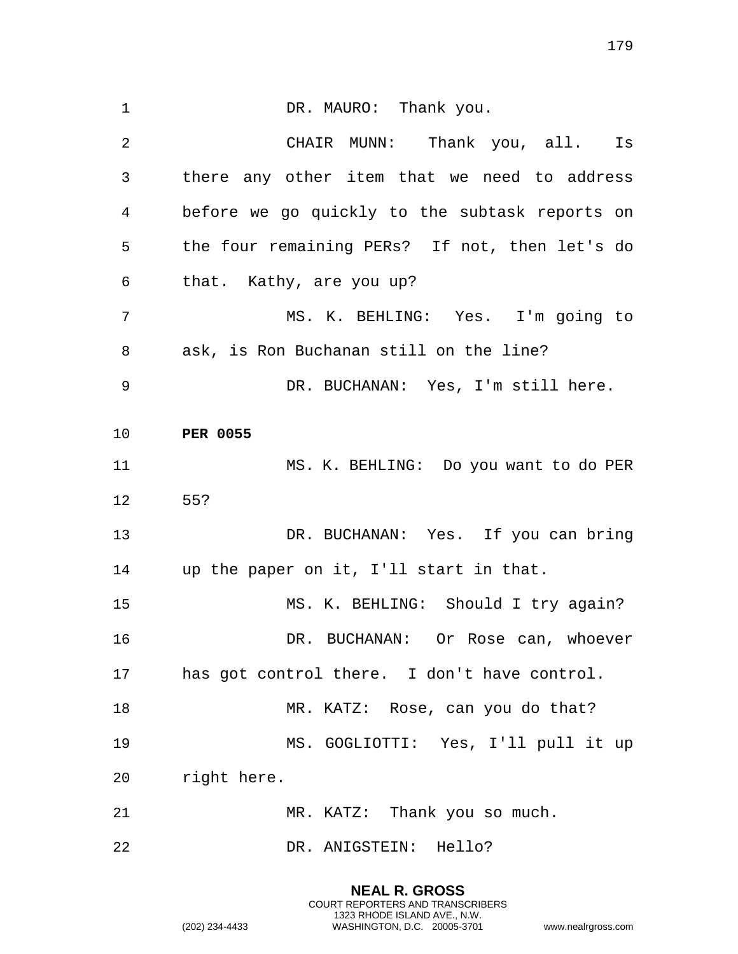1 DR. MAURO: Thank you. 2 CHAIR MUNN: Thank you, all. Is 3 there any other item that we need to address 4 before we go quickly to the subtask reports on 5 the four remaining PERs? If not, then let's do 6 that. Kathy, are you up? 7 MS. K. BEHLING: Yes. I'm going to 8 ask, is Ron Buchanan still on the line? 9 DR. BUCHANAN: Yes, I'm still here. 10 **PER 0055** 11 MS. K. BEHLING: Do you want to do PER 12 55? 13 DR. BUCHANAN: Yes. If you can bring 14 up the paper on it, I'll start in that. 15 MS. K. BEHLING: Should I try again? 16 DR. BUCHANAN: Or Rose can, whoever 17 has got control there. I don't have control. 18 MR. KATZ: Rose, can you do that? 19 MS. GOGLIOTTI: Yes, I'll pull it up 20 right here. 21 MR. KATZ: Thank you so much. 22 DR. ANIGSTEIN: Hello?

> **NEAL R. GROSS** COURT REPORTERS AND TRANSCRIBERS 1323 RHODE ISLAND AVE., N.W.

(202) 234-4433 WASHINGTON, D.C. 20005-3701 www.nealrgross.com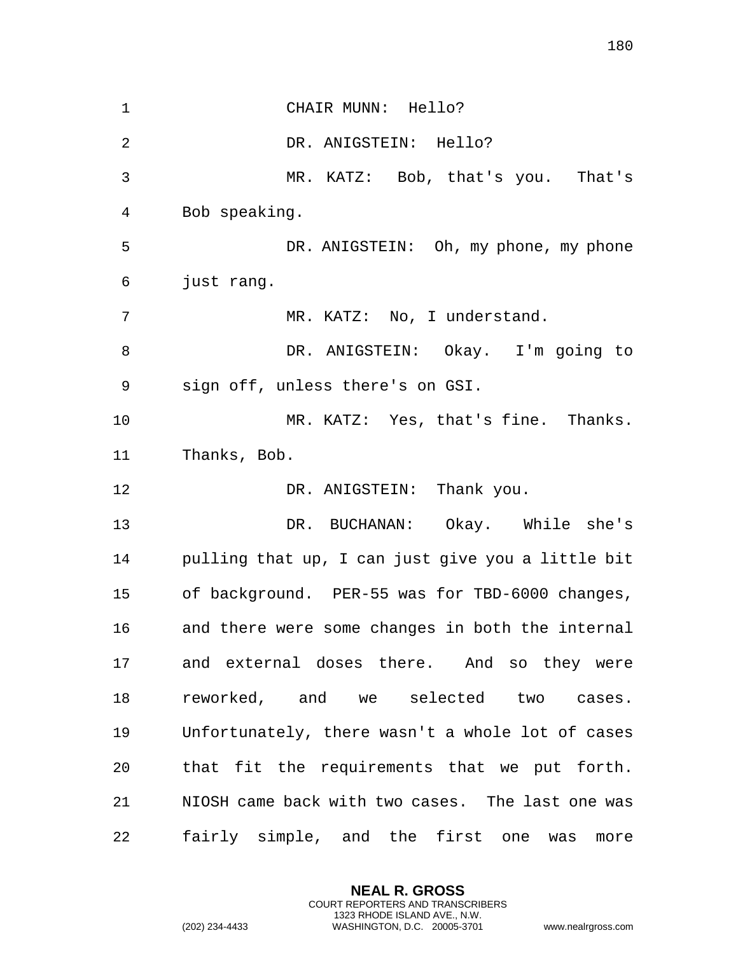| $\mathbf{1}$   | CHAIR MUNN: Hello?                                |
|----------------|---------------------------------------------------|
|                |                                                   |
| $\overline{2}$ | DR. ANIGSTEIN: Hello?                             |
| 3              | MR. KATZ: Bob, that's you. That's                 |
| 4              | Bob speaking.                                     |
| 5              | DR. ANIGSTEIN: Oh, my phone, my phone             |
| 6              | just rang.                                        |
| 7              | MR. KATZ: No, I understand.                       |
| 8              | DR. ANIGSTEIN: Okay. I'm going to                 |
| 9              | sign off, unless there's on GSI.                  |
| 10             | MR. KATZ: Yes, that's fine. Thanks.               |
| 11             | Thanks, Bob.                                      |
| 12             | DR. ANIGSTEIN: Thank you.                         |
| 13             | DR. BUCHANAN: Okay. While she's                   |
| 14             | pulling that up, I can just give you a little bit |
| 15             | of background. PER-55 was for TBD-6000 changes,   |
| 16             | and there were some changes in both the internal  |
| 17             | and external doses there. And so they were        |
| 18             | reworked, and we selected two cases.              |
| 19             | Unfortunately, there wasn't a whole lot of cases  |
| 20             | that fit the requirements that we put forth.      |
| 21             | NIOSH came back with two cases. The last one was  |
| 22             |                                                   |

**NEAL R. GROSS** COURT REPORTERS AND TRANSCRIBERS 1323 RHODE ISLAND AVE., N.W.

(202) 234-4433 WASHINGTON, D.C. 20005-3701 www.nealrgross.com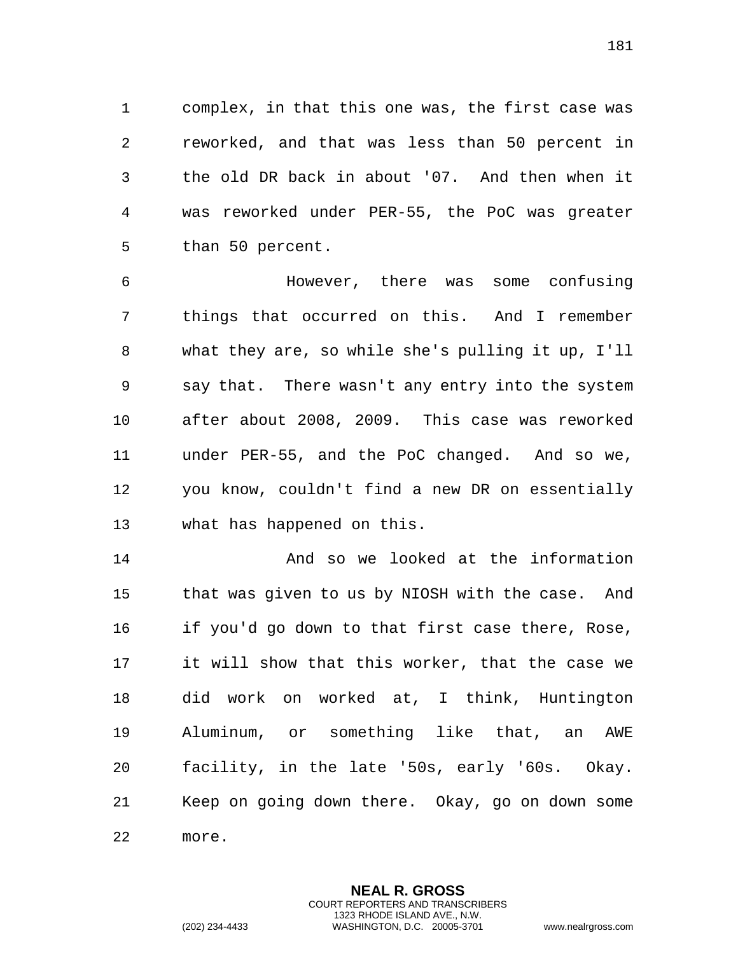complex, in that this one was, the first case was reworked, and that was less than 50 percent in the old DR back in about '07. And then when it was reworked under PER-55, the PoC was greater than 50 percent.

 However, there was some confusing things that occurred on this. And I remember what they are, so while she's pulling it up, I'll say that. There wasn't any entry into the system after about 2008, 2009. This case was reworked under PER-55, and the PoC changed. And so we, you know, couldn't find a new DR on essentially what has happened on this.

 And so we looked at the information that was given to us by NIOSH with the case. And if you'd go down to that first case there, Rose, it will show that this worker, that the case we did work on worked at, I think, Huntington Aluminum, or something like that, an AWE facility, in the late '50s, early '60s. Okay. Keep on going down there. Okay, go on down some more.

> **NEAL R. GROSS** COURT REPORTERS AND TRANSCRIBERS 1323 RHODE ISLAND AVE., N.W.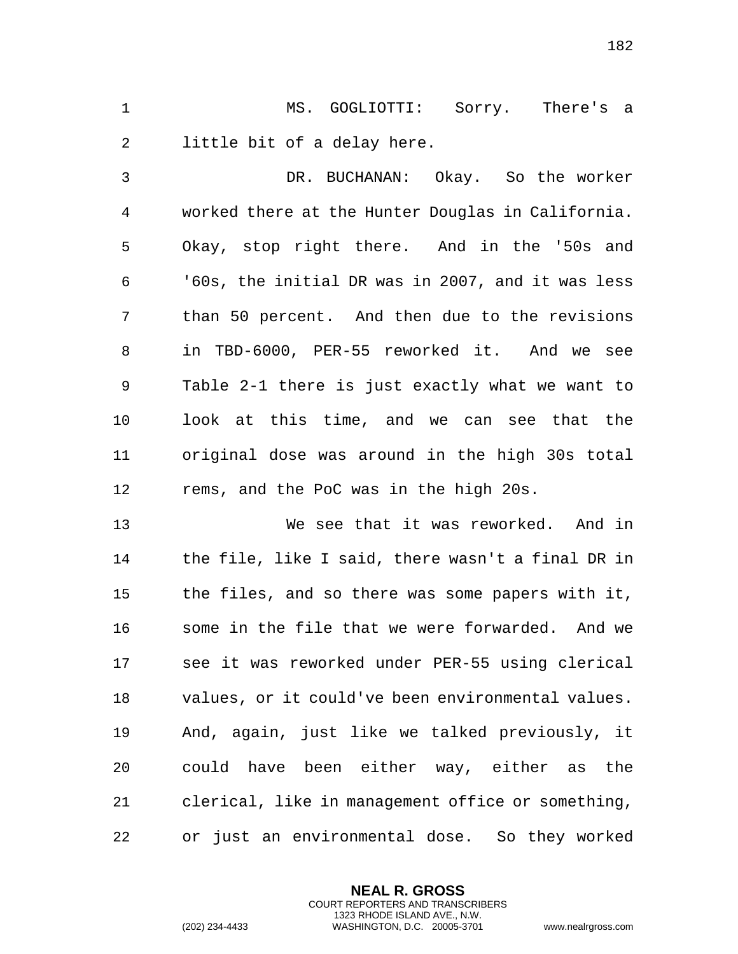MS. GOGLIOTTI: Sorry. There's a little bit of a delay here.

 DR. BUCHANAN: Okay. So the worker worked there at the Hunter Douglas in California. Okay, stop right there. And in the '50s and '60s, the initial DR was in 2007, and it was less than 50 percent. And then due to the revisions in TBD-6000, PER-55 reworked it. And we see Table 2-1 there is just exactly what we want to look at this time, and we can see that the original dose was around in the high 30s total rems, and the PoC was in the high 20s.

 We see that it was reworked. And in the file, like I said, there wasn't a final DR in the files, and so there was some papers with it, some in the file that we were forwarded. And we see it was reworked under PER-55 using clerical values, or it could've been environmental values. And, again, just like we talked previously, it could have been either way, either as the clerical, like in management office or something, or just an environmental dose. So they worked

> **NEAL R. GROSS** COURT REPORTERS AND TRANSCRIBERS 1323 RHODE ISLAND AVE., N.W.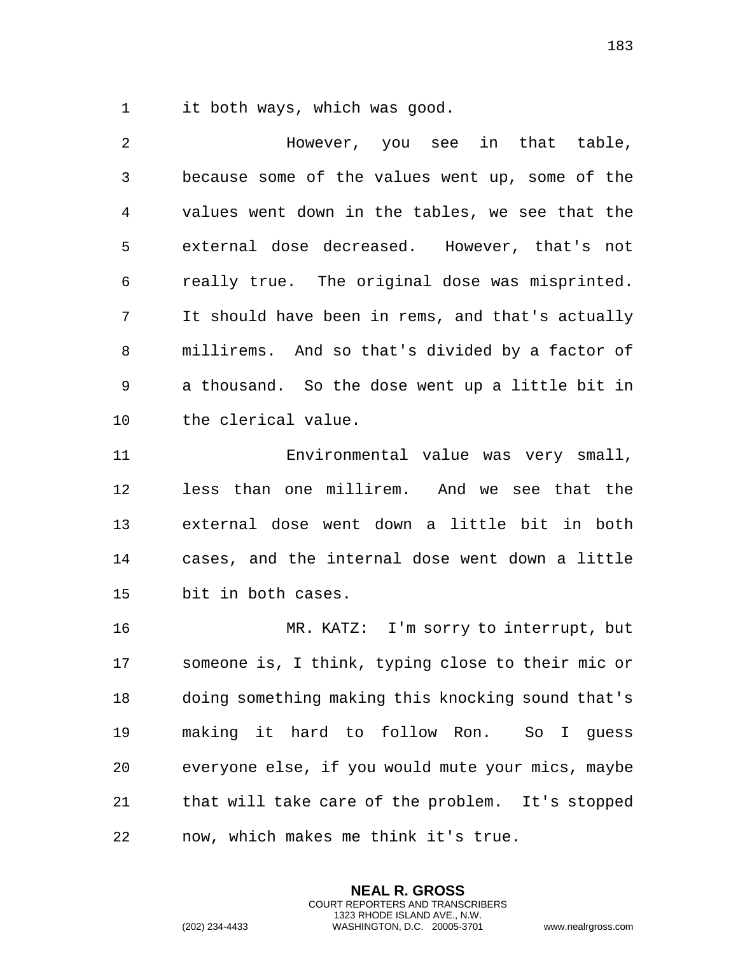it both ways, which was good.

 However, you see in that table, because some of the values went up, some of the values went down in the tables, we see that the external dose decreased. However, that's not really true. The original dose was misprinted. It should have been in rems, and that's actually millirems. And so that's divided by a factor of a thousand. So the dose went up a little bit in the clerical value.

 Environmental value was very small, less than one millirem. And we see that the external dose went down a little bit in both cases, and the internal dose went down a little bit in both cases.

 MR. KATZ: I'm sorry to interrupt, but someone is, I think, typing close to their mic or doing something making this knocking sound that's making it hard to follow Ron. So I guess everyone else, if you would mute your mics, maybe that will take care of the problem. It's stopped now, which makes me think it's true.

> **NEAL R. GROSS** COURT REPORTERS AND TRANSCRIBERS 1323 RHODE ISLAND AVE., N.W.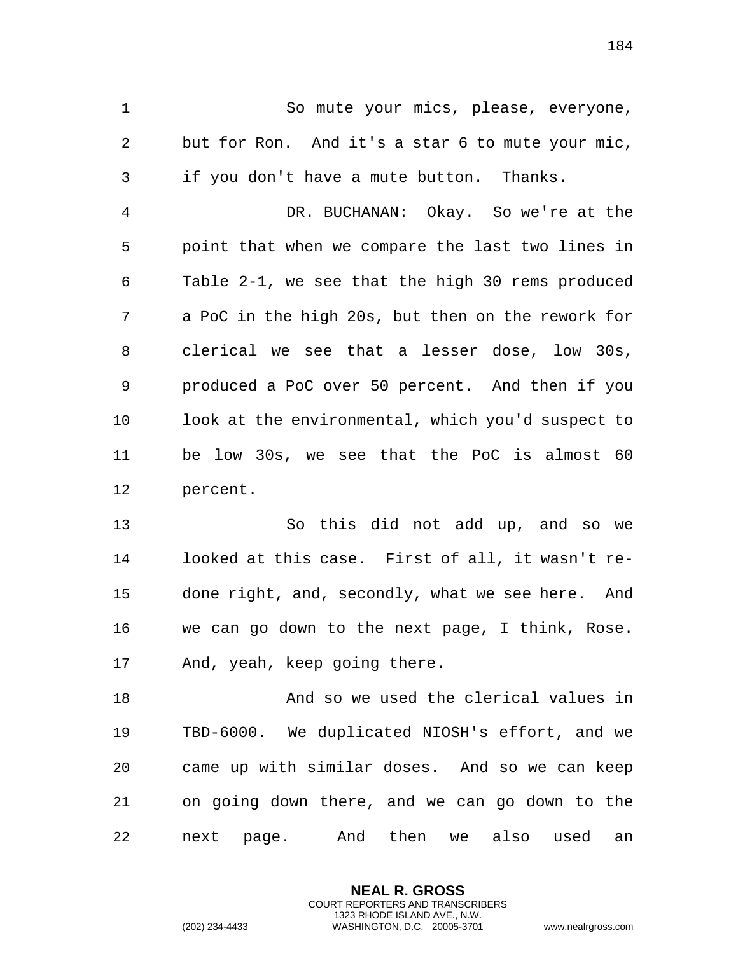So mute your mics, please, everyone, but for Ron. And it's a star 6 to mute your mic, if you don't have a mute button. Thanks.

 DR. BUCHANAN: Okay. So we're at the point that when we compare the last two lines in Table 2-1, we see that the high 30 rems produced a PoC in the high 20s, but then on the rework for clerical we see that a lesser dose, low 30s, produced a PoC over 50 percent. And then if you look at the environmental, which you'd suspect to be low 30s, we see that the PoC is almost 60 percent.

 So this did not add up, and so we looked at this case. First of all, it wasn't re- done right, and, secondly, what we see here. And we can go down to the next page, I think, Rose. And, yeah, keep going there.

 And so we used the clerical values in TBD-6000. We duplicated NIOSH's effort, and we came up with similar doses. And so we can keep on going down there, and we can go down to the next page. And then we also used an

> **NEAL R. GROSS** COURT REPORTERS AND TRANSCRIBERS 1323 RHODE ISLAND AVE., N.W.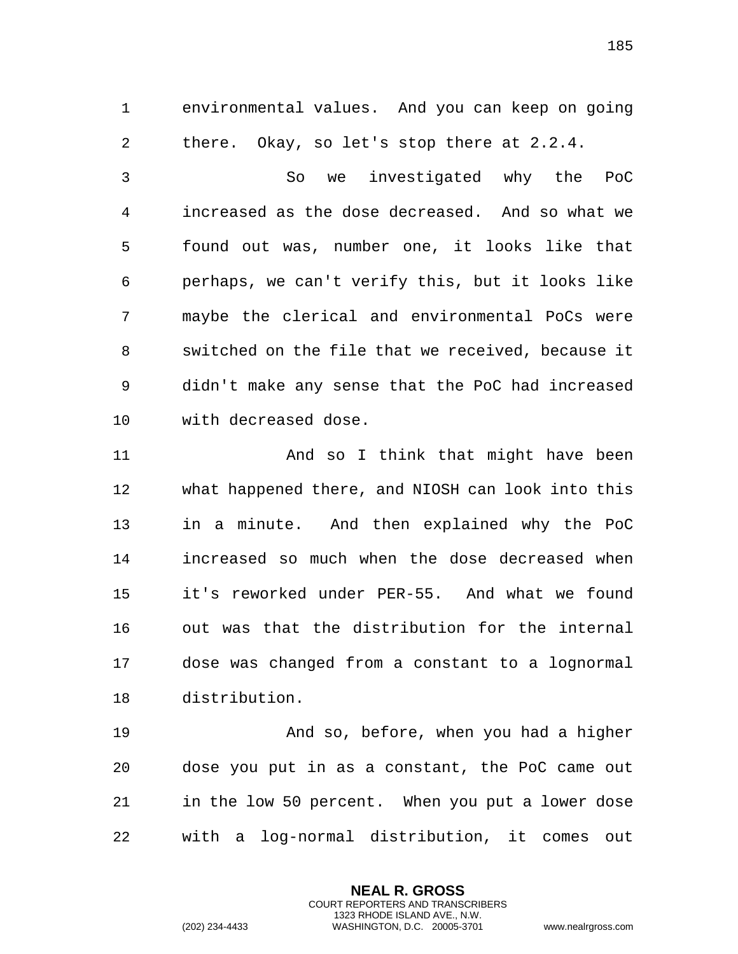environmental values. And you can keep on going there. Okay, so let's stop there at 2.2.4.

 So we investigated why the PoC increased as the dose decreased. And so what we found out was, number one, it looks like that perhaps, we can't verify this, but it looks like maybe the clerical and environmental PoCs were switched on the file that we received, because it didn't make any sense that the PoC had increased with decreased dose.

 And so I think that might have been what happened there, and NIOSH can look into this in a minute. And then explained why the PoC increased so much when the dose decreased when it's reworked under PER-55. And what we found out was that the distribution for the internal dose was changed from a constant to a lognormal distribution.

 And so, before, when you had a higher dose you put in as a constant, the PoC came out in the low 50 percent. When you put a lower dose with a log-normal distribution, it comes out

> **NEAL R. GROSS** COURT REPORTERS AND TRANSCRIBERS 1323 RHODE ISLAND AVE., N.W.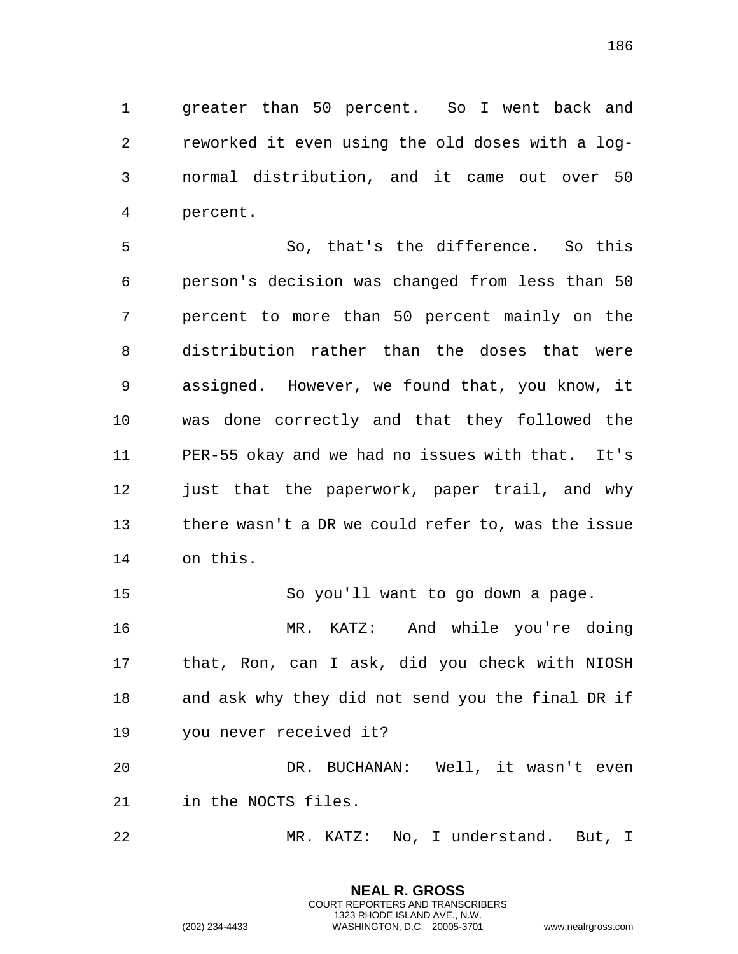greater than 50 percent. So I went back and reworked it even using the old doses with a log- normal distribution, and it came out over 50 percent.

 So, that's the difference. So this person's decision was changed from less than 50 percent to more than 50 percent mainly on the distribution rather than the doses that were assigned. However, we found that, you know, it was done correctly and that they followed the PER-55 okay and we had no issues with that. It's 12 just that the paperwork, paper trail, and why there wasn't a DR we could refer to, was the issue on this.

 So you'll want to go down a page. MR. KATZ: And while you're doing that, Ron, can I ask, did you check with NIOSH and ask why they did not send you the final DR if you never received it?

 DR. BUCHANAN: Well, it wasn't even in the NOCTS files.

MR. KATZ: No, I understand. But, I

**NEAL R. GROSS** COURT REPORTERS AND TRANSCRIBERS 1323 RHODE ISLAND AVE., N.W.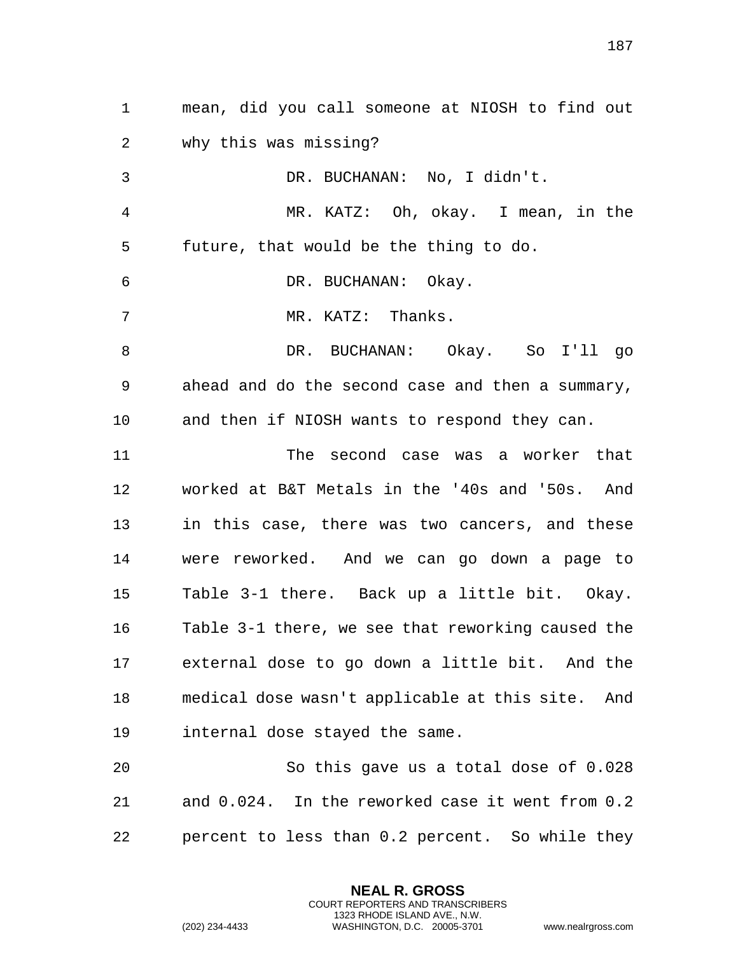mean, did you call someone at NIOSH to find out why this was missing? DR. BUCHANAN: No, I didn't. MR. KATZ: Oh, okay. I mean, in the future, that would be the thing to do. DR. BUCHANAN: Okay. 7 MR. KATZ: Thanks. DR. BUCHANAN: Okay. So I'll go ahead and do the second case and then a summary, and then if NIOSH wants to respond they can. The second case was a worker that worked at B&T Metals in the '40s and '50s. And in this case, there was two cancers, and these were reworked. And we can go down a page to Table 3-1 there. Back up a little bit. Okay. Table 3-1 there, we see that reworking caused the external dose to go down a little bit. And the medical dose wasn't applicable at this site. And internal dose stayed the same. So this gave us a total dose of 0.028

 and 0.024. In the reworked case it went from 0.2 percent to less than 0.2 percent. So while they

> **NEAL R. GROSS** COURT REPORTERS AND TRANSCRIBERS 1323 RHODE ISLAND AVE., N.W.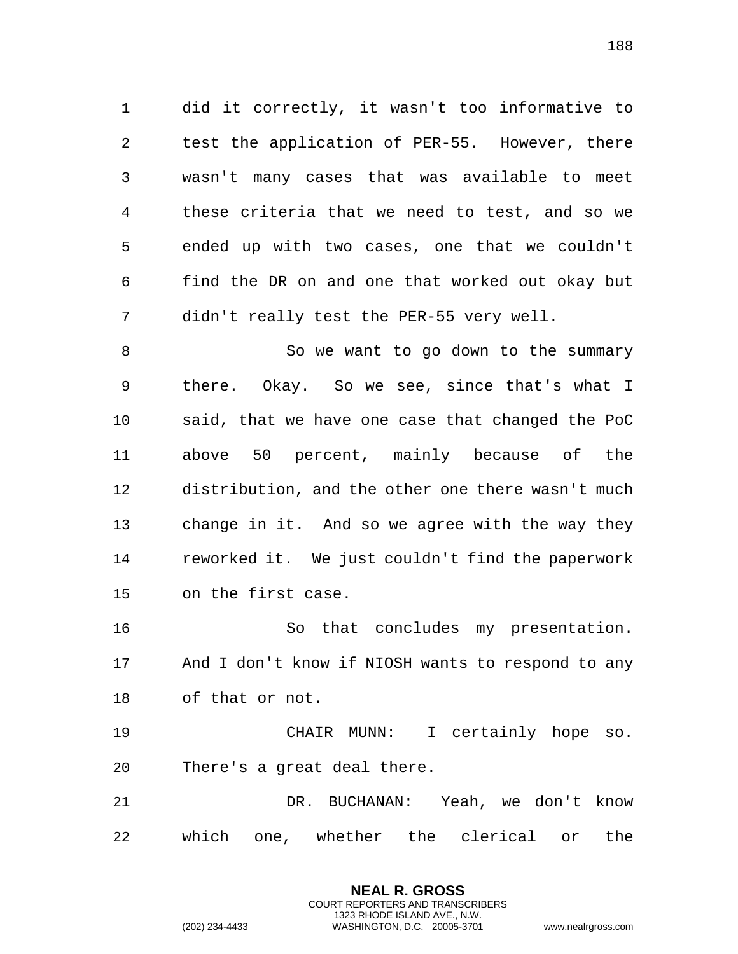did it correctly, it wasn't too informative to test the application of PER-55. However, there wasn't many cases that was available to meet these criteria that we need to test, and so we ended up with two cases, one that we couldn't find the DR on and one that worked out okay but didn't really test the PER-55 very well.

8 So we want to go down to the summary there. Okay. So we see, since that's what I said, that we have one case that changed the PoC above 50 percent, mainly because of the distribution, and the other one there wasn't much change in it. And so we agree with the way they reworked it. We just couldn't find the paperwork on the first case.

 So that concludes my presentation. And I don't know if NIOSH wants to respond to any of that or not.

 CHAIR MUNN: I certainly hope so. There's a great deal there.

 DR. BUCHANAN: Yeah, we don't know which one, whether the clerical or the

> **NEAL R. GROSS** COURT REPORTERS AND TRANSCRIBERS 1323 RHODE ISLAND AVE., N.W.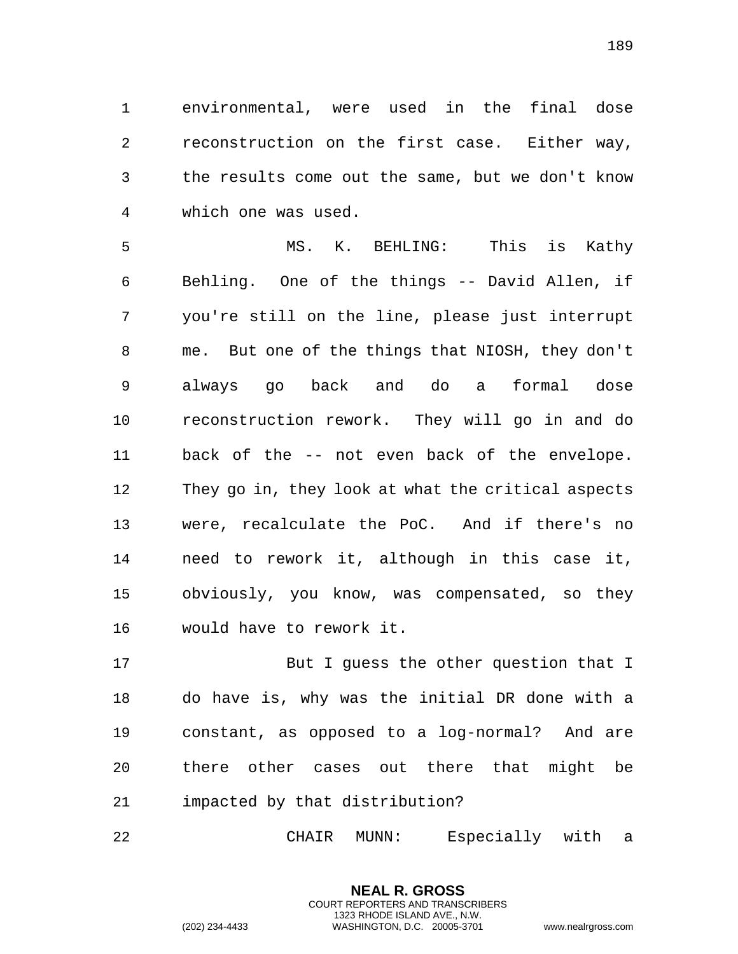environmental, were used in the final dose reconstruction on the first case. Either way, the results come out the same, but we don't know which one was used.

 MS. K. BEHLING: This is Kathy Behling. One of the things -- David Allen, if you're still on the line, please just interrupt me. But one of the things that NIOSH, they don't always go back and do a formal dose reconstruction rework. They will go in and do back of the -- not even back of the envelope. They go in, they look at what the critical aspects were, recalculate the PoC. And if there's no need to rework it, although in this case it, obviously, you know, was compensated, so they would have to rework it.

 But I guess the other question that I do have is, why was the initial DR done with a constant, as opposed to a log-normal? And are there other cases out there that might be impacted by that distribution?

CHAIR MUNN: Especially with a

**NEAL R. GROSS** COURT REPORTERS AND TRANSCRIBERS 1323 RHODE ISLAND AVE., N.W.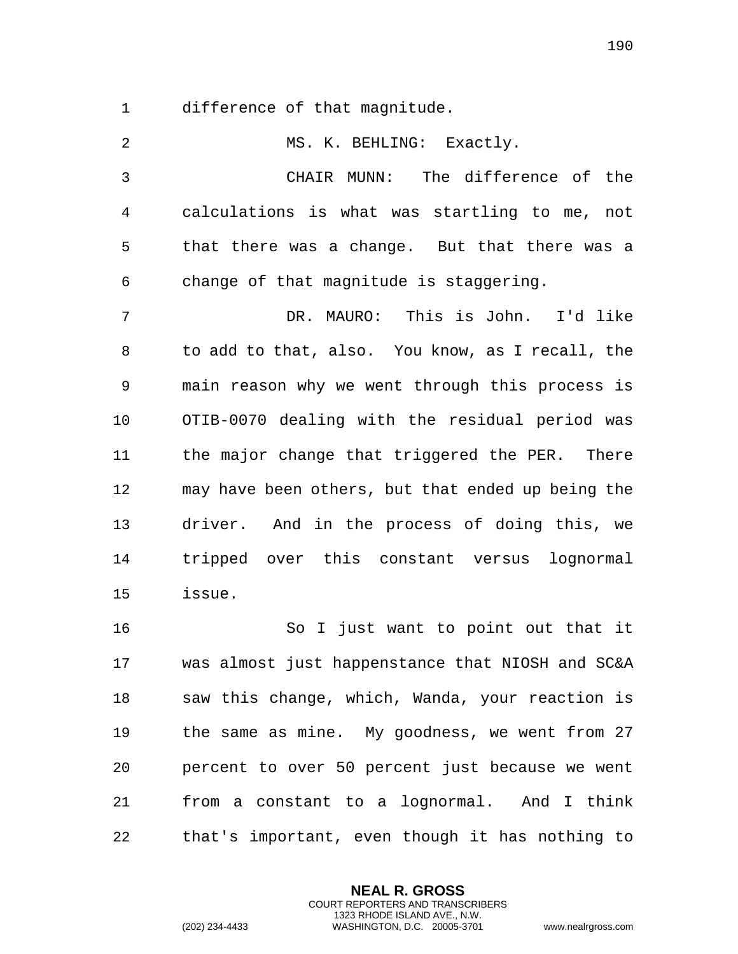difference of that magnitude.

| $\overline{a}$ | MS. K. BEHLING: Exactly.                          |
|----------------|---------------------------------------------------|
| 3              | CHAIR MUNN: The difference of the                 |
| 4              | calculations is what was startling to me,<br>not  |
| 5              | that there was a change. But that there was a     |
| 6              | change of that magnitude is staggering.           |
| 7              | DR. MAURO: This is John. I'd like                 |
| 8              | to add to that, also. You know, as I recall, the  |
| 9              | main reason why we went through this process is   |
| 10             | OTIB-0070 dealing with the residual period was    |
| 11             | the major change that triggered the PER. There    |
| 12             | may have been others, but that ended up being the |
| 13             | driver. And in the process of doing this, we      |
| 14             | tripped over this constant versus<br>lognormal    |
| 15             | issue.                                            |
| 16             | So I just want to point out that it               |
| 17             | was almost just happenstance that NIOSH and SC&A  |
| 18             | saw this change, which, Wanda, your reaction is   |
| 19             | the same as mine. My goodness, we went from 27    |
| 20             | percent to over 50 percent just because we went   |
| 21             | from a constant to a lognormal. And I think       |
| 22             | that's important, even though it has nothing to   |

**NEAL R. GROSS** COURT REPORTERS AND TRANSCRIBERS 1323 RHODE ISLAND AVE., N.W.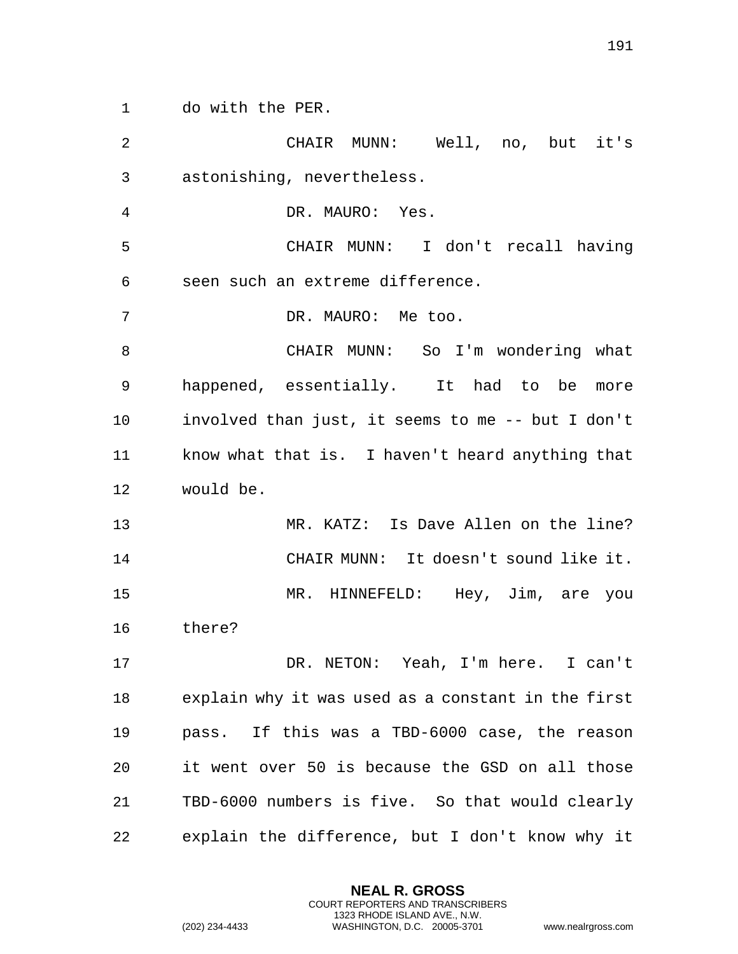do with the PER.

| $\overline{2}$ | CHAIR MUNN: Well, no, but it's                     |
|----------------|----------------------------------------------------|
| 3              | astonishing, nevertheless.                         |
| 4              | DR. MAURO: Yes.                                    |
| 5              | CHAIR MUNN: I don't recall having                  |
| 6              | seen such an extreme difference.                   |
| 7              | DR. MAURO: Me too.                                 |
| 8              | CHAIR MUNN: So I'm wondering what                  |
| 9              | happened, essentially. It had to be more           |
| 10             | involved than just, it seems to me -- but I don't  |
| 11             | know what that is. I haven't heard anything that   |
| 12             | would be.                                          |
| 13             | MR. KATZ: Is Dave Allen on the line?               |
| 14             | CHAIR MUNN: It doesn't sound like it.              |
| 15             | MR. HINNEFELD: Hey, Jim, are you                   |
| 16             | there?                                             |
| 17             | DR. NETON: Yeah, I'm here. I can't                 |
| 18             | explain why it was used as a constant in the first |
| 19             | pass. If this was a TBD-6000 case, the reason      |
| 20             | it went over 50 is because the GSD on all those    |
| 21             | TBD-6000 numbers is five. So that would clearly    |
| 22             | explain the difference, but I don't know why it    |

**NEAL R. GROSS** COURT REPORTERS AND TRANSCRIBERS 1323 RHODE ISLAND AVE., N.W.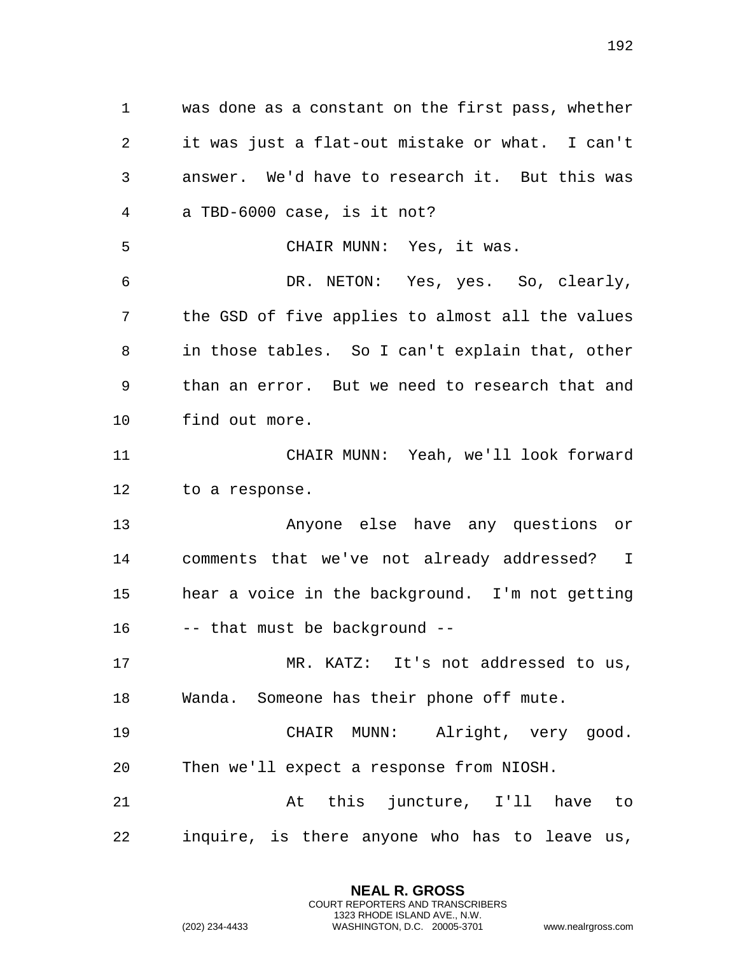was done as a constant on the first pass, whether it was just a flat-out mistake or what. I can't answer. We'd have to research it. But this was a TBD-6000 case, is it not? CHAIR MUNN: Yes, it was. DR. NETON: Yes, yes. So, clearly, the GSD of five applies to almost all the values in those tables. So I can't explain that, other than an error. But we need to research that and find out more. CHAIR MUNN: Yeah, we'll look forward to a response. Anyone else have any questions or comments that we've not already addressed? I hear a voice in the background. I'm not getting -- that must be background -- MR. KATZ: It's not addressed to us, Wanda. Someone has their phone off mute. CHAIR MUNN: Alright, very good. Then we'll expect a response from NIOSH. At this juncture, I'll have to inquire, is there anyone who has to leave us,

> **NEAL R. GROSS** COURT REPORTERS AND TRANSCRIBERS 1323 RHODE ISLAND AVE., N.W.

(202) 234-4433 WASHINGTON, D.C. 20005-3701 www.nealrgross.com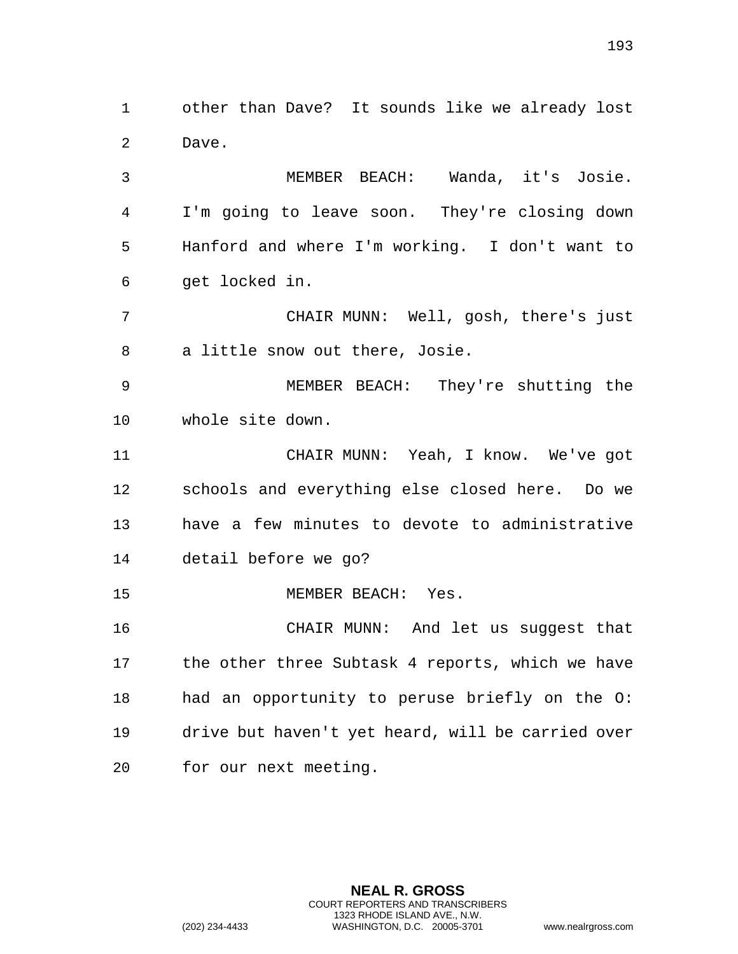other than Dave? It sounds like we already lost Dave.

 MEMBER BEACH: Wanda, it's Josie. I'm going to leave soon. They're closing down Hanford and where I'm working. I don't want to get locked in.

 CHAIR MUNN: Well, gosh, there's just a little snow out there, Josie.

 MEMBER BEACH: They're shutting the whole site down.

 CHAIR MUNN: Yeah, I know. We've got schools and everything else closed here. Do we have a few minutes to devote to administrative detail before we go?

MEMBER BEACH: Yes.

 CHAIR MUNN: And let us suggest that 17 the other three Subtask 4 reports, which we have had an opportunity to peruse briefly on the O: drive but haven't yet heard, will be carried over for our next meeting.

> **NEAL R. GROSS** COURT REPORTERS AND TRANSCRIBERS 1323 RHODE ISLAND AVE., N.W.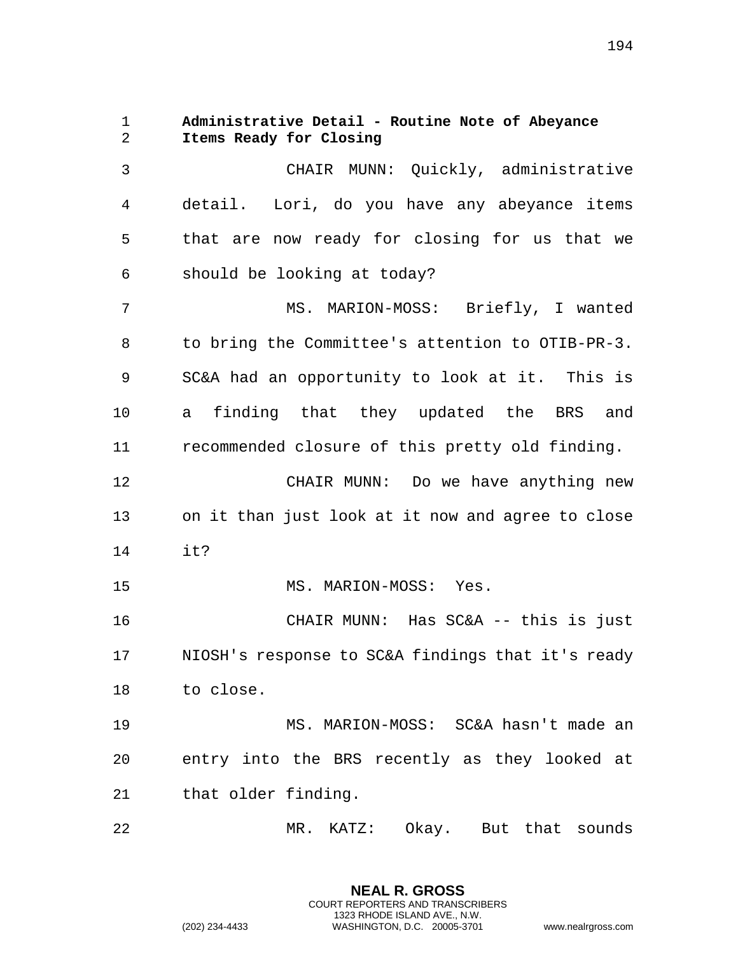1 **Administrative Detail - Routine Note of Abeyance**  2 **Items Ready for Closing**  3 CHAIR MUNN: Quickly, administrative 4 detail. Lori, do you have any abeyance items 5 that are now ready for closing for us that we 6 should be looking at today? 7 MS. MARION-MOSS: Briefly, I wanted 8 to bring the Committee's attention to OTIB-PR-3. 9 SC&A had an opportunity to look at it. This is 10 a finding that they updated the BRS and 11 recommended closure of this pretty old finding. 12 CHAIR MUNN: Do we have anything new 13 on it than just look at it now and agree to close 14 it? 15 MS. MARION-MOSS: Yes. 16 CHAIR MUNN: Has SC&A -- this is just 17 NIOSH's response to SC&A findings that it's ready 18 to close. 19 MS. MARION-MOSS: SC&A hasn't made an 20 entry into the BRS recently as they looked at 21 that older finding. 22 MR. KATZ: Okay. But that sounds

> **NEAL R. GROSS** COURT REPORTERS AND TRANSCRIBERS 1323 RHODE ISLAND AVE., N.W.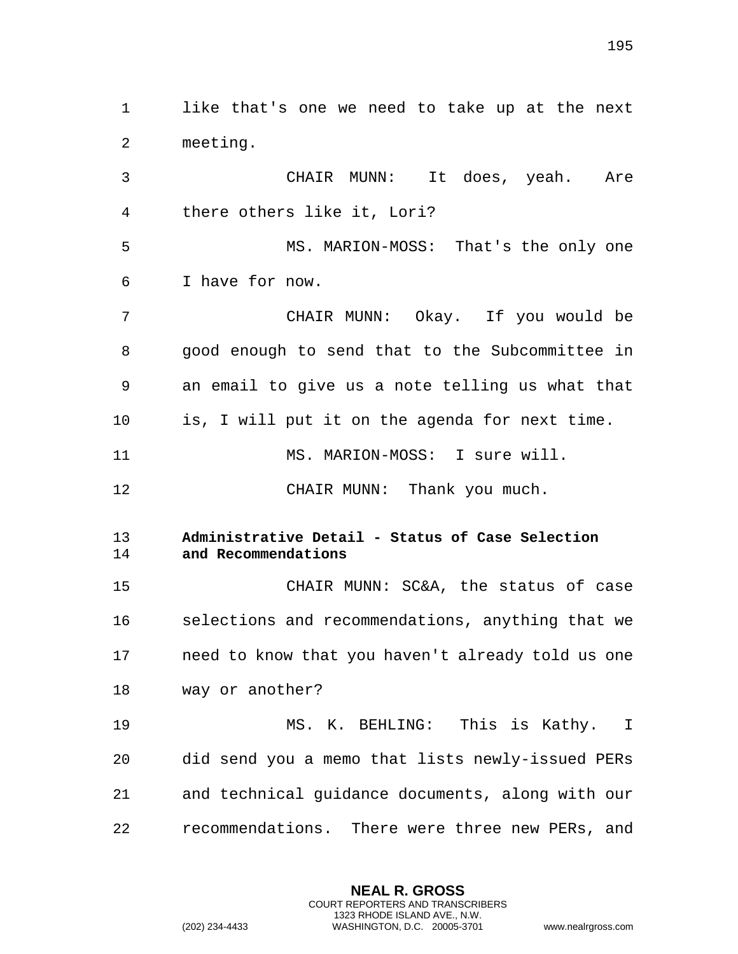1 like that's one we need to take up at the next 2 meeting. 3 CHAIR MUNN: It does, yeah. Are 4 there others like it, Lori? 5 MS. MARION-MOSS: That's the only one 6 I have for now. 7 CHAIR MUNN: Okay. If you would be 8 good enough to send that to the Subcommittee in 9 an email to give us a note telling us what that 10 is, I will put it on the agenda for next time. 11 MS. MARION-MOSS: I sure will. 12 CHAIR MUNN: Thank you much. 13 **Administrative Detail - Status of Case Selection**  14 **and Recommendations**  15 CHAIR MUNN: SC&A, the status of case 16 selections and recommendations, anything that we 17 need to know that you haven't already told us one 18 way or another? 19 MS. K. BEHLING: This is Kathy. I 20 did send you a memo that lists newly-issued PERs 21 and technical guidance documents, along with our

22 recommendations. There were three new PERs, and

**NEAL R. GROSS** COURT REPORTERS AND TRANSCRIBERS 1323 RHODE ISLAND AVE., N.W.

(202) 234-4433 WASHINGTON, D.C. 20005-3701 www.nealrgross.com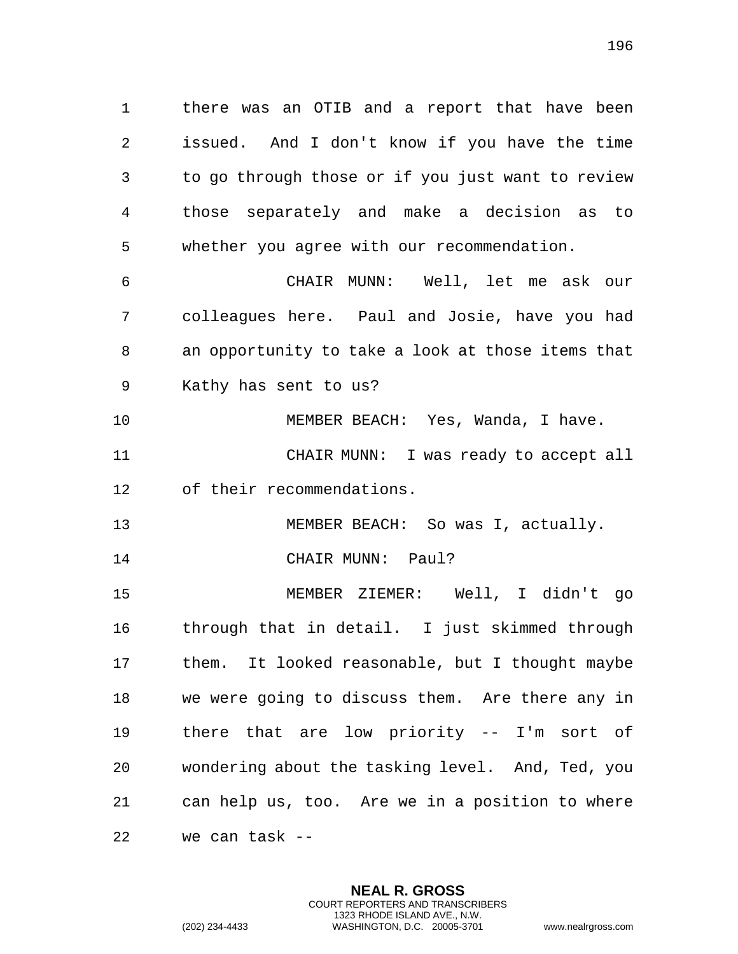1 there was an OTIB and a report that have been 2 issued. And I don't know if you have the time 3 to go through those or if you just want to review 4 those separately and make a decision as to 5 whether you agree with our recommendation.

6 CHAIR MUNN: Well, let me ask our 7 colleagues here. Paul and Josie, have you had 8 an opportunity to take a look at those items that 9 Kathy has sent to us?

10 MEMBER BEACH: Yes, Wanda, I have. 11 CHAIR MUNN: I was ready to accept all

12 of their recommendations.

13 MEMBER BEACH: So was I, actually.

14 CHAIR MUNN: Paul?

15 MEMBER ZIEMER: Well, I didn't go 16 through that in detail. I just skimmed through 17 them. It looked reasonable, but I thought maybe 18 we were going to discuss them. Are there any in 19 there that are low priority -- I'm sort of 20 wondering about the tasking level. And, Ted, you 21 can help us, too. Are we in a position to where 22 we can task --

> **NEAL R. GROSS** COURT REPORTERS AND TRANSCRIBERS 1323 RHODE ISLAND AVE., N.W.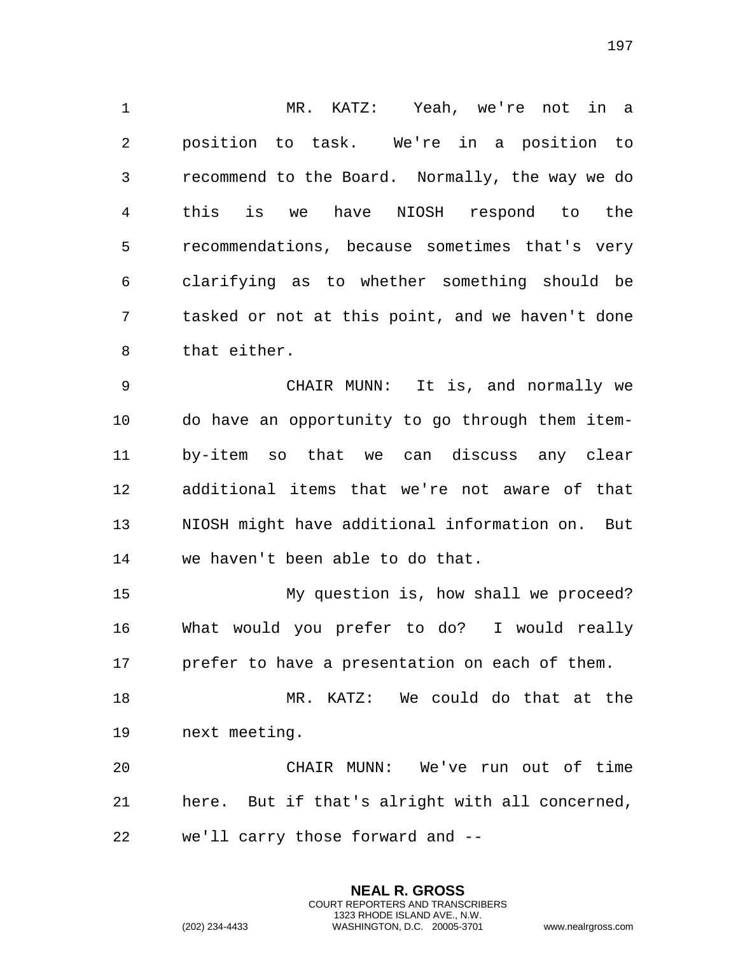MR. KATZ: Yeah, we're not in a position to task. We're in a position to recommend to the Board. Normally, the way we do this is we have NIOSH respond to the recommendations, because sometimes that's very clarifying as to whether something should be tasked or not at this point, and we haven't done that either.

 CHAIR MUNN: It is, and normally we do have an opportunity to go through them item- by-item so that we can discuss any clear additional items that we're not aware of that NIOSH might have additional information on. But we haven't been able to do that.

 My question is, how shall we proceed? What would you prefer to do? I would really prefer to have a presentation on each of them.

 MR. KATZ: We could do that at the next meeting.

 CHAIR MUNN: We've run out of time here. But if that's alright with all concerned, we'll carry those forward and --

> **NEAL R. GROSS** COURT REPORTERS AND TRANSCRIBERS 1323 RHODE ISLAND AVE., N.W.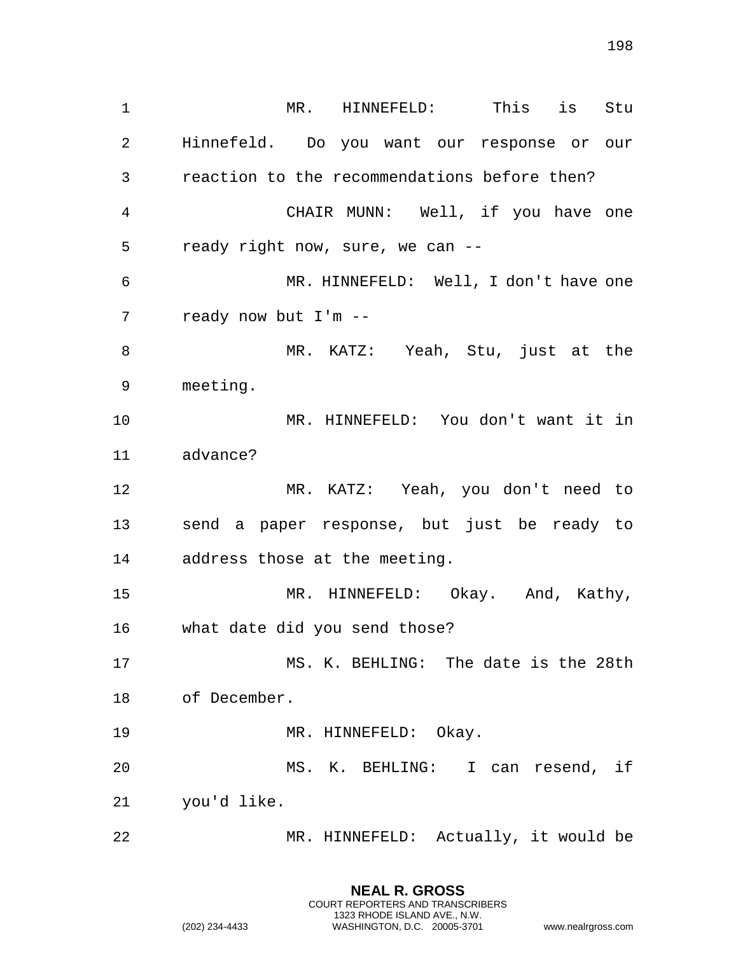MR. HINNEFELD: This is Stu Hinnefeld. Do you want our response or our reaction to the recommendations before then? CHAIR MUNN: Well, if you have one ready right now, sure, we can -- MR. HINNEFELD: Well, I don't have one ready now but I'm -- MR. KATZ: Yeah, Stu, just at the meeting. MR. HINNEFELD: You don't want it in advance? MR. KATZ: Yeah, you don't need to send a paper response, but just be ready to address those at the meeting. MR. HINNEFELD: Okay. And, Kathy, what date did you send those? MS. K. BEHLING: The date is the 28th of December. 19 MR. HINNEFELD: Okay. MS. K. BEHLING: I can resend, if you'd like. MR. HINNEFELD: Actually, it would be

> **NEAL R. GROSS** COURT REPORTERS AND TRANSCRIBERS 1323 RHODE ISLAND AVE., N.W.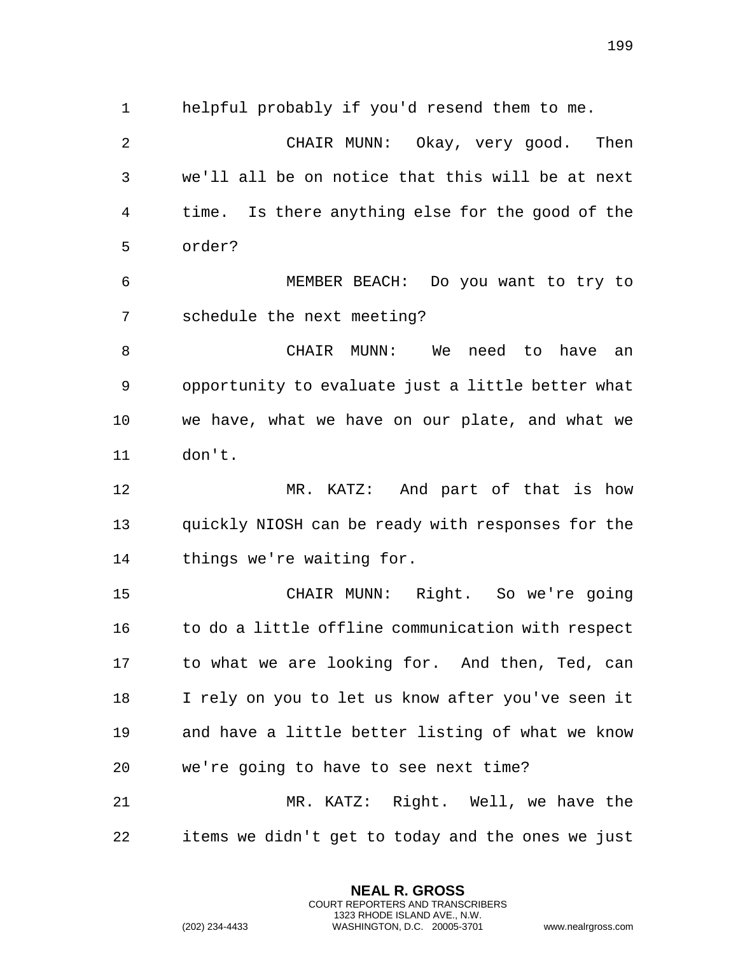helpful probably if you'd resend them to me.

 CHAIR MUNN: Okay, very good. Then we'll all be on notice that this will be at next time. Is there anything else for the good of the order?

 MEMBER BEACH: Do you want to try to schedule the next meeting?

 CHAIR MUNN: We need to have an opportunity to evaluate just a little better what we have, what we have on our plate, and what we don't.

 MR. KATZ: And part of that is how quickly NIOSH can be ready with responses for the things we're waiting for.

 CHAIR MUNN: Right. So we're going to do a little offline communication with respect to what we are looking for. And then, Ted, can I rely on you to let us know after you've seen it and have a little better listing of what we know we're going to have to see next time? MR. KATZ: Right. Well, we have the

items we didn't get to today and the ones we just

**NEAL R. GROSS** COURT REPORTERS AND TRANSCRIBERS 1323 RHODE ISLAND AVE., N.W.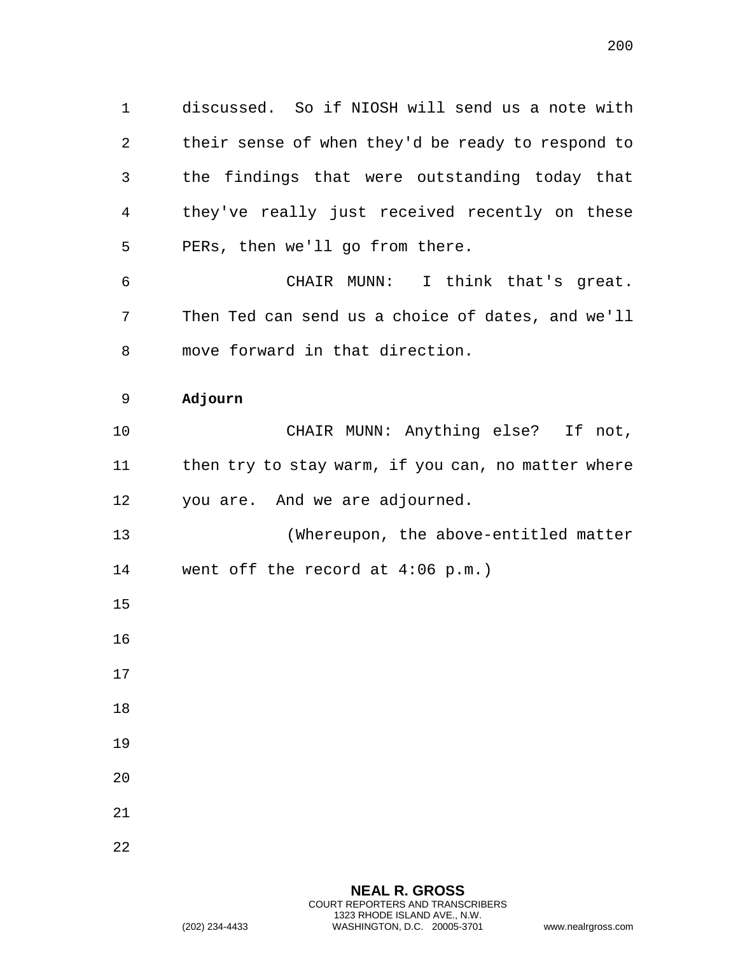1 discussed. So if NIOSH will send us a note with 2 their sense of when they'd be ready to respond to 3 the findings that were outstanding today that 4 they've really just received recently on these 5 PERs, then we'll go from there.

6 CHAIR MUNN: I think that's great. 7 Then Ted can send us a choice of dates, and we'll 8 move forward in that direction.

## 9 **Adjourn**

10 CHAIR MUNN: Anything else? If not, 11 then try to stay warm, if you can, no matter where 12 you are. And we are adjourned.

13 (Whereupon, the above-entitled matter 14 went off the record at 4:06 p.m.)

15

- 17
- 18
- 19
- 20
- 21
- 22